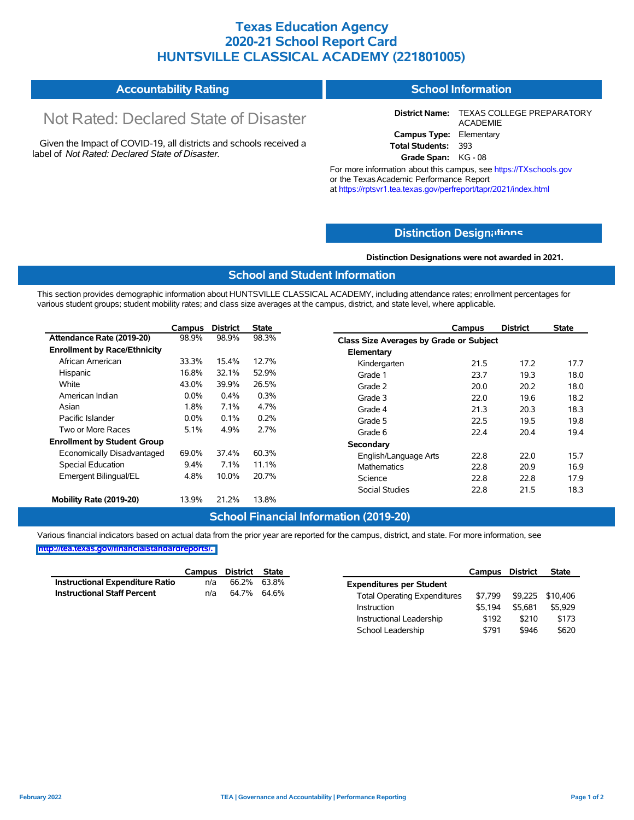## **Texas Education Agency 2020-21 School Report Card HUNTSVILLE CLASSICAL ACADEMY (221801005)**

#### **Accountability Rating School Information**

# Not Rated: Declared State of Disaster

Given the Impact of COVID-19, all districts and schools received a label of *Not Rated: Declared State of Disaster.*

**District Name:** TEXAS COLLEGE PREPARATORY ACADEMIE **Campus Type:** Elementary **Total Students:** 393

**Grade Span:** KG - 08

For more information about this campus, see https://TXschools.gov or the Texas Academic Performance Report at https://rptsvr1.tea.texas.gov/perfreport/tapr/2021/index.html

## **Distinction Design[ations](https://TXschools.gov)**

**Distinction Designations were not awarded in 2021.**

School Leadership  $$791$  \$946 \$620

### **School and Student Information**

This section provides demographic information about HUNTSVILLE CLASSICAL ACADEMY, including attendance rates; enrollment percentages for various student groups; student mobility rates; and class size averages at the campus, district, and state level, where applicable.

|                                     | Campus  | <b>District</b> | <b>State</b> | <b>District</b><br>Campus               | <b>State</b> |
|-------------------------------------|---------|-----------------|--------------|-----------------------------------------|--------------|
| Attendance Rate (2019-20)           | 98.9%   | 98.9%           | 98.3%        | Class Size Averages by Grade or Subject |              |
| <b>Enrollment by Race/Ethnicity</b> |         |                 |              | Elementary                              |              |
| African American                    | 33.3%   | 15.4%           | 12.7%        | 17.2<br>Kindergarten<br>21.5            | 17.7         |
| Hispanic                            | 16.8%   | 32.1%           | 52.9%        | 23.7<br>19.3<br>Grade 1                 | 18.0         |
| White                               | 43.0%   | 39.9%           | 26.5%        | 20.2<br>Grade 2<br>20.0                 | 18.0         |
| American Indian                     | 0.0%    | 0.4%            | 0.3%         | 19.6<br>Grade 3<br>22.0                 | 18.2         |
| Asian                               | 1.8%    | 7.1%            | 4.7%         | 20.3<br>Grade 4<br>21.3                 | 18.3         |
| Pacific Islander                    | $0.0\%$ | 0.1%            | 0.2%         | 19.5<br>Grade 5<br>22.5                 | 19.8         |
| Two or More Races                   | 5.1%    | 4.9%            | 2.7%         | 22.4<br>20.4<br>Grade 6                 | 19.4         |
| <b>Enrollment by Student Group</b>  |         |                 |              | Secondary                               |              |
| Economically Disadvantaged          | 69.0%   | 37.4%           | 60.3%        | 22.8<br>22.0<br>English/Language Arts   | 15.7         |
| Special Education                   | $9.4\%$ | 7.1%            | 11.1%        | Mathematics<br>22.8<br>20.9             | 16.9         |
| Emergent Bilingual/EL               | 4.8%    | 10.0%           | 20.7%        | 22.8<br>22.8<br>Science                 | 17.9         |
|                                     |         |                 |              | <b>Social Studies</b><br>21.5<br>22.8   | 18.3         |
| Mobility Rate (2019-20)             | 13.9%   | 21.2%           | 13.8%        |                                         |              |

## **School Financial Information (2019-20)**

Various financial indicators based on actual data from the prior year are reported for the campus, district, and state. For more information, see

|                                    | Campus | District State |       |                                     | Campus  | <b>District</b>  | <b>State</b> |
|------------------------------------|--------|----------------|-------|-------------------------------------|---------|------------------|--------------|
| Instructional Expenditure Ratio    | n/a    | 66.2%          | 63.8% | <b>Expenditures per Student</b>     |         |                  |              |
| <b>Instructional Staff Percent</b> | n/a    | 64.7% 64.6%    |       | <b>Total Operating Expenditures</b> | \$7.799 | \$9,225 \$10,406 |              |
|                                    |        |                |       | Instruction                         | \$5.194 | \$5.681          | \$5,929      |
|                                    |        |                |       | Instructional Leadership            | \$192   | \$210            | \$173        |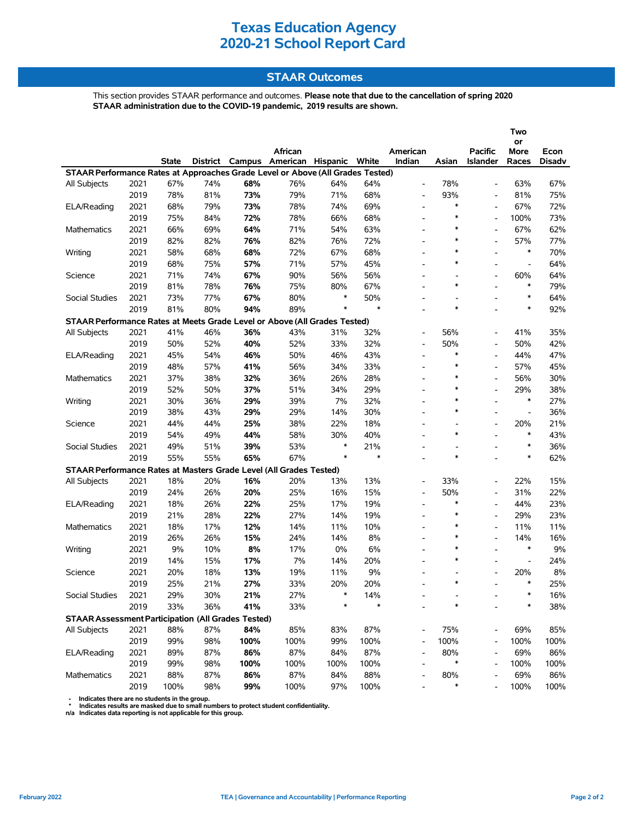## **STAAR Outcomes**

This section provides STAAR performance and outcomes. **Please note that due to the cancellation of spring 2020 STAAR administration due to the COVID-19 pandemic, 2019 results are shown.**

|                                                                                |      |       |     |      | African                                 |        |        | American                 |                | <b>Pacific</b>           | Two<br>or<br>More        | Econ   |
|--------------------------------------------------------------------------------|------|-------|-----|------|-----------------------------------------|--------|--------|--------------------------|----------------|--------------------------|--------------------------|--------|
|                                                                                |      | State |     |      | District Campus American Hispanic White |        |        | Indian                   | Asian          | <b>Islander</b>          | Races                    | Disadv |
| STAAR Performance Rates at Approaches Grade Level or Above (All Grades Tested) |      |       |     |      |                                         |        |        |                          |                |                          |                          |        |
| All Subjects                                                                   | 2021 | 67%   | 74% | 68%  | 76%                                     | 64%    | 64%    | $\overline{\phantom{a}}$ | 78%            |                          | 63%                      | 67%    |
|                                                                                | 2019 | 78%   | 81% | 73%  | 79%                                     | 71%    | 68%    | $\overline{\phantom{a}}$ | 93%            | $\overline{\phantom{a}}$ | 81%                      | 75%    |
| ELA/Reading                                                                    | 2021 | 68%   | 79% | 73%  | 78%                                     | 74%    | 69%    | $\overline{\phantom{a}}$ | $\ast$         |                          | 67%                      | 72%    |
|                                                                                | 2019 | 75%   | 84% | 72%  | 78%                                     | 66%    | 68%    |                          | $\ast$         |                          | 100%                     | 73%    |
| Mathematics                                                                    | 2021 | 66%   | 69% | 64%  | 71%                                     | 54%    | 63%    | $\overline{\phantom{a}}$ | $\ast$         |                          | 67%                      | 62%    |
|                                                                                | 2019 | 82%   | 82% | 76%  | 82%                                     | 76%    | 72%    | $\overline{a}$           | $\ast$         |                          | 57%                      | 77%    |
| Writing                                                                        | 2021 | 58%   | 68% | 68%  | 72%                                     | 67%    | 68%    |                          | $\ast$         |                          | $\ast$                   | 70%    |
|                                                                                | 2019 | 68%   | 75% | 57%  | 71%                                     | 57%    | 45%    | $\overline{a}$           | $\ast$         | $\blacksquare$           | $\overline{\phantom{a}}$ | 64%    |
| Science                                                                        | 2021 | 71%   | 74% | 67%  | 90%                                     | 56%    | 56%    | $\overline{\phantom{a}}$ | $\overline{a}$ |                          | 60%                      | 64%    |
|                                                                                | 2019 | 81%   | 78% | 76%  | 75%                                     | 80%    | 67%    |                          | $\ast$         |                          | $\ast$                   | 79%    |
| Social Studies                                                                 | 2021 | 73%   | 77% | 67%  | 80%                                     | *      | 50%    | $\overline{\phantom{a}}$ | L,             | $\overline{a}$           | $\ast$                   | 64%    |
|                                                                                | 2019 | 81%   | 80% | 94%  | 89%                                     | $\ast$ | $\ast$ |                          | $\ast$         |                          | $\ast$                   | 92%    |
| STAAR Performance Rates at Meets Grade Level or Above (All Grades Tested)      |      |       |     |      |                                         |        |        |                          |                |                          |                          |        |
| All Subjects                                                                   | 2021 | 41%   | 46% | 36%  | 43%                                     | 31%    | 32%    | $\overline{\phantom{a}}$ | 56%            | $\blacksquare$           | 41%                      | 35%    |
|                                                                                | 2019 | 50%   | 52% | 40%  | 52%                                     | 33%    | 32%    | $\overline{\phantom{a}}$ | 50%            | $\overline{\phantom{a}}$ | 50%                      | 42%    |
| ELA/Reading                                                                    | 2021 | 45%   | 54% | 46%  | 50%                                     | 46%    | 43%    | $\overline{\phantom{a}}$ | $\ast$         |                          | 44%                      | 47%    |
|                                                                                | 2019 | 48%   | 57% | 41%  | 56%                                     | 34%    | 33%    | $\overline{\phantom{a}}$ | $\ast$         | $\overline{a}$           | 57%                      | 45%    |
| Mathematics                                                                    | 2021 | 37%   | 38% | 32%  | 36%                                     | 26%    | 28%    | $\overline{\phantom{0}}$ | $\ast$         |                          | 56%                      | 30%    |
|                                                                                | 2019 | 52%   | 50% | 37%  | 51%                                     | 34%    | 29%    | $\overline{\phantom{a}}$ | $\ast$         | $\overline{a}$           | 29%                      | 38%    |
| Writing                                                                        | 2021 | 30%   | 36% | 29%  | 39%                                     | 7%     | 32%    |                          | $\ast$         | $\overline{a}$           | $\ast$                   | 27%    |
|                                                                                | 2019 | 38%   | 43% | 29%  | 29%                                     | 14%    | 30%    | $\overline{\phantom{0}}$ | $\ast$         | $\overline{\phantom{a}}$ | $\overline{\phantom{a}}$ | 36%    |
| Science                                                                        | 2021 | 44%   | 44% | 25%  | 38%                                     | 22%    | 18%    | $\overline{\phantom{a}}$ | L,             | $\blacksquare$           | 20%                      | 21%    |
|                                                                                | 2019 | 54%   | 49% | 44%  | 58%                                     | 30%    | 40%    |                          | $\ast$         |                          | $\ast$                   | 43%    |
| Social Studies                                                                 | 2021 | 49%   | 51% | 39%  | 53%                                     | $\ast$ | 21%    | $\overline{\phantom{0}}$ |                |                          | $\ast$                   | 36%    |
|                                                                                | 2019 | 55%   | 55% | 65%  | 67%                                     | $\ast$ | $\ast$ | $\overline{a}$           | $\ast$         | $\overline{a}$           | $\ast$                   | 62%    |
| STAAR Performance Rates at Masters Grade Level (All Grades Tested)             |      |       |     |      |                                         |        |        |                          |                |                          |                          |        |
| All Subjects                                                                   | 2021 | 18%   | 20% | 16%  | 20%                                     | 13%    | 13%    | $\overline{\phantom{a}}$ | 33%            | $\blacksquare$           | 22%                      | 15%    |
|                                                                                | 2019 | 24%   | 26% | 20%  | 25%                                     | 16%    | 15%    | $\overline{\phantom{a}}$ | 50%            | $\overline{\phantom{a}}$ | 31%                      | 22%    |
| ELA/Reading                                                                    | 2021 | 18%   | 26% | 22%  | 25%                                     | 17%    | 19%    | $\overline{\phantom{a}}$ | $\ast$         |                          | 44%                      | 23%    |
|                                                                                | 2019 | 21%   | 28% | 22%  | 27%                                     | 14%    | 19%    | $\overline{\phantom{a}}$ | $\ast$         | $\blacksquare$           | 29%                      | 23%    |
| Mathematics                                                                    | 2021 | 18%   | 17% | 12%  | 14%                                     | 11%    | 10%    | $\overline{\phantom{0}}$ | $\ast$         | $\overline{\phantom{a}}$ | 11%                      | 11%    |
|                                                                                | 2019 | 26%   | 26% | 15%  | 24%                                     | 14%    | 8%     |                          | $\ast$         | $\overline{\phantom{a}}$ | 14%                      | 16%    |
| Writing                                                                        | 2021 | 9%    | 10% | 8%   | 17%                                     | 0%     | 6%     | $\overline{\phantom{a}}$ | $\ast$         | $\overline{a}$           | $\ast$                   | 9%     |
|                                                                                | 2019 | 14%   | 15% | 17%  | 7%                                      | 14%    | 20%    | $\overline{\phantom{a}}$ | $\ast$         |                          | $\overline{\phantom{a}}$ | 24%    |
| Science                                                                        | 2021 | 20%   | 18% | 13%  | 19%                                     | 11%    | 9%     | $\overline{\phantom{a}}$ |                |                          | 20%                      | 8%     |
|                                                                                | 2019 | 25%   | 21% | 27%  | 33%                                     | 20%    | 20%    |                          | $\ast$         |                          | $\ast$                   | 25%    |
| Social Studies                                                                 | 2021 | 29%   | 30% | 21%  | 27%                                     |        | 14%    |                          |                |                          | ∗                        | 16%    |
|                                                                                | 2019 | 33%   | 36% | 41%  | 33%                                     | *      | $\ast$ |                          | $\ast$         |                          | $\ast$                   | 38%    |
| <b>STAAR Assessment Participation (All Grades Tested)</b>                      |      |       |     |      |                                         |        |        |                          |                |                          |                          |        |
| All Subjects                                                                   | 2021 | 88%   | 87% | 84%  | 85%                                     | 83%    | 87%    | $\overline{\phantom{a}}$ | 75%            |                          | 69%                      | 85%    |
|                                                                                | 2019 | 99%   | 98% | 100% | 100%                                    | 99%    | 100%   | $\overline{\phantom{m}}$ | 100%           |                          | 100%                     | 100%   |
| ELA/Reading                                                                    | 2021 | 89%   | 87% | 86%  | 87%                                     | 84%    | 87%    | $\overline{\phantom{a}}$ | 80%            |                          | 69%                      | 86%    |
|                                                                                | 2019 | 99%   | 98% | 100% | 100%                                    | 100%   | 100%   | $\overline{\phantom{a}}$ | $\ast$         |                          | 100%                     | 100%   |
| Mathematics                                                                    | 2021 | 88%   | 87% | 86%  | 87%                                     | 84%    | 88%    |                          | 80%            |                          | 69%                      | 86%    |
|                                                                                | 2019 | 100%  | 98% | 99%  | 100%                                    | 97%    | 100%   |                          | $\ast$         |                          | 100%                     | 100%   |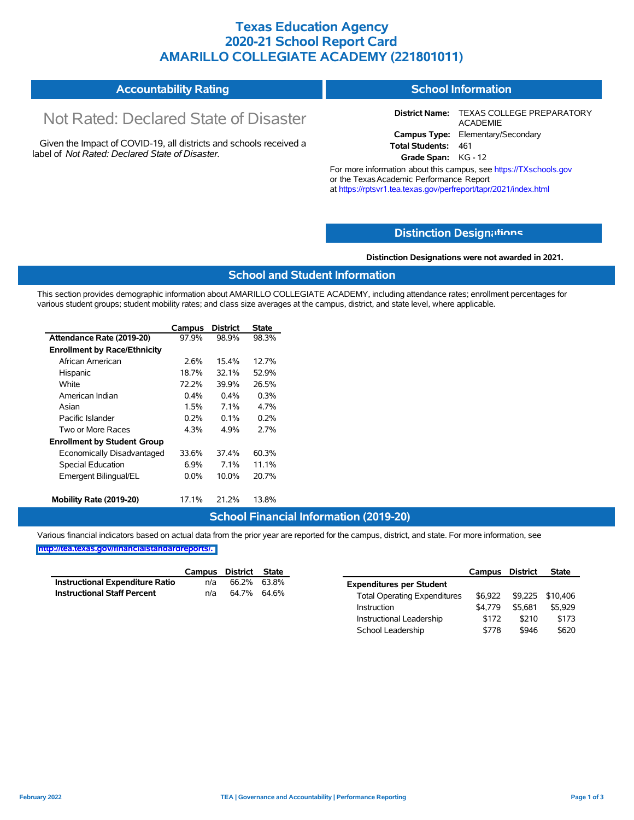## **Texas Education Agency 2020-21 School Report Card AMARILLO COLLEGIATE ACADEMY (221801011)**

| <b>Accountability Rating</b> | <b>School Information</b> |
|------------------------------|---------------------------|
|                              |                           |

# Not Rated: Declared State of Disaster

Given the Impact of COVID-19, all districts and schools received a label of *Not Rated: Declared State of Disaster.*

**District Name:** TEXAS COLLEGE PREPARATORY ACADEMIE **Campus Type:** Elementary/Secondary **Total Students:** 461

**Grade Span:** KG - 12

For more information about this campus, see https://TXschools.gov or the TexasAcademic Performance Report at https://rptsvr1.tea.texas.gov/perfreport/tapr/2021/index.html

## **Distinction Design[ations](https://TXschools.gov)**

**Distinction Designations were not awarded in 2021.**

School Leadership  $$778$  \$946 \$620

### **School and Student Information**

This section provides demographic information about AMARILLO COLLEGIATE ACADEMY, including attendance rates; enrollment percentages for various student groups; student mobility rates; and class size averages at the campus, district, and state level, where applicable.

|                                     | Campus  | <b>District</b> | State |
|-------------------------------------|---------|-----------------|-------|
| Attendance Rate (2019-20)           | 97.9%   | 98.9%           | 98.3% |
| <b>Enrollment by Race/Ethnicity</b> |         |                 |       |
| African American                    | 2.6%    | 15.4%           | 127%  |
| Hispanic                            | 18.7%   | 32 1%           | 52.9% |
| White                               | 72.2%   | 39.9%           | 26.5% |
| American Indian                     | 0.4%    | $0.4\%$         | 0.3%  |
| Asian                               | 1.5%    | 7.1%            | 4.7%  |
| Pacific Islander                    | $0.2\%$ | $0.1\%$         | 0.2%  |
| Two or More Races                   | 4.3%    | 4.9%            | 2.7%  |
| <b>Enrollment by Student Group</b>  |         |                 |       |
| Economically Disadvantaged          | 33.6%   | 37.4%           | 60.3% |
| <b>Special Education</b>            | $6.9\%$ | $7.1\%$         | 11.1% |
| Emergent Bilingual/EL               | $0.0\%$ | 10.0%           | 20.7% |
| Mobility Rate (2019-20)             | 17.1%   | 21.2%           | 13.8% |

### **School Financial Information (2019-20)**

Various financial indicators based on actual data from the prior year are reported for the campus, district, and state. For more information, see

|                                        | Campus | District | <b>State</b> |                                     | Campus  | <b>District</b> | <b>State</b>     |
|----------------------------------------|--------|----------|--------------|-------------------------------------|---------|-----------------|------------------|
| <b>Instructional Expenditure Ratio</b> | n/a    | 66.2%    | 63.8%        | <b>Expenditures per Student</b>     |         |                 |                  |
| <b>Instructional Staff Percent</b>     | n/a    |          | 64.7% 64.6%  | <b>Total Operating Expenditures</b> | \$6.922 |                 | \$9,225 \$10,406 |
|                                        |        |          |              | Instruction                         | \$4.779 | \$5.681         | \$5,929          |
|                                        |        |          |              | Instructional Leadership            | \$172   | \$210           | \$173            |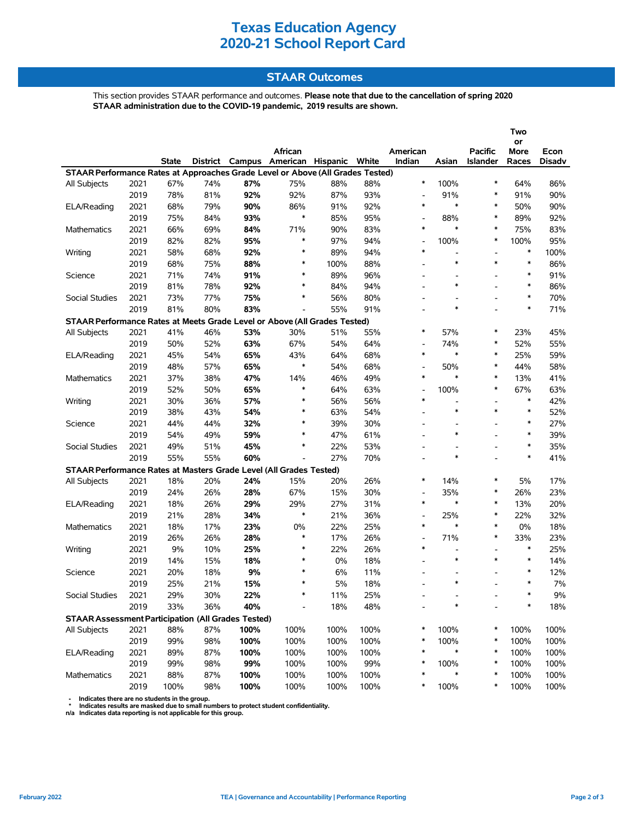## **STAAR Outcomes**

This section provides STAAR performance and outcomes. **Please note that due to the cancellation of spring 2020 STAAR administration due to the COVID-19 pandemic, 2019 results are shown.**

|                                                                                |              |              |            |            |                                |            |            |                                    |                                    |                 | Two           |                |
|--------------------------------------------------------------------------------|--------------|--------------|------------|------------|--------------------------------|------------|------------|------------------------------------|------------------------------------|-----------------|---------------|----------------|
|                                                                                |              |              |            |            | African                        |            |            |                                    |                                    | <b>Pacific</b>  | or            |                |
|                                                                                |              | <b>State</b> | District   |            | Campus American Hispanic White |            |            | American<br>Indian                 | Asian                              | <b>Islander</b> | More<br>Races | Econ<br>Disadv |
| STAAR Performance Rates at Approaches Grade Level or Above (All Grades Tested) |              |              |            |            |                                |            |            |                                    |                                    |                 |               |                |
| All Subjects                                                                   | 2021         | 67%          | 74%        | 87%        | 75%                            | 88%        | 88%        | $\ast$                             | 100%                               | $\ast$          | 64%           | 86%            |
|                                                                                | 2019         | 78%          | 81%        | 92%        | 92%                            | 87%        | 93%        | $\overline{\phantom{a}}$           | 91%                                | $\ast$          | 91%           | 90%            |
| ELA/Reading                                                                    | 2021         | 68%          | 79%        | 90%        | 86%                            | 91%        | 92%        | $\ast$                             | $\ast$                             | $\ast$          | 50%           | 90%            |
|                                                                                | 2019         | 75%          | 84%        | 93%        | $\ast$                         | 85%        | 95%        | $\overline{\phantom{a}}$           | 88%                                | $\ast$          | 89%           | 92%            |
| Mathematics                                                                    | 2021         | 66%          | 69%        | 84%        | 71%                            | 90%        | 83%        | $\ast$                             | $\ast$                             | $\ast$          | 75%           | 83%            |
|                                                                                | 2019         | 82%          | 82%        | 95%        | ∗                              | 97%        | 94%        | $\overline{\phantom{a}}$           | 100%                               | $\ast$          | 100%          | 95%            |
| Writing                                                                        | 2021         | 58%          | 68%        | 92%        | $\ast$                         | 89%        | 94%        | $\ast$                             | $\overline{\phantom{0}}$           |                 | $\ast$        | 100%           |
|                                                                                | 2019         | 68%          | 75%        | 88%        | $\ast$                         | 100%       | 88%        |                                    | $\ast$                             | $\ast$          | $\ast$        | 86%            |
| Science                                                                        | 2021         | 71%          | 74%        | 91%        | $\ast$                         | 89%        | 96%        |                                    |                                    |                 | $\ast$        | 91%            |
|                                                                                | 2019         | 81%          | 78%        | 92%        | $\ast$                         | 84%        | 94%        | $\overline{\phantom{a}}$           | $\ast$                             |                 | $\ast$        | 86%            |
| Social Studies                                                                 | 2021         | 73%          | 77%        | 75%        | *                              | 56%        | 80%        | $\overline{\phantom{a}}$           |                                    |                 | $\ast$        | 70%            |
|                                                                                | 2019         | 81%          | 80%        | 83%        |                                | 55%        | 91%        |                                    | $\ast$                             |                 | $\ast$        | 71%            |
| STAAR Performance Rates at Meets Grade Level or Above (All Grades Tested)      |              |              |            |            |                                |            |            |                                    |                                    |                 |               |                |
| All Subjects                                                                   | 2021         | 41%          | 46%        | 53%        | 30%                            | 51%        | 55%        | $\ast$                             | 57%                                | $\ast$          | 23%           | 45%            |
|                                                                                | 2019         | 50%          | 52%        | 63%        | 67%                            | 54%        | 64%        | $\overline{\phantom{a}}$           | 74%                                | $\ast$          | 52%           | 55%            |
| ELA/Reading                                                                    | 2021         | 45%          | 54%        | 65%        | 43%                            | 64%        | 68%        | $\ast$                             | $\ast$                             | $\ast$          | 25%           | 59%            |
|                                                                                | 2019         | 48%          | 57%        | 65%        | *                              | 54%        | 68%        | $\overline{\phantom{a}}$           | 50%                                | $\ast$          | 44%           | 58%            |
| Mathematics                                                                    | 2021         | 37%          | 38%        | 47%        | 14%                            | 46%        | 49%        | $\ast$                             | $\ast$                             | $\ast$          | 13%           | 41%            |
|                                                                                | 2019         | 52%          | 50%        | 65%        | $\ast$                         | 64%        | 63%        | $\overline{\phantom{a}}$           | 100%                               | $\ast$          | 67%           | 63%            |
| Writing                                                                        | 2021         | 30%          | 36%        | 57%        | $\ast$                         | 56%        | 56%        | $\ast$                             | $\overline{\phantom{a}}$           |                 | $\ast$        | 42%            |
|                                                                                | 2019         | 38%          | 43%        | 54%        | $\ast$                         | 63%        | 54%        |                                    | $\ast$                             | $\ast$          | $\ast$        | 52%            |
| Science                                                                        | 2021         | 44%          | 44%        | 32%        | ∗                              | 39%        | 30%        |                                    |                                    |                 | $\ast$        | 27%            |
|                                                                                | 2019         | 54%          | 49%        | 59%        | $\ast$                         | 47%        | 61%        | $\overline{a}$                     | $\ast$                             |                 | $\ast$        | 39%            |
| Social Studies                                                                 | 2021         | 49%          | 51%        | 45%        | $\ast$                         | 22%        | 53%        | $\overline{\phantom{a}}$           |                                    |                 | $\ast$        | 35%            |
|                                                                                | 2019         | 55%          | 55%        | 60%        |                                | 27%        | 70%        |                                    | $\ast$                             |                 | $\ast$        | 41%            |
|                                                                                |              |              |            |            |                                |            |            |                                    |                                    |                 |               |                |
| STAAR Performance Rates at Masters Grade Level (All Grades Tested)             | 2021         | 18%          | 20%        | 24%        | 15%                            | 20%        | 26%        | $\ast$                             | 14%                                | ∗               | 5%            | 17%            |
| All Subjects                                                                   | 2019         | 24%          | 26%        | 28%        | 67%                            | 15%        | 30%        | $\overline{\phantom{a}}$           | 35%                                | $\ast$          | 26%           | 23%            |
|                                                                                |              | 18%          |            |            |                                | 27%        | 31%        | $\ast$                             | $\ast$                             | $\ast$          |               | 20%            |
| ELA/Reading                                                                    | 2021         |              | 26%        | 29%        | 29%<br>$\ast$                  |            |            |                                    | 25%                                | $\ast$          | 13%<br>22%    |                |
| Mathematics                                                                    | 2019<br>2021 | 21%<br>18%   | 28%<br>17% | 34%<br>23% | 0%                             | 21%<br>22% | 36%<br>25% | $\overline{\phantom{a}}$<br>$\ast$ | $\ast$                             | $\ast$          | 0%            | 32%<br>18%     |
|                                                                                |              |              |            |            | $\ast$                         | 17%        |            |                                    | 71%                                | $\ast$          | 33%           |                |
|                                                                                | 2019         | 26%          | 26%        | 28%        | $\ast$                         |            | 26%        | $\overline{\phantom{a}}$<br>$\ast$ |                                    |                 | $\ast$        | 23%            |
| Writing                                                                        | 2021         | 9%           | 10%        | 25%        | $\ast$                         | 22%        | 26%        |                                    | $\overline{\phantom{a}}$<br>$\ast$ | $\ast$          | $\ast$        | 25%            |
|                                                                                | 2019         | 14%          | 15%        | 18%        | $\ast$                         | 0%         | 18%        |                                    |                                    |                 | $\ast$        | 14%            |
| Science                                                                        | 2021         | 20%          | 18%        | 9%         | $\ast$                         | 6%         | 11%        | $\overline{\phantom{a}}$           | $\ast$                             |                 | $\ast$        | 12%            |
|                                                                                | 2019         | 25%          | 21%        | 15%        |                                | 5%         | 18%        |                                    |                                    |                 |               | 7%             |
| Social Studies                                                                 | 2021         | 29%          | 30%        | 22%        |                                | 11%        | 25%        |                                    | ∗                                  |                 |               | 9%             |
|                                                                                | 2019         | 33%          | 36%        | 40%        |                                | 18%        | 48%        |                                    |                                    |                 | $\ast$        | 18%            |
| <b>STAAR Assessment Participation (All Grades Tested)</b>                      |              |              |            |            |                                |            |            |                                    |                                    |                 |               |                |
| All Subjects                                                                   | 2021         | 88%          | 87%        | 100%       | 100%                           | 100%       | 100%       | $\ast$                             | 100%                               | ∗               | 100%          | 100%           |
|                                                                                | 2019         | 99%          | 98%        | 100%       | 100%                           | 100%       | 100%       | *<br>$\ast$                        | 100%<br>∗                          | ∗               | 100%          | 100%           |
| ELA/Reading                                                                    | 2021         | 89%          | 87%        | 100%       | 100%                           | 100%       | 100%       |                                    |                                    |                 | 100%          | 100%           |
|                                                                                | 2019         | 99%          | 98%        | 99%        | 100%                           | 100%       | 99%        | $\ast$<br>$\ast$                   | 100%<br>$\ast$                     | ∗<br>∗          | 100%          | 100%           |
| Mathematics                                                                    | 2021         | 88%          | 87%        | 100%       | 100%                           | 100%       | 100%       |                                    |                                    |                 | 100%          | 100%           |
|                                                                                | 2019         | 100%         | 98%        | 100%       | 100%                           | 100%       | 100%       | $\ast$                             | 100%                               | $\ast$          | 100%          | 100%           |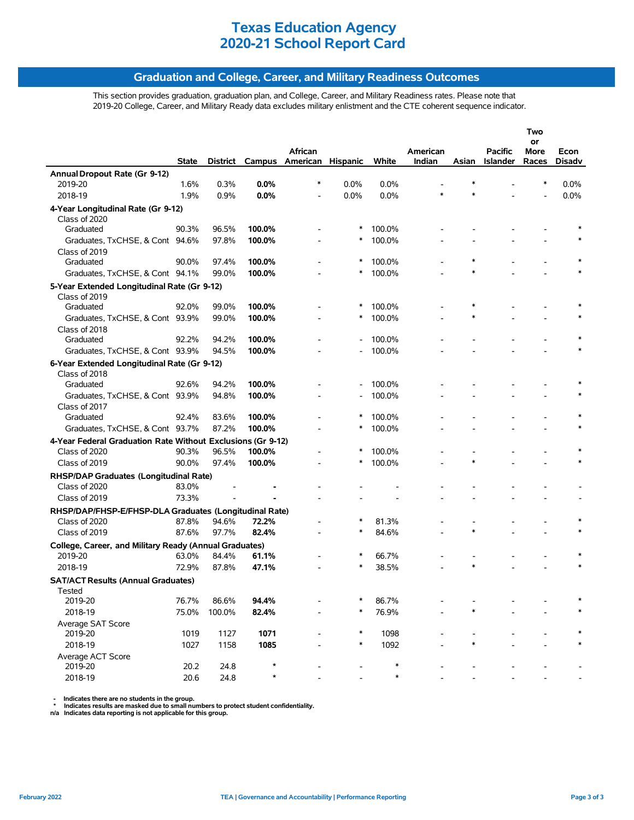## **Graduation and College, Career, and Military Readiness Outcomes**

This section provides graduation, graduation plan, and College, Career, and Military Readiness rates. Please note that 2019-20 College, Career, and Military Ready data excludes military enlistment and the CTE coherent sequence indicator.

|                                                             |                |                |         |                                   |         |                |          |        |                 | Two        |        |
|-------------------------------------------------------------|----------------|----------------|---------|-----------------------------------|---------|----------------|----------|--------|-----------------|------------|--------|
|                                                             |                |                |         | African                           |         |                | American |        | <b>Pacific</b>  | or<br>More | Econ   |
|                                                             | State          |                |         | District Campus American Hispanic |         | White          | Indian   | Asian  | <b>Islander</b> | Races      | Disadv |
| Annual Dropout Rate (Gr 9-12)                               |                |                |         |                                   |         |                |          |        |                 |            |        |
| 2019-20                                                     | 1.6%           | 0.3%           | $0.0\%$ | *                                 | $0.0\%$ | 0.0%           |          | $\ast$ |                 | *          | 0.0%   |
| 2018-19                                                     | 1.9%           | 0.9%           | 0.0%    |                                   | 0.0%    | 0.0%           | $\ast$   | $\ast$ |                 |            | 0.0%   |
| 4-Year Longitudinal Rate (Gr 9-12)                          |                |                |         |                                   |         |                |          |        |                 |            |        |
| Class of 2020                                               |                |                |         |                                   |         |                |          |        |                 |            |        |
| Graduated                                                   | 90.3%          | 96.5%          | 100.0%  |                                   | ∗       | 100.0%         |          |        |                 |            |        |
| Graduates, TxCHSE, & Cont 94.6%                             |                | 97.8%          | 100.0%  |                                   | ∗       | 100.0%         |          |        |                 |            |        |
| Class of 2019                                               |                |                |         |                                   |         |                |          |        |                 |            |        |
| Graduated                                                   | 90.0%          | 97.4%          | 100.0%  |                                   | ∗       | 100.0%         |          |        |                 |            |        |
| Graduates, TxCHSE, & Cont 94.1%                             |                | 99.0%          | 100.0%  |                                   |         | 100.0%         |          | $\ast$ |                 |            |        |
| 5-Year Extended Longitudinal Rate (Gr 9-12)                 |                |                |         |                                   |         |                |          |        |                 |            |        |
| Class of 2019                                               |                |                |         |                                   |         |                |          |        |                 |            |        |
| Graduated                                                   | 92.0%          | 99.0%          | 100.0%  |                                   | $\ast$  | 100.0%         |          | *      |                 |            |        |
| Graduates, TxCHSE, & Cont 93.9%                             |                | 99.0%          | 100.0%  |                                   | ∗       | 100.0%         |          | $\ast$ |                 |            |        |
| Class of 2018                                               |                |                |         |                                   |         |                |          |        |                 |            |        |
| Graduated                                                   | 92.2%          | 94.2%          | 100.0%  |                                   |         | 100.0%         |          |        |                 |            |        |
| Graduates, TxCHSE, & Cont 93.9%                             |                | 94.5%          | 100.0%  |                                   |         | 100.0%         |          |        |                 |            |        |
| 6-Year Extended Longitudinal Rate (Gr 9-12)                 |                |                |         |                                   |         |                |          |        |                 |            |        |
| Class of 2018                                               |                |                |         |                                   |         |                |          |        |                 |            |        |
| Graduated                                                   | 92.6%          | 94.2%          | 100.0%  |                                   |         | 100.0%         |          |        |                 |            |        |
| Graduates, TxCHSE, & Cont 93.9%                             |                | 94.8%          | 100.0%  |                                   |         | 100.0%         |          |        |                 |            |        |
| Class of 2017                                               |                |                |         |                                   |         |                |          |        |                 |            |        |
| Graduated                                                   | 92.4%          | 83.6%          | 100.0%  |                                   | ∗       | 100.0%         |          |        |                 |            |        |
| Graduates, TxCHSE, & Cont 93.7%                             |                | 87.2%          | 100.0%  |                                   |         | 100.0%         |          |        |                 |            |        |
| 4-Year Federal Graduation Rate Without Exclusions (Gr 9-12) |                |                |         |                                   |         |                |          |        |                 |            |        |
| Class of 2020                                               | 90.3%          | 96.5%          | 100.0%  |                                   | ∗       | 100.0%         |          |        |                 |            |        |
| Class of 2019                                               | 90.0%          | 97.4%          | 100.0%  |                                   | $\ast$  | 100.0%         |          | $\ast$ |                 |            |        |
| RHSP/DAP Graduates (Longitudinal Rate)                      |                |                |         |                                   |         |                |          |        |                 |            |        |
| Class of 2020                                               | 83.0%          |                |         |                                   |         |                |          |        |                 |            |        |
| Class of 2019                                               | 73.3%          |                |         |                                   |         |                |          |        |                 |            |        |
| RHSP/DAP/FHSP-E/FHSP-DLA Graduates (Longitudinal Rate)      |                |                |         |                                   |         |                |          |        |                 |            |        |
| Class of 2020                                               | 87.8%          | 94.6%          | 72.2%   |                                   | $\ast$  | 81.3%          |          |        |                 |            |        |
| Class of 2019                                               | 87.6%          | 97.7%          | 82.4%   |                                   |         | 84.6%          |          | $\ast$ |                 |            |        |
|                                                             |                |                |         |                                   |         |                |          |        |                 |            |        |
| College, Career, and Military Ready (Annual Graduates)      |                |                | 61.1%   |                                   | $\ast$  |                |          |        |                 |            |        |
| 2019-20<br>2018-19                                          | 63.0%<br>72.9% | 84.4%<br>87.8% | 47.1%   |                                   | $\ast$  | 66.7%<br>38.5% |          | $\ast$ |                 |            |        |
|                                                             |                |                |         |                                   |         |                |          |        |                 |            |        |
| <b>SAT/ACT Results (Annual Graduates)</b>                   |                |                |         |                                   |         |                |          |        |                 |            |        |
| Tested                                                      |                |                |         |                                   |         |                |          |        |                 |            |        |
| 2019-20                                                     | 76.7%          | 86.6%          | 94.4%   |                                   | ∗       | 86.7%          |          | $\ast$ |                 |            |        |
| 2018-19                                                     | 75.0%          | 100.0%         | 82.4%   |                                   |         | 76.9%          |          |        |                 |            |        |
| Average SAT Score<br>2019-20                                | 1019           | 1127           | 1071    |                                   | $\ast$  | 1098           |          |        |                 |            |        |
| 2018-19                                                     | 1027           | 1158           | 1085    |                                   | $\ast$  | 1092           |          |        |                 |            |        |
|                                                             |                |                |         |                                   |         |                |          |        |                 |            |        |
| Average ACT Score<br>2019-20                                | 20.2           | 24.8           | *       |                                   |         | $\ast$         |          |        |                 |            |        |
| 2018-19                                                     | 20.6           | 24.8           | ×       |                                   |         | $\ast$         |          |        |                 |            |        |
|                                                             |                |                |         |                                   |         |                |          |        |                 |            |        |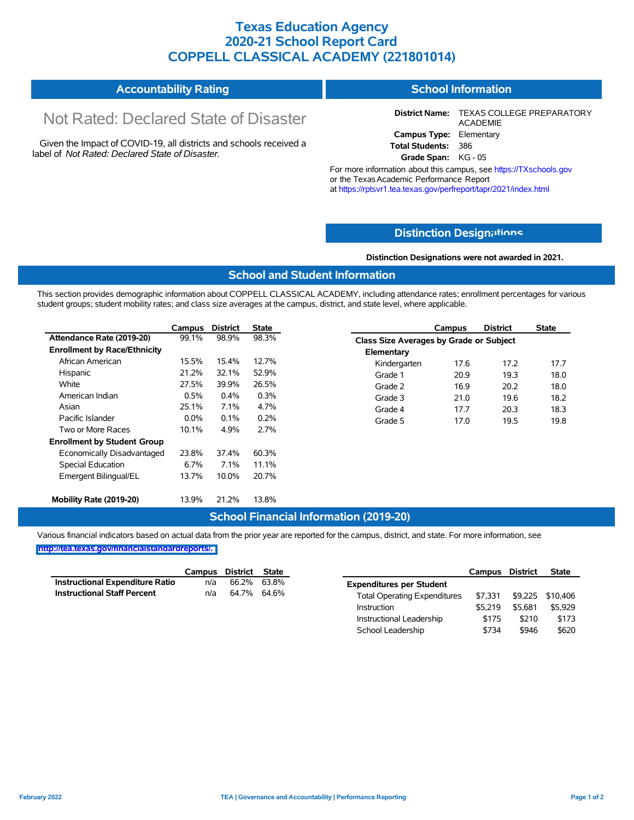## **Texas Education Agency 2020-21 School Report Card COPPELL CLASSICAL ACADEMY (221801014)**

| <b>Accountability Rating</b> | School Information |
|------------------------------|--------------------|
|------------------------------|--------------------|

# Not Rated: Declared State of Disaster

Given the Impact of COVID-19, all districts and schools received a label of *Not Rated: Declared State of Disaster.*

**District Name:** TEXAS COLLEGE PREPARATORY ACADEMIE **Campus Type:** Elementary **Total Students:** 386

**Grade Span:** KG - 05

For more information about this campus, see https://TXschools.gov or the TexasAcademic Performance Report at https://rptsvr1.tea.texas.gov/perfreport/tapr/2021/index.html

## **Distinction Design[ations](https://TXschools.gov)**

**Distinction Designations were not awarded in 2021.**

School Leadership  $$734$  \$946 \$620

### **School and Student Information**

This section provides demographic information about COPPELL CLASSICAL ACADEMY, including attendance rates; enrollment percentages for various student groups; student mobility rates; and class size averages at the campus, district, and state level, where applicable.

|                                     | Campus  | <b>District</b> | <b>State</b> |              | Campus                                  | <b>District</b> | <b>State</b> |  |
|-------------------------------------|---------|-----------------|--------------|--------------|-----------------------------------------|-----------------|--------------|--|
| Attendance Rate (2019-20)           | 99.1%   | 98.9%           | 98.3%        |              | Class Size Averages by Grade or Subject |                 |              |  |
| <b>Enrollment by Race/Ethnicity</b> |         |                 |              | Elementary   |                                         |                 |              |  |
| African American                    | 15.5%   | 15.4%           | 12.7%        | Kindergarten | 17.6                                    | 17.2            | 17.7         |  |
| Hispanic                            | 21.2%   | 32.1%           | 52.9%        | Grade 1      | 20.9                                    | 19.3            | 18.0         |  |
| White                               | 27.5%   | 39.9%           | 26.5%        | Grade 2      | 16.9                                    | 20.2            | 18.0         |  |
| American Indian                     | 0.5%    | 0.4%            | 0.3%         | Grade 3      | 21.0                                    | 19.6            | 18.2         |  |
| Asian                               | 25.1%   | 7.1%            | 4.7%         | Grade 4      | 17.7                                    | 20.3            | 18.3         |  |
| Pacific Islander                    | $0.0\%$ | 0.1%            | 0.2%         | Grade 5      | 17.0                                    | 19.5            | 19.8         |  |
| Two or More Races                   | 10.1%   | 4.9%            | 2.7%         |              |                                         |                 |              |  |
| <b>Enrollment by Student Group</b>  |         |                 |              |              |                                         |                 |              |  |
| Economically Disadvantaged          | 23.8%   | 37.4%           | 60.3%        |              |                                         |                 |              |  |
| Special Education                   | 6.7%    | 7.1%            | 11.1%        |              |                                         |                 |              |  |
| Emergent Bilingual/EL               | 13.7%   | 10.0%           | 20.7%        |              |                                         |                 |              |  |
|                                     |         |                 |              |              |                                         |                 |              |  |
| Mobility Rate (2019-20)             | 13.9%   | 21.2%           | 13.8%        |              |                                         |                 |              |  |

## **School Financial Information (2019-20)**

Various financial indicators based on actual data from the prior year are reported for the campus, district, and state. For more information, see

|                                        | Campus | District | <b>State</b> |                                     | Campus  | District | <b>State</b>     |
|----------------------------------------|--------|----------|--------------|-------------------------------------|---------|----------|------------------|
| <b>Instructional Expenditure Ratio</b> | n/a    | 66.2%    | 63.8%        | <b>Expenditures per Student</b>     |         |          |                  |
| <b>Instructional Staff Percent</b>     | n/a    | 64.7%    | 64.6%        | <b>Total Operating Expenditures</b> | \$7.331 |          | \$9,225 \$10,406 |
|                                        |        |          |              | Instruction                         | \$5.219 | \$5.681  | \$5,929          |
|                                        |        |          |              | Instructional Leadership            | \$175   | \$210    | \$173            |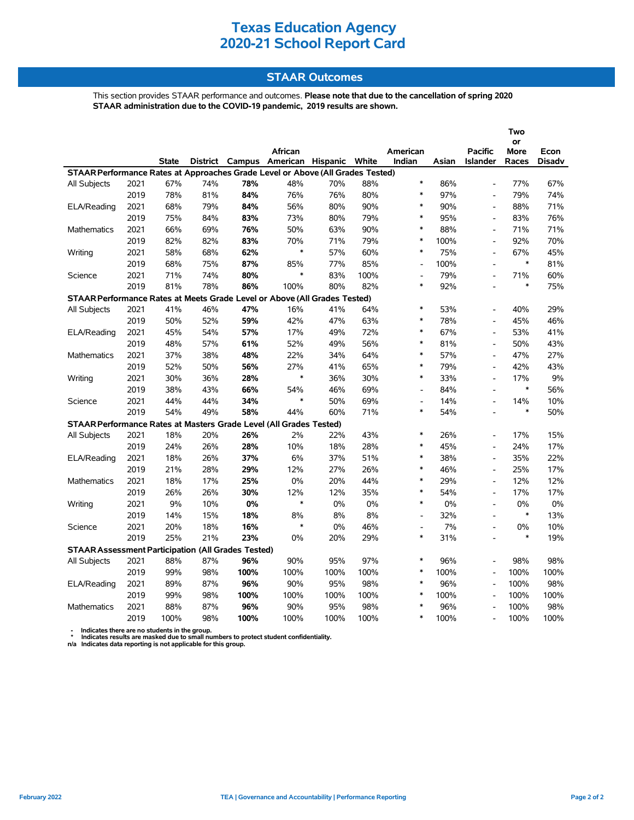## **STAAR Outcomes**

This section provides STAAR performance and outcomes. **Please note that due to the cancellation of spring 2020 STAAR administration due to the COVID-19 pandemic, 2019 results are shown.**

|                                                                                |      |              |     |      |                                         |      |      |                          |       |                              | Two               |               |
|--------------------------------------------------------------------------------|------|--------------|-----|------|-----------------------------------------|------|------|--------------------------|-------|------------------------------|-------------------|---------------|
|                                                                                |      |              |     |      | African                                 |      |      | American                 |       | <b>Pacific</b>               | or<br><b>More</b> | Econ          |
|                                                                                |      | <b>State</b> |     |      | District Campus American Hispanic White |      |      | Indian                   | Asian | <b>Islander</b>              | Races             | <b>Disadv</b> |
| STAAR Performance Rates at Approaches Grade Level or Above (All Grades Tested) |      |              |     |      |                                         |      |      |                          |       |                              |                   |               |
| All Subjects                                                                   | 2021 | 67%          | 74% | 78%  | 48%                                     | 70%  | 88%  | $\ast$                   | 86%   |                              | 77%               | 67%           |
|                                                                                | 2019 | 78%          | 81% | 84%  | 76%                                     | 76%  | 80%  | $\ast$                   | 97%   | L,                           | 79%               | 74%           |
| ELA/Reading                                                                    | 2021 | 68%          | 79% | 84%  | 56%                                     | 80%  | 90%  | $\ast$                   | 90%   | L,                           | 88%               | 71%           |
|                                                                                | 2019 | 75%          | 84% | 83%  | 73%                                     | 80%  | 79%  | $\ast$                   | 95%   | $\overline{a}$               | 83%               | 76%           |
| <b>Mathematics</b>                                                             | 2021 | 66%          | 69% | 76%  | 50%                                     | 63%  | 90%  | $\ast$                   | 88%   | $\overline{a}$               | 71%               | 71%           |
|                                                                                | 2019 | 82%          | 82% | 83%  | 70%                                     | 71%  | 79%  | $\ast$                   | 100%  | $\overline{a}$               | 92%               | 70%           |
| Writing                                                                        | 2021 | 58%          | 68% | 62%  | $\ast$                                  | 57%  | 60%  | $\ast$                   | 75%   |                              | 67%               | 45%           |
|                                                                                | 2019 | 68%          | 75% | 87%  | 85%                                     | 77%  | 85%  | $\overline{\phantom{a}}$ | 100%  | $\overline{a}$               | $\ast$            | 81%           |
| Science                                                                        | 2021 | 71%          | 74% | 80%  | $\ast$                                  | 83%  | 100% | $\overline{\phantom{a}}$ | 79%   |                              | 71%               | 60%           |
|                                                                                | 2019 | 81%          | 78% | 86%  | 100%                                    | 80%  | 82%  | $\ast$                   | 92%   | $\overline{a}$               | $\ast$            | 75%           |
| STAAR Performance Rates at Meets Grade Level or Above (All Grades Tested)      |      |              |     |      |                                         |      |      |                          |       |                              |                   |               |
| All Subjects                                                                   | 2021 | 41%          | 46% | 47%  | 16%                                     | 41%  | 64%  | $\ast$                   | 53%   |                              | 40%               | 29%           |
|                                                                                | 2019 | 50%          | 52% | 59%  | 42%                                     | 47%  | 63%  | $\ast$                   | 78%   | $\overline{a}$               | 45%               | 46%           |
| ELA/Reading                                                                    | 2021 | 45%          | 54% | 57%  | 17%                                     | 49%  | 72%  | $\ast$                   | 67%   |                              | 53%               | 41%           |
|                                                                                | 2019 | 48%          | 57% | 61%  | 52%                                     | 49%  | 56%  | $\ast$                   | 81%   | $\overline{a}$               | 50%               | 43%           |
| <b>Mathematics</b>                                                             | 2021 | 37%          | 38% | 48%  | 22%                                     | 34%  | 64%  | $\ast$                   | 57%   | L,                           | 47%               | 27%           |
|                                                                                | 2019 | 52%          | 50% | 56%  | 27%                                     | 41%  | 65%  | $\ast$                   | 79%   | $\overline{a}$               | 42%               | 43%           |
| Writing                                                                        | 2021 | 30%          | 36% | 28%  | $\ast$                                  | 36%  | 30%  | $\ast$                   | 33%   | $\overline{a}$               | 17%               | 9%            |
|                                                                                | 2019 | 38%          | 43% | 66%  | 54%                                     | 46%  | 69%  | ÷,                       | 84%   | $\overline{a}$               | $\ast$            | 56%           |
| Science                                                                        | 2021 | 44%          | 44% | 34%  | $\ast$                                  | 50%  | 69%  | $\overline{\phantom{a}}$ | 14%   | $\blacksquare$               | 14%               | 10%           |
|                                                                                | 2019 | 54%          | 49% | 58%  | 44%                                     | 60%  | 71%  | $\ast$                   | 54%   |                              | $\ast$            | 50%           |
| STAAR Performance Rates at Masters Grade Level (All Grades Tested)             |      |              |     |      |                                         |      |      |                          |       |                              |                   |               |
| All Subjects                                                                   | 2021 | 18%          | 20% | 26%  | 2%                                      | 22%  | 43%  | $\ast$                   | 26%   | $\overline{a}$               | 17%               | 15%           |
|                                                                                | 2019 | 24%          | 26% | 28%  | 10%                                     | 18%  | 28%  | $\ast$                   | 45%   | $\blacksquare$               | 24%               | 17%           |
| ELA/Reading                                                                    | 2021 | 18%          | 26% | 37%  | 6%                                      | 37%  | 51%  | $\ast$                   | 38%   | $\blacksquare$               | 35%               | 22%           |
|                                                                                | 2019 | 21%          | 28% | 29%  | 12%                                     | 27%  | 26%  | $\ast$                   | 46%   | L,                           | 25%               | 17%           |
| <b>Mathematics</b>                                                             | 2021 | 18%          | 17% | 25%  | 0%                                      | 20%  | 44%  | $\ast$                   | 29%   | L,                           | 12%               | 12%           |
|                                                                                | 2019 | 26%          | 26% | 30%  | 12%                                     | 12%  | 35%  | $\ast$                   | 54%   |                              | 17%               | 17%           |
| Writing                                                                        | 2021 | 9%           | 10% | 0%   | $\ast$                                  | 0%   | 0%   | $\ast$                   | 0%    |                              | 0%                | 0%            |
|                                                                                | 2019 | 14%          | 15% | 18%  | 8%                                      | 8%   | 8%   | Ĭ.                       | 32%   | $\overline{a}$               | $\ast$            | 13%           |
| Science                                                                        | 2021 | 20%          | 18% | 16%  | $\ast$                                  | 0%   | 46%  | Ĭ.                       | 7%    |                              | 0%                | 10%           |
|                                                                                | 2019 | 25%          | 21% | 23%  | 0%                                      | 20%  | 29%  | $\ast$                   | 31%   | $\overline{a}$               | $\ast$            | 19%           |
| <b>STAAR Assessment Participation (All Grades Tested)</b>                      |      |              |     |      |                                         |      |      |                          |       |                              |                   |               |
| All Subjects                                                                   | 2021 | 88%          | 87% | 96%  | 90%                                     | 95%  | 97%  | $\ast$                   | 96%   |                              | 98%               | 98%           |
|                                                                                | 2019 | 99%          | 98% | 100% | 100%                                    | 100% | 100% | $\ast$                   | 100%  |                              | 100%              | 100%          |
| ELA/Reading                                                                    | 2021 | 89%          | 87% | 96%  | 90%                                     | 95%  | 98%  | $\ast$                   | 96%   | $\qquad \qquad \blacksquare$ | 100%              | 98%           |
|                                                                                | 2019 | 99%          | 98% | 100% | 100%                                    | 100% | 100% | $\ast$                   | 100%  | $\overline{a}$               | 100%              | 100%          |
| <b>Mathematics</b>                                                             | 2021 | 88%          | 87% | 96%  | 90%                                     | 95%  | 98%  | $\ast$                   | 96%   |                              | 100%              | 98%           |
|                                                                                | 2019 | 100%         | 98% | 100% | 100%                                    | 100% | 100% | $\ast$                   | 100%  |                              | 100%              | 100%          |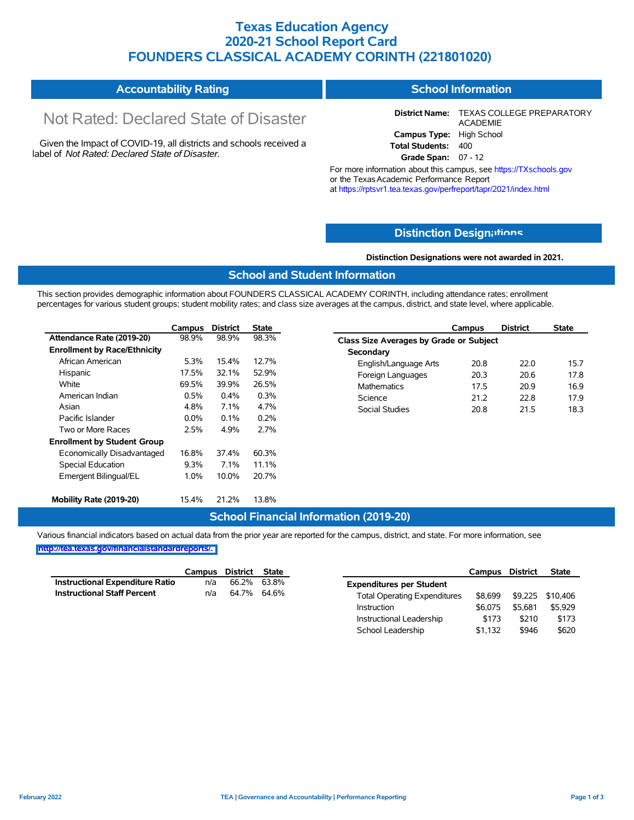## **Texas Education Agency 2020-21 School Report Card FOUNDERS CLASSICAL ACADEMY CORINTH (221801020)**

| <b>Accountability Rating</b> | School Information |
|------------------------------|--------------------|
|------------------------------|--------------------|

# Not Rated: Declared State of Disaster

Given the Impact of COVID-19, all districts and schools received a label of *Not Rated: Declared State of Disaster.*

**District Name:** TEXAS COLLEGE PREPARATORY ACADEMIE **Campus Type:** High School **Total Students:** 400 **Grade Span:** 07 - 12

For more information about this campus, see https://TXschools.gov or the TexasAcademic Performance Report

at https://rptsvr1.tea.texas.gov/perfreport/tapr/2021/index.html

## **Distinction Design[ations](https://TXschools.gov)**

**Distinction Designations were not awarded in 2021.**

School Leadership  $$1,132$  \$946 \$620

### **School and Student Information**

This section provides demographic information about FOUNDERS CLASSICAL ACADEMY CORINTH, including attendance rates; enrollment percentages for various student groups; student mobility rates; and class size averages at the campus, district, and state level, where applicable.

|                                     | Campus  | <b>District</b> | <b>State</b> | <b>District</b><br>Campus               | State |
|-------------------------------------|---------|-----------------|--------------|-----------------------------------------|-------|
| Attendance Rate (2019-20)           | 98.9%   | 98.9%           | 98.3%        | Class Size Averages by Grade or Subject |       |
| <b>Enrollment by Race/Ethnicity</b> |         |                 |              | Secondary                               |       |
| African American                    | 5.3%    | 15.4%           | 12.7%        | English/Language Arts<br>20.8<br>22.0   | 15.7  |
| Hispanic                            | 17.5%   | 32.1%           | 52.9%        | Foreign Languages<br>20.3<br>20.6       | 17.8  |
| White                               | 69.5%   | 39.9%           | 26.5%        | <b>Mathematics</b><br>17.5<br>20.9      | 16.9  |
| American Indian                     | 0.5%    | $0.4\%$         | 0.3%         | Science<br>21.2<br>22.8                 | 17.9  |
| Asian                               | 4.8%    | 7.1%            | 4.7%         | 21.5<br>Social Studies<br>20.8          | 18.3  |
| Pacific Islander                    | $0.0\%$ | $0.1\%$         | 0.2%         |                                         |       |
| Two or More Races                   | 2.5%    | 4.9%            | 2.7%         |                                         |       |
| <b>Enrollment by Student Group</b>  |         |                 |              |                                         |       |
| Economically Disadvantaged          | 16.8%   | 37.4%           | 60.3%        |                                         |       |
| Special Education                   | 9.3%    | 7.1%            | 11.1%        |                                         |       |
| Emergent Bilingual/EL               | 1.0%    | 10.0%           | 20.7%        |                                         |       |
| Mobility Rate (2019-20)             | 15.4%   | 21.2%           | 13.8%        |                                         |       |

### **School Financial Information (2019-20)**

Various financial indicators based on actual data from the prior year are reported for the campus, district, and state. For more information, see

|                                        | Campus | District | State       |                                     | Campus  | <b>District</b> | <b>State</b> |
|----------------------------------------|--------|----------|-------------|-------------------------------------|---------|-----------------|--------------|
| <b>Instructional Expenditure Ratio</b> | n/a    | 66.2%    | 63.8%       | <b>Expenditures per Student</b>     |         |                 |              |
| <b>Instructional Staff Percent</b>     | n/a    |          | 64.7% 64.6% | <b>Total Operating Expenditures</b> | \$8.699 | \$9.225         | \$10.406     |
|                                        |        |          |             | Instruction                         | \$6.075 | \$5.681         | \$5,929      |
|                                        |        |          |             | Instructional Leadership            | \$173   | \$210           | \$173        |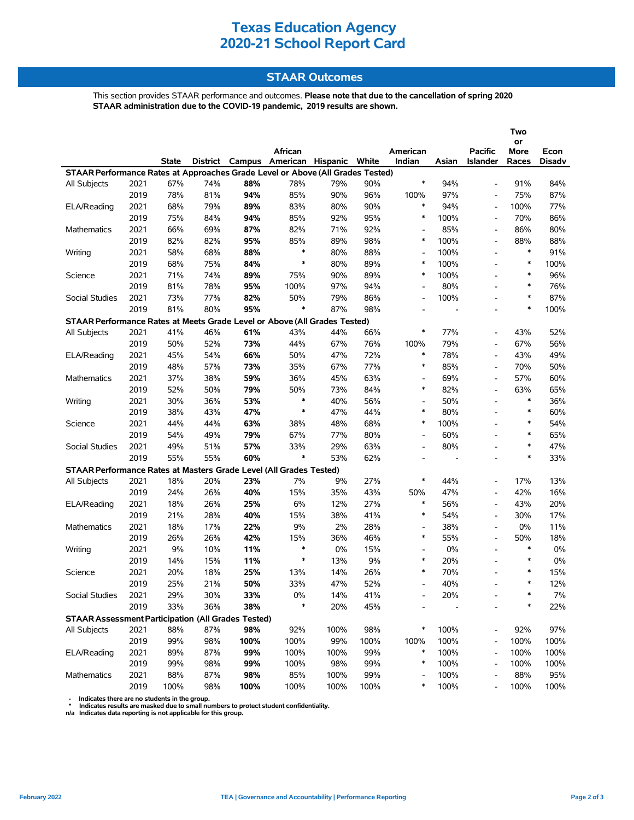## **STAAR Outcomes**

This section provides STAAR performance and outcomes. **Please note that due to the cancellation of spring 2020 STAAR administration due to the COVID-19 pandemic, 2019 results are shown.**

|                                                                                |              |              |            |            |                                                    |            |            |                                    |            |                                   | Two<br>or     |                |
|--------------------------------------------------------------------------------|--------------|--------------|------------|------------|----------------------------------------------------|------------|------------|------------------------------------|------------|-----------------------------------|---------------|----------------|
|                                                                                |              | <b>State</b> |            |            | African<br>District Campus American Hispanic White |            |            | American<br>Indian                 | Asian      | <b>Pacific</b><br><b>Islander</b> | More<br>Races | Econ<br>Disadv |
| STAAR Performance Rates at Approaches Grade Level or Above (All Grades Tested) |              |              |            |            |                                                    |            |            |                                    |            |                                   |               |                |
| All Subjects                                                                   | 2021         | 67%          | 74%        | 88%        | 78%                                                | 79%        | 90%        | $\ast$                             | 94%        | $\overline{\phantom{a}}$          | 91%           | 84%            |
|                                                                                | 2019         | 78%          | 81%        | 94%        | 85%                                                | 90%        | 96%        | 100%                               | 97%        | $\overline{\phantom{a}}$          | 75%           | 87%            |
| ELA/Reading                                                                    | 2021         | 68%          | 79%        | 89%        | 83%                                                | 80%        | 90%        | $\ast$                             | 94%        | $\overline{\phantom{a}}$          | 100%          | 77%            |
|                                                                                | 2019         | 75%          | 84%        | 94%        | 85%                                                | 92%        | 95%        | $\ast$                             | 100%       |                                   | 70%           | 86%            |
| Mathematics                                                                    | 2021         | 66%          | 69%        | 87%        | 82%                                                | 71%        | 92%        | $\overline{\phantom{a}}$           | 85%        | $\blacksquare$                    | 86%           | 80%            |
|                                                                                | 2019         | 82%          | 82%        | 95%        | 85%                                                | 89%        | 98%        | $\ast$                             | 100%       | $\overline{\phantom{a}}$          | 88%           | 88%            |
| Writing                                                                        | 2021         | 58%          | 68%        | 88%        | $\ast$                                             | 80%        | 88%        | $\overline{\phantom{a}}$           | 100%       | $\overline{a}$                    | $\ast$        | 91%            |
|                                                                                | 2019         | 68%          | 75%        | 84%        | $\ast$                                             | 80%        | 89%        | $\ast$                             | 100%       | $\blacksquare$                    | $\ast$        | 100%           |
| Science                                                                        | 2021         | 71%          | 74%        | 89%        | 75%                                                | 90%        | 89%        | $\ast$                             | 100%       | $\overline{\phantom{a}}$          | $\ast$        | 96%            |
|                                                                                | 2019         | 81%          | 78%        | 95%        | 100%                                               | 97%        | 94%        | $\overline{a}$                     | 80%        |                                   | $\ast$        | 76%            |
| Social Studies                                                                 | 2021         | 73%          | 77%        | 82%        | 50%                                                | 79%        | 86%        | $\overline{\phantom{a}}$           | 100%       | $\overline{a}$                    | $\ast$        | 87%            |
|                                                                                | 2019         | 81%          | 80%        | 95%        | $\ast$                                             | 87%        | 98%        | $\overline{\phantom{a}}$           |            |                                   | $\ast$        | 100%           |
| STAAR Performance Rates at Meets Grade Level or Above (All Grades Tested)      |              |              |            |            |                                                    |            |            |                                    |            |                                   |               |                |
| All Subjects                                                                   | 2021         | 41%          | 46%        | 61%        | 43%                                                | 44%        | 66%        | $\ast$                             | 77%        | $\overline{\phantom{0}}$          | 43%           | 52%            |
|                                                                                | 2019         | 50%          | 52%        | 73%        | 44%                                                | 67%        | 76%        | 100%                               | 79%        | $\overline{\phantom{a}}$          | 67%           | 56%            |
| ELA/Reading                                                                    | 2021         | 45%          | 54%        | 66%        | 50%                                                | 47%        | 72%        | $\ast$                             | 78%        | $\overline{\phantom{a}}$          | 43%           | 49%            |
|                                                                                | 2019         | 48%          | 57%        | 73%        | 35%                                                | 67%        | 77%        | $\ast$                             | 85%        | $\blacksquare$                    | 70%           | 50%            |
| Mathematics                                                                    | 2021         | 37%          | 38%        | 59%        | 36%                                                | 45%        | 63%        | $\overline{\phantom{a}}$           | 69%        |                                   | 57%           | 60%            |
|                                                                                | 2019         | 52%          | 50%        | 79%        | 50%                                                | 73%        | 84%        | $\ast$                             | 82%        | $\blacksquare$                    | 63%           | 65%            |
| Writing                                                                        | 2021         | 30%          | 36%        | 53%        | $\ast$                                             | 40%        | 56%        | $\overline{\phantom{0}}$           | 50%        | $\overline{\phantom{a}}$          | $\ast$        | 36%            |
|                                                                                | 2019         | 38%          | 43%        | 47%        | $\ast$                                             | 47%        | 44%        | $\ast$                             | 80%        | $\overline{a}$                    | $\ast$        | 60%            |
| Science                                                                        | 2021         | 44%          | 44%        | 63%        | 38%                                                | 48%        | 68%        | $\ast$                             | 100%       | $\overline{a}$                    | $\ast$        | 54%            |
|                                                                                | 2019         | 54%          | 49%        | 79%        | 67%                                                | 77%        | 80%        | $\overline{\phantom{0}}$           | 60%        |                                   | $\ast$        | 65%            |
| Social Studies                                                                 | 2021         | 49%          | 51%        | 57%        | 33%                                                | 29%        | 63%        | $\overline{\phantom{0}}$           | 80%        |                                   | $\ast$        | 47%            |
|                                                                                | 2019         | 55%          | 55%        | 60%        | $\ast$                                             | 53%        | 62%        | $\overline{\phantom{0}}$           | ÷,         | $\overline{a}$                    | $\ast$        | 33%            |
| STAAR Performance Rates at Masters Grade Level (All Grades Tested)             |              |              |            |            |                                                    |            |            |                                    |            |                                   |               |                |
| All Subjects                                                                   | 2021         | 18%          | 20%        | 23%        | 7%                                                 | 9%         | 27%        | $\ast$                             | 44%        | $\blacksquare$                    | 17%           | 13%            |
|                                                                                | 2019         | 24%          | 26%        | 40%        | 15%                                                | 35%        | 43%        | 50%                                | 47%        | $\overline{\phantom{a}}$          | 42%           | 16%            |
| ELA/Reading                                                                    | 2021         | 18%          | 26%        | 25%        | $6\%$                                              | 12%        | 27%        | $\ast$                             | 56%        |                                   | 43%           | 20%            |
|                                                                                | 2019         | 21%          | 28%        | 40%        | 15%                                                | 38%        | 41%        | $\ast$                             | 54%        | $\overline{\phantom{a}}$          | 30%           | 17%            |
| <b>Mathematics</b>                                                             | 2021         | 18%          | 17%        | 22%        | 9%                                                 | 2%         | 28%        | $\overline{\phantom{0}}$<br>$\ast$ | 38%        | $\overline{\phantom{a}}$          | 0%            | 11%            |
|                                                                                | 2019         | 26%          | 26%        | 42%        | 15%<br>$\ast$                                      | 36%        | 46%        |                                    | 55%        | $\overline{a}$                    | 50%<br>$\ast$ | 18%            |
| Writing                                                                        | 2021         | 9%           | 10%        | 11%        | ∗                                                  | 0%         | 15%        | $\overline{\phantom{a}}$<br>$\ast$ | 0%         | $\blacksquare$                    | $\ast$        | 0%             |
|                                                                                | 2019         | 14%          | 15%        | 11%        |                                                    | 13%        | 9%         | $\ast$                             | 20%        |                                   | $\ast$        | 0%             |
| Science                                                                        | 2021<br>2019 | 20%          | 18%        | 25%        | 13%                                                | 14%        | 26%        | $\overline{\phantom{a}}$           | 70%<br>40% |                                   | $\ast$        | 15%            |
| Social Studies                                                                 |              | 25%          | 21%        | 50%<br>33% | 33%<br>$0\%$                                       | 47%<br>14% | 52%<br>41% |                                    |            |                                   |               | 12%            |
|                                                                                | 2021<br>2019 | 29%<br>33%   | 30%<br>36% | 38%        | $\ast$                                             | 20%        | 45%        |                                    | 20%        |                                   | $\ast$        | 7%<br>22%      |
| <b>STAAR Assessment Participation (All Grades Tested)</b>                      |              |              |            |            |                                                    |            |            |                                    |            |                                   |               |                |
| All Subjects                                                                   | 2021         | 88%          | 87%        | 98%        | 92%                                                | 100%       | 98%        | *                                  | 100%       |                                   | 92%           | 97%            |
|                                                                                | 2019         | 99%          | 98%        | 100%       | 100%                                               | 99%        | 100%       | 100%                               | 100%       |                                   | 100%          | 100%           |
| ELA/Reading                                                                    | 2021         | 89%          | 87%        | 99%        | 100%                                               | 100%       | 99%        | *                                  | 100%       |                                   | 100%          | 100%           |
|                                                                                | 2019         | 99%          | 98%        | 99%        | 100%                                               | 98%        | 99%        | $\ast$                             | 100%       |                                   | 100%          | 100%           |
| Mathematics                                                                    | 2021         | 88%          | 87%        | 98%        | 85%                                                | 100%       | 99%        |                                    | 100%       |                                   | 88%           | 95%            |
|                                                                                | 2019         | 100%         | 98%        | 100%       | 100%                                               | 100%       | 100%       | *                                  | 100%       |                                   | 100%          | 100%           |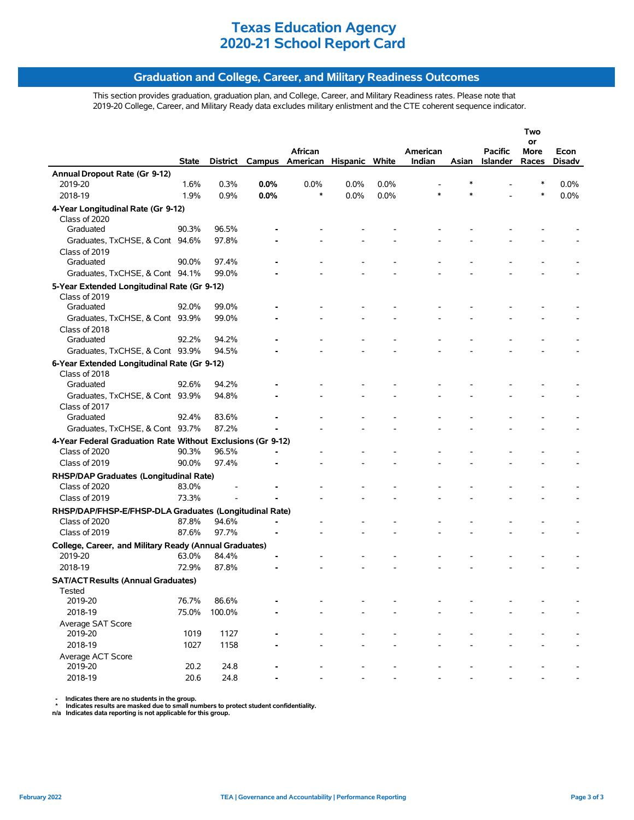## **Graduation and College, Career, and Military Readiness Outcomes**

This section provides graduation, graduation plan, and College, Career, and Military Readiness rates. Please note that 2019-20 College, Career, and Military Ready data excludes military enlistment and the CTE coherent sequence indicator.

|                                                             |              |          |      |                                |      |      |          |       |                 | Two        |        |
|-------------------------------------------------------------|--------------|----------|------|--------------------------------|------|------|----------|-------|-----------------|------------|--------|
|                                                             |              |          |      | African                        |      |      | American |       | <b>Pacific</b>  | or<br>More | Econ   |
|                                                             | <b>State</b> | District |      | Campus American Hispanic White |      |      | Indian   | Asian | <b>Islander</b> | Races      | Disadv |
| Annual Dropout Rate (Gr 9-12)                               |              |          |      |                                |      |      |          |       |                 |            |        |
| 2019-20                                                     | 1.6%         | 0.3%     | 0.0% | 0.0%                           | 0.0% | 0.0% |          |       |                 | ∗          | 0.0%   |
| 2018-19                                                     | 1.9%         | 0.9%     | 0.0% | $\ast$                         | 0.0% | 0.0% | *        |       |                 | $\ast$     | 0.0%   |
| 4-Year Longitudinal Rate (Gr 9-12)                          |              |          |      |                                |      |      |          |       |                 |            |        |
| Class of 2020                                               |              |          |      |                                |      |      |          |       |                 |            |        |
| Graduated                                                   | 90.3%        | 96.5%    |      |                                |      |      |          |       |                 |            |        |
| Graduates, TxCHSE, & Cont 94.6%                             |              | 97.8%    |      |                                |      |      |          |       |                 |            |        |
| Class of 2019                                               |              |          |      |                                |      |      |          |       |                 |            |        |
| Graduated                                                   | 90.0%        | 97.4%    |      |                                |      |      |          |       |                 |            |        |
| Graduates, TxCHSE, & Cont 94.1%                             |              | 99.0%    |      |                                |      |      |          |       |                 |            |        |
| 5-Year Extended Longitudinal Rate (Gr 9-12)                 |              |          |      |                                |      |      |          |       |                 |            |        |
| Class of 2019                                               |              |          |      |                                |      |      |          |       |                 |            |        |
| Graduated                                                   | 92.0%        | 99.0%    |      |                                |      |      |          |       |                 |            |        |
| Graduates, TxCHSE, & Cont 93.9%                             |              | 99.0%    |      |                                |      |      |          |       |                 |            |        |
| Class of 2018                                               |              |          |      |                                |      |      |          |       |                 |            |        |
| Graduated                                                   | 92.2%        | 94.2%    |      |                                |      |      |          |       |                 |            |        |
| Graduates, TxCHSE, & Cont 93.9%                             |              | 94.5%    |      |                                |      |      |          |       |                 |            |        |
| 6-Year Extended Longitudinal Rate (Gr 9-12)                 |              |          |      |                                |      |      |          |       |                 |            |        |
| Class of 2018                                               |              |          |      |                                |      |      |          |       |                 |            |        |
| Graduated                                                   | 92.6%        | 94.2%    |      |                                |      |      |          |       |                 |            |        |
| Graduates, TxCHSE, & Cont 93.9%                             |              | 94.8%    |      |                                |      |      |          |       |                 |            |        |
| Class of 2017                                               |              |          |      |                                |      |      |          |       |                 |            |        |
| Graduated                                                   | 92.4%        | 83.6%    |      |                                |      |      |          |       |                 |            |        |
| Graduates, TxCHSE, & Cont 93.7%                             |              | 87.2%    |      |                                |      |      |          |       |                 |            |        |
| 4-Year Federal Graduation Rate Without Exclusions (Gr 9-12) |              |          |      |                                |      |      |          |       |                 |            |        |
| Class of 2020                                               | 90.3%        | 96.5%    |      |                                |      |      |          |       |                 |            |        |
| Class of 2019                                               | 90.0%        | 97.4%    |      |                                |      |      |          |       |                 |            |        |
| RHSP/DAP Graduates (Longitudinal Rate)                      |              |          |      |                                |      |      |          |       |                 |            |        |
| Class of 2020                                               | 83.0%        |          |      |                                |      |      |          |       |                 |            |        |
| Class of 2019                                               | 73.3%        |          |      |                                |      |      |          |       |                 |            |        |
| RHSP/DAP/FHSP-E/FHSP-DLA Graduates (Longitudinal Rate)      |              |          |      |                                |      |      |          |       |                 |            |        |
| Class of 2020                                               | 87.8%        | 94.6%    |      |                                |      |      |          |       |                 |            |        |
| Class of 2019                                               | 87.6%        | 97.7%    |      |                                |      |      |          |       |                 |            |        |
| College, Career, and Military Ready (Annual Graduates)      |              |          |      |                                |      |      |          |       |                 |            |        |
| 2019-20                                                     | 63.0%        | 84.4%    |      |                                |      |      |          |       |                 |            |        |
| 2018-19                                                     | 72.9%        | 87.8%    |      |                                |      |      |          |       |                 |            |        |
| <b>SAT/ACT Results (Annual Graduates)</b>                   |              |          |      |                                |      |      |          |       |                 |            |        |
| Tested                                                      |              |          |      |                                |      |      |          |       |                 |            |        |
| 2019-20                                                     | 76.7%        | 86.6%    |      |                                |      |      |          |       |                 |            |        |
| 2018-19                                                     | 75.0%        | 100.0%   |      |                                |      |      |          |       |                 |            |        |
| Average SAT Score                                           |              |          |      |                                |      |      |          |       |                 |            |        |
| 2019-20                                                     | 1019         | 1127     |      |                                |      |      |          |       |                 |            |        |
| 2018-19                                                     | 1027         | 1158     |      |                                |      |      |          |       |                 |            |        |
| Average ACT Score                                           |              |          |      |                                |      |      |          |       |                 |            |        |
| 2019-20                                                     | 20.2         | 24.8     |      |                                |      |      |          |       |                 |            |        |
| 2018-19                                                     | 20.6         | 24.8     |      |                                |      |      |          |       |                 |            |        |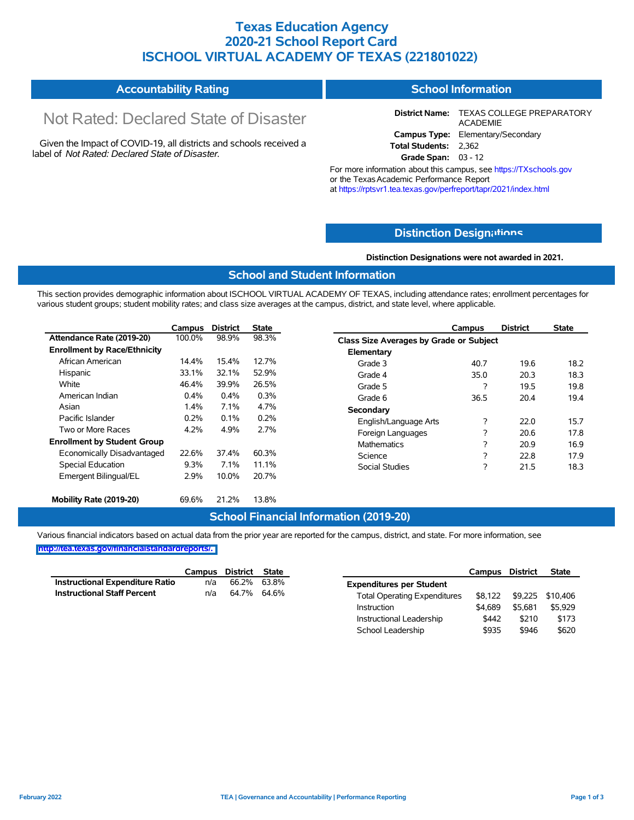## **Texas Education Agency 2020-21 School Report Card ISCHOOL VIRTUAL ACADEMY OF TEXAS (221801022)**

| <b>Accountability Rating</b> | <b>School Information</b> |
|------------------------------|---------------------------|
|------------------------------|---------------------------|

# Not Rated: Declared State of Disaster

Given the Impact of COVID-19, all districts and schools received a label of *Not Rated: Declared State of Disaster.*

**District Name:** TEXAS COLLEGE PREPARATORY ACADEMIE **Campus Type:** Elementary/Secondary **Total Students:** 2,362

**Grade Span:** 03 - 12

For more information about this campus, see https://TXschools.gov or the Texas Academic Performance Report at https://rptsvr1.tea.texas.gov/perfreport/tapr/2021/index.html

## **Distinction Design[ations](https://TXschools.gov)**

**Distinction Designations were not awarded in 2021.**

School Leadership  $$935$  \$946 \$620

## **School and Student Information**

This section provides demographic information about ISCHOOL VIRTUAL ACADEMY OF TEXAS, including attendance rates; enrollment percentages for various student groups; student mobility rates; and class size averages at the campus, district, and state level, where applicable.

|                                     | Campus | <b>District</b> | <b>State</b> |                                         | Campus | <b>District</b> | <b>State</b> |
|-------------------------------------|--------|-----------------|--------------|-----------------------------------------|--------|-----------------|--------------|
| Attendance Rate (2019-20)           | 100.0% | 98.9%           | 98.3%        | Class Size Averages by Grade or Subject |        |                 |              |
| <b>Enrollment by Race/Ethnicity</b> |        |                 |              | Elementary                              |        |                 |              |
| African American                    | 14.4%  | 15.4%           | 12.7%        | Grade 3                                 | 40.7   | 19.6            | 18.2         |
| Hispanic                            | 33.1%  | 32.1%           | 52.9%        | Grade 4                                 | 35.0   | 20.3            | 18.3         |
| White                               | 46.4%  | 39.9%           | 26.5%        | Grade 5                                 | ?      | 19.5            | 19.8         |
| American Indian                     | 0.4%   | 0.4%            | 0.3%         | Grade 6                                 | 36.5   | 20.4            | 19.4         |
| Asian                               | 1.4%   | 7.1%            | 4.7%         | Secondary                               |        |                 |              |
| Pacific Islander                    | 0.2%   | 0.1%            | 0.2%         | English/Language Arts                   | ?      | 22.0            | 15.7         |
| Two or More Races                   | 4.2%   | 4.9%            | 2.7%         | Foreign Languages                       | ?      | 20.6            | 17.8         |
| <b>Enrollment by Student Group</b>  |        |                 |              | Mathematics                             | ?      | 20.9            | 16.9         |
| Economically Disadvantaged          | 22.6%  | 37.4%           | 60.3%        | Science                                 | ?      | 22.8            | 17.9         |
| Special Education                   | 9.3%   | 7.1%            | 11.1%        | <b>Social Studies</b>                   | ?      | 21.5            | 18.3         |
| Emergent Bilingual/EL               | 2.9%   | 10.0%           | 20.7%        |                                         |        |                 |              |
|                                     |        |                 |              |                                         |        |                 |              |
| Mobility Rate (2019-20)             | 69.6%  | 21.2%           | 13.8%        |                                         |        |                 |              |

### **School Financial Information (2019-20)**

Various financial indicators based on actual data from the prior year are reported for the campus, district, and state. For more information, see

|                                        | Campus | District    | State |                                     | Campus  | <b>District</b> | <b>State</b>     |
|----------------------------------------|--------|-------------|-------|-------------------------------------|---------|-----------------|------------------|
| <b>Instructional Expenditure Ratio</b> | n/a    | 66.2%       | 63.8% | <b>Expenditures per Student</b>     |         |                 |                  |
| <b>Instructional Staff Percent</b>     | n/a    | 64.7% 64.6% |       | <b>Total Operating Expenditures</b> | \$8.122 |                 | \$9,225 \$10,406 |
|                                        |        |             |       | Instruction                         | \$4.689 | \$5.681         | \$5,929          |
|                                        |        |             |       | Instructional Leadership            | \$442   | \$210           | \$173            |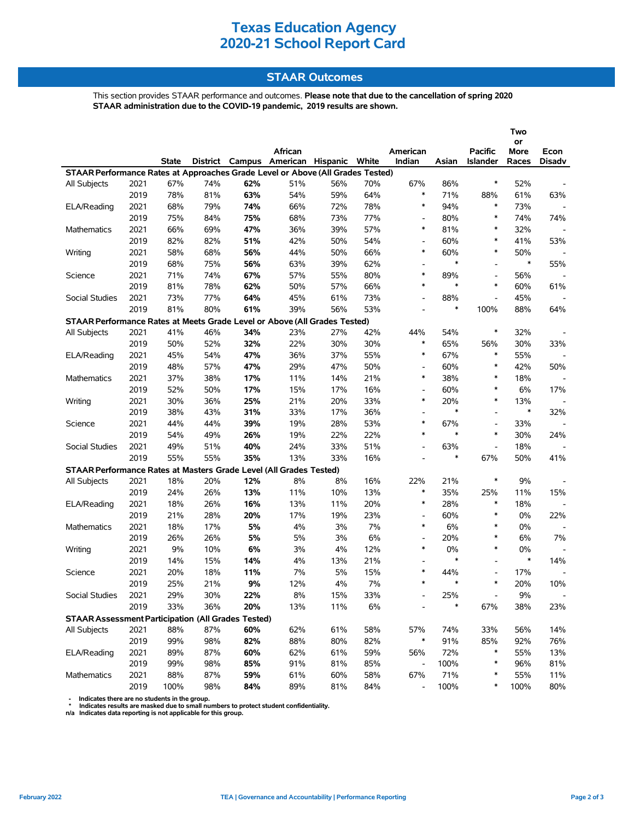## **STAAR Outcomes**

This section provides STAAR performance and outcomes. **Please note that due to the cancellation of spring 2020 STAAR administration due to the COVID-19 pandemic, 2019 results are shown.**

|                                                                                |      |              |     |     |                                         |     |       |                              |        |                          | Two<br>or |               |
|--------------------------------------------------------------------------------|------|--------------|-----|-----|-----------------------------------------|-----|-------|------------------------------|--------|--------------------------|-----------|---------------|
|                                                                                |      |              |     |     | African                                 |     |       | American                     |        | <b>Pacific</b>           | More      | Econ          |
|                                                                                |      | <b>State</b> |     |     | District Campus American Hispanic White |     |       | Indian                       | Asian  | Islander                 | Races     | <b>Disadv</b> |
| STAAR Performance Rates at Approaches Grade Level or Above (All Grades Tested) |      |              |     |     |                                         |     |       |                              |        |                          |           |               |
| All Subjects                                                                   | 2021 | 67%          | 74% | 62% | 51%                                     | 56% | 70%   | 67%                          | 86%    | $\ast$                   | 52%       |               |
|                                                                                | 2019 | 78%          | 81% | 63% | 54%                                     | 59% | 64%   | *                            | 71%    | 88%                      | 61%       | 63%           |
| ELA/Reading                                                                    | 2021 | 68%          | 79% | 74% | 66%                                     | 72% | 78%   | $\ast$                       | 94%    | $\ast$                   | 73%       |               |
|                                                                                | 2019 | 75%          | 84% | 75% | 68%                                     | 73% | 77%   | $\overline{\phantom{a}}$     | 80%    | $\ast$                   | 74%       | 74%           |
| <b>Mathematics</b>                                                             | 2021 | 66%          | 69% | 47% | 36%                                     | 39% | 57%   | $\ast$                       | 81%    | $\ast$                   | 32%       |               |
|                                                                                | 2019 | 82%          | 82% | 51% | 42%                                     | 50% | 54%   | $\overline{a}$               | 60%    | $\ast$                   | 41%       | 53%           |
| Writing                                                                        | 2021 | 58%          | 68% | 56% | 44%                                     | 50% | 66%   | $\ast$                       | 60%    | $\ast$                   | 50%       |               |
|                                                                                | 2019 | 68%          | 75% | 56% | 63%                                     | 39% | 62%   | $\qquad \qquad \blacksquare$ | $\ast$ | $\overline{\phantom{a}}$ | $\ast$    | 55%           |
| Science                                                                        | 2021 | 71%          | 74% | 67% | 57%                                     | 55% | 80%   | $\ast$                       | 89%    | $\blacksquare$           | 56%       |               |
|                                                                                | 2019 | 81%          | 78% | 62% | 50%                                     | 57% | 66%   | $\ast$                       | $\ast$ | $\ast$                   | 60%       | 61%           |
| Social Studies                                                                 | 2021 | 73%          | 77% | 64% | 45%                                     | 61% | 73%   | $\overline{\phantom{a}}$     | 88%    | $\overline{\phantom{a}}$ | 45%       |               |
|                                                                                | 2019 | 81%          | 80% | 61% | 39%                                     | 56% | 53%   | $\overline{a}$               | $\ast$ | 100%                     | 88%       | 64%           |
| STAAR Performance Rates at Meets Grade Level or Above (All Grades Tested)      |      |              |     |     |                                         |     |       |                              |        |                          |           |               |
| All Subjects                                                                   | 2021 | 41%          | 46% | 34% | 23%                                     | 27% | 42%   | 44%                          | 54%    | $\ast$                   | 32%       |               |
|                                                                                | 2019 | 50%          | 52% | 32% | 22%                                     | 30% | 30%   | *                            | 65%    | 56%                      | 30%       | 33%           |
| ELA/Reading                                                                    | 2021 | 45%          | 54% | 47% | 36%                                     | 37% | 55%   | $\ast$                       | 67%    | $\ast$                   | 55%       |               |
|                                                                                | 2019 | 48%          | 57% | 47% | 29%                                     | 47% | 50%   | $\overline{\phantom{a}}$     | 60%    | $\ast$                   | 42%       | 50%           |
| <b>Mathematics</b>                                                             | 2021 | 37%          | 38% | 17% | 11%                                     | 14% | 21%   | $\ast$                       | 38%    | $\ast$                   | 18%       |               |
|                                                                                | 2019 | 52%          | 50% | 17% | 15%                                     | 17% | 16%   | $\overline{\phantom{a}}$     | 60%    | $\ast$                   | 6%        | 17%           |
| Writing                                                                        | 2021 | 30%          | 36% | 25% | 21%                                     | 20% | 33%   | $\ast$                       | 20%    | $\ast$                   | 13%       |               |
|                                                                                | 2019 | 38%          | 43% | 31% | 33%                                     | 17% | 36%   | $\qquad \qquad \blacksquare$ | $\ast$ | $\overline{\phantom{a}}$ | $\ast$    | 32%           |
| Science                                                                        | 2021 | 44%          | 44% | 39% | 19%                                     | 28% | 53%   | $\ast$                       | 67%    | $\overline{a}$           | 33%       |               |
|                                                                                | 2019 | 54%          | 49% | 26% | 19%                                     | 22% | 22%   | $\ast$                       | $\ast$ | $\ast$                   | 30%       | 24%           |
| Social Studies                                                                 | 2021 | 49%          | 51% | 40% | 24%                                     | 33% | 51%   | $\overline{\phantom{a}}$     | 63%    | $\overline{\phantom{a}}$ | 18%       |               |
|                                                                                | 2019 | 55%          | 55% | 35% | 13%                                     | 33% | 16%   | $\overline{a}$               | $\ast$ | 67%                      | 50%       | 41%           |
| STAAR Performance Rates at Masters Grade Level (All Grades Tested)             |      |              |     |     |                                         |     |       |                              |        |                          |           |               |
| All Subjects                                                                   | 2021 | 18%          | 20% | 12% | 8%                                      | 8%  | 16%   | 22%                          | 21%    | $\ast$                   | 9%        |               |
|                                                                                | 2019 | 24%          | 26% | 13% | 11%                                     | 10% | 13%   | $\ast$                       | 35%    | 25%                      | 11%       | 15%           |
| ELA/Reading                                                                    | 2021 | 18%          | 26% | 16% | 13%                                     | 11% | 20%   | $\ast$                       | 28%    | $\ast$                   | 18%       |               |
|                                                                                | 2019 | 21%          | 28% | 20% | 17%                                     | 19% | 23%   | $\overline{\phantom{a}}$     | 60%    | $\ast$                   | 0%        | 22%           |
| <b>Mathematics</b>                                                             | 2021 | 18%          | 17% | 5%  | 4%                                      | 3%  | 7%    | $\ast$                       | 6%     | $\ast$                   | 0%        |               |
|                                                                                | 2019 | 26%          | 26% | 5%  | 5%                                      | 3%  | 6%    | $\overline{\phantom{a}}$     | 20%    | $\ast$                   | 6%        | 7%            |
| Writing                                                                        | 2021 | 9%           | 10% | 6%  | 3%                                      | 4%  | 12%   | *                            | 0%     | $\ast$                   | 0%        |               |
|                                                                                | 2019 | 14%          | 15% | 14% | 4%                                      | 13% | 21%   | $\overline{\phantom{a}}$     | $\ast$ | ۰                        | $\ast$    | 14%           |
| Science                                                                        | 2021 | 20%          | 18% | 11% | 7%                                      | 5%  | 15%   | $\ast$                       | 44%    |                          | 17%       |               |
|                                                                                | 2019 | 25%          | 21% | 9%  | 12%                                     | 4%  | 7%    | $\ast$                       | $\ast$ | $\ast$                   | 20%       | 10%           |
| Social Studies                                                                 | 2021 | 29%          | 30% | 22% | 8%                                      | 15% | 33%   |                              | 25%    |                          | 9%        |               |
|                                                                                | 2019 | 33%          | 36% | 20% | 13%                                     | 11% | $6\%$ |                              | *      | 67%                      | 38%       | 23%           |
| <b>STAAR Assessment Participation (All Grades Tested)</b>                      |      |              |     |     |                                         |     |       |                              |        |                          |           |               |
| All Subjects                                                                   | 2021 | 88%          | 87% | 60% | 62%                                     | 61% | 58%   | 57%                          | 74%    | 33%                      | 56%       | 14%           |
|                                                                                | 2019 | 99%          | 98% | 82% | 88%                                     | 80% | 82%   | *                            | 91%    | 85%                      | 92%       | 76%           |
| ELA/Reading                                                                    | 2021 | 89%          | 87% | 60% | 62%                                     | 61% | 59%   | 56%                          | 72%    | $\ast$                   | 55%       | 13%           |
|                                                                                | 2019 | 99%          | 98% | 85% | 91%                                     | 81% | 85%   | $\overline{\phantom{a}}$     | 100%   | $\ast$                   | 96%       | 81%           |
| Mathematics                                                                    | 2021 | 88%          | 87% | 59% | 61%                                     | 60% | 58%   | 67%                          | 71%    | $\ast$                   | 55%       | 11%           |
|                                                                                | 2019 | 100%         | 98% | 84% | 89%                                     | 81% | 84%   | $\overline{\phantom{a}}$     | 100%   | ∗                        | 100%      | 80%           |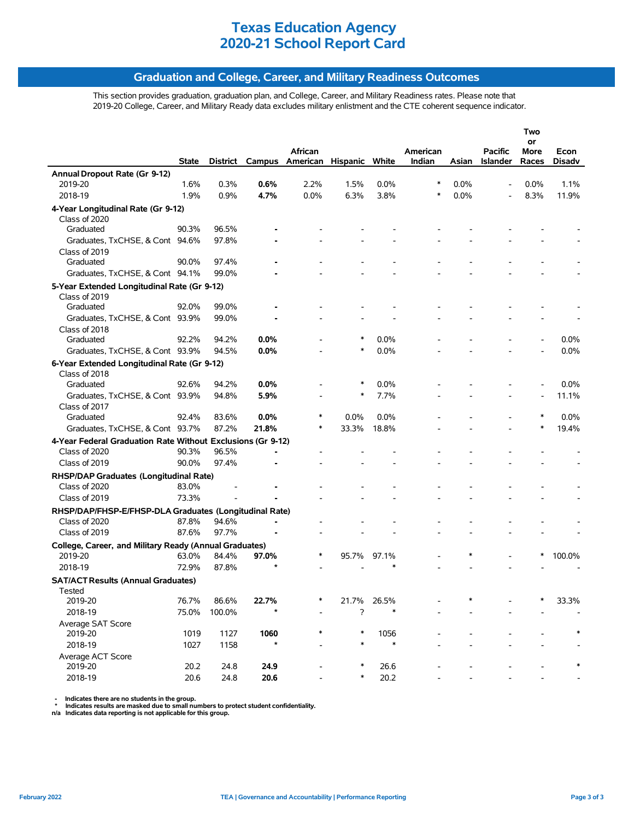## **Graduation and College, Career, and Military Readiness Outcomes**

This section provides graduation, graduation plan, and College, Career, and Military Readiness rates. Please note that 2019-20 College, Career, and Military Ready data excludes military enlistment and the CTE coherent sequence indicator.

|                                                             |              |          |         |                                     |        |        |                    |       |                                   | Two           |                |
|-------------------------------------------------------------|--------------|----------|---------|-------------------------------------|--------|--------|--------------------|-------|-----------------------------------|---------------|----------------|
|                                                             |              |          |         |                                     |        |        |                    |       |                                   | or            |                |
|                                                             | <b>State</b> | District |         | African<br>Campus American Hispanic |        | White  | American<br>Indian | Asian | <b>Pacific</b><br><b>Islander</b> | More<br>Races | Econ<br>Disadv |
| Annual Dropout Rate (Gr 9-12)                               |              |          |         |                                     |        |        |                    |       |                                   |               |                |
| 2019-20                                                     | 1.6%         | 0.3%     | 0.6%    | 2.2%                                | 1.5%   | 0.0%   | ∗                  | 0.0%  |                                   | 0.0%          | 1.1%           |
| 2018-19                                                     | 1.9%         | 0.9%     | 4.7%    | 0.0%                                | 6.3%   | 3.8%   | ∗                  | 0.0%  |                                   | 8.3%          | 11.9%          |
|                                                             |              |          |         |                                     |        |        |                    |       |                                   |               |                |
| 4-Year Longitudinal Rate (Gr 9-12)<br>Class of 2020         |              |          |         |                                     |        |        |                    |       |                                   |               |                |
| Graduated                                                   | 90.3%        | 96.5%    |         |                                     |        |        |                    |       |                                   |               |                |
| Graduates, TxCHSE, & Cont 94.6%                             |              | 97.8%    |         |                                     |        |        |                    |       |                                   |               |                |
| Class of 2019                                               |              |          |         |                                     |        |        |                    |       |                                   |               |                |
| Graduated                                                   | 90.0%        | 97.4%    |         |                                     |        |        |                    |       |                                   |               |                |
| Graduates, TxCHSE, & Cont 94.1%                             |              | 99.0%    |         |                                     |        |        |                    |       |                                   |               |                |
| 5-Year Extended Longitudinal Rate (Gr 9-12)                 |              |          |         |                                     |        |        |                    |       |                                   |               |                |
| Class of 2019                                               |              |          |         |                                     |        |        |                    |       |                                   |               |                |
| Graduated                                                   | 92.0%        | 99.0%    |         |                                     |        |        |                    |       |                                   |               |                |
| Graduates, TxCHSE, & Cont 93.9%                             |              | 99.0%    |         |                                     |        |        |                    |       |                                   |               |                |
| Class of 2018                                               |              |          |         |                                     |        |        |                    |       |                                   |               |                |
| Graduated                                                   | 92.2%        | 94.2%    | 0.0%    |                                     |        | 0.0%   |                    |       |                                   |               | $0.0\%$        |
| Graduates, TxCHSE, & Cont 93.9%                             |              | 94.5%    | $0.0\%$ |                                     | $\ast$ | 0.0%   |                    |       |                                   |               | 0.0%           |
| 6-Year Extended Longitudinal Rate (Gr 9-12)                 |              |          |         |                                     |        |        |                    |       |                                   |               |                |
| Class of 2018                                               |              |          |         |                                     |        |        |                    |       |                                   |               |                |
| Graduated                                                   | 92.6%        | 94.2%    | 0.0%    |                                     |        | 0.0%   |                    |       |                                   |               | 0.0%           |
| Graduates, TxCHSE, & Cont 93.9%                             |              | 94.8%    | 5.9%    |                                     | ∗      | 7.7%   |                    |       |                                   |               | 11.1%          |
| Class of 2017                                               |              |          |         |                                     |        |        |                    |       |                                   |               |                |
| Graduated                                                   | 92.4%        | 83.6%    | 0.0%    | ∗                                   | 0.0%   | 0.0%   |                    |       |                                   |               | 0.0%           |
| Graduates, TxCHSE, & Cont 93.7%                             |              | 87.2%    | 21.8%   | ∗                                   | 33.3%  | 18.8%  |                    |       |                                   |               | 19.4%          |
| 4-Year Federal Graduation Rate Without Exclusions (Gr 9-12) |              |          |         |                                     |        |        |                    |       |                                   |               |                |
| Class of 2020                                               | 90.3%        | 96.5%    |         |                                     |        |        |                    |       |                                   |               |                |
| Class of 2019                                               | 90.0%        | 97.4%    |         |                                     |        |        |                    |       |                                   |               |                |
| RHSP/DAP Graduates (Longitudinal Rate)                      |              |          |         |                                     |        |        |                    |       |                                   |               |                |
| Class of 2020                                               | 83.0%        |          |         |                                     |        |        |                    |       |                                   |               |                |
| Class of 2019                                               | 73.3%        |          |         |                                     |        |        |                    |       |                                   |               |                |
| RHSP/DAP/FHSP-E/FHSP-DLA Graduates (Longitudinal Rate)      |              |          |         |                                     |        |        |                    |       |                                   |               |                |
| Class of 2020                                               | 87.8%        | 94.6%    |         |                                     |        |        |                    |       |                                   |               |                |
| Class of 2019                                               | 87.6%        | 97.7%    |         |                                     |        |        |                    |       |                                   |               |                |
| College, Career, and Military Ready (Annual Graduates)      |              |          |         |                                     |        |        |                    |       |                                   |               |                |
| 2019-20                                                     | 63.0%        | 84.4%    | 97.0%   | ∗                                   | 95.7%  | 97.1%  |                    |       |                                   | ∗             | 100.0%         |
| 2018-19                                                     | 72.9%        | 87.8%    |         |                                     |        |        |                    |       |                                   |               |                |
| <b>SAT/ACT Results (Annual Graduates)</b>                   |              |          |         |                                     |        |        |                    |       |                                   |               |                |
| Tested                                                      |              |          |         |                                     |        |        |                    |       |                                   |               |                |
| 2019-20                                                     | 76.7%        | 86.6%    | 22.7%   | *                                   | 21.7%  | 26.5%  |                    |       |                                   | ∗             | 33.3%          |
| 2018-19                                                     | 75.0%        | 100.0%   |         |                                     | ?      |        |                    |       |                                   |               |                |
| Average SAT Score                                           |              |          |         |                                     |        |        |                    |       |                                   |               |                |
| 2019-20                                                     | 1019         | 1127     | 1060    | *                                   |        | 1056   |                    |       |                                   |               |                |
| 2018-19                                                     | 1027         | 1158     | $\star$ |                                     |        | $\ast$ |                    |       |                                   |               |                |
| Average ACT Score                                           |              |          |         |                                     |        |        |                    |       |                                   |               |                |
| 2019-20                                                     | 20.2         | 24.8     | 24.9    |                                     |        | 26.6   |                    |       |                                   |               |                |
| 2018-19                                                     | 20.6         | 24.8     | 20.6    |                                     |        | 20.2   |                    |       |                                   |               |                |
|                                                             |              |          |         |                                     |        |        |                    |       |                                   |               |                |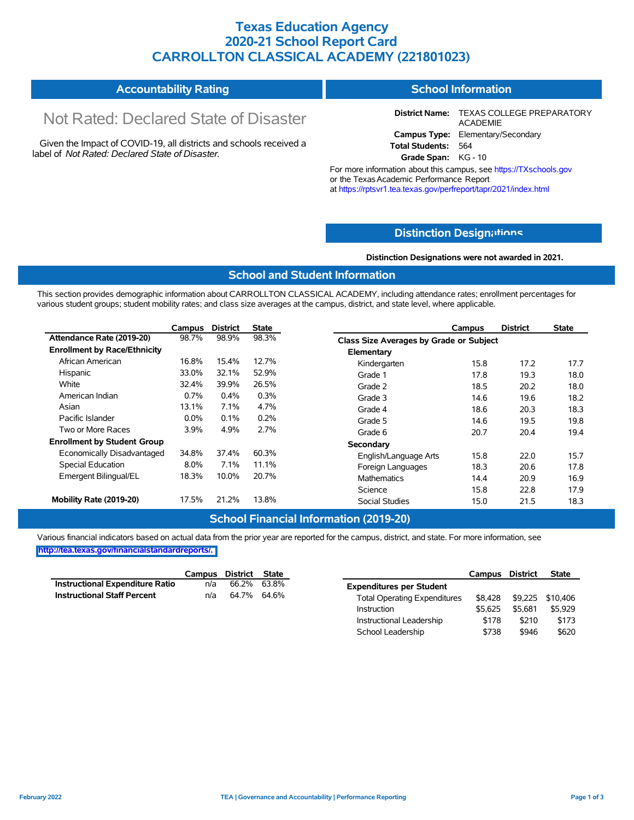## **Texas Education Agency 2020-21 School Report Card CARROLLTON CLASSICAL ACADEMY (221801023)**

#### **Accountability Rating School Information**

# Not Rated: Declared State of Disaster

Given the Impact of COVID-19, all districts and schools received a label of *Not Rated: Declared State of Disaster.*

**District Name:** TEXAS COLLEGE PREPARATORY ACADEMIE **Campus Type:** Elementary/Secondary **Total Students:** 564

**Grade Span:** KG - 10

For more information about this campus, see https://TXschools.gov or the Texas Academic Performance Report at https://rptsvr1.tea.texas.gov/perfreport/tapr/2021/index.html

## **Distinction Design[ations](https://TXschools.gov)**

**Distinction Designations were not awarded in 2021.**

School Leadership  $$738$  \$946 \$620

### **School and Student Information**

This section provides demographic information about CARROLLTON CLASSICAL ACADEMY, including attendance rates; enrollment percentages for various student groups; student mobility rates; and class size averages at the campus, district, and state level, where applicable.

|                                     | <b>Campus</b> | <b>District</b> | <b>State</b> | <b>District</b><br><b>Campus</b>               | State |
|-------------------------------------|---------------|-----------------|--------------|------------------------------------------------|-------|
| Attendance Rate (2019-20)           | 98.7%         | 98.9%           | 98.3%        | <b>Class Size Averages by Grade or Subject</b> |       |
| <b>Enrollment by Race/Ethnicity</b> |               |                 |              | Elementary                                     |       |
| African American                    | 16.8%         | 15.4%           | 12.7%        | 17.2<br>Kindergarten<br>15.8                   | 17.7  |
| Hispanic                            | 33.0%         | 32.1%           | 52.9%        | 17.8<br>19.3<br>Grade 1                        | 18.0  |
| White                               | 32.4%         | 39.9%           | 26.5%        | Grade 2<br>18.5<br>20.2                        | 18.0  |
| American Indian                     | 0.7%          | $0.4\%$         | 0.3%         | 19.6<br>Grade 3<br>14.6                        | 18.2  |
| Asian                               | 13.1%         | 7.1%            | 4.7%         | Grade 4<br>18.6<br>20.3                        | 18.3  |
| Pacific Islander                    | $0.0\%$       | 0.1%            | 0.2%         | 19.5<br>Grade 5<br>14.6                        | 19.8  |
| Two or More Races                   | 3.9%          | 4.9%            | 2.7%         | 20.7<br>20.4<br>Grade 6                        | 19.4  |
| <b>Enrollment by Student Group</b>  |               |                 |              | Secondary                                      |       |
| Economically Disadvantaged          | 34.8%         | 37.4%           | 60.3%        | 15.8<br>22.0<br>English/Language Arts          | 15.7  |
| Special Education                   | $8.0\%$       | $7.1\%$         | 11.1%        | 18.3<br>Foreign Languages<br>20.6              | 17.8  |
| Emergent Bilingual/EL               | 18.3%         | 10.0%           | 20.7%        | Mathematics<br>14.4<br>20.9                    | 16.9  |
|                                     |               |                 |              | 15.8<br>22.8<br>Science                        | 17.9  |
| Mobility Rate (2019-20)             | 17.5%         | 21.2%           | 13.8%        | <b>Social Studies</b><br>21.5<br>15.0          | 18.3  |

### **School Financial Information (2019-20)**

Various financial indicators based on actual data from the prior year are reported for the campus, district, and state. For more information, see **[http://tea.texas.gov/financialstandardreports/.](http://tea.texas.gov/financialstandardreports/)**

|                                        | Campus | District | State       |                                     | Campus  | <b>District</b> | <b>State</b> |
|----------------------------------------|--------|----------|-------------|-------------------------------------|---------|-----------------|--------------|
| <b>Instructional Expenditure Ratio</b> | n/a    | 66.2%    | 63.8%       | <b>Expenditures per Student</b>     |         |                 |              |
| <b>Instructional Staff Percent</b>     | n/a    |          | 64.7% 64.6% | <b>Total Operating Expenditures</b> | \$8.428 | \$9,225         | \$10,406     |
|                                        |        |          |             | Instruction                         | \$5.625 | \$5.681         | \$5.929      |
|                                        |        |          |             | Instructional Leadership            | \$178   | \$210           | \$173        |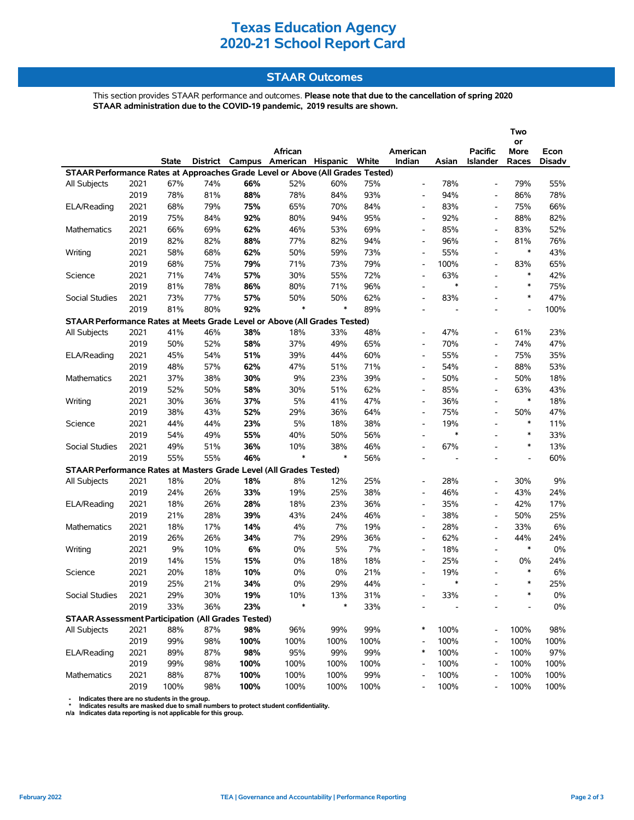## **STAAR Outcomes**

This section provides STAAR performance and outcomes. **Please note that due to the cancellation of spring 2020 STAAR administration due to the COVID-19 pandemic, 2019 results are shown.**

|                                                                                |      |              |     |      | African                                 |        |      | American                 |        | <b>Pacific</b>           | Two<br>or<br>More        | Econ   |
|--------------------------------------------------------------------------------|------|--------------|-----|------|-----------------------------------------|--------|------|--------------------------|--------|--------------------------|--------------------------|--------|
|                                                                                |      | <b>State</b> |     |      | District Campus American Hispanic White |        |      | Indian                   | Asian  | <b>Islander</b>          | Races                    | Disadv |
| STAAR Performance Rates at Approaches Grade Level or Above (All Grades Tested) |      |              |     |      |                                         |        |      |                          |        |                          |                          |        |
| All Subjects                                                                   | 2021 | 67%          | 74% | 66%  | 52%                                     | 60%    | 75%  | $\overline{\phantom{a}}$ | 78%    | $\overline{\phantom{a}}$ | 79%                      | 55%    |
|                                                                                | 2019 | 78%          | 81% | 88%  | 78%                                     | 84%    | 93%  | $\overline{\phantom{a}}$ | 94%    | $\overline{\phantom{a}}$ | 86%                      | 78%    |
| ELA/Reading                                                                    | 2021 | 68%          | 79% | 75%  | 65%                                     | 70%    | 84%  | $\overline{\phantom{a}}$ | 83%    | $\overline{\phantom{a}}$ | 75%                      | 66%    |
|                                                                                | 2019 | 75%          | 84% | 92%  | 80%                                     | 94%    | 95%  | $\overline{a}$           | 92%    |                          | 88%                      | 82%    |
| Mathematics                                                                    | 2021 | 66%          | 69% | 62%  | 46%                                     | 53%    | 69%  | $\overline{\phantom{a}}$ | 85%    | $\overline{\phantom{a}}$ | 83%                      | 52%    |
|                                                                                | 2019 | 82%          | 82% | 88%  | 77%                                     | 82%    | 94%  | $\overline{\phantom{a}}$ | 96%    |                          | 81%                      | 76%    |
| Writing                                                                        | 2021 | 58%          | 68% | 62%  | 50%                                     | 59%    | 73%  | $\overline{\phantom{a}}$ | 55%    |                          | $\ast$                   | 43%    |
|                                                                                | 2019 | 68%          | 75% | 79%  | 71%                                     | 73%    | 79%  | $\overline{\phantom{a}}$ | 100%   | $\blacksquare$           | 83%                      | 65%    |
| Science                                                                        | 2021 | 71%          | 74% | 57%  | 30%                                     | 55%    | 72%  | $\overline{\phantom{a}}$ | 63%    | $\overline{\phantom{a}}$ | $\ast$                   | 42%    |
|                                                                                | 2019 | 81%          | 78% | 86%  | 80%                                     | 71%    | 96%  | $\overline{a}$           | $\ast$ |                          | $\ast$                   | 75%    |
| Social Studies                                                                 | 2021 | 73%          | 77% | 57%  | 50%                                     | 50%    | 62%  | $\overline{\phantom{a}}$ | 83%    | $\overline{\phantom{a}}$ | $\ast$                   | 47%    |
|                                                                                | 2019 | 81%          | 80% | 92%  | $\ast$                                  | $\ast$ | 89%  | $\overline{a}$           |        |                          | $\overline{\phantom{a}}$ | 100%   |
| STAAR Performance Rates at Meets Grade Level or Above (All Grades Tested)      |      |              |     |      |                                         |        |      |                          |        |                          |                          |        |
| All Subjects                                                                   | 2021 | 41%          | 46% | 38%  | 18%                                     | 33%    | 48%  | $\overline{\phantom{a}}$ | 47%    | $\overline{\phantom{a}}$ | 61%                      | 23%    |
|                                                                                | 2019 | 50%          | 52% | 58%  | 37%                                     | 49%    | 65%  | $\overline{\phantom{a}}$ | 70%    | $\overline{\phantom{a}}$ | 74%                      | 47%    |
| ELA/Reading                                                                    | 2021 | 45%          | 54% | 51%  | 39%                                     | 44%    | 60%  | $\overline{\phantom{a}}$ | 55%    | $\overline{\phantom{a}}$ | 75%                      | 35%    |
|                                                                                | 2019 | 48%          | 57% | 62%  | 47%                                     | 51%    | 71%  | $\overline{\phantom{a}}$ | 54%    | $\blacksquare$           | 88%                      | 53%    |
| Mathematics                                                                    | 2021 | 37%          | 38% | 30%  | 9%                                      | 23%    | 39%  | $\overline{\phantom{a}}$ | 50%    | $\overline{a}$           | 50%                      | 18%    |
|                                                                                | 2019 | 52%          | 50% | 58%  | 30%                                     | 51%    | 62%  | $\overline{\phantom{a}}$ | 85%    | $\overline{\phantom{a}}$ | 63%                      | 43%    |
| Writing                                                                        | 2021 | 30%          | 36% | 37%  | 5%                                      | 41%    | 47%  | $\overline{\phantom{a}}$ | 36%    |                          | $\ast$                   | 18%    |
|                                                                                | 2019 | 38%          | 43% | 52%  | 29%                                     | 36%    | 64%  | $\overline{\phantom{a}}$ | 75%    | $\overline{\phantom{a}}$ | 50%                      | 47%    |
| Science                                                                        | 2021 | 44%          | 44% | 23%  | 5%                                      | 18%    | 38%  | $\overline{\phantom{a}}$ | 19%    | $\overline{\phantom{a}}$ | $\ast$                   | 11%    |
|                                                                                | 2019 | 54%          | 49% | 55%  | 40%                                     | 50%    | 56%  | $\overline{\phantom{a}}$ | $\ast$ |                          | $\ast$                   | 33%    |
| Social Studies                                                                 | 2021 | 49%          | 51% | 36%  | 10%                                     | 38%    | 46%  | $\overline{\phantom{a}}$ | 67%    |                          | $\ast$                   | 13%    |
|                                                                                | 2019 | 55%          | 55% | 46%  | $\ast$                                  | $\ast$ | 56%  | $\overline{\phantom{a}}$ |        | $\overline{a}$           | $\overline{\phantom{a}}$ | 60%    |
| STAAR Performance Rates at Masters Grade Level (All Grades Tested)             |      |              |     |      |                                         |        |      |                          |        |                          |                          |        |
| All Subjects                                                                   | 2021 | 18%          | 20% | 18%  | 8%                                      | 12%    | 25%  | $\overline{\phantom{a}}$ | 28%    | $\blacksquare$           | 30%                      | 9%     |
|                                                                                | 2019 | 24%          | 26% | 33%  | 19%                                     | 25%    | 38%  | $\overline{\phantom{a}}$ | 46%    | $\overline{\phantom{a}}$ | 43%                      | 24%    |
| ELA/Reading                                                                    | 2021 | 18%          | 26% | 28%  | 18%                                     | 23%    | 36%  | $\overline{\phantom{a}}$ | 35%    |                          | 42%                      | 17%    |
|                                                                                | 2019 | 21%          | 28% | 39%  | 43%                                     | 24%    | 46%  | $\overline{\phantom{a}}$ | 38%    | $\overline{\phantom{a}}$ | 50%                      | 25%    |
| <b>Mathematics</b>                                                             | 2021 | 18%          | 17% | 14%  | 4%                                      | 7%     | 19%  | $\overline{\phantom{a}}$ | 28%    | $\overline{a}$           | 33%                      | 6%     |
|                                                                                | 2019 | 26%          | 26% | 34%  | 7%                                      | 29%    | 36%  | $\overline{\phantom{a}}$ | 62%    |                          | 44%                      | 24%    |
| Writing                                                                        | 2021 | 9%           | 10% | 6%   | 0%                                      | 5%     | 7%   | $\overline{\phantom{a}}$ | 18%    | $\blacksquare$           | $\ast$                   | 0%     |
|                                                                                | 2019 | 14%          | 15% | 15%  | $0\%$                                   | 18%    | 18%  | $\overline{\phantom{a}}$ | 25%    |                          | 0%                       | 24%    |
| Science                                                                        | 2021 | 20%          | 18% | 10%  | $0\%$                                   | 0%     | 21%  | $\overline{a}$           | 19%    |                          | $\ast$                   | 6%     |
|                                                                                | 2019 | 25%          | 21% | 34%  | 0%                                      | 29%    | 44%  | $\overline{\phantom{a}}$ | $\ast$ |                          | $\ast$                   | 25%    |
| Social Studies                                                                 | 2021 | 29%          | 30% | 19%  | 10%                                     | 13%    | 31%  |                          | 33%    |                          | ∗                        | $0\%$  |
|                                                                                | 2019 | 33%          | 36% | 23%  | $\ast$                                  | $\ast$ | 33%  |                          |        |                          |                          | $0\%$  |
| <b>STAAR Assessment Participation (All Grades Tested)</b>                      |      |              |     |      |                                         |        |      |                          |        |                          |                          |        |
| All Subjects                                                                   | 2021 | 88%          | 87% | 98%  | 96%                                     | 99%    | 99%  | $\ast$                   | 100%   |                          | 100%                     | 98%    |
|                                                                                | 2019 | 99%          | 98% | 100% | 100%                                    | 100%   | 100% | $\overline{\phantom{a}}$ | 100%   |                          | 100%                     | 100%   |
| ELA/Reading                                                                    | 2021 | 89%          | 87% | 98%  | 95%                                     | 99%    | 99%  | $\ast$                   | 100%   |                          | 100%                     | 97%    |
|                                                                                | 2019 | 99%          | 98% | 100% | 100%                                    | 100%   | 100% | $\overline{\phantom{a}}$ | 100%   | $\overline{a}$           | 100%                     | 100%   |
| Mathematics                                                                    | 2021 | 88%          | 87% | 100% | 100%                                    | 100%   | 99%  |                          | 100%   |                          | 100%                     | 100%   |
|                                                                                | 2019 | 100%         | 98% | 100% | 100%                                    | 100%   | 100% |                          | 100%   |                          | 100%                     | 100%   |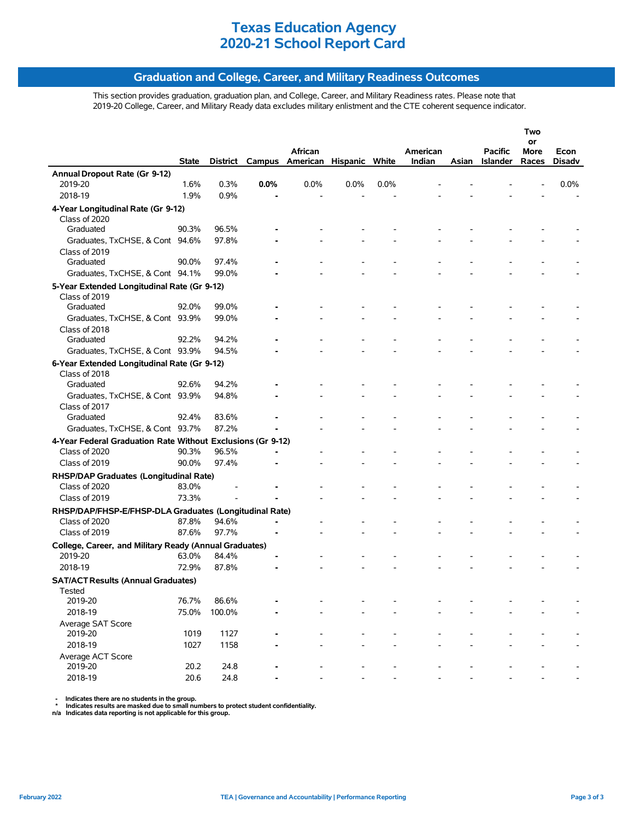## **Graduation and College, Career, and Military Readiness Outcomes**

This section provides graduation, graduation plan, and College, Career, and Military Readiness rates. Please note that 2019-20 College, Career, and Military Ready data excludes military enlistment and the CTE coherent sequence indicator.

|                                                             |              |        |      |                                         |         |      |          |       |                 | Two        |        |
|-------------------------------------------------------------|--------------|--------|------|-----------------------------------------|---------|------|----------|-------|-----------------|------------|--------|
|                                                             |              |        |      | African                                 |         |      | American |       | Pacific         | or<br>More | Econ   |
|                                                             | <b>State</b> |        |      | District Campus American Hispanic White |         |      | Indian   | Asian | <b>Islander</b> | Races      | Disadv |
| Annual Dropout Rate (Gr 9-12)                               |              |        |      |                                         |         |      |          |       |                 |            |        |
| 2019-20                                                     | 1.6%         | 0.3%   | 0.0% | 0.0%                                    | $0.0\%$ | 0.0% |          |       |                 |            | 0.0%   |
| 2018-19                                                     | 1.9%         | 0.9%   |      |                                         |         |      |          |       |                 |            |        |
| 4-Year Longitudinal Rate (Gr 9-12)                          |              |        |      |                                         |         |      |          |       |                 |            |        |
| Class of 2020                                               |              |        |      |                                         |         |      |          |       |                 |            |        |
| Graduated                                                   | 90.3%        | 96.5%  |      |                                         |         |      |          |       |                 |            |        |
| Graduates, TxCHSE, & Cont 94.6%                             |              | 97.8%  |      |                                         |         |      |          |       |                 |            |        |
| Class of 2019                                               |              |        |      |                                         |         |      |          |       |                 |            |        |
| Graduated                                                   | 90.0%        | 97.4%  |      |                                         |         |      |          |       |                 |            |        |
| Graduates, TxCHSE, & Cont 94.1%                             |              | 99.0%  |      |                                         |         |      |          |       |                 |            |        |
| 5-Year Extended Longitudinal Rate (Gr 9-12)                 |              |        |      |                                         |         |      |          |       |                 |            |        |
| Class of 2019                                               |              |        |      |                                         |         |      |          |       |                 |            |        |
| Graduated                                                   | 92.0%        | 99.0%  |      |                                         |         |      |          |       |                 |            |        |
| Graduates, TxCHSE, & Cont 93.9%                             |              | 99.0%  |      |                                         |         |      |          |       |                 |            |        |
| Class of 2018                                               |              |        |      |                                         |         |      |          |       |                 |            |        |
| Graduated                                                   | 92.2%        | 94.2%  |      |                                         |         |      |          |       |                 |            |        |
| Graduates, TxCHSE, & Cont 93.9%                             |              | 94.5%  |      |                                         |         |      |          |       |                 |            |        |
| 6-Year Extended Longitudinal Rate (Gr 9-12)                 |              |        |      |                                         |         |      |          |       |                 |            |        |
| Class of 2018                                               |              |        |      |                                         |         |      |          |       |                 |            |        |
| Graduated                                                   | 92.6%        | 94.2%  |      |                                         |         |      |          |       |                 |            |        |
| Graduates, TxCHSE, & Cont 93.9%                             |              | 94.8%  |      |                                         |         |      |          |       |                 |            |        |
| Class of 2017                                               |              |        |      |                                         |         |      |          |       |                 |            |        |
| Graduated                                                   | 92.4%        | 83.6%  |      |                                         |         |      |          |       |                 |            |        |
| Graduates, TxCHSE, & Cont 93.7%                             |              | 87.2%  |      |                                         |         |      |          |       |                 |            |        |
| 4-Year Federal Graduation Rate Without Exclusions (Gr 9-12) |              |        |      |                                         |         |      |          |       |                 |            |        |
| Class of 2020                                               | 90.3%        | 96.5%  |      |                                         |         |      |          |       |                 |            |        |
| Class of 2019                                               | 90.0%        | 97.4%  |      |                                         |         |      |          |       |                 |            |        |
| RHSP/DAP Graduates (Longitudinal Rate)                      |              |        |      |                                         |         |      |          |       |                 |            |        |
| Class of 2020                                               | 83.0%        |        |      |                                         |         |      |          |       |                 |            |        |
| Class of 2019                                               | 73.3%        |        |      |                                         |         |      |          |       |                 |            |        |
| RHSP/DAP/FHSP-E/FHSP-DLA Graduates (Longitudinal Rate)      |              |        |      |                                         |         |      |          |       |                 |            |        |
| Class of 2020                                               | 87.8%        | 94.6%  |      |                                         |         |      |          |       |                 |            |        |
| Class of 2019                                               | 87.6%        | 97.7%  |      |                                         |         |      |          |       |                 |            |        |
| College, Career, and Military Ready (Annual Graduates)      |              |        |      |                                         |         |      |          |       |                 |            |        |
| 2019-20                                                     | 63.0%        | 84.4%  |      |                                         |         |      |          |       |                 |            |        |
| 2018-19                                                     | 72.9%        | 87.8%  |      |                                         |         |      |          |       |                 |            |        |
| <b>SAT/ACT Results (Annual Graduates)</b>                   |              |        |      |                                         |         |      |          |       |                 |            |        |
| Tested                                                      |              |        |      |                                         |         |      |          |       |                 |            |        |
| 2019-20                                                     | 76.7%        | 86.6%  |      |                                         |         |      |          |       |                 |            |        |
| 2018-19                                                     | 75.0%        | 100.0% |      |                                         |         |      |          |       |                 |            |        |
| Average SAT Score                                           |              |        |      |                                         |         |      |          |       |                 |            |        |
| 2019-20                                                     | 1019         | 1127   |      |                                         |         |      |          |       |                 |            |        |
| 2018-19                                                     | 1027         | 1158   |      |                                         |         |      |          |       |                 |            |        |
| Average ACT Score                                           |              |        |      |                                         |         |      |          |       |                 |            |        |
| 2019-20                                                     | 20.2         | 24.8   |      |                                         |         |      |          |       |                 |            |        |
| 2018-19                                                     | 20.6         | 24.8   |      |                                         |         |      |          |       |                 |            |        |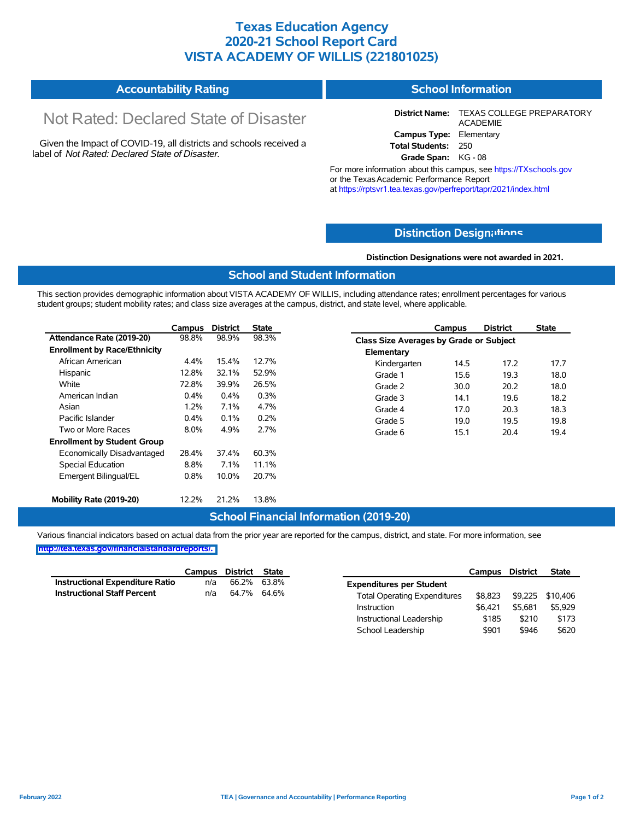## **Texas Education Agency 2020-21 School Report Card VISTA ACADEMY OF WILLIS (221801025)**

#### **Accountability Rating School Information**

# Not Rated: Declared State of Disaster

Given the Impact of COVID-19, all districts and schools received a label of *Not Rated: Declared State of Disaster.*

**District Name:** TEXAS COLLEGE PREPARATORY ACADEMIE **Campus Type:** Elementary **Total Students:** 250

**Grade Span:** KG - 08

For more information about this campus, see https://TXschools.gov or the Texas Academic Performance Report at https://rptsvr1.tea.texas.gov/perfreport/tapr/2021/index.html

## **Distinction Design[ations](https://TXschools.gov)**

**Distinction Designations were not awarded in 2021.**

School Leadership  $$901$  \$946 \$620

## **School and Student Information**

This section provides demographic information about VISTA ACADEMY OF WILLIS, including attendance rates; enrollment percentages for various student groups; student mobility rates; and class size averages at the campus, district, and state level, where applicable.

|                                     | Campus  | <b>District</b> | <b>State</b> |                                         | Campus | <b>District</b> | <b>State</b> |
|-------------------------------------|---------|-----------------|--------------|-----------------------------------------|--------|-----------------|--------------|
| Attendance Rate (2019-20)           | 98.8%   | 98.9%           | 98.3%        | Class Size Averages by Grade or Subject |        |                 |              |
| <b>Enrollment by Race/Ethnicity</b> |         |                 |              | Elementary                              |        |                 |              |
| African American                    | 4.4%    | 15.4%           | 12.7%        | Kindergarten                            | 14.5   | 17.2            | 17.7         |
| Hispanic                            | 12.8%   | 32.1%           | 52.9%        | Grade 1                                 | 15.6   | 19.3            | 18.0         |
| White                               | 72.8%   | 39.9%           | 26.5%        | Grade 2                                 | 30.0   | 20.2            | 18.0         |
| American Indian                     | $0.4\%$ | $0.4\%$         | 0.3%         | Grade 3                                 | 14.1   | 19.6            | 18.2         |
| Asian                               | 1.2%    | 7.1%            | 4.7%         | Grade 4                                 | 17.0   | 20.3            | 18.3         |
| Pacific Islander                    | 0.4%    | $0.1\%$         | 0.2%         | Grade 5                                 | 19.0   | 19.5            | 19.8         |
| Two or More Races                   | 8.0%    | 4.9%            | 2.7%         | Grade 6                                 | 15.1   | 20.4            | 19.4         |
| <b>Enrollment by Student Group</b>  |         |                 |              |                                         |        |                 |              |
| Economically Disadvantaged          | 28.4%   | 37.4%           | 60.3%        |                                         |        |                 |              |
| Special Education                   | 8.8%    | 7.1%            | 11.1%        |                                         |        |                 |              |
| Emergent Bilingual/EL               | 0.8%    | 10.0%           | 20.7%        |                                         |        |                 |              |
|                                     |         | 21.2%           |              |                                         |        |                 |              |
| Mobility Rate (2019-20)             | 12.2%   |                 | 13.8%        |                                         |        |                 |              |

### **School Financial Information (2019-20)**

Various financial indicators based on actual data from the prior year are reported for the campus, district, and state. For more information, see

|                                        | Campus | District | <b>State</b> |                                     | Campus  | <b>District</b> | <b>State</b>     |
|----------------------------------------|--------|----------|--------------|-------------------------------------|---------|-----------------|------------------|
| <b>Instructional Expenditure Ratio</b> | n/a    | 66.2%    | 63.8%        | <b>Expenditures per Student</b>     |         |                 |                  |
| <b>Instructional Staff Percent</b>     | n/a    | 64.7%    | 64.6%        | <b>Total Operating Expenditures</b> | \$8.823 |                 | \$9,225 \$10,406 |
|                                        |        |          |              | Instruction                         | \$6.421 | \$5.681         | \$5,929          |
|                                        |        |          |              | Instructional Leadership            | \$185   | \$210           | \$173            |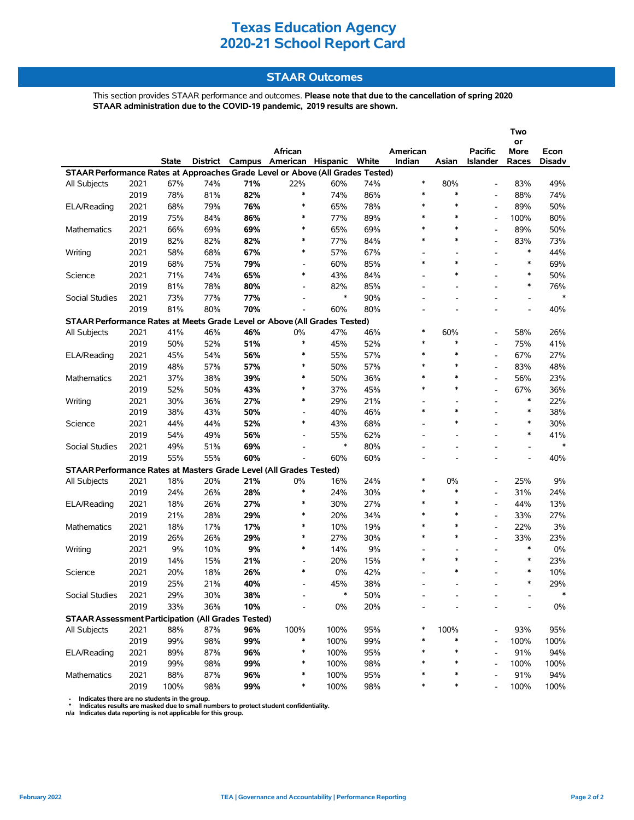## **STAAR Outcomes**

This section provides STAAR performance and outcomes. **Please note that due to the cancellation of spring 2020 STAAR administration due to the COVID-19 pandemic, 2019 results are shown.**

|                                                                                |      |              |                 |     | African                        |        |     | American                 |                          | <b>Pacific</b>           | Two<br>or<br>More        | Econ   |
|--------------------------------------------------------------------------------|------|--------------|-----------------|-----|--------------------------------|--------|-----|--------------------------|--------------------------|--------------------------|--------------------------|--------|
|                                                                                |      | <b>State</b> | <b>District</b> |     | Campus American Hispanic White |        |     | Indian                   | Asian                    | <b>Islander</b>          | Races                    | Disadv |
| STAAR Performance Rates at Approaches Grade Level or Above (All Grades Tested) |      |              |                 |     |                                |        |     |                          |                          |                          |                          |        |
| All Subjects                                                                   | 2021 | 67%          | 74%             | 71% | 22%                            | 60%    | 74% | $\ast$                   | 80%                      |                          | 83%                      | 49%    |
|                                                                                | 2019 | 78%          | 81%             | 82% | $\ast$                         | 74%    | 86% | $\ast$                   | $\ast$                   |                          | 88%                      | 74%    |
| ELA/Reading                                                                    | 2021 | 68%          | 79%             | 76% | $\ast$                         | 65%    | 78% | $\ast$                   | $\ast$                   |                          | 89%                      | 50%    |
|                                                                                | 2019 | 75%          | 84%             | 86% | ∗                              | 77%    | 89% | $\ast$                   | $\ast$                   |                          | 100%                     | 80%    |
| Mathematics                                                                    | 2021 | 66%          | 69%             | 69% | $\ast$                         | 65%    | 69% | $\ast$                   | $\ast$                   |                          | 89%                      | 50%    |
|                                                                                | 2019 | 82%          | 82%             | 82% | $\ast$                         | 77%    | 84% | $\ast$                   | $\ast$                   |                          | 83%                      | 73%    |
| Writing                                                                        | 2021 | 58%          | 68%             | 67% | $\ast$                         | 57%    | 67% | $\overline{a}$           | $\overline{a}$           |                          | $\ast$                   | 44%    |
|                                                                                | 2019 | 68%          | 75%             | 79% | $\overline{\phantom{a}}$       | 60%    | 85% | $\ast$                   | $\ast$                   |                          | $\ast$                   | 69%    |
| Science                                                                        | 2021 | 71%          | 74%             | 65% | ∗                              | 43%    | 84% | $\overline{\phantom{a}}$ | $\ast$                   |                          | $\ast$                   | 50%    |
|                                                                                | 2019 | 81%          | 78%             | 80% | $\overline{\phantom{a}}$       | 82%    | 85% |                          |                          |                          | $\ast$                   | 76%    |
| Social Studies                                                                 | 2021 | 73%          | 77%             | 77% | $\overline{\phantom{a}}$       | $\ast$ | 90% | L.                       |                          |                          | $\overline{\phantom{a}}$ | $\ast$ |
|                                                                                | 2019 | 81%          | 80%             | 70% | Ĭ.                             | 60%    | 80% |                          |                          |                          | Ĭ.                       | 40%    |
| STAAR Performance Rates at Meets Grade Level or Above (All Grades Tested)      |      |              |                 |     |                                |        |     |                          |                          |                          |                          |        |
| <b>All Subjects</b>                                                            | 2021 | 41%          | 46%             | 46% | 0%                             | 47%    | 46% | $\ast$                   | 60%                      | $\blacksquare$           | 58%                      | 26%    |
|                                                                                | 2019 | 50%          | 52%             | 51% | $\ast$                         | 45%    | 52% | $\ast$                   | $\ast$                   |                          | 75%                      | 41%    |
| ELA/Reading                                                                    | 2021 | 45%          | 54%             | 56% | ∗                              | 55%    | 57% | $\ast$                   | $\ast$                   |                          | 67%                      | 27%    |
|                                                                                | 2019 | 48%          | 57%             | 57% | $\ast$                         | 50%    | 57% | $\ast$                   | $\ast$                   |                          | 83%                      | 48%    |
| Mathematics                                                                    | 2021 | 37%          | 38%             | 39% | $\ast$                         | 50%    | 36% | $\ast$                   | $\ast$                   |                          | 56%                      | 23%    |
|                                                                                | 2019 | 52%          | 50%             | 43% | $\ast$                         | 37%    | 45% | $\ast$                   | $\ast$                   |                          | 67%                      | 36%    |
| Writing                                                                        | 2021 | 30%          | 36%             | 27% | $\ast$                         | 29%    | 21% | $\overline{\phantom{a}}$ | $\overline{a}$           |                          | $\ast$                   | 22%    |
|                                                                                | 2019 | 38%          | 43%             | 50% | $\overline{\phantom{a}}$       | 40%    | 46% | $\ast$                   | $\ast$                   |                          | $\ast$                   | 38%    |
| Science                                                                        | 2021 | 44%          | 44%             | 52% | $\ast$                         | 43%    | 68% | $\overline{\phantom{a}}$ | $\ast$                   |                          | $\ast$                   | 30%    |
|                                                                                | 2019 | 54%          | 49%             | 56% | Ĭ.                             | 55%    | 62% |                          |                          |                          | $\ast$                   | 41%    |
| Social Studies                                                                 | 2021 | 49%          | 51%             | 69% | $\overline{\phantom{a}}$       | $\ast$ | 80% | $\overline{a}$           |                          |                          | $\overline{a}$           | $\ast$ |
|                                                                                | 2019 | 55%          | 55%             | 60% |                                | 60%    | 60% |                          |                          |                          | $\overline{\phantom{a}}$ | 40%    |
| STAAR Performance Rates at Masters Grade Level (All Grades Tested)             |      |              |                 |     |                                |        |     |                          |                          |                          |                          |        |
| All Subjects                                                                   | 2021 | 18%          | 20%             | 21% | 0%                             | 16%    | 24% | $\ast$                   | 0%                       | $\blacksquare$           | 25%                      | 9%     |
|                                                                                | 2019 | 24%          | 26%             | 28% | $\ast$                         | 24%    | 30% | $\ast$                   | $\ast$                   |                          | 31%                      | 24%    |
| ELA/Reading                                                                    | 2021 | 18%          | 26%             | 27% | ∗                              | 30%    | 27% | $\ast$                   | $\ast$                   |                          | 44%                      | 13%    |
|                                                                                | 2019 | 21%          | 28%             | 29% | $\ast$                         | 20%    | 34% | $\ast$                   | $\ast$                   | $\overline{\phantom{a}}$ | 33%                      | 27%    |
| <b>Mathematics</b>                                                             | 2021 | 18%          | 17%             | 17% | $\ast$                         | 10%    | 19% | $\ast$                   | $\ast$                   |                          | 22%                      | 3%     |
|                                                                                | 2019 | 26%          | 26%             | 29% | $\ast$                         | 27%    | 30% | $\ast$                   | $\ast$                   |                          | 33%                      | 23%    |
| Writing                                                                        | 2021 | 9%           | 10%             | 9%  | $\ast$                         | 14%    | 9%  | $\overline{\phantom{a}}$ | $\overline{\phantom{a}}$ | $\overline{\phantom{a}}$ | $\ast$                   | 0%     |
|                                                                                | 2019 | 14%          | 15%             | 21% | $\overline{\phantom{a}}$       | 20%    | 15% | $\ast$                   | $\ast$                   |                          | $\ast$                   | 23%    |
| Science                                                                        | 2021 | 20%          | 18%             | 26% | $\ast$                         | 0%     | 42% |                          | $\ast$                   |                          | $\ast$                   | 10%    |
|                                                                                | 2019 | 25%          | 21%             | 40% | $\overline{\phantom{a}}$       | 45%    | 38% | L.                       |                          |                          | $\ast$                   | 29%    |
| Social Studies                                                                 | 2021 | 29%          | 30%             | 38% |                                | $\ast$ | 50% |                          |                          |                          |                          | $\ast$ |
|                                                                                | 2019 | 33%          | 36%             | 10% |                                | 0%     | 20% |                          |                          |                          |                          | $0\%$  |
| <b>STAAR Assessment Participation (All Grades Tested)</b>                      |      |              |                 |     |                                |        |     |                          |                          |                          |                          |        |
| All Subjects                                                                   | 2021 | 88%          | 87%             | 96% | 100%                           | 100%   | 95% | *                        | 100%                     |                          | 93%                      | 95%    |
|                                                                                | 2019 | 99%          | 98%             | 99% | ∗                              | 100%   | 99% | $\ast$                   | $\ast$                   |                          | 100%                     | 100%   |
| ELA/Reading                                                                    | 2021 | 89%          | 87%             | 96% | ∗                              | 100%   | 95% | ∗                        | $\ast$                   |                          | 91%                      | 94%    |
|                                                                                | 2019 | 99%          | 98%             | 99% | ∗                              | 100%   | 98% | $\ast$                   | ∗                        |                          | 100%                     | 100%   |
| Mathematics                                                                    | 2021 | 88%          | 87%             | 96% | ∗                              | 100%   | 95% | *                        | ∗                        |                          | 91%                      | 94%    |
|                                                                                | 2019 | 100%         | 98%             | 99% | $\ast$                         | 100%   | 98% | ∗                        | ∗                        |                          | 100%                     | 100%   |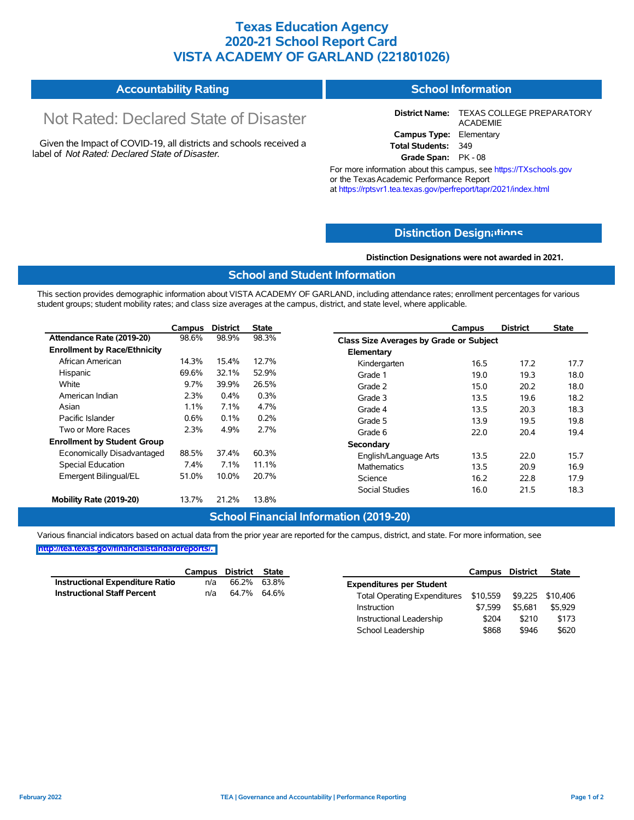## **Texas Education Agency 2020-21 School Report Card VISTA ACADEMY OF GARLAND (221801026)**

#### **Accountability Rating School Information**

# Not Rated: Declared State of Disaster

Given the Impact of COVID-19, all districts and schools received a label of *Not Rated: Declared State of Disaster.*

**District Name:** TEXAS COLLEGE PREPARATORY ACADEMIE **Campus Type:** Elementary **Total Students:** 349

**Grade Span:** PK - 08 For more information about this campus, see https://TXschools.gov

or the Texas Academic Performance Report at https://rptsvr1.tea.texas.gov/perfreport/tapr/2021/index.html

## **Distinction Design[ations](https://TXschools.gov)**

**Distinction Designations were not awarded in 2021.**

School Leadership  $$868$  \$946 \$620

### **School and Student Information**

This section provides demographic information about VISTA ACADEMY OF GARLAND, including attendance rates; enrollment percentages for various student groups; student mobility rates; and class size averages at the campus, district, and state level, where applicable.

|                                     | Campus | <b>District</b> | <b>State</b> |                                         | Campus | <b>District</b> | <b>State</b> |
|-------------------------------------|--------|-----------------|--------------|-----------------------------------------|--------|-----------------|--------------|
| Attendance Rate (2019-20)           | 98.6%  | 98.9%           | 98.3%        | Class Size Averages by Grade or Subject |        |                 |              |
| <b>Enrollment by Race/Ethnicity</b> |        |                 |              | Elementary                              |        |                 |              |
| African American                    | 14.3%  | 15.4%           | 12.7%        | Kindergarten                            | 16.5   | 17.2            | 17.7         |
| Hispanic                            | 69.6%  | 32.1%           | 52.9%        | Grade 1                                 | 19.0   | 19.3            | 18.0         |
| White                               | 9.7%   | 39.9%           | 26.5%        | Grade 2                                 | 15.0   | 20.2            | 18.0         |
| American Indian                     | 2.3%   | 0.4%            | 0.3%         | Grade 3                                 | 13.5   | 19.6            | 18.2         |
| Asian                               | 1.1%   | 7.1%            | 4.7%         | Grade 4                                 | 13.5   | 20.3            | 18.3         |
| Pacific Islander                    | 0.6%   | 0.1%            | 0.2%         | Grade 5                                 | 13.9   | 19.5            | 19.8         |
| Two or More Races                   | 2.3%   | 4.9%            | 2.7%         | Grade 6                                 | 22.0   | 20.4            | 19.4         |
| <b>Enrollment by Student Group</b>  |        |                 |              | Secondary                               |        |                 |              |
| Economically Disadvantaged          | 88.5%  | 37.4%           | 60.3%        | English/Language Arts                   | 13.5   | 22.0            | 15.7         |
| Special Education                   | 7.4%   | 7.1%            | 11.1%        | <b>Mathematics</b>                      | 13.5   | 20.9            | 16.9         |
| Emergent Bilingual/EL               | 51.0%  | 10.0%           | 20.7%        | Science                                 | 16.2   | 22.8            | 17.9         |
|                                     |        |                 |              | <b>Social Studies</b>                   | 16.0   | 21.5            | 18.3         |
| Mobility Rate (2019-20)             | 13.7%  | 21.2%           | 13.8%        |                                         |        |                 |              |

### **School Financial Information (2019-20)**

Various financial indicators based on actual data from the prior year are reported for the campus, district, and state. For more information, see

|                                        | Campus District State |             |                                                        | Campus  | <b>District</b> | <b>State</b> |
|----------------------------------------|-----------------------|-------------|--------------------------------------------------------|---------|-----------------|--------------|
| <b>Instructional Expenditure Ratio</b> | n/a                   | 66.2% 63.8% | <b>Expenditures per Student</b>                        |         |                 |              |
| <b>Instructional Staff Percent</b>     | n/a                   | 64.7% 64.6% | Total Operating Expenditures \$10,559 \$9,225 \$10,406 |         |                 |              |
|                                        |                       |             | Instruction                                            | \$7.599 | \$5.681         | \$5,929      |
|                                        |                       |             | Instructional Leadership                               | \$204   | \$210           | \$173        |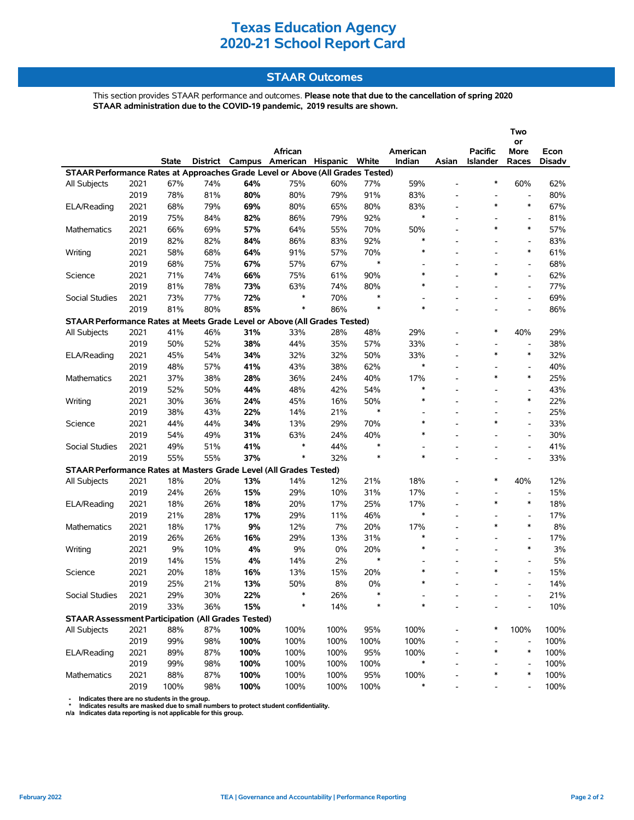## **STAAR Outcomes**

This section provides STAAR performance and outcomes. **Please note that due to the cancellation of spring 2020 STAAR administration due to the COVID-19 pandemic, 2019 results are shown.**

|                                                                                |      |       |     |      | African                                 |      |        | American                 |                          | <b>Pacific</b>           | Two<br>or                    |                |
|--------------------------------------------------------------------------------|------|-------|-----|------|-----------------------------------------|------|--------|--------------------------|--------------------------|--------------------------|------------------------------|----------------|
|                                                                                |      | State |     |      | District Campus American Hispanic White |      |        | Indian                   | Asian                    | Islander                 | More<br>Races                | Econ<br>Disadv |
| STAAR Performance Rates at Approaches Grade Level or Above (All Grades Tested) |      |       |     |      |                                         |      |        |                          |                          |                          |                              |                |
| <b>All Subjects</b>                                                            | 2021 | 67%   | 74% | 64%  | 75%                                     | 60%  | 77%    | 59%                      | $\overline{a}$           | $\ast$                   | 60%                          | 62%            |
|                                                                                | 2019 | 78%   | 81% | 80%  | 80%                                     | 79%  | 91%    | 83%                      | $\overline{\phantom{a}}$ | $\overline{\phantom{a}}$ | $\qquad \qquad \blacksquare$ | 80%            |
| ELA/Reading                                                                    | 2021 | 68%   | 79% | 69%  | 80%                                     | 65%  | 80%    | 83%                      | $\blacksquare$           | $\ast$                   | $\ast$                       | 67%            |
|                                                                                | 2019 | 75%   | 84% | 82%  | 86%                                     | 79%  | 92%    | $\ast$                   |                          | $\blacksquare$           | $\overline{a}$               | 81%            |
| <b>Mathematics</b>                                                             | 2021 | 66%   | 69% | 57%  | 64%                                     | 55%  | 70%    | 50%                      | $\overline{a}$           | $\ast$                   | $\ast$                       | 57%            |
|                                                                                | 2019 | 82%   | 82% | 84%  | 86%                                     | 83%  | 92%    | $\ast$                   | $\overline{a}$           | $\overline{\phantom{a}}$ | $\overline{\phantom{a}}$     | 83%            |
| Writing                                                                        | 2021 | 58%   | 68% | 64%  | 91%                                     | 57%  | 70%    | $\ast$                   |                          |                          | $\ast$                       | 61%            |
|                                                                                | 2019 | 68%   | 75% | 67%  | 57%                                     | 67%  | $\ast$ | $\overline{\phantom{a}}$ | $\overline{\phantom{a}}$ | $\overline{\phantom{a}}$ | $\qquad \qquad \blacksquare$ | 68%            |
| Science                                                                        | 2021 | 71%   | 74% | 66%  | 75%                                     | 61%  | 90%    | $\ast$                   |                          | $\ast$                   | $\overline{\phantom{a}}$     | 62%            |
|                                                                                | 2019 | 81%   | 78% | 73%  | 63%                                     | 74%  | 80%    | $\ast$                   |                          |                          | $\overline{\phantom{a}}$     | 77%            |
| Social Studies                                                                 | 2021 | 73%   | 77% | 72%  | $\ast$                                  | 70%  | $\ast$ | $\overline{\phantom{a}}$ | ٠                        |                          | $\overline{\phantom{a}}$     | 69%            |
|                                                                                | 2019 | 81%   | 80% | 85%  | $\ast$                                  | 86%  | $\ast$ | $\ast$                   | $\overline{a}$           |                          | $\overline{\phantom{a}}$     | 86%            |
| STAAR Performance Rates at Meets Grade Level or Above (All Grades Tested)      |      |       |     |      |                                         |      |        |                          |                          |                          |                              |                |
| <b>All Subjects</b>                                                            | 2021 | 41%   | 46% | 31%  | 33%                                     | 28%  | 48%    | 29%                      |                          | $\ast$                   | 40%                          | 29%            |
|                                                                                | 2019 | 50%   | 52% | 38%  | 44%                                     | 35%  | 57%    | 33%                      | $\overline{a}$           | $\overline{a}$           | $\qquad \qquad \blacksquare$ | 38%            |
| ELA/Reading                                                                    | 2021 | 45%   | 54% | 34%  | 32%                                     | 32%  | 50%    | 33%                      | $\blacksquare$           | $\ast$                   | $\ast$                       | 32%            |
|                                                                                | 2019 | 48%   | 57% | 41%  | 43%                                     | 38%  | 62%    | $\ast$                   | $\overline{\phantom{a}}$ | $\overline{\phantom{a}}$ | $\overline{\phantom{a}}$     | 40%            |
| Mathematics                                                                    | 2021 | 37%   | 38% | 28%  | 36%                                     | 24%  | 40%    | 17%                      |                          | $\ast$                   | $\ast$                       | 25%            |
|                                                                                | 2019 | 52%   | 50% | 44%  | 48%                                     | 42%  | 54%    | $\ast$                   | $\blacksquare$           | $\overline{\phantom{a}}$ | $\overline{\phantom{a}}$     | 43%            |
| Writing                                                                        | 2021 | 30%   | 36% | 24%  | 45%                                     | 16%  | 50%    | $\ast$                   |                          |                          | $\ast$                       | 22%            |
|                                                                                | 2019 | 38%   | 43% | 22%  | 14%                                     | 21%  | $\ast$ | $\overline{a}$           | $\overline{\phantom{a}}$ | $\overline{\phantom{a}}$ | $\overline{\phantom{a}}$     | 25%            |
| Science                                                                        | 2021 | 44%   | 44% | 34%  | 13%                                     | 29%  | 70%    | $\ast$                   |                          | $\ast$                   | $\frac{1}{2}$                | 33%            |
|                                                                                | 2019 | 54%   | 49% | 31%  | 63%                                     | 24%  | 40%    | *                        |                          |                          | $\overline{\phantom{a}}$     | 30%            |
| Social Studies                                                                 | 2021 | 49%   | 51% | 41%  | $\ast$                                  | 44%  | $\ast$ |                          | L,                       |                          | $\overline{a}$               | 41%            |
|                                                                                | 2019 | 55%   | 55% | 37%  | $\ast$                                  | 32%  | $\ast$ | $\ast$                   | $\overline{a}$           | $\blacksquare$           | $\overline{\phantom{a}}$     | 33%            |
| STAAR Performance Rates at Masters Grade Level (All Grades Tested)             |      |       |     |      |                                         |      |        |                          |                          |                          |                              |                |
| All Subjects                                                                   | 2021 | 18%   | 20% | 13%  | 14%                                     | 12%  | 21%    | 18%                      |                          | $\ast$                   | 40%                          | 12%            |
|                                                                                | 2019 | 24%   | 26% | 15%  | 29%                                     | 10%  | 31%    | 17%                      | ٠                        | $\overline{a}$           | $\overline{\phantom{a}}$     | 15%            |
| ELA/Reading                                                                    | 2021 | 18%   | 26% | 18%  | 20%                                     | 17%  | 25%    | 17%                      |                          | $\ast$                   | $\ast$                       | 18%            |
|                                                                                | 2019 | 21%   | 28% | 17%  | 29%                                     | 11%  | 46%    | $\ast$                   | $\blacksquare$           |                          | $\overline{\phantom{a}}$     | 17%            |
| <b>Mathematics</b>                                                             | 2021 | 18%   | 17% | 9%   | 12%                                     | 7%   | 20%    | 17%                      | $\overline{a}$           | $\ast$                   | $\ast$                       | 8%             |
|                                                                                | 2019 | 26%   | 26% | 16%  | 29%                                     | 13%  | 31%    | $\ast$                   |                          | $\blacksquare$           | $\frac{1}{2}$                | 17%            |
| Writing                                                                        | 2021 | 9%    | 10% | 4%   | 9%                                      | 0%   | 20%    | $\ast$                   | $\blacksquare$           | $\blacksquare$           | $\ast$                       | 3%             |
|                                                                                | 2019 | 14%   | 15% | 4%   | 14%                                     | 2%   | $\ast$ |                          |                          | $\overline{\phantom{a}}$ | $\overline{a}$               | 5%             |
| Science                                                                        | 2021 | 20%   | 18% | 16%  | 13%                                     | 15%  | 20%    | $\ast$                   |                          | $\ast$                   |                              | 15%            |
|                                                                                | 2019 | 25%   | 21% | 13%  | 50%                                     | 8%   | 0%     | $\ast$                   |                          |                          |                              | 14%            |
| Social Studies                                                                 | 2021 | 29%   | 30% | 22%  | ∗                                       | 26%  |        |                          |                          |                          |                              | 21%            |
|                                                                                | 2019 | 33%   | 36% | 15%  | $\ast$                                  | 14%  |        | $\ast$                   |                          |                          |                              | 10%            |
| <b>STAAR Assessment Participation (All Grades Tested)</b>                      |      |       |     |      |                                         |      |        |                          |                          |                          |                              |                |
| All Subjects                                                                   | 2021 | 88%   | 87% | 100% | 100%                                    | 100% | 95%    | 100%                     |                          | ∗                        | 100%                         | 100%           |
|                                                                                | 2019 | 99%   | 98% | 100% | 100%                                    | 100% | 100%   | 100%                     |                          |                          | $\overline{a}$               | 100%           |
| ELA/Reading                                                                    | 2021 | 89%   | 87% | 100% | 100%                                    | 100% | 95%    | 100%                     |                          | ∗                        | $\ast$                       | 100%           |
|                                                                                | 2019 | 99%   | 98% | 100% | 100%                                    | 100% | 100%   | *                        |                          |                          |                              | 100%           |
| Mathematics                                                                    | 2021 | 88%   | 87% | 100% | 100%                                    | 100% | 95%    | 100%                     |                          | ∗                        | $\ast$                       | 100%           |
|                                                                                |      |       |     |      |                                         |      |        |                          |                          |                          |                              |                |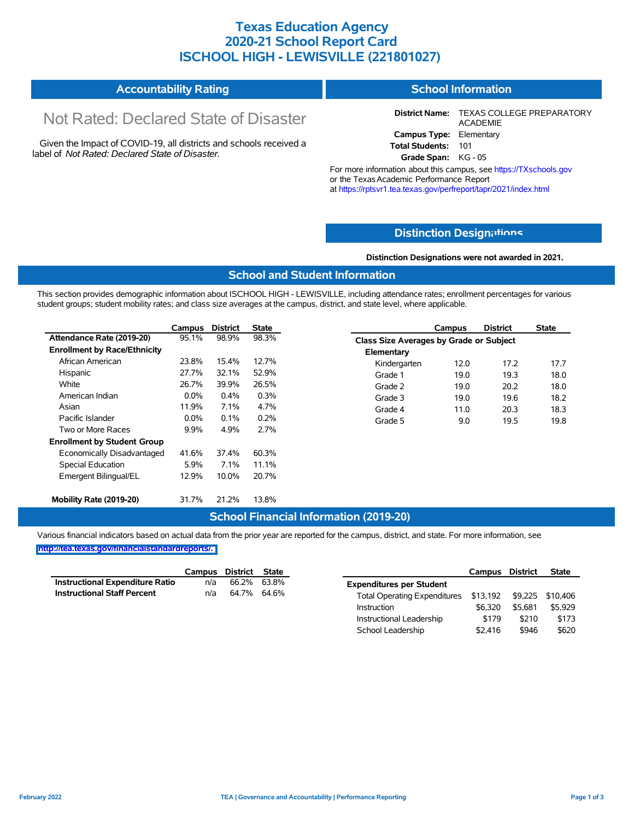## **Texas Education Agency 2020-21 School Report Card ISCHOOL HIGH - LEWISVILLE (221801027)**

#### **Accountability Rating School Information**

# Not Rated: Declared State of Disaster

Given the Impact of COVID-19, all districts and schools received a label of *Not Rated: Declared State of Disaster.*

**District Name:** TEXAS COLLEGE PREPARATORY ACADEMIE **Campus Type:** Elementary **Total Students:** 101

**Grade Span:** KG - 05

For more information about this campus, see https://TXschools.gov or the Texas Academic Performance Report at https://rptsvr1.tea.texas.gov/perfreport/tapr/2021/index.html

## **Distinction Design[ations](https://TXschools.gov)**

**Distinction Designations were not awarded in 2021.**

School Leadership  $$2,416$  \$946 \$620

## **School and Student Information**

This section provides demographic information about ISCHOOL HIGH - LEWISVILLE, including attendance rates; enrollment percentages for various student groups; student mobility rates; and class size averages at the campus, district, and state level, where applicable.

|                                     | Campus  | <b>District</b> | <b>State</b> |                                         | Campus | <b>District</b> | <b>State</b> |
|-------------------------------------|---------|-----------------|--------------|-----------------------------------------|--------|-----------------|--------------|
| Attendance Rate (2019-20)           | 95.1%   | 98.9%           | 98.3%        | Class Size Averages by Grade or Subject |        |                 |              |
| <b>Enrollment by Race/Ethnicity</b> |         |                 |              | Elementary                              |        |                 |              |
| African American                    | 23.8%   | 15.4%           | 12.7%        | Kindergarten                            | 12.0   | 17.2            | 17.7         |
| Hispanic                            | 27.7%   | 32.1%           | 52.9%        | Grade 1                                 | 19.0   | 19.3            | 18.0         |
| White                               | 26.7%   | 39.9%           | 26.5%        | Grade 2                                 | 19.0   | 20.2            | 18.0         |
| American Indian                     | $0.0\%$ | 0.4%            | 0.3%         | Grade 3                                 | 19.0   | 19.6            | 18.2         |
| Asian                               | 11.9%   | 7.1%            | 4.7%         | Grade 4                                 | 11.0   | 20.3            | 18.3         |
| Pacific Islander                    | 0.0%    | 0.1%            | 0.2%         | Grade 5                                 | 9.0    | 19.5            | 19.8         |
| Two or More Races                   | $9.9\%$ | 4.9%            | 2.7%         |                                         |        |                 |              |
| <b>Enrollment by Student Group</b>  |         |                 |              |                                         |        |                 |              |
| Economically Disadvantaged          | 41.6%   | 37.4%           | 60.3%        |                                         |        |                 |              |
| Special Education                   | 5.9%    | 7.1%            | 11.1%        |                                         |        |                 |              |
| Emergent Bilingual/EL               | 12.9%   | 10.0%           | 20.7%        |                                         |        |                 |              |
| Mobility Rate (2019-20)             | 31.7%   | 21.2%           | 13.8%        |                                         |        |                 |              |

### **School Financial Information (2019-20)**

Various financial indicators based on actual data from the prior year are reported for the campus, district, and state. For more information, see

|                                        | Campus | District | State       |                                                        | Campus  | <b>District</b> | <b>State</b> |
|----------------------------------------|--------|----------|-------------|--------------------------------------------------------|---------|-----------------|--------------|
| <b>Instructional Expenditure Ratio</b> | n/a    | 66.2%    | 63.8%       | <b>Expenditures per Student</b>                        |         |                 |              |
| <b>Instructional Staff Percent</b>     | n/a    |          | 64.7% 64.6% | Total Operating Expenditures \$13,192 \$9,225 \$10,406 |         |                 |              |
|                                        |        |          |             | Instruction                                            | \$6.320 | \$5.681         | \$5,929      |
|                                        |        |          |             | Instructional Leadership                               | \$179   | \$210           | \$173        |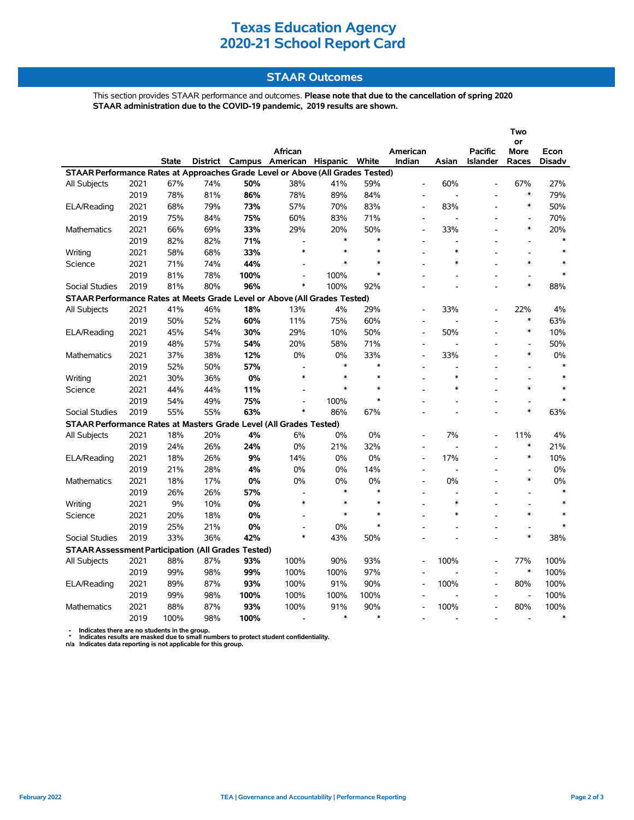## **STAAR Outcomes**

This section provides STAAR performance and outcomes. **Please note that due to the cancellation of spring 2020 STAAR administration due to the COVID-19 pandemic, 2019 results are shown.**

|                                                                                |      |       |                 |        |                              |        |         |                          |                |                                   | Two                      |                       |
|--------------------------------------------------------------------------------|------|-------|-----------------|--------|------------------------------|--------|---------|--------------------------|----------------|-----------------------------------|--------------------------|-----------------------|
|                                                                                |      |       |                 |        |                              |        |         |                          |                |                                   | or                       |                       |
|                                                                                |      | State | <b>District</b> | Campus | African<br>American Hispanic |        | White   | American<br>Indian       | Asian          | <b>Pacific</b><br><b>Islander</b> | More<br>Races            | Econ<br><b>Disadv</b> |
| STAAR Performance Rates at Approaches Grade Level or Above (All Grades Tested) |      |       |                 |        |                              |        |         |                          |                |                                   |                          |                       |
| All Subjects                                                                   | 2021 | 67%   | 74%             | 50%    | 38%                          | 41%    | 59%     | $\overline{a}$           | 60%            |                                   | 67%                      | 27%                   |
|                                                                                | 2019 | 78%   | 81%             | 86%    | 78%                          | 89%    | 84%     |                          |                |                                   | $\ast$                   | 79%                   |
| ELA/Reading                                                                    | 2021 | 68%   | 79%             | 73%    | 57%                          | 70%    | 83%     |                          | 83%            |                                   | $\ast$                   | 50%                   |
|                                                                                | 2019 | 75%   | 84%             | 75%    | 60%                          | 83%    | 71%     |                          | Ĭ.             |                                   | $\overline{a}$           | 70%                   |
| <b>Mathematics</b>                                                             | 2021 | 66%   | 69%             | 33%    | 29%                          | 20%    | 50%     | $\overline{a}$           | 33%            |                                   | $\ast$                   | 20%                   |
|                                                                                | 2019 | 82%   | 82%             | 71%    | $\overline{a}$               | $\ast$ | $\ast$  |                          | $\overline{a}$ |                                   |                          | $\ast$                |
| Writing                                                                        | 2021 | 58%   | 68%             | 33%    | $\ast$                       | $\ast$ | $\star$ |                          | $\ast$         |                                   |                          | $\pmb{\ast}$          |
| Science                                                                        | 2021 | 71%   | 74%             | 44%    | $\overline{a}$               | *      | $\ast$  |                          | $\ast$         |                                   | $\ast$                   | $\ast$                |
|                                                                                |      |       |                 |        |                              |        | $\ast$  |                          |                |                                   |                          | $\pmb{\ast}$          |
|                                                                                | 2019 | 81%   | 78%             | 100%   | $\overline{a}$<br>$\ast$     | 100%   |         |                          |                | $\overline{a}$                    | $\overline{a}$<br>$\ast$ |                       |
| <b>Social Studies</b>                                                          | 2019 | 81%   | 80%             | 96%    |                              | 100%   | 92%     |                          |                |                                   |                          | 88%                   |
| STAAR Performance Rates at Meets Grade Level or Above (All Grades Tested)      |      |       |                 |        |                              |        |         |                          |                |                                   |                          |                       |
| All Subjects                                                                   | 2021 | 41%   | 46%             | 18%    | 13%                          | 4%     | 29%     |                          | 33%            |                                   | 22%<br>$\ast$            | 4%                    |
|                                                                                | 2019 | 50%   | 52%             | 60%    | 11%                          | 75%    | 60%     |                          |                |                                   |                          | 63%                   |
| ELA/Reading                                                                    | 2021 | 45%   | 54%             | 30%    | 29%                          | 10%    | 50%     |                          | 50%            |                                   | $\ast$                   | 10%                   |
|                                                                                | 2019 | 48%   | 57%             | 54%    | 20%                          | 58%    | 71%     |                          |                |                                   | $\overline{a}$           | 50%                   |
| Mathematics                                                                    | 2021 | 37%   | 38%             | 12%    | 0%                           | 0%     | 33%     | $\overline{a}$           | 33%            |                                   | $\ast$                   | 0%                    |
|                                                                                | 2019 | 52%   | 50%             | 57%    |                              | $\ast$ | $\ast$  |                          |                |                                   |                          | *                     |
| Writing                                                                        | 2021 | 30%   | 36%             | 0%     | $\ast$                       | $\ast$ | $\ast$  |                          | $\ast$         |                                   |                          | $\ast$                |
| Science                                                                        | 2021 | 44%   | 44%             | 11%    |                              | $\ast$ | $\ast$  |                          | $\ast$         |                                   | $\ast$                   | $\ast$                |
|                                                                                | 2019 | 54%   | 49%             | 75%    |                              | 100%   | $\ast$  |                          |                |                                   |                          | $\ast$                |
| <b>Social Studies</b>                                                          | 2019 | 55%   | 55%             | 63%    | $\ast$                       | 86%    | 67%     |                          |                |                                   | $\ast$                   | 63%                   |
| STAAR Performance Rates at Masters Grade Level (All Grades Tested)             |      |       |                 |        |                              |        |         |                          |                |                                   |                          |                       |
| All Subjects                                                                   | 2021 | 18%   | 20%             | 4%     | 6%                           | 0%     | 0%      |                          | 7%             |                                   | 11%                      | 4%                    |
|                                                                                | 2019 | 24%   | 26%             | 24%    | 0%                           | 21%    | 32%     |                          |                |                                   | $\ast$                   | 21%                   |
| ELA/Reading                                                                    | 2021 | 18%   | 26%             | 9%     | 14%                          | 0%     | 0%      |                          | 17%            |                                   | $\ast$                   | 10%                   |
|                                                                                | 2019 | 21%   | 28%             | 4%     | 0%                           | 0%     | 14%     |                          |                |                                   |                          | 0%                    |
| Mathematics                                                                    | 2021 | 18%   | 17%             | 0%     | 0%                           | 0%     | 0%      | $\overline{a}$           | 0%             |                                   | $\ast$                   | $0\%$                 |
|                                                                                | 2019 | 26%   | 26%             | 57%    |                              | $\ast$ | $\ast$  |                          |                |                                   |                          | $\ast$                |
| Writing                                                                        | 2021 | 9%    | 10%             | 0%     | $\ast$                       | $\ast$ | $\ast$  |                          | $\ast$         |                                   |                          | $\ast$                |
| Science                                                                        | 2021 | 20%   | 18%             | 0%     |                              | $\ast$ | $\ast$  |                          | $\ast$         |                                   | $\ast$                   |                       |
|                                                                                | 2019 | 25%   | 21%             | 0%     | $\overline{a}$               | 0%     | $\ast$  |                          |                |                                   | $\overline{\phantom{a}}$ |                       |
| <b>Social Studies</b>                                                          | 2019 | 33%   | 36%             | 42%    | $\ast$                       | 43%    | 50%     |                          |                |                                   | $\ast$                   | 38%                   |
| <b>STAAR Assessment Participation (All Grades Tested)</b>                      |      |       |                 |        |                              |        |         |                          |                |                                   |                          |                       |
| All Subjects                                                                   | 2021 | 88%   | 87%             | 93%    | 100%                         | 90%    | 93%     |                          | 100%           |                                   | 77%                      | 100%                  |
|                                                                                | 2019 | 99%   | 98%             | 99%    | 100%                         | 100%   | 97%     | $\overline{\phantom{a}}$ |                |                                   | $\ast$                   | 100%                  |
| ELA/Reading                                                                    | 2021 | 89%   | 87%             | 93%    | 100%                         | 91%    | 90%     |                          | 100%           |                                   | 80%                      | 100%                  |
|                                                                                | 2019 | 99%   | 98%             | 100%   | 100%                         | 100%   | 100%    |                          |                |                                   | $\frac{1}{2}$            | 100%                  |
| <b>Mathematics</b>                                                             | 2021 | 88%   | 87%             | 93%    | 100%                         | 91%    | 90%     |                          | 100%           |                                   | 80%                      | 100%                  |
|                                                                                | 2019 | 100%  | 98%             | 100%   |                              | $\ast$ | $\ast$  |                          |                |                                   |                          | $\ast$                |

 **- Indicates there are no students in the group. \* Indicates results are masked due to small numbers to protect student confidentiality.**

**n/a Indicates data reporting is not applicable for this group.**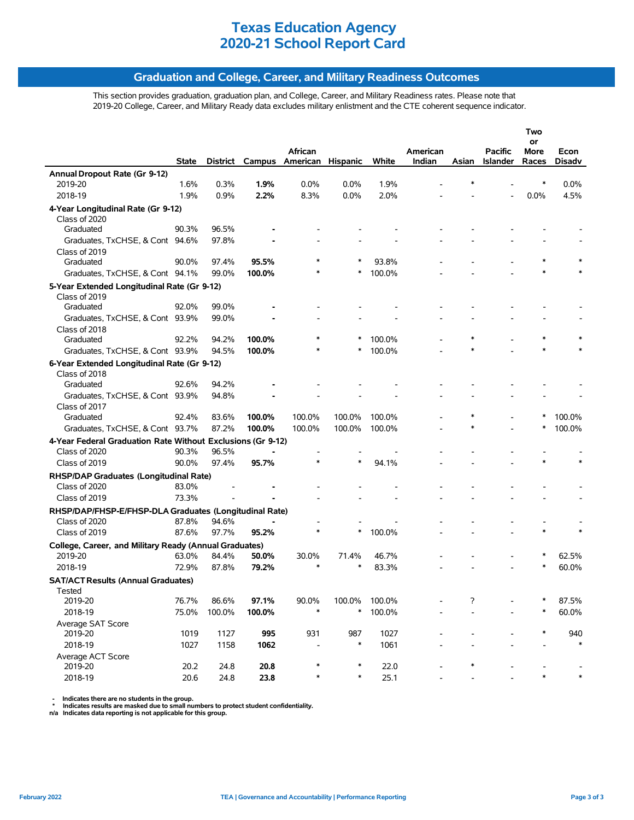## **Graduation and College, Career, and Military Readiness Outcomes**

This section provides graduation, graduation plan, and College, Career, and Military Readiness rates. Please note that 2019-20 College, Career, and Military Ready data excludes military enlistment and the CTE coherent sequence indicator.

|                                                                              |       |        |        |                          |          |        |          |        |                | Two        |        |
|------------------------------------------------------------------------------|-------|--------|--------|--------------------------|----------|--------|----------|--------|----------------|------------|--------|
|                                                                              |       |        |        | African                  |          |        | American |        | <b>Pacific</b> | or<br>More | Econ   |
|                                                                              | State |        |        | District Campus American | Hispanic | White  | Indian   | Asian  | Islander       | Races      | Disadv |
| Annual Dropout Rate (Gr 9-12)                                                |       |        |        |                          |          |        |          |        |                |            |        |
| 2019-20                                                                      | 1.6%  | 0.3%   | 1.9%   | 0.0%                     | 0.0%     | 1.9%   |          |        |                |            | 0.0%   |
| 2018-19                                                                      | 1.9%  | 0.9%   | 2.2%   | 8.3%                     | 0.0%     | 2.0%   |          |        |                | 0.0%       | 4.5%   |
| 4-Year Longitudinal Rate (Gr 9-12)                                           |       |        |        |                          |          |        |          |        |                |            |        |
| Class of 2020                                                                |       |        |        |                          |          |        |          |        |                |            |        |
| Graduated                                                                    | 90.3% | 96.5%  |        |                          |          |        |          |        |                |            |        |
| Graduates, TxCHSE, & Cont 94.6%                                              |       | 97.8%  |        |                          |          |        |          |        |                |            |        |
| Class of 2019                                                                |       |        |        |                          |          |        |          |        |                |            |        |
| Graduated                                                                    | 90.0% | 97.4%  | 95.5%  |                          | ∗        | 93.8%  |          |        |                |            |        |
| Graduates, TxCHSE, & Cont 94.1%                                              |       | 99.0%  | 100.0% |                          | ∗        | 100.0% |          |        |                |            |        |
| 5-Year Extended Longitudinal Rate (Gr 9-12)                                  |       |        |        |                          |          |        |          |        |                |            |        |
| Class of 2019                                                                |       |        |        |                          |          |        |          |        |                |            |        |
| Graduated                                                                    | 92.0% | 99.0%  |        |                          |          |        |          |        |                |            |        |
| Graduates, TxCHSE, & Cont 93.9%                                              |       | 99.0%  |        |                          |          |        |          |        |                |            |        |
| Class of 2018                                                                |       |        |        |                          |          |        |          |        |                |            |        |
| Graduated                                                                    | 92.2% | 94.2%  | 100.0% |                          | *        | 100.0% |          | $\ast$ |                | *          |        |
| Graduates, TxCHSE, & Cont 93.9%                                              |       | 94.5%  | 100.0% |                          | ∗        | 100.0% |          | $\ast$ |                | $\ast$     |        |
|                                                                              |       |        |        |                          |          |        |          |        |                |            |        |
| 6-Year Extended Longitudinal Rate (Gr 9-12)<br>Class of 2018                 |       |        |        |                          |          |        |          |        |                |            |        |
| Graduated                                                                    | 92.6% | 94.2%  |        |                          |          |        |          |        |                |            |        |
| Graduates, TxCHSE, & Cont 93.9%                                              |       | 94.8%  |        |                          |          |        |          |        |                |            |        |
| Class of 2017                                                                |       |        |        |                          |          |        |          |        |                |            |        |
| Graduated                                                                    | 92.4% | 83.6%  | 100.0% | 100.0%                   | 100.0%   | 100.0% |          |        |                |            | 100.0% |
| Graduates, TxCHSE, & Cont 93.7%                                              |       | 87.2%  | 100.0% | 100.0%                   | 100.0%   | 100.0% |          | $\ast$ |                |            | 100.0% |
|                                                                              |       |        |        |                          |          |        |          |        |                |            |        |
| 4-Year Federal Graduation Rate Without Exclusions (Gr 9-12)<br>Class of 2020 | 90.3% | 96.5%  |        |                          |          |        |          |        |                |            |        |
|                                                                              | 90.0% | 97.4%  | 95.7%  | $\ast$                   | $\ast$   | 94.1%  |          |        |                |            | $\ast$ |
| Class of 2019                                                                |       |        |        |                          |          |        |          |        |                |            |        |
| RHSP/DAP Graduates (Longitudinal Rate)                                       |       |        |        |                          |          |        |          |        |                |            |        |
| Class of 2020                                                                | 83.0% |        |        |                          |          |        |          |        |                |            |        |
| Class of 2019                                                                | 73.3% |        |        |                          |          |        |          |        |                |            |        |
| RHSP/DAP/FHSP-E/FHSP-DLA Graduates (Longitudinal Rate)                       |       |        |        |                          |          |        |          |        |                |            |        |
| Class of 2020                                                                | 87.8% | 94.6%  |        |                          |          |        |          |        |                |            |        |
| Class of 2019                                                                | 87.6% | 97.7%  | 95.2%  | $\ast$                   | $\ast$   | 100.0% |          |        |                | $\ast$     |        |
| College, Career, and Military Ready (Annual Graduates)                       |       |        |        |                          |          |        |          |        |                |            |        |
| 2019-20                                                                      | 63.0% | 84.4%  | 50.0%  | 30.0%                    | 71.4%    | 46.7%  |          |        |                | *          | 62.5%  |
| 2018-19                                                                      | 72.9% | 87.8%  | 79.2%  | $\ast$                   | $\ast$   | 83.3%  |          |        |                | $\ast$     | 60.0%  |
| <b>SAT/ACT Results (Annual Graduates)</b>                                    |       |        |        |                          |          |        |          |        |                |            |        |
| Tested                                                                       |       |        |        |                          |          |        |          |        |                |            |        |
| 2019-20                                                                      | 76.7% | 86.6%  | 97.1%  | 90.0%                    | 100.0%   | 100.0% |          | 2      |                | *          | 87.5%  |
| 2018-19                                                                      | 75.0% | 100.0% | 100.0% | $\ast$                   | $\ast$   | 100.0% |          |        |                | $\ast$     | 60.0%  |
| Average SAT Score                                                            |       |        |        |                          |          |        |          |        |                |            |        |
| 2019-20                                                                      | 1019  | 1127   | 995    | 931                      | 987      | 1027   |          |        |                |            | 940    |
| 2018-19                                                                      | 1027  | 1158   | 1062   |                          | $\ast$   | 1061   |          |        |                |            | $\ast$ |
| Average ACT Score                                                            |       |        |        |                          |          |        |          |        |                |            |        |
| 2019-20                                                                      | 20.2  | 24.8   | 20.8   | ∗                        | $\ast$   | 22.0   |          | *      |                |            |        |
| 2018-19                                                                      | 20.6  | 24.8   | 23.8   | $\ast$                   | $\ast$   | 25.1   |          |        |                | $\ast$     |        |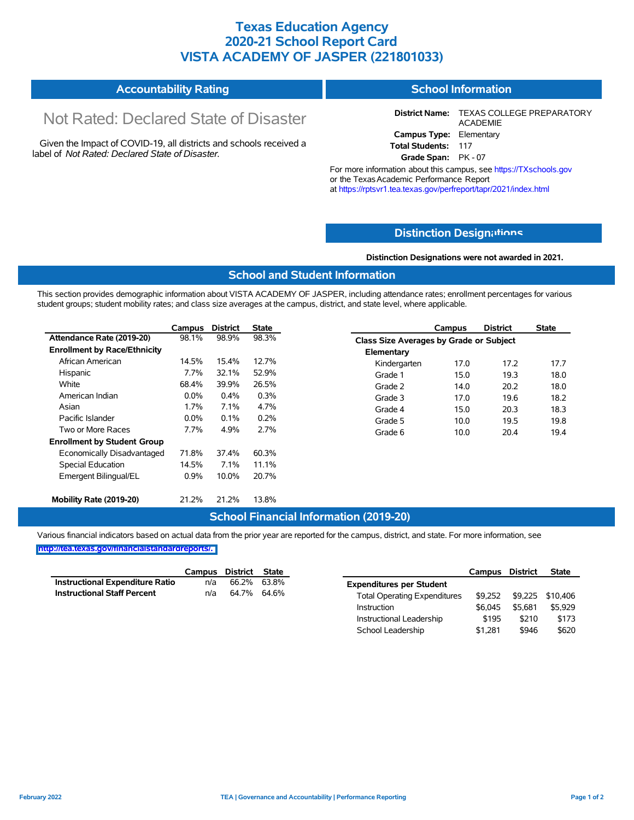## **Texas Education Agency 2020-21 School Report Card VISTA ACADEMY OF JASPER (221801033)**

#### **Accountability Rating School Information**

# Not Rated: Declared State of Disaster

Given the Impact of COVID-19, all districts and schools received a label of *Not Rated: Declared State of Disaster.*

**District Name:** TEXAS COLLEGE PREPARATORY ACADEMIE **Campus Type:** Elementary **Total Students:** 117

**Grade Span:** PK - 07

For more information about this campus, see https://TXschools.gov or the Texas Academic Performance Report at https://rptsvr1.tea.texas.gov/perfreport/tapr/2021/index.html

## **Distinction Design[ations](https://TXschools.gov)**

**Distinction Designations were not awarded in 2021.**

School Leadership  $$1,281$  \$946 \$620

## **School and Student Information**

This section provides demographic information about VISTA ACADEMY OF JASPER, including attendance rates; enrollment percentages for various student groups; student mobility rates; and class size averages at the campus, district, and state level, where applicable.

|                                     | Campus  | <b>District</b> | <b>State</b> |              | Campus                                  | <b>District</b> | <b>State</b> |  |  |
|-------------------------------------|---------|-----------------|--------------|--------------|-----------------------------------------|-----------------|--------------|--|--|
| Attendance Rate (2019-20)           | 98.1%   | 98.9%           | 98.3%        |              | Class Size Averages by Grade or Subject |                 |              |  |  |
| <b>Enrollment by Race/Ethnicity</b> |         |                 |              | Elementary   |                                         |                 |              |  |  |
| African American                    | 14.5%   | 15.4%           | 12.7%        | Kindergarten | 17.0                                    | 17.2            | 17.7         |  |  |
| Hispanic                            | 7.7%    | 32.1%           | 52.9%        | Grade 1      | 15.0                                    | 19.3            | 18.0         |  |  |
| White                               | 68.4%   | 39.9%           | 26.5%        | Grade 2      | 14.0                                    | 20.2            | 18.0         |  |  |
| American Indian                     | 0.0%    | 0.4%            | 0.3%         | Grade 3      | 17.0                                    | 19.6            | 18.2         |  |  |
| Asian                               | $1.7\%$ | 7.1%            | 4.7%         | Grade 4      | 15.0                                    | 20.3            | 18.3         |  |  |
| Pacific Islander                    | 0.0%    | 0.1%            | 0.2%         | Grade 5      | 10.0                                    | 19.5            | 19.8         |  |  |
| Two or More Races                   | 7.7%    | 4.9%            | 2.7%         | Grade 6      | 10.0                                    | 20.4            | 19.4         |  |  |
| <b>Enrollment by Student Group</b>  |         |                 |              |              |                                         |                 |              |  |  |
| Economically Disadvantaged          | 71.8%   | 37.4%           | 60.3%        |              |                                         |                 |              |  |  |
| Special Education                   | 14.5%   | 7.1%            | 11.1%        |              |                                         |                 |              |  |  |
| Emergent Bilingual/EL               | 0.9%    | 10.0%           | 20.7%        |              |                                         |                 |              |  |  |
|                                     |         |                 |              |              |                                         |                 |              |  |  |
| Mobility Rate (2019-20)             | 21.2%   | 21.2%           | 13.8%        |              |                                         |                 |              |  |  |

### **School Financial Information (2019-20)**

Various financial indicators based on actual data from the prior year are reported for the campus, district, and state. For more information, see

|                                        | Campus | District | <b>State</b> |                                     | Campus  | District | <b>State</b>     |
|----------------------------------------|--------|----------|--------------|-------------------------------------|---------|----------|------------------|
| <b>Instructional Expenditure Ratio</b> | n/a    | 66.2%    | 63.8%        | <b>Expenditures per Student</b>     |         |          |                  |
| <b>Instructional Staff Percent</b>     | n/a    | 64.7%    | 64.6%        | <b>Total Operating Expenditures</b> | \$9.252 |          | \$9,225 \$10,406 |
|                                        |        |          |              | Instruction                         | \$6.045 | \$5.681  | \$5,929          |
|                                        |        |          |              | Instructional Leadership            | \$195   | \$210    | \$173            |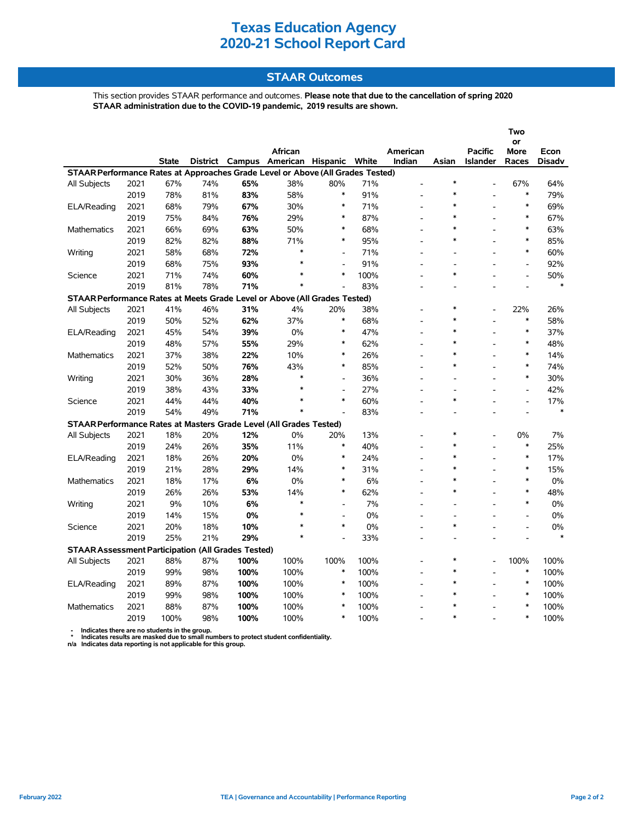## **STAAR Outcomes**

This section provides STAAR performance and outcomes. **Please note that due to the cancellation of spring 2020 STAAR administration due to the COVID-19 pandemic, 2019 results are shown.**

|                                                                                |      |              |     |                 |                   |                          |       |                |                          |                 | Two                      |               |
|--------------------------------------------------------------------------------|------|--------------|-----|-----------------|-------------------|--------------------------|-------|----------------|--------------------------|-----------------|--------------------------|---------------|
|                                                                                |      |              |     |                 |                   |                          |       |                |                          |                 | or                       |               |
|                                                                                |      |              |     |                 | African           |                          |       | American       |                          | <b>Pacific</b>  | More                     | Econ          |
|                                                                                |      | <b>State</b> |     | District Campus | American Hispanic |                          | White | Indian         | Asian                    | <b>Islander</b> | Races                    | <b>Disadv</b> |
| STAAR Performance Rates at Approaches Grade Level or Above (All Grades Tested) |      |              |     |                 |                   |                          |       |                |                          |                 |                          |               |
| All Subjects                                                                   | 2021 | 67%          | 74% | 65%             | 38%               | 80%                      | 71%   |                | $\ast$                   |                 | 67%                      | 64%           |
|                                                                                | 2019 | 78%          | 81% | 83%             | 58%               | $\ast$                   | 91%   |                | $\ast$                   |                 | $\ast$                   | 79%           |
| ELA/Reading                                                                    | 2021 | 68%          | 79% | 67%             | 30%               | $\ast$                   | 71%   |                | $\ast$                   |                 | $\ast$                   | 69%           |
|                                                                                | 2019 | 75%          | 84% | 76%             | 29%               | $\ast$                   | 87%   |                | $\ast$                   |                 | $\ast$                   | 67%           |
| Mathematics                                                                    | 2021 | 66%          | 69% | 63%             | 50%               | $\ast$                   | 68%   | $\overline{a}$ | $\ast$                   |                 | $\ast$                   | 63%           |
|                                                                                | 2019 | 82%          | 82% | 88%             | 71%               | ∗                        | 95%   |                | $\ast$                   |                 | $\ast$                   | 85%           |
| Writing                                                                        | 2021 | 58%          | 68% | 72%             | $\ast$            |                          | 71%   | $\overline{a}$ | $\overline{\phantom{a}}$ |                 | $\ast$                   | 60%           |
|                                                                                | 2019 | 68%          | 75% | 93%             | $\ast$            | L,                       | 91%   | $\overline{a}$ | $\overline{\phantom{a}}$ |                 | $\blacksquare$           | 92%           |
| Science                                                                        | 2021 | 71%          | 74% | 60%             | $\ast$            | $\ast$                   | 100%  | $\overline{a}$ | $\ast$                   |                 | $\blacksquare$           | 50%           |
|                                                                                | 2019 | 81%          | 78% | 71%             | $\ast$            |                          | 83%   |                |                          |                 |                          | $\ast$        |
| STAAR Performance Rates at Meets Grade Level or Above (All Grades Tested)      |      |              |     |                 |                   |                          |       |                |                          |                 |                          |               |
| All Subjects                                                                   | 2021 | 41%          | 46% | 31%             | 4%                | 20%                      | 38%   |                | $\ast$                   |                 | 22%                      | 26%           |
|                                                                                | 2019 | 50%          | 52% | 62%             | 37%               | $\ast$                   | 68%   |                | $\ast$                   |                 | $\ast$                   | 58%           |
| ELA/Reading                                                                    | 2021 | 45%          | 54% | 39%             | 0%                | $\ast$                   | 47%   |                | $\ast$                   |                 | $\ast$                   | 37%           |
|                                                                                | 2019 | 48%          | 57% | 55%             | 29%               | $\ast$                   | 62%   | $\overline{a}$ | $\ast$                   |                 | $\ast$                   | 48%           |
| <b>Mathematics</b>                                                             | 2021 | 37%          | 38% | 22%             | 10%               | $\ast$                   | 26%   | $\overline{a}$ | $\ast$                   |                 | $\ast$                   | 14%           |
|                                                                                | 2019 | 52%          | 50% | 76%             | 43%               | $\ast$                   | 85%   |                | $\ast$                   |                 | $\ast$                   | 74%           |
| Writing                                                                        | 2021 | 30%          | 36% | 28%             | $\ast$            | $\overline{a}$           | 36%   | $\overline{a}$ |                          |                 | $\ast$                   | 30%           |
|                                                                                | 2019 | 38%          | 43% | 33%             | $\ast$            | $\overline{\phantom{a}}$ | 27%   | $\overline{a}$ | $\overline{\phantom{a}}$ |                 | $\overline{\phantom{a}}$ | 42%           |
| Science                                                                        | 2021 | 44%          | 44% | 40%             | $\ast$            | $\ast$                   | 60%   | $\overline{a}$ | $\ast$                   |                 | $\overline{a}$           | 17%           |
|                                                                                | 2019 | 54%          | 49% | 71%             | $\ast$            |                          | 83%   |                |                          |                 |                          | $\ast$        |
| STAAR Performance Rates at Masters Grade Level (All Grades Tested)             |      |              |     |                 |                   |                          |       |                |                          |                 |                          |               |
| All Subjects                                                                   | 2021 | 18%          | 20% | 12%             | 0%                | 20%                      | 13%   |                | $\ast$                   |                 | 0%                       | 7%            |
|                                                                                | 2019 | 24%          | 26% | 35%             | 11%               | ∗                        | 40%   |                | $\ast$                   |                 | $\ast$                   | 25%           |
| ELA/Reading                                                                    | 2021 | 18%          | 26% | 20%             | 0%                | $\ast$                   | 24%   | $\overline{a}$ | $\ast$                   |                 | $\ast$                   | 17%           |
|                                                                                | 2019 | 21%          | 28% | 29%             | 14%               | $\ast$                   | 31%   |                | $\ast$                   |                 | $\ast$                   | 15%           |
| <b>Mathematics</b>                                                             | 2021 | 18%          | 17% | 6%              | 0%                | $\ast$                   | 6%    | $\overline{a}$ | $\ast$                   |                 | $\ast$                   | 0%            |
|                                                                                | 2019 | 26%          | 26% | 53%             | 14%               | $\ast$                   | 62%   |                | *                        |                 | $\ast$                   | 48%           |
| Writing                                                                        | 2021 | 9%           | 10% | 6%              | $\ast$            |                          | 7%    | $\overline{a}$ |                          |                 | $\ast$                   | $0\%$         |
|                                                                                | 2019 | 14%          | 15% | 0%              | $\ast$            | $\overline{\phantom{a}}$ | 0%    | $\overline{a}$ | $\overline{a}$           |                 | $\overline{a}$           | 0%            |
| Science                                                                        | 2021 | 20%          | 18% | 10%             | $\ast$            | $\ast$                   | 0%    | $\overline{a}$ | $\ast$                   |                 | $\blacksquare$           | 0%            |
|                                                                                | 2019 | 25%          | 21% | 29%             | $\ast$            | $\overline{a}$           | 33%   |                |                          |                 |                          | $\ast$        |
| <b>STAAR Assessment Participation (All Grades Tested)</b>                      |      |              |     |                 |                   |                          |       |                |                          |                 |                          |               |
| All Subjects                                                                   | 2021 | 88%          | 87% | 100%            | 100%              | 100%                     | 100%  |                | $\ast$                   |                 | 100%                     | 100%          |
|                                                                                | 2019 | 99%          | 98% | 100%            | 100%              | $\ast$                   | 100%  |                | $\ast$                   |                 | $\ast$                   | 100%          |
| ELA/Reading                                                                    | 2021 | 89%          | 87% | 100%            | 100%              | $\ast$                   | 100%  |                | $\ast$                   |                 | $\ast$                   | 100%          |
|                                                                                | 2019 | 99%          | 98% | 100%            | 100%              | $\ast$                   | 100%  |                | $\ast$                   |                 | $\ast$                   | 100%          |
| Mathematics                                                                    | 2021 | 88%          | 87% | 100%            | 100%              | $\ast$                   | 100%  | $\overline{a}$ | $\ast$                   |                 | $\ast$                   | 100%          |
|                                                                                | 2019 | 100%         | 98% | 100%            | 100%              | $\ast$                   | 100%  |                | $\ast$                   |                 | $\ast$                   | 100%          |
|                                                                                |      |              |     |                 |                   |                          |       |                |                          |                 |                          |               |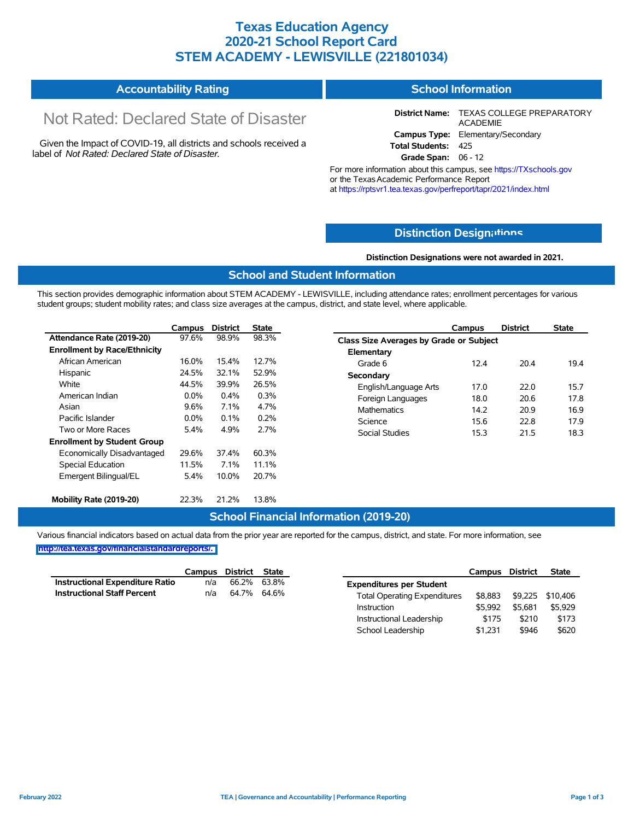## **Texas Education Agency 2020-21 School Report Card STEM ACADEMY - LEWISVILLE (221801034)**

| <b>Accountability Rating</b> | <b>School Information</b> |
|------------------------------|---------------------------|
|------------------------------|---------------------------|

# Not Rated: Declared State of Disaster

Given the Impact of COVID-19, all districts and schools received a label of *Not Rated: Declared State of Disaster.*

**District Name:** TEXAS COLLEGE PREPARATORY ACADEMIE **Campus Type:** Elementary/Secondary **Total Students:** 425

**Grade Span:** 06 - 12

For more information about this campus, see https://TXschools.gov or the TexasAcademic Performance Report at https://rptsvr1.tea.texas.gov/perfreport/tapr/2021/index.html

## **Distinction Design[ations](https://TXschools.gov)**

**Distinction Designations were not awarded in 2021.**

School Leadership  $$1,231$  \$946 \$620

### **School and Student Information**

This section provides demographic information about STEM ACADEMY - LEWISVILLE, including attendance rates; enrollment percentages for various student groups; student mobility rates; and class size averages at the campus, district, and state level, where applicable.

|                                     | Campus  | <b>District</b> | <b>State</b> | Campus                                         |      | <b>District</b> | <b>State</b> |
|-------------------------------------|---------|-----------------|--------------|------------------------------------------------|------|-----------------|--------------|
| Attendance Rate (2019-20)           | 97.6%   | 98.9%           | 98.3%        | <b>Class Size Averages by Grade or Subject</b> |      |                 |              |
| <b>Enrollment by Race/Ethnicity</b> |         |                 |              | Elementary                                     |      |                 |              |
| African American                    | 16.0%   | 15.4%           | 12.7%        | Grade 6                                        | 12.4 | 20.4            | 19.4         |
| Hispanic                            | 24.5%   | 32.1%           | 52.9%        | Secondary                                      |      |                 |              |
| White                               | 44.5%   | 39.9%           | 26.5%        | English/Language Arts                          | 17.0 | 22.0            | 15.7         |
| American Indian                     | $0.0\%$ | 0.4%            | 0.3%         | Foreign Languages                              | 18.0 | 20.6            | 17.8         |
| Asian                               | 9.6%    | 7.1%            | 4.7%         | <b>Mathematics</b>                             | 14.2 | 20.9            | 16.9         |
| Pacific Islander                    | $0.0\%$ | 0.1%            | 0.2%         | Science                                        | 15.6 | 22.8            | 17.9         |
| Two or More Races                   | 5.4%    | 4.9%            | 2.7%         | Social Studies                                 | 15.3 | 21.5            | 18.3         |
| <b>Enrollment by Student Group</b>  |         |                 |              |                                                |      |                 |              |
| Economically Disadvantaged          | 29.6%   | 37.4%           | 60.3%        |                                                |      |                 |              |
| Special Education                   | 11.5%   | 7.1%            | 11.1%        |                                                |      |                 |              |
| Emergent Bilingual/EL               | 5.4%    | 10.0%           | 20.7%        |                                                |      |                 |              |
|                                     |         |                 |              |                                                |      |                 |              |
| Mobility Rate (2019-20)             | 22.3%   | 21.2%           | 13.8%        |                                                |      |                 |              |

### **School Financial Information (2019-20)**

Various financial indicators based on actual data from the prior year are reported for the campus, district, and state. For more information, see

|                                        | Campus | District | <b>State</b> |                                     | Campus  | <b>District</b> | <b>State</b> |
|----------------------------------------|--------|----------|--------------|-------------------------------------|---------|-----------------|--------------|
| <b>Instructional Expenditure Ratio</b> | n/a    | 66.2%    | 63.8%        | <b>Expenditures per Student</b>     |         |                 |              |
| <b>Instructional Staff Percent</b>     | n/a    |          | 64.7% 64.6%  | <b>Total Operating Expenditures</b> | \$8.883 | \$9,225         | \$10,406     |
|                                        |        |          |              | Instruction                         | \$5,992 | \$5.681         | \$5,929      |
|                                        |        |          |              | Instructional Leadership            | \$175   | \$210           | \$173        |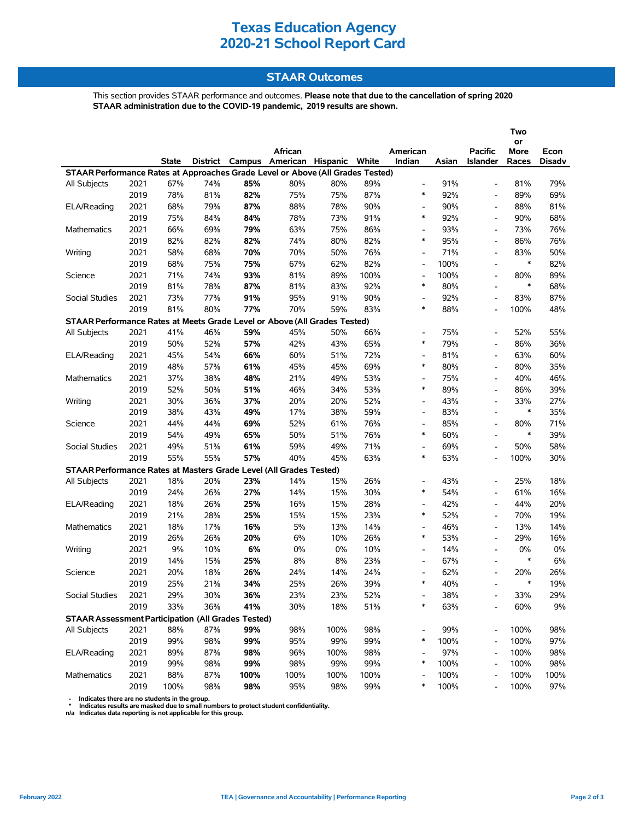## **STAAR Outcomes**

This section provides STAAR performance and outcomes. **Please note that due to the cancellation of spring 2020 STAAR administration due to the COVID-19 pandemic, 2019 results are shown.**

|                                                                                |      |              |     |      |                                         |      |      |                          |       |                          | Two        |               |
|--------------------------------------------------------------------------------|------|--------------|-----|------|-----------------------------------------|------|------|--------------------------|-------|--------------------------|------------|---------------|
|                                                                                |      |              |     |      | African                                 |      |      | American                 |       | <b>Pacific</b>           | or<br>More | Econ          |
|                                                                                |      | <b>State</b> |     |      | District Campus American Hispanic White |      |      | Indian                   | Asian | <b>Islander</b>          | Races      | <b>Disadv</b> |
| STAAR Performance Rates at Approaches Grade Level or Above (All Grades Tested) |      |              |     |      |                                         |      |      |                          |       |                          |            |               |
| All Subjects                                                                   | 2021 | 67%          | 74% | 85%  | 80%                                     | 80%  | 89%  | $\overline{\phantom{a}}$ | 91%   | $\overline{\phantom{a}}$ | 81%        | 79%           |
|                                                                                | 2019 | 78%          | 81% | 82%  | 75%                                     | 75%  | 87%  | $\ast$                   | 92%   | $\overline{\phantom{a}}$ | 89%        | 69%           |
| ELA/Reading                                                                    | 2021 | 68%          | 79% | 87%  | 88%                                     | 78%  | 90%  | $\overline{\phantom{a}}$ | 90%   | $\overline{\phantom{a}}$ | 88%        | 81%           |
|                                                                                | 2019 | 75%          | 84% | 84%  | 78%                                     | 73%  | 91%  | $\ast$                   | 92%   | $\blacksquare$           | 90%        | 68%           |
| <b>Mathematics</b>                                                             | 2021 | 66%          | 69% | 79%  | 63%                                     | 75%  | 86%  | $\overline{\phantom{a}}$ | 93%   |                          | 73%        | 76%           |
|                                                                                | 2019 | 82%          | 82% | 82%  | 74%                                     | 80%  | 82%  | $\ast$                   | 95%   | $\overline{a}$           | 86%        | 76%           |
| Writing                                                                        | 2021 | 58%          | 68% | 70%  | 70%                                     | 50%  | 76%  | $\overline{\phantom{a}}$ | 71%   | $\overline{\phantom{a}}$ | 83%        | 50%           |
|                                                                                | 2019 | 68%          | 75% | 75%  | 67%                                     | 62%  | 82%  | $\overline{\phantom{a}}$ | 100%  | $\overline{\phantom{a}}$ | $\ast$     | 82%           |
| Science                                                                        | 2021 | 71%          | 74% | 93%  | 81%                                     | 89%  | 100% | $\overline{\phantom{a}}$ | 100%  | $\overline{\phantom{a}}$ | 80%        | 89%           |
|                                                                                | 2019 | 81%          | 78% | 87%  | 81%                                     | 83%  | 92%  | $\ast$                   | 80%   | $\overline{\phantom{a}}$ | $\ast$     | 68%           |
| <b>Social Studies</b>                                                          | 2021 | 73%          | 77% | 91%  | 95%                                     | 91%  | 90%  | $\overline{\phantom{a}}$ | 92%   | $\overline{a}$           | 83%        | 87%           |
|                                                                                | 2019 | 81%          | 80% | 77%  | 70%                                     | 59%  | 83%  | $\ast$                   | 88%   | $\overline{\phantom{a}}$ | 100%       | 48%           |
| STAAR Performance Rates at Meets Grade Level or Above (All Grades Tested)      |      |              |     |      |                                         |      |      |                          |       |                          |            |               |
| All Subjects                                                                   | 2021 | 41%          | 46% | 59%  | 45%                                     | 50%  | 66%  | $\overline{\phantom{a}}$ | 75%   | $\overline{\phantom{a}}$ | 52%        | 55%           |
|                                                                                | 2019 | 50%          | 52% | 57%  | 42%                                     | 43%  | 65%  | $\ast$                   | 79%   | $\blacksquare$           | 86%        | 36%           |
| ELA/Reading                                                                    | 2021 | 45%          | 54% | 66%  | 60%                                     | 51%  | 72%  | $\overline{\phantom{a}}$ | 81%   |                          | 63%        | 60%           |
|                                                                                | 2019 | 48%          | 57% | 61%  | 45%                                     | 45%  | 69%  | $\ast$                   | 80%   | $\overline{a}$           | 80%        | 35%           |
| <b>Mathematics</b>                                                             | 2021 | 37%          | 38% | 48%  | 21%                                     | 49%  | 53%  | $\overline{\phantom{a}}$ | 75%   | $\overline{\phantom{a}}$ | 40%        | 46%           |
|                                                                                | 2019 | 52%          | 50% | 51%  | 46%                                     | 34%  | 53%  | $\ast$                   | 89%   |                          | 86%        | 39%           |
| Writing                                                                        | 2021 | 30%          | 36% | 37%  | 20%                                     | 20%  | 52%  | $\overline{\phantom{a}}$ | 43%   | $\overline{\phantom{a}}$ | 33%        | 27%           |
|                                                                                | 2019 | 38%          | 43% | 49%  | 17%                                     | 38%  | 59%  | $\overline{\phantom{a}}$ | 83%   | $\overline{\phantom{a}}$ | $\ast$     | 35%           |
| Science                                                                        | 2021 | 44%          | 44% | 69%  | 52%                                     | 61%  | 76%  | $\overline{\phantom{a}}$ | 85%   | $\overline{\phantom{a}}$ | 80%        | 71%           |
|                                                                                | 2019 | 54%          | 49% | 65%  | 50%                                     | 51%  | 76%  | $\ast$                   | 60%   | $\overline{\phantom{a}}$ | $\ast$     | 39%           |
| <b>Social Studies</b>                                                          | 2021 | 49%          | 51% | 61%  | 59%                                     | 49%  | 71%  | $\overline{\phantom{a}}$ | 69%   | $\overline{\phantom{a}}$ | 50%        | 58%           |
|                                                                                | 2019 | 55%          | 55% | 57%  | 40%                                     | 45%  | 63%  | $\ast$                   | 63%   | $\overline{a}$           | 100%       | 30%           |
| STAAR Performance Rates at Masters Grade Level (All Grades Tested)             |      |              |     |      |                                         |      |      |                          |       |                          |            |               |
| All Subjects                                                                   | 2021 | 18%          | 20% | 23%  | 14%                                     | 15%  | 26%  | $\overline{\phantom{a}}$ | 43%   | $\overline{\phantom{a}}$ | 25%        | 18%           |
|                                                                                | 2019 | 24%          | 26% | 27%  | 14%                                     | 15%  | 30%  | $\ast$                   | 54%   | $\overline{\phantom{a}}$ | 61%        | 16%           |
| ELA/Reading                                                                    | 2021 | 18%          | 26% | 25%  | 16%                                     | 15%  | 28%  | $\overline{\phantom{a}}$ | 42%   | $\blacksquare$           | 44%        | 20%           |
|                                                                                | 2019 | 21%          | 28% | 25%  | 15%                                     | 15%  | 23%  | $\ast$                   | 52%   |                          | 70%        | 19%           |
| <b>Mathematics</b>                                                             | 2021 | 18%          | 17% | 16%  | 5%                                      | 13%  | 14%  | $\overline{\phantom{a}}$ | 46%   | $\overline{\phantom{a}}$ | 13%        | 14%           |
|                                                                                | 2019 | 26%          | 26% | 20%  | 6%                                      | 10%  | 26%  | $\ast$                   | 53%   | $\overline{\phantom{a}}$ | 29%        | 16%           |
| Writing                                                                        | 2021 | 9%           | 10% | 6%   | $0\%$                                   | 0%   | 10%  | $\overline{\phantom{a}}$ | 14%   | $\overline{\phantom{a}}$ | 0%         | 0%            |
|                                                                                | 2019 | 14%          | 15% | 25%  | 8%                                      | 8%   | 23%  | $\overline{\phantom{a}}$ | 67%   |                          | $\ast$     | 6%            |
| Science                                                                        | 2021 | 20%          | 18% | 26%  | 24%                                     | 14%  | 24%  | $\overline{\phantom{a}}$ | 62%   |                          | 20%        | 26%           |
|                                                                                | 2019 | 25%          | 21% | 34%  | 25%                                     | 26%  | 39%  | $\ast$                   | 40%   |                          | $\ast$     | 19%           |
| Social Studies                                                                 | 2021 | 29%          | 30% | 36%  | 23%                                     | 23%  | 52%  |                          | 38%   |                          | 33%        | 29%           |
|                                                                                | 2019 | 33%          | 36% | 41%  | 30%                                     | 18%  | 51%  | *                        | 63%   |                          | 60%        | $9\%$         |
| <b>STAAR Assessment Participation (All Grades Tested)</b>                      |      |              |     |      |                                         |      |      |                          |       |                          |            |               |
| All Subjects                                                                   | 2021 | 88%          | 87% | 99%  | 98%                                     | 100% | 98%  |                          | 99%   |                          | 100%       | 98%           |
|                                                                                | 2019 | 99%          | 98% | 99%  | 95%                                     | 99%  | 99%  | $\ast$                   | 100%  |                          | 100%       | 97%           |
| ELA/Reading                                                                    | 2021 | 89%          | 87% | 98%  | 96%                                     | 100% | 98%  | $\overline{\phantom{a}}$ | 97%   | $\overline{\phantom{a}}$ | 100%       | 98%           |
|                                                                                | 2019 | 99%          | 98% | 99%  | 98%                                     | 99%  | 99%  | $\ast$                   | 100%  | $\overline{\phantom{a}}$ | 100%       | 98%           |
| Mathematics                                                                    | 2021 | 88%          | 87% | 100% | 100%                                    | 100% | 100% |                          | 100%  |                          | 100%       | 100%          |
|                                                                                | 2019 | 100%         | 98% | 98%  | 95%                                     | 98%  | 99%  | $\ast$                   | 100%  |                          | 100%       | 97%           |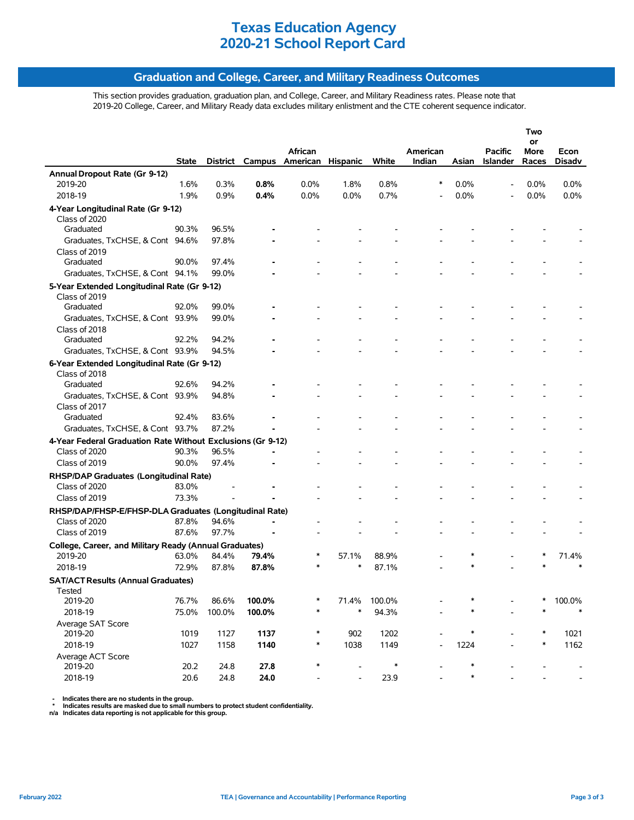## **Graduation and College, Career, and Military Readiness Outcomes**

This section provides graduation, graduation plan, and College, Career, and Military Readiness rates. Please note that 2019-20 College, Career, and Military Ready data excludes military enlistment and the CTE coherent sequence indicator.

|                                                                   |       |        |                 |          |          |        |          |        |                          | Two        |         |
|-------------------------------------------------------------------|-------|--------|-----------------|----------|----------|--------|----------|--------|--------------------------|------------|---------|
|                                                                   |       |        |                 | African  |          |        | American |        | <b>Pacific</b>           | or<br>More | Econ    |
|                                                                   | State |        | District Campus | American | Hispanic | White  | Indian   | Asian  | Islander                 | Races      | Disadv  |
| Annual Dropout Rate (Gr 9-12)                                     |       |        |                 |          |          |        |          |        |                          |            |         |
| 2019-20                                                           | 1.6%  | 0.3%   | 0.8%            | 0.0%     | 1.8%     | 0.8%   | ∗        | 0.0%   | $\overline{\phantom{a}}$ | $0.0\%$    | $0.0\%$ |
| 2018-19                                                           | 1.9%  | 0.9%   | 0.4%            | 0.0%     | 0.0%     | 0.7%   |          | 0.0%   |                          | 0.0%       | 0.0%    |
| 4-Year Longitudinal Rate (Gr 9-12)                                |       |        |                 |          |          |        |          |        |                          |            |         |
| Class of 2020                                                     |       |        |                 |          |          |        |          |        |                          |            |         |
| Graduated                                                         | 90.3% | 96.5%  |                 |          |          |        |          |        |                          |            |         |
| Graduates, TxCHSE, & Cont 94.6%                                   |       | 97.8%  |                 |          |          |        |          |        |                          |            |         |
| Class of 2019                                                     |       |        |                 |          |          |        |          |        |                          |            |         |
| Graduated                                                         | 90.0% | 97.4%  |                 |          |          |        |          |        |                          |            |         |
| Graduates, TxCHSE, & Cont 94.1%                                   |       | 99.0%  |                 |          |          |        |          |        |                          |            |         |
| 5-Year Extended Longitudinal Rate (Gr 9-12)                       |       |        |                 |          |          |        |          |        |                          |            |         |
| Class of 2019                                                     |       |        |                 |          |          |        |          |        |                          |            |         |
| Graduated                                                         | 92.0% | 99.0%  |                 |          |          |        |          |        |                          |            |         |
| Graduates, TxCHSE, & Cont 93.9%                                   |       | 99.0%  |                 |          |          |        |          |        |                          |            |         |
| Class of 2018                                                     |       |        |                 |          |          |        |          |        |                          |            |         |
| Graduated                                                         | 92.2% | 94.2%  |                 |          |          |        |          |        |                          |            |         |
| Graduates, TxCHSE, & Cont 93.9%                                   |       | 94.5%  |                 |          |          |        |          |        |                          |            |         |
| 6-Year Extended Longitudinal Rate (Gr 9-12)                       |       |        |                 |          |          |        |          |        |                          |            |         |
| Class of 2018                                                     |       |        |                 |          |          |        |          |        |                          |            |         |
| Graduated                                                         | 92.6% | 94.2%  |                 |          |          |        |          |        |                          |            |         |
| Graduates, TxCHSE, & Cont 93.9%                                   |       | 94.8%  |                 |          |          |        |          |        |                          |            |         |
| Class of 2017                                                     |       |        |                 |          |          |        |          |        |                          |            |         |
| Graduated                                                         | 92.4% | 83.6%  |                 |          |          |        |          |        |                          |            |         |
| Graduates, TxCHSE, & Cont 93.7%                                   |       | 87.2%  |                 |          |          |        |          |        |                          |            |         |
| 4-Year Federal Graduation Rate Without Exclusions (Gr 9-12)       |       |        |                 |          |          |        |          |        |                          |            |         |
| Class of 2020                                                     | 90.3% | 96.5%  |                 |          |          |        |          |        |                          |            |         |
| Class of 2019                                                     | 90.0% | 97.4%  |                 |          |          |        |          |        |                          |            |         |
| RHSP/DAP Graduates (Longitudinal Rate)                            |       |        |                 |          |          |        |          |        |                          |            |         |
| Class of 2020                                                     | 83.0% |        |                 |          |          |        |          |        |                          |            |         |
| Class of 2019                                                     | 73.3% |        |                 |          |          |        |          |        |                          |            |         |
| RHSP/DAP/FHSP-E/FHSP-DLA Graduates (Longitudinal Rate)            |       |        |                 |          |          |        |          |        |                          |            |         |
| Class of 2020                                                     | 87.8% | 94.6%  |                 |          |          |        |          |        |                          |            |         |
| Class of 2019                                                     | 87.6% | 97.7%  |                 |          |          |        |          |        |                          |            |         |
|                                                                   |       |        |                 |          |          |        |          |        |                          |            |         |
| College, Career, and Military Ready (Annual Graduates)<br>2019-20 | 63.0% | 84.4%  | 79.4%           |          | 57.1%    | 88.9%  |          | $\ast$ |                          |            |         |
| 2018-19                                                           | 72.9% | 87.8%  | 87.8%           | $\ast$   | $\ast$   | 87.1%  |          | $\ast$ |                          |            | 71.4%   |
|                                                                   |       |        |                 |          |          |        |          |        |                          |            |         |
| <b>SAT/ACT Results (Annual Graduates)</b>                         |       |        |                 |          |          |        |          |        |                          |            |         |
| Tested<br>2019-20                                                 | 76.7% | 86.6%  | 100.0%          | ∗        | 71.4%    | 100.0% |          | *      |                          | $\ast$     | 100.0%  |
| 2018-19                                                           | 75.0% |        |                 | $\ast$   | $\ast$   | 94.3%  |          | *      |                          |            | $\ast$  |
|                                                                   |       | 100.0% | 100.0%          |          |          |        |          |        |                          |            |         |
| Average SAT Score<br>2019-20                                      | 1019  | 1127   | 1137            | ∗        | 902      | 1202   |          | ∗      |                          |            | 1021    |
| 2018-19                                                           | 1027  | 1158   | 1140            | $\ast$   | 1038     | 1149   | Ĭ.       | 1224   |                          | *          | 1162    |
| Average ACT Score                                                 |       |        |                 |          |          |        |          |        |                          |            |         |
| 2019-20                                                           | 20.2  | 24.8   | 27.8            | $\ast$   |          | $\ast$ |          | $\ast$ |                          |            |         |
| 2018-19                                                           | 20.6  | 24.8   | 24.0            |          |          | 23.9   |          | ∗      |                          |            |         |
|                                                                   |       |        |                 |          |          |        |          |        |                          |            |         |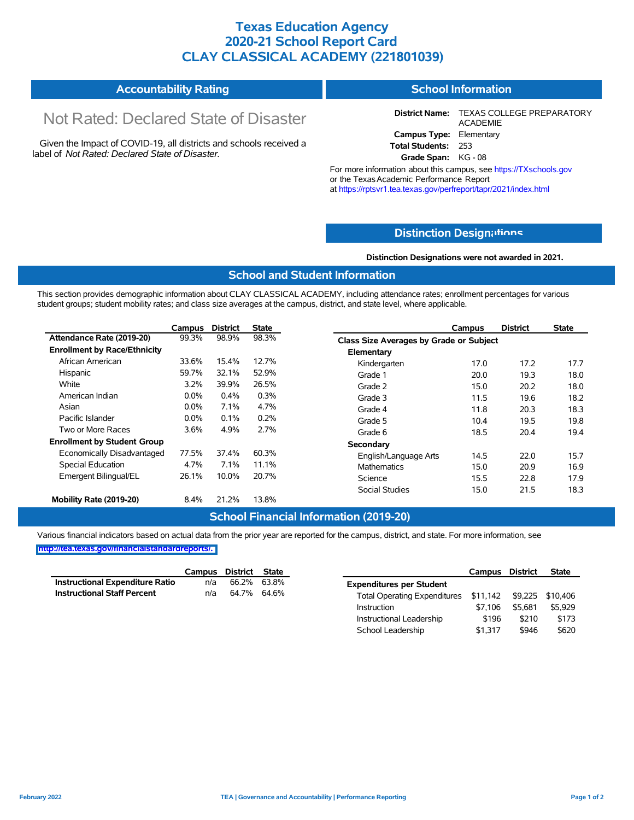## **Texas Education Agency 2020-21 School Report Card CLAY CLASSICAL ACADEMY (221801039)**

#### **Accountability Rating School Information**

# Not Rated: Declared State of Disaster

Given the Impact of COVID-19, all districts and schools received a label of *Not Rated: Declared State of Disaster.*

**District Name:** TEXAS COLLEGE PREPARATORY ACADEMIE **Campus Type:** Elementary **Total Students:** 253

**Grade Span:** KG - 08

For more information about this campus, see https://TXschools.gov or the Texas Academic Performance Report at https://rptsvr1.tea.texas.gov/perfreport/tapr/2021/index.html

## **Distinction Design[ations](https://TXschools.gov)**

**Distinction Designations were not awarded in 2021.**

School Leadership  $$1,317$  \$946 \$620

### **School and Student Information**

This section provides demographic information about CLAY CLASSICAL ACADEMY, including attendance rates; enrollment percentages for various student groups; student mobility rates; and class size averages at the campus, district, and state level, where applicable.

|                                     | Campus  | <b>District</b> | <b>State</b> | <b>District</b><br>Campus               | <b>State</b> |
|-------------------------------------|---------|-----------------|--------------|-----------------------------------------|--------------|
| Attendance Rate (2019-20)           | 99.3%   | 98.9%           | 98.3%        | Class Size Averages by Grade or Subject |              |
| <b>Enrollment by Race/Ethnicity</b> |         |                 |              | Elementary                              |              |
| African American                    | 33.6%   | 15.4%           | 12.7%        | 17.2<br>Kindergarten<br>17.0            | 17.7         |
| Hispanic                            | 59.7%   | 32.1%           | 52.9%        | 19.3<br>Grade 1<br>20.0                 | 18.0         |
| White                               | 3.2%    | 39.9%           | 26.5%        | 20.2<br>15.0<br>Grade 2                 | 18.0         |
| American Indian                     | $0.0\%$ | 0.4%            | 0.3%         | 19.6<br>Grade 3<br>11.5                 | 18.2         |
| Asian                               | $0.0\%$ | 7.1%            | 4.7%         | 20.3<br>11.8<br>Grade 4                 | 18.3         |
| Pacific Islander                    | $0.0\%$ | 0.1%            | 0.2%         | 19.5<br>Grade 5<br>10.4                 | 19.8         |
| Two or More Races                   | 3.6%    | 4.9%            | 2.7%         | 18.5<br>20.4<br>Grade 6                 | 19.4         |
| <b>Enrollment by Student Group</b>  |         |                 |              | Secondary                               |              |
| Economically Disadvantaged          | 77.5%   | 37.4%           | 60.3%        | 22.0<br>14.5<br>English/Language Arts   | 15.7         |
| <b>Special Education</b>            | 4.7%    | 7.1%            | 11.1%        | Mathematics<br>20.9<br>15.0             | 16.9         |
| Emergent Bilingual/EL               | 26.1%   | 10.0%           | 20.7%        | 22.8<br>15.5<br>Science                 | 17.9         |
|                                     |         |                 |              | 21.5<br>Social Studies<br>15.0          | 18.3         |
| Mobility Rate (2019-20)             | 8.4%    | 21.2%           | 13.8%        |                                         |              |

### **School Financial Information (2019-20)**

Various financial indicators based on actual data from the prior year are reported for the campus, district, and state. For more information, see

|                                    | Campus | District State |                                                        | Campus  | <b>District</b> | <b>State</b> |
|------------------------------------|--------|----------------|--------------------------------------------------------|---------|-----------------|--------------|
| Instructional Expenditure Ratio    | n/a    | 66.2% 63.8%    | <b>Expenditures per Student</b>                        |         |                 |              |
| <b>Instructional Staff Percent</b> | n/a    | 64.7% 64.6%    | Total Operating Expenditures \$11,142 \$9,225 \$10,406 |         |                 |              |
|                                    |        |                | Instruction                                            | \$7.106 | \$5.681         | \$5,929      |
|                                    |        |                | Instructional Leadership                               | \$196   | \$210           | \$173        |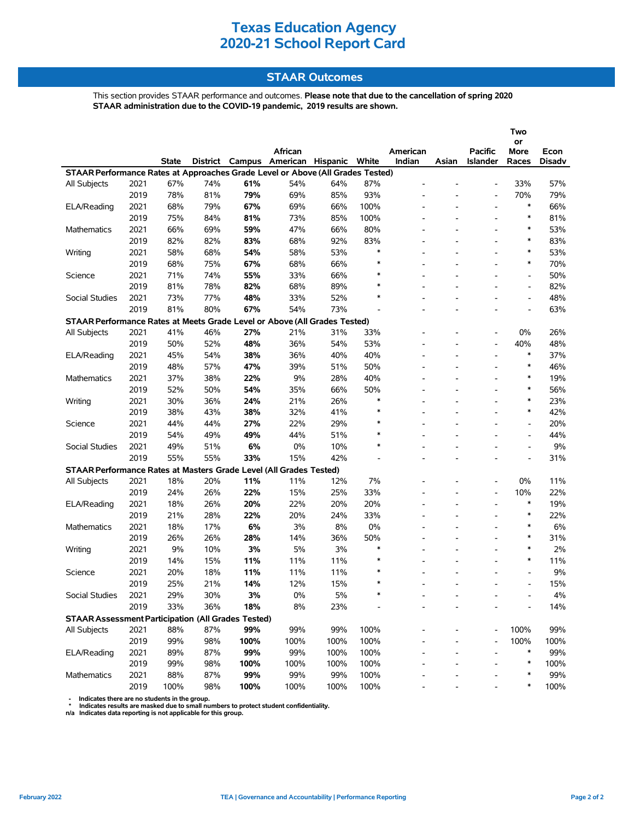## **STAAR Outcomes**

This section provides STAAR performance and outcomes. **Please note that due to the cancellation of spring 2020 STAAR administration due to the COVID-19 pandemic, 2019 results are shown.**

|                                                                                |      |       |     |      | African                                 |       |        | American                 |                          | <b>Pacific</b>           | Two<br>or<br>More            | Econ          |
|--------------------------------------------------------------------------------|------|-------|-----|------|-----------------------------------------|-------|--------|--------------------------|--------------------------|--------------------------|------------------------------|---------------|
|                                                                                |      | State |     |      | District Campus American Hispanic White |       |        | Indian                   | Asian                    | Islander                 | Races                        | <b>Disadv</b> |
| STAAR Performance Rates at Approaches Grade Level or Above (All Grades Tested) |      |       |     |      |                                         |       |        |                          |                          |                          |                              |               |
| <b>All Subjects</b>                                                            | 2021 | 67%   | 74% | 61%  | 54%                                     | 64%   | 87%    |                          |                          |                          | 33%                          | 57%           |
|                                                                                | 2019 | 78%   | 81% | 79%  | 69%                                     | 85%   | 93%    |                          | ٠                        | ۰                        | 70%                          | 79%           |
| ELA/Reading                                                                    | 2021 | 68%   | 79% | 67%  | 69%                                     | 66%   | 100%   |                          |                          | $\overline{\phantom{a}}$ | $\ast$                       | 66%           |
|                                                                                | 2019 | 75%   | 84% | 81%  | 73%                                     | 85%   | 100%   |                          |                          |                          | ∗                            | 81%           |
| <b>Mathematics</b>                                                             | 2021 | 66%   | 69% | 59%  | 47%                                     | 66%   | 80%    |                          |                          | ۰                        | $\ast$                       | 53%           |
|                                                                                | 2019 | 82%   | 82% | 83%  | 68%                                     | 92%   | 83%    |                          |                          |                          | $\ast$                       | 83%           |
| Writing                                                                        | 2021 | 58%   | 68% | 54%  | 58%                                     | 53%   | $\ast$ |                          |                          |                          | $\ast$                       | 53%           |
|                                                                                | 2019 | 68%   | 75% | 67%  | 68%                                     | 66%   | $\ast$ | $\overline{\phantom{a}}$ | $\overline{\phantom{a}}$ | ۰                        | ∗                            | 70%           |
| Science                                                                        | 2021 | 71%   | 74% | 55%  | 33%                                     | 66%   | $\ast$ |                          |                          |                          | $\qquad \qquad \blacksquare$ | 50%           |
|                                                                                | 2019 | 81%   | 78% | 82%  | 68%                                     | 89%   | $\ast$ |                          |                          |                          | $\overline{a}$               | 82%           |
| <b>Social Studies</b>                                                          | 2021 | 73%   | 77% | 48%  | 33%                                     | 52%   | $\ast$ |                          |                          |                          | $\overline{\phantom{a}}$     | 48%           |
|                                                                                | 2019 | 81%   | 80% | 67%  | 54%                                     | 73%   |        |                          |                          |                          | $\overline{\phantom{a}}$     | 63%           |
| STAAR Performance Rates at Meets Grade Level or Above (All Grades Tested)      |      |       |     |      |                                         |       |        |                          |                          |                          |                              |               |
| <b>All Subjects</b>                                                            | 2021 | 41%   | 46% | 27%  | 21%                                     | 31%   | 33%    |                          |                          | ۰                        | 0%                           | 26%           |
|                                                                                | 2019 | 50%   | 52% | 48%  | 36%                                     | 54%   | 53%    |                          |                          | $\overline{\phantom{0}}$ | 40%                          | 48%           |
| ELA/Reading                                                                    | 2021 | 45%   | 54% | 38%  | 36%                                     | 40%   | 40%    |                          |                          | ۰                        | $\ast$                       | 37%           |
|                                                                                | 2019 | 48%   | 57% | 47%  | 39%                                     | 51%   | 50%    |                          | $\overline{\phantom{a}}$ | $\overline{a}$           | $\ast$                       | 46%           |
| <b>Mathematics</b>                                                             | 2021 | 37%   | 38% | 22%  | 9%                                      | 28%   | 40%    |                          |                          |                          | $\ast$                       | 19%           |
|                                                                                | 2019 | 52%   | 50% | 54%  | 35%                                     | 66%   | 50%    |                          |                          | ۰                        | $\ast$                       | 56%           |
| Writing                                                                        | 2021 | 30%   | 36% | 24%  | 21%                                     | 26%   | $\ast$ |                          |                          |                          | $\ast$                       | 23%           |
|                                                                                | 2019 | 38%   | 43% | 38%  | 32%                                     | 41%   | $\ast$ |                          | $\overline{\phantom{a}}$ |                          | $\ast$                       | 42%           |
| Science                                                                        | 2021 | 44%   | 44% | 27%  | 22%                                     | 29%   | $\ast$ |                          |                          |                          | $\qquad \qquad \blacksquare$ | 20%           |
|                                                                                | 2019 | 54%   | 49% | 49%  | 44%                                     | 51%   | $\ast$ |                          |                          |                          | $\overline{\phantom{a}}$     | 44%           |
| Social Studies                                                                 | 2021 | 49%   | 51% | 6%   | 0%                                      | 10%   | $\ast$ |                          |                          |                          | $\overline{a}$               | 9%            |
|                                                                                | 2019 | 55%   | 55% | 33%  | 15%                                     | 42%   |        | $\overline{\phantom{a}}$ | $\overline{a}$           | ۰                        | $\frac{1}{2}$                | 31%           |
| STAAR Performance Rates at Masters Grade Level (All Grades Tested)             |      |       |     |      |                                         |       |        |                          |                          |                          |                              |               |
| All Subjects                                                                   | 2021 | 18%   | 20% | 11%  | 11%                                     | 12%   | 7%     |                          |                          |                          | 0%                           | 11%           |
|                                                                                | 2019 | 24%   | 26% | 22%  | 15%                                     | 25%   | 33%    |                          |                          | $\overline{\phantom{0}}$ | 10%                          | 22%           |
| ELA/Reading                                                                    | 2021 | 18%   | 26% | 20%  | 22%                                     | 20%   | 20%    |                          |                          |                          | $\ast$                       | 19%           |
|                                                                                | 2019 | 21%   | 28% | 22%  | 20%                                     | 24%   | 33%    |                          |                          | ۰                        | $\ast$                       | 22%           |
| <b>Mathematics</b>                                                             | 2021 | 18%   | 17% | 6%   | 3%                                      | 8%    | 0%     |                          |                          | $\overline{a}$           | $\ast$                       | 6%            |
|                                                                                | 2019 | 26%   | 26% | 28%  | 14%                                     | 36%   | 50%    |                          |                          |                          | $\ast$                       | 31%           |
| Writing                                                                        | 2021 | 9%    | 10% | 3%   | 5%                                      | 3%    | $\ast$ | $\overline{\phantom{a}}$ | $\overline{\phantom{a}}$ | ۰                        | $\ast$                       | 2%            |
|                                                                                | 2019 | 14%   | 15% | 11%  | 11%                                     | 11%   | $\ast$ |                          |                          |                          | $\ast$                       | 11%           |
| Science                                                                        | 2021 | 20%   | 18% | 11%  | 11%                                     | 11%   | $\ast$ |                          |                          |                          |                              | 9%            |
|                                                                                | 2019 | 25%   | 21% | 14%  | 12%                                     | 15%   | $\ast$ |                          |                          |                          |                              | 15%           |
| Social Studies                                                                 | 2021 | 29%   | 30% | 3%   | $0\%$                                   | $5\%$ |        |                          |                          |                          |                              | $4\%$         |
|                                                                                | 2019 | 33%   | 36% | 18%  | 8%                                      | 23%   |        |                          |                          |                          |                              | 14%           |
| <b>STAAR Assessment Participation (All Grades Tested)</b>                      |      |       |     |      |                                         |       |        |                          |                          |                          |                              |               |
| All Subjects                                                                   | 2021 | 88%   | 87% | 99%  | 99%                                     | 99%   | 100%   |                          |                          |                          | 100%                         | 99%           |
|                                                                                | 2019 | 99%   | 98% | 100% | 100%                                    | 100%  | 100%   |                          |                          |                          | 100%                         | 100%          |
| ELA/Reading                                                                    | 2021 | 89%   | 87% | 99%  | 99%                                     | 100%  | 100%   |                          |                          |                          | ∗                            | 99%           |
|                                                                                | 2019 | 99%   | 98% | 100% | 100%                                    | 100%  | 100%   |                          |                          |                          | $\ast$                       | 100%          |
| Mathematics                                                                    | 2021 | 88%   | 87% | 99%  | 99%                                     | 99%   | 100%   |                          |                          |                          | ∗                            | 99%           |
|                                                                                | 2019 | 100%  | 98% | 100% | 100%                                    | 100%  | 100%   |                          |                          |                          | $\ast$                       | 100%          |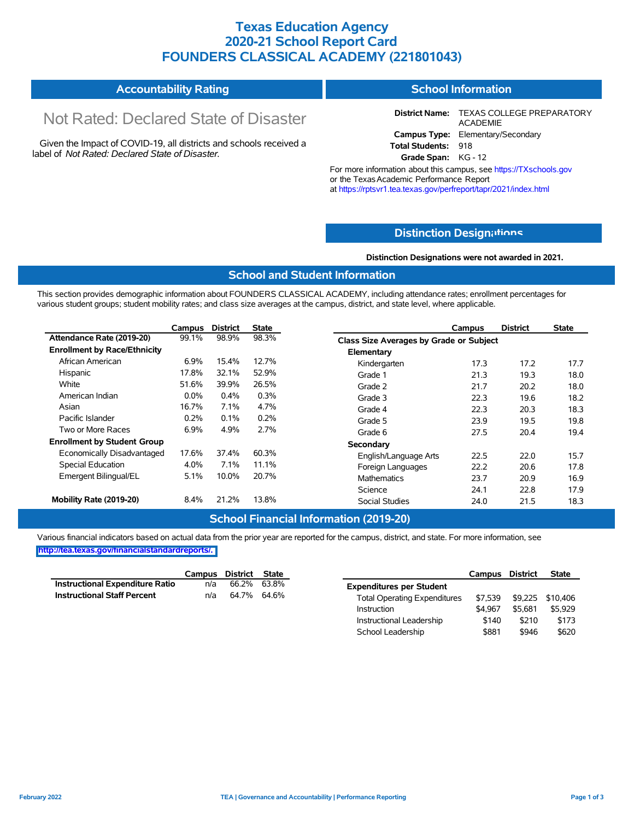## **Texas Education Agency 2020-21 School Report Card FOUNDERS CLASSICAL ACADEMY (221801043)**

#### **Accountability Rating School Information**

# Not Rated: Declared State of Disaster

Given the Impact of COVID-19, all districts and schools received a label of *Not Rated: Declared State of Disaster.*

**District Name:** TEXAS COLLEGE PREPARATORY ACADEMIE **Campus Type:** Elementary/Secondary **Total Students:** 918

**Grade Span:** KG - 12

For more information about this campus, see https://TXschools.gov or the Texas Academic Performance Report at https://rptsvr1.tea.texas.gov/perfreport/tapr/2021/index.html

## **Distinction Design[ations](https://TXschools.gov)**

**Distinction Designations were not awarded in 2021.**

Instructional Leadership  $$140$  \$210 \$173 School Leadership  $$881$  \$946 \$620

### **School and Student Information**

This section provides demographic information about FOUNDERS CLASSICAL ACADEMY, including attendance rates; enrollment percentages for various student groups; student mobility rates; and class size averages at the campus, district, and state level, where applicable.

|                                     | Campus  | <b>District</b> | <b>State</b> |                                                | Campus | <b>District</b> | State |
|-------------------------------------|---------|-----------------|--------------|------------------------------------------------|--------|-----------------|-------|
| Attendance Rate (2019-20)           | 99.1%   | 98.9%           | 98.3%        | <b>Class Size Averages by Grade or Subject</b> |        |                 |       |
| <b>Enrollment by Race/Ethnicity</b> |         |                 |              | Elementary                                     |        |                 |       |
| African American                    | 6.9%    | 15.4%           | 12.7%        | Kindergarten                                   | 17.3   | 17.2            | 17.7  |
| Hispanic                            | 17.8%   | 32.1%           | 52.9%        | Grade 1                                        | 21.3   | 19.3            | 18.0  |
| White                               | 51.6%   | 39.9%           | 26.5%        | Grade 2                                        | 21.7   | 20.2            | 18.0  |
| American Indian                     | $0.0\%$ | $0.4\%$         | 0.3%         | Grade 3                                        | 22.3   | 19.6            | 18.2  |
| Asian                               | 16.7%   | 7.1%            | 4.7%         | Grade 4                                        | 22.3   | 20.3            | 18.3  |
| Pacific Islander                    | 0.2%    | 0.1%            | 0.2%         | Grade 5                                        | 23.9   | 19.5            | 19.8  |
| Two or More Races                   | 6.9%    | 4.9%            | 2.7%         | Grade 6                                        | 27.5   | 20.4            | 19.4  |
| <b>Enrollment by Student Group</b>  |         |                 |              | Secondary                                      |        |                 |       |
| Economically Disadvantaged          | 17.6%   | 37.4%           | 60.3%        | English/Language Arts                          | 22.5   | 22.0            | 15.7  |
| Special Education                   | 4.0%    | 7.1%            | 11.1%        | Foreign Languages                              | 22.2   | 20.6            | 17.8  |
| Emergent Bilingual/EL               | 5.1%    | 10.0%           | 20.7%        | <b>Mathematics</b>                             | 23.7   | 20.9            | 16.9  |
|                                     |         |                 |              | Science                                        | 24.1   | 22.8            | 17.9  |
| Mobility Rate (2019-20)             | 8.4%    | 21.2%           | 13.8%        | <b>Social Studies</b>                          | 24.0   | 21.5            | 18.3  |

### **School Financial Information (2019-20)**

Various financial indicators based on actual data from the prior year are reported for the campus, district, and state. For more information, see **[http://tea.texas.gov/financialstandardreports/.](http://tea.texas.gov/financialstandardreports/)**

|                                    | Campus District State |                 | Campus District                                |                  | <b>State</b> |
|------------------------------------|-----------------------|-----------------|------------------------------------------------|------------------|--------------|
| Instructional Expenditure Ratio    | n/a                   | 66.2% 63.8%     | <b>Expenditures per Student</b>                |                  |              |
| <b>Instructional Staff Percent</b> |                       | n/a 64.7% 64.6% | \$7.539<br><b>Total Operating Expenditures</b> | \$9,225 \$10,406 |              |
|                                    |                       |                 | \$4.967<br>Instruction                         | \$5.681          | \$5,929      |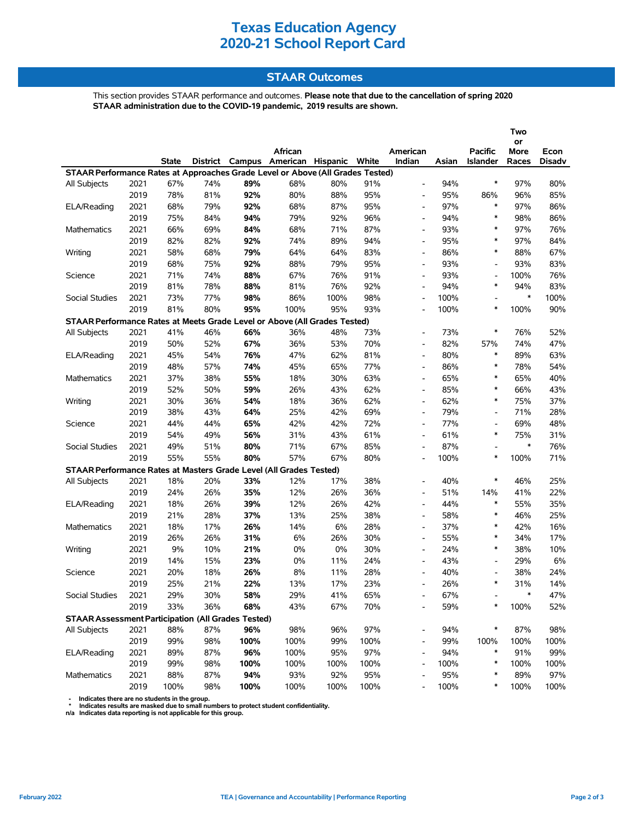## **STAAR Outcomes**

This section provides STAAR performance and outcomes. **Please note that due to the cancellation of spring 2020 STAAR administration due to the COVID-19 pandemic, 2019 results are shown.**

|                                                                                |      |              |     |      |                                         |      |      |                          |       |                          | Two        |               |
|--------------------------------------------------------------------------------|------|--------------|-----|------|-----------------------------------------|------|------|--------------------------|-------|--------------------------|------------|---------------|
|                                                                                |      |              |     |      | African                                 |      |      | American                 |       | <b>Pacific</b>           | or<br>More | Econ          |
|                                                                                |      | <b>State</b> |     |      | District Campus American Hispanic White |      |      | Indian                   | Asian | Islander                 | Races      | <b>Disadv</b> |
| STAAR Performance Rates at Approaches Grade Level or Above (All Grades Tested) |      |              |     |      |                                         |      |      |                          |       |                          |            |               |
| All Subjects                                                                   | 2021 | 67%          | 74% | 89%  | 68%                                     | 80%  | 91%  | $\overline{\phantom{a}}$ | 94%   | $\ast$                   | 97%        | 80%           |
|                                                                                | 2019 | 78%          | 81% | 92%  | 80%                                     | 88%  | 95%  | $\overline{\phantom{a}}$ | 95%   | 86%                      | 96%        | 85%           |
| ELA/Reading                                                                    | 2021 | 68%          | 79% | 92%  | 68%                                     | 87%  | 95%  | $\overline{\phantom{a}}$ | 97%   | $\ast$                   | 97%        | 86%           |
|                                                                                | 2019 | 75%          | 84% | 94%  | 79%                                     | 92%  | 96%  | $\overline{\phantom{0}}$ | 94%   | $\ast$                   | 98%        | 86%           |
| Mathematics                                                                    | 2021 | 66%          | 69% | 84%  | 68%                                     | 71%  | 87%  | $\overline{\phantom{0}}$ | 93%   | $\ast$                   | 97%        | 76%           |
|                                                                                | 2019 | 82%          | 82% | 92%  | 74%                                     | 89%  | 94%  | $\overline{\phantom{0}}$ | 95%   | $\ast$                   | 97%        | 84%           |
| Writing                                                                        | 2021 | 58%          | 68% | 79%  | 64%                                     | 64%  | 83%  | $\overline{\phantom{a}}$ | 86%   | $\ast$                   | 88%        | 67%           |
|                                                                                | 2019 | 68%          | 75% | 92%  | 88%                                     | 79%  | 95%  | $\overline{\phantom{a}}$ | 93%   | $\overline{\phantom{a}}$ | 93%        | 83%           |
| Science                                                                        | 2021 | 71%          | 74% | 88%  | 67%                                     | 76%  | 91%  | $\overline{\phantom{0}}$ | 93%   | $\overline{\phantom{a}}$ | 100%       | 76%           |
|                                                                                | 2019 | 81%          | 78% | 88%  | 81%                                     | 76%  | 92%  | $\overline{\phantom{0}}$ | 94%   | $\ast$                   | 94%        | 83%           |
| <b>Social Studies</b>                                                          | 2021 | 73%          | 77% | 98%  | 86%                                     | 100% | 98%  | $\overline{\phantom{a}}$ | 100%  |                          | $\ast$     | 100%          |
|                                                                                | 2019 | 81%          | 80% | 95%  | 100%                                    | 95%  | 93%  | $\overline{\phantom{0}}$ | 100%  | *                        | 100%       | 90%           |
| STAAR Performance Rates at Meets Grade Level or Above (All Grades Tested)      |      |              |     |      |                                         |      |      |                          |       |                          |            |               |
| All Subjects                                                                   | 2021 | 41%          | 46% | 66%  | 36%                                     | 48%  | 73%  | $\overline{\phantom{0}}$ | 73%   | $\ast$                   | 76%        | 52%           |
|                                                                                | 2019 | 50%          | 52% | 67%  | 36%                                     | 53%  | 70%  | $\overline{\phantom{0}}$ | 82%   | 57%                      | 74%        | 47%           |
| ELA/Reading                                                                    | 2021 | 45%          | 54% | 76%  | 47%                                     | 62%  | 81%  | $\overline{\phantom{0}}$ | 80%   | $\ast$                   | 89%        | 63%           |
|                                                                                | 2019 | 48%          | 57% | 74%  | 45%                                     | 65%  | 77%  | $\overline{\phantom{a}}$ | 86%   | $\ast$                   | 78%        | 54%           |
| <b>Mathematics</b>                                                             | 2021 | 37%          | 38% | 55%  | 18%                                     | 30%  | 63%  | $\overline{\phantom{0}}$ | 65%   | $\ast$                   | 65%        | 40%           |
|                                                                                | 2019 | 52%          | 50% | 59%  | 26%                                     | 43%  | 62%  | $\overline{\phantom{0}}$ | 85%   | $\ast$                   | 66%        | 43%           |
| Writing                                                                        | 2021 | 30%          | 36% | 54%  | 18%                                     | 36%  | 62%  | $\overline{\phantom{a}}$ | 62%   | $\ast$                   | 75%        | 37%           |
|                                                                                | 2019 | 38%          | 43% | 64%  | 25%                                     | 42%  | 69%  | $\overline{\phantom{0}}$ | 79%   | $\overline{\phantom{a}}$ | 71%        | 28%           |
| Science                                                                        | 2021 | 44%          | 44% | 65%  | 42%                                     | 42%  | 72%  | $\overline{\phantom{0}}$ | 77%   | $\overline{\phantom{a}}$ | 69%        | 48%           |
|                                                                                | 2019 | 54%          | 49% | 56%  | 31%                                     | 43%  | 61%  | $\overline{\phantom{a}}$ | 61%   | $\ast$                   | 75%        | 31%           |
| <b>Social Studies</b>                                                          | 2021 | 49%          | 51% | 80%  | 71%                                     | 67%  | 85%  | $\overline{\phantom{0}}$ | 87%   |                          | $\ast$     | 76%           |
|                                                                                | 2019 | 55%          | 55% | 80%  | 57%                                     | 67%  | 80%  | $\overline{\phantom{0}}$ | 100%  | ∗                        | 100%       | 71%           |
| STAAR Performance Rates at Masters Grade Level (All Grades Tested)             |      |              |     |      |                                         |      |      |                          |       |                          |            |               |
| All Subjects                                                                   | 2021 | 18%          | 20% | 33%  | 12%                                     | 17%  | 38%  | $\overline{\phantom{a}}$ | 40%   | $\ast$                   | 46%        | 25%           |
|                                                                                | 2019 | 24%          | 26% | 35%  | 12%                                     | 26%  | 36%  | $\overline{\phantom{0}}$ | 51%   | 14%                      | 41%        | 22%           |
| ELA/Reading                                                                    | 2021 | 18%          | 26% | 39%  | 12%                                     | 26%  | 42%  | $\overline{\phantom{a}}$ | 44%   | $\ast$                   | 55%        | 35%           |
|                                                                                | 2019 | 21%          | 28% | 37%  | 13%                                     | 25%  | 38%  | $\overline{\phantom{0}}$ | 58%   | $\ast$                   | 46%        | 25%           |
| <b>Mathematics</b>                                                             | 2021 | 18%          | 17% | 26%  | 14%                                     | 6%   | 28%  | $\overline{\phantom{a}}$ | 37%   | $\ast$                   | 42%        | 16%           |
|                                                                                | 2019 | 26%          | 26% | 31%  | 6%                                      | 26%  | 30%  | $\overline{\phantom{a}}$ | 55%   | $\ast$                   | 34%        | 17%           |
| Writing                                                                        | 2021 | 9%           | 10% | 21%  | 0%                                      | 0%   | 30%  | $\overline{\phantom{a}}$ | 24%   | *                        | 38%        | 10%           |
|                                                                                | 2019 | 14%          | 15% | 23%  | 0%                                      | 11%  | 24%  | $\overline{\phantom{a}}$ | 43%   | $\overline{\phantom{a}}$ | 29%        | 6%            |
| Science                                                                        | 2021 | 20%          | 18% | 26%  | 8%                                      | 11%  | 28%  | $\overline{\phantom{a}}$ | 40%   |                          | 38%        | 24%           |
|                                                                                | 2019 | 25%          | 21% | 22%  | 13%                                     | 17%  | 23%  | $\overline{a}$           | 26%   | $\ast$                   | 31%        | 14%           |
| Social Studies                                                                 | 2021 | 29%          | 30% | 58%  | 29%                                     | 41%  | 65%  |                          | 67%   |                          | $\ast$     | 47%           |
|                                                                                | 2019 | 33%          | 36% | 68%  | 43%                                     | 67%  | 70%  |                          | 59%   | ∗                        | 100%       | 52%           |
| <b>STAAR Assessment Participation (All Grades Tested)</b>                      |      |              |     |      |                                         |      |      |                          |       |                          |            |               |
| All Subjects                                                                   | 2021 | 88%          | 87% | 96%  | 98%                                     | 96%  | 97%  | -                        | 94%   | ∗                        | 87%        | 98%           |
|                                                                                | 2019 | 99%          | 98% | 100% | 100%                                    | 99%  | 100% |                          | 99%   | 100%                     | 100%       | 100%          |
| ELA/Reading                                                                    | 2021 | 89%          | 87% | 96%  | 100%                                    | 95%  | 97%  | $\overline{\phantom{a}}$ | 94%   | $\ast$                   | 91%        | 99%           |
|                                                                                | 2019 | 99%          | 98% | 100% | 100%                                    | 100% | 100% | $\overline{\phantom{a}}$ | 100%  | $\ast$                   | 100%       | 100%          |
| Mathematics                                                                    | 2021 | 88%          | 87% | 94%  | 93%                                     | 92%  | 95%  |                          | 95%   | $\ast$                   | 89%        | 97%           |
|                                                                                | 2019 | 100%         | 98% | 100% | 100%                                    | 100% | 100% | $\overline{\phantom{m}}$ | 100%  | ∗                        | 100%       | 100%          |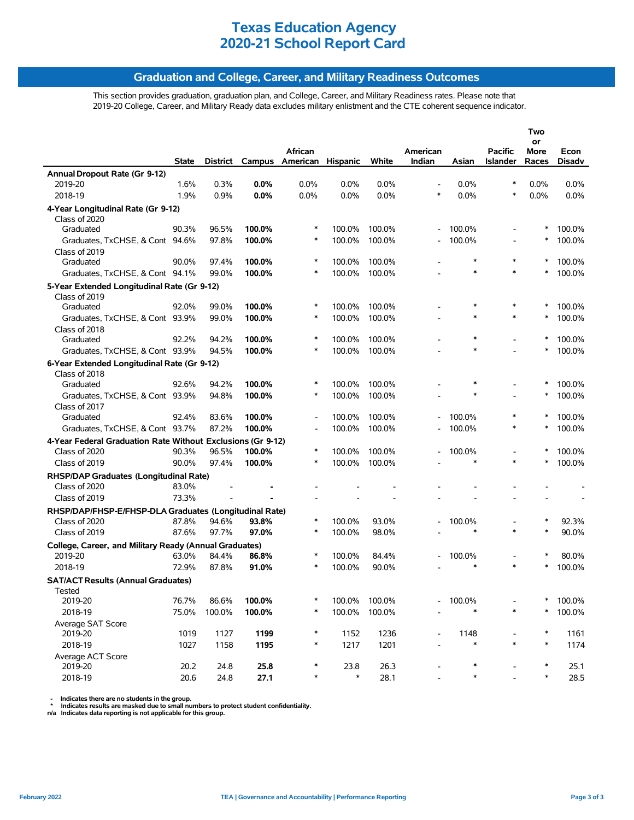## **Graduation and College, Career, and Military Readiness Outcomes**

This section provides graduation, graduation plan, and College, Career, and Military Readiness rates. Please note that 2019-20 College, Career, and Military Ready data excludes military enlistment and the CTE coherent sequence indicator.

|                                                                         |              |          |        | African                  |                  |        | American                 |                  | <b>Pacific</b> | Two<br>or<br><b>More</b> | Econ    |
|-------------------------------------------------------------------------|--------------|----------|--------|--------------------------|------------------|--------|--------------------------|------------------|----------------|--------------------------|---------|
|                                                                         | <b>State</b> | District | Campus | American                 | <b>Hispanic</b>  | White  | Indian                   | Asian            | Islander       | Races                    | Disadv  |
| Annual Dropout Rate (Gr 9-12)                                           |              |          |        |                          |                  |        |                          |                  |                |                          |         |
| 2019-20                                                                 | 1.6%         | 0.3%     | 0.0%   | 0.0%                     | 0.0%             | 0.0%   |                          | 0.0%             | $\ast$         | 0.0%                     | $0.0\%$ |
| 2018-19                                                                 | 1.9%         | 0.9%     | 0.0%   | 0.0%                     | 0.0%             | 0.0%   | $\ast$                   | 0.0%             | *              | 0.0%                     | 0.0%    |
| 4-Year Longitudinal Rate (Gr 9-12)                                      |              |          |        |                          |                  |        |                          |                  |                |                          |         |
| Class of 2020                                                           |              |          |        |                          |                  |        |                          |                  |                |                          |         |
| Graduated                                                               | 90.3%        | 96.5%    | 100.0% | ∗                        | 100.0%           | 100.0% |                          | 100.0%           |                |                          | 100.0%  |
| Graduates, TxCHSE, & Cont 94.6%                                         |              | 97.8%    | 100.0% | $\ast$                   | 100.0%           | 100.0% |                          | 100.0%           |                | $\ast$                   | 100.0%  |
| Class of 2019                                                           |              |          |        | ∗                        |                  |        |                          | $\ast$           | *              | $\ast$                   |         |
| Graduated                                                               | 90.0%        | 97.4%    | 100.0% | ∗                        | 100.0%           | 100.0% |                          | $\ast$           | $\ast$         | $\ast$                   | 100.0%  |
| Graduates, TxCHSE, & Cont 94.1%                                         |              | 99.0%    | 100.0% |                          | 100.0%           | 100.0% |                          |                  |                |                          | 100.0%  |
| 5-Year Extended Longitudinal Rate (Gr 9-12)                             |              |          |        |                          |                  |        |                          |                  |                |                          |         |
| Class of 2019<br>Graduated                                              | 92.0%        | 99.0%    | 100.0% | ∗                        | 100.0%           | 100.0% |                          | $\ast$           | *              | $\ast$                   | 100.0%  |
| Graduates, TxCHSE, & Cont 93.9%                                         |              | 99.0%    | 100.0% | ∗                        | 100.0%           | 100.0% |                          | $\ast$           | $\ast$         | $\ast$                   | 100.0%  |
| Class of 2018                                                           |              |          |        |                          |                  |        |                          |                  |                |                          |         |
| Graduated                                                               | 92.2%        | 94.2%    | 100.0% | ∗                        | 100.0%           | 100.0% |                          | $\ast$           |                | ∗                        | 100.0%  |
| Graduates, TxCHSE, & Cont 93.9%                                         |              | 94.5%    | 100.0% |                          | 100.0%           | 100.0% |                          |                  |                |                          | 100.0%  |
| 6-Year Extended Longitudinal Rate (Gr 9-12)                             |              |          |        |                          |                  |        |                          |                  |                |                          |         |
| Class of 2018                                                           |              |          |        |                          |                  |        |                          |                  |                |                          |         |
| Graduated                                                               | 92.6%        | 94.2%    | 100.0% | ∗                        | 100.0%           | 100.0% |                          | $\ast$           |                | ∗                        | 100.0%  |
| Graduates, TxCHSE, & Cont 93.9%                                         |              | 94.8%    | 100.0% | ∗                        | 100.0%           | 100.0% |                          | $\ast$           |                | $\ast$                   | 100.0%  |
| Class of 2017                                                           |              |          |        |                          |                  |        |                          |                  |                |                          |         |
| Graduated                                                               | 92.4%        | 83.6%    | 100.0% | $\overline{\phantom{a}}$ | 100.0%           | 100.0% |                          | 100.0%           | *              | ∗                        | 100.0%  |
| Graduates, TxCHSE, & Cont 93.7%                                         |              | 87.2%    | 100.0% |                          | 100.0%           | 100.0% |                          | 100.0%           | $\ast$         | $\ast$                   | 100.0%  |
| 4-Year Federal Graduation Rate Without Exclusions (Gr 9-12)             |              |          |        |                          |                  |        |                          |                  |                |                          |         |
| Class of 2020                                                           | 90.3%        | 96.5%    | 100.0% | $\ast$                   | 100.0%           | 100.0% |                          | 100.0%           | *              | ∗                        | 100.0%  |
| Class of 2019                                                           | 90.0%        | 97.4%    | 100.0% | ∗                        | 100.0%           | 100.0% |                          | $\ast$           |                | ∗                        | 100.0%  |
| RHSP/DAP Graduates (Longitudinal Rate)                                  |              |          |        |                          |                  |        |                          |                  |                |                          |         |
| Class of 2020                                                           | 83.0%        |          |        |                          |                  |        |                          |                  |                |                          |         |
| Class of 2019                                                           | 73.3%        |          |        |                          |                  |        |                          |                  |                |                          |         |
| RHSP/DAP/FHSP-E/FHSP-DLA Graduates (Longitudinal Rate)<br>Class of 2020 | 87.8%        | 94.6%    | 93.8%  | $\ast$                   |                  | 93.0%  |                          |                  |                | ∗                        | 92.3%   |
| Class of 2019                                                           | 87.6%        | 97.7%    | 97.0%  | $\ast$                   | 100.0%<br>100.0% | 98.0%  |                          | 100.0%<br>$\ast$ | $\ast$         | $\ast$                   | 90.0%   |
|                                                                         |              |          |        |                          |                  |        |                          |                  |                |                          |         |
| College, Career, and Military Ready (Annual Graduates)<br>2019-20       | 63.0%        | 84.4%    | 86.8%  | ∗                        | 100.0%           | 84.4%  | $\overline{\phantom{0}}$ | 100.0%           |                | ∗                        | 80.0%   |
| 2018-19                                                                 | 72.9%        | 87.8%    | 91.0%  | ∗                        | 100.0%           | 90.0%  |                          | $\ast$           | *              | ∗                        | 100.0%  |
|                                                                         |              |          |        |                          |                  |        |                          |                  |                |                          |         |
| <b>SAT/ACT Results (Annual Graduates)</b>                               |              |          |        |                          |                  |        |                          |                  |                |                          |         |
| I ested<br>2019-20                                                      | 76.7%        | 86.6%    | 100.0% | ∗                        | 100.0%           | 100.0% |                          | 100.0%           |                | ∗                        | 100.0%  |
| 2018-19                                                                 | 75.0%        | 100.0%   | 100.0% | ∗                        | 100.0%           | 100.0% |                          | $\ast$           | *              | $\ast$                   | 100.0%  |
| Average SAT Score                                                       |              |          |        |                          |                  |        |                          |                  |                |                          |         |
| 2019-20                                                                 | 1019         | 1127     | 1199   | ∗                        | 1152             | 1236   |                          | 1148             |                | $\ast$                   | 1161    |
| 2018-19                                                                 | 1027         | 1158     | 1195   | $\ast$                   | 1217             | 1201   |                          | $\ast$           | *              | $\ast$                   | 1174    |
| Average ACT Score                                                       |              |          |        |                          |                  |        |                          |                  |                |                          |         |
| 2019-20                                                                 | 20.2         | 24.8     | 25.8   | ∗                        | 23.8             | 26.3   |                          | *                |                | $\ast$                   | 25.1    |
| 2018-19                                                                 | 20.6         | 24.8     | 27.1   | $\ast$                   | $\ast$           | 28.1   |                          | $\ast$           |                | $\ast$                   | 28.5    |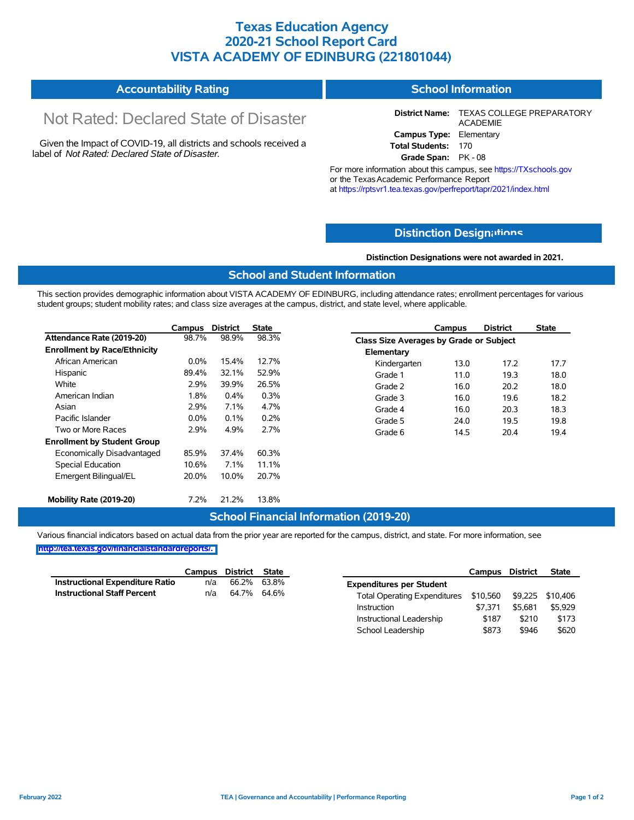## **Texas Education Agency 2020-21 School Report Card VISTA ACADEMY OF EDINBURG (221801044)**

#### **Accountability Rating School Information**

# Not Rated: Declared State of Disaster

Given the Impact of COVID-19, all districts and schools received a label of *Not Rated: Declared State of Disaster.*

**District Name:** TEXAS COLLEGE PREPARATORY ACADEMIE **Campus Type:** Elementary **Total Students:** 170

**Grade Span:** PK - 08

For more information about this campus, see https://TXschools.gov or the Texas Academic Performance Report at https://rptsvr1.tea.texas.gov/perfreport/tapr/2021/index.html

## **Distinction Design[ations](https://TXschools.gov)**

**Distinction Designations were not awarded in 2021.**

School Leadership  $$873$  \$946 \$620

### **School and Student Information**

This section provides demographic information about VISTA ACADEMY OF EDINBURG, including attendance rates; enrollment percentages for various student groups; student mobility rates; and class size averages at the campus, district, and state level, where applicable.

|                                     | Campus  | <b>District</b> | <b>State</b> |              | Campus                                         | <b>District</b> | <b>State</b> |  |  |  |
|-------------------------------------|---------|-----------------|--------------|--------------|------------------------------------------------|-----------------|--------------|--|--|--|
| Attendance Rate (2019-20)           | 98.7%   | 98.9%           | 98.3%        |              | <b>Class Size Averages by Grade or Subject</b> |                 |              |  |  |  |
| <b>Enrollment by Race/Ethnicity</b> |         |                 |              | Elementary   |                                                |                 |              |  |  |  |
| African American                    | $0.0\%$ | 15.4%           | 12.7%        | Kindergarten | 13.0                                           | 17.2            | 17.7         |  |  |  |
| Hispanic                            | 89.4%   | 32.1%           | 52.9%        | Grade 1      | 11.0                                           | 19.3            | 18.0         |  |  |  |
| White                               | 2.9%    | 39.9%           | 26.5%        | Grade 2      | 16.0                                           | 20.2            | 18.0         |  |  |  |
| American Indian                     | 1.8%    | 0.4%            | 0.3%         | Grade 3      | 16.0                                           | 19.6            | 18.2         |  |  |  |
| Asian                               | 2.9%    | 7.1%            | 4.7%         | Grade 4      | 16.0                                           | 20.3            | 18.3         |  |  |  |
| Pacific Islander                    | $0.0\%$ | 0.1%            | 0.2%         | Grade 5      | 24.0                                           | 19.5            | 19.8         |  |  |  |
| Two or More Races                   | 2.9%    | 4.9%            | 2.7%         | Grade 6      | 14.5                                           | 20.4            | 19.4         |  |  |  |
| <b>Enrollment by Student Group</b>  |         |                 |              |              |                                                |                 |              |  |  |  |
| Economically Disadvantaged          | 85.9%   | 37.4%           | 60.3%        |              |                                                |                 |              |  |  |  |
| Special Education                   | 10.6%   | 7.1%            | 11.1%        |              |                                                |                 |              |  |  |  |
| Emergent Bilingual/EL               | 20.0%   | 10.0%           | 20.7%        |              |                                                |                 |              |  |  |  |
|                                     |         |                 |              |              |                                                |                 |              |  |  |  |
| Mobility Rate (2019-20)             | 7.2%    | 21.2%           | 13.8%        |              |                                                |                 |              |  |  |  |

## **School Financial Information (2019-20)**

Various financial indicators based on actual data from the prior year are reported for the campus, district, and state. For more information, see

|                                        | Campus | District | <b>State</b> |                                       | Campus  | District | <b>State</b>     |
|----------------------------------------|--------|----------|--------------|---------------------------------------|---------|----------|------------------|
| <b>Instructional Expenditure Ratio</b> | n/a    | 66.2%    | 63.8%        | <b>Expenditures per Student</b>       |         |          |                  |
| <b>Instructional Staff Percent</b>     | n/a    | 64.7%    | 64.6%        | Total Operating Expenditures \$10,560 |         |          | \$9,225 \$10,406 |
|                                        |        |          |              | Instruction                           | \$7.371 | \$5.681  | \$5,929          |
|                                        |        |          |              | Instructional Leadership              | \$187   | \$210    | \$173            |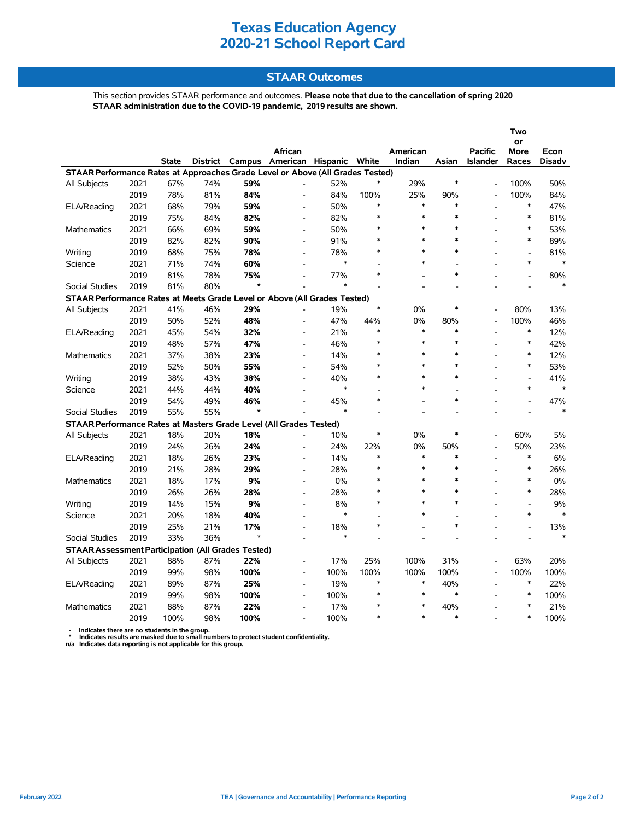## **STAAR Outcomes**

This section provides STAAR performance and outcomes. **Please note that due to the cancellation of spring 2020 STAAR administration due to the COVID-19 pandemic, 2019 results are shown.**

|                                                                                |      |       |                 |                |                              |                         |               |                    |                |                                   | Two            |                       |
|--------------------------------------------------------------------------------|------|-------|-----------------|----------------|------------------------------|-------------------------|---------------|--------------------|----------------|-----------------------------------|----------------|-----------------------|
|                                                                                |      |       |                 |                |                              |                         |               |                    |                |                                   | or             |                       |
|                                                                                |      | State | <b>District</b> | Campus         | African                      | American Hispanic White |               | American<br>Indian | Asian          | <b>Pacific</b><br><b>Islander</b> | More<br>Races  | Econ<br><b>Disadv</b> |
| STAAR Performance Rates at Approaches Grade Level or Above (All Grades Tested) |      |       |                 |                |                              |                         |               |                    |                |                                   |                |                       |
| All Subjects                                                                   | 2021 | 67%   | 74%             | 59%            |                              | 52%                     |               | 29%                | $\ast$         |                                   | 100%           | 50%                   |
|                                                                                | 2019 | 78%   | 81%             | 84%            |                              | 84%                     | 100%          | 25%                | 90%            |                                   | 100%           | 84%                   |
| ELA/Reading                                                                    | 2021 | 68%   | 79%             | 59%            | L,                           | 50%                     | $\ast$        | $\ast$             | $\ast$         |                                   | *              | 47%                   |
|                                                                                | 2019 | 75%   | 84%             | 82%            | $\frac{1}{2}$                | 82%                     | $\ast$        | $\ast$             | $\ast$         |                                   | $\ast$         | 81%                   |
| Mathematics                                                                    | 2021 | 66%   | 69%             | 59%            | $\qquad \qquad \blacksquare$ | 50%                     |               | $\ast$             | $\ast$         |                                   | $\ast$         | 53%                   |
|                                                                                | 2019 | 82%   | 82%             | 90%            | $\overline{a}$               | 91%                     | $\ast$        | $\ast$             | $\ast$         |                                   | $\ast$         | 89%                   |
| Writing                                                                        | 2019 | 68%   | 75%             | 78%            | $\overline{\phantom{a}}$     | 78%                     | $\ast$        | $\ast$             | $\ast$         |                                   | $\overline{a}$ | 81%                   |
| Science                                                                        | 2021 | 71%   | 74%             | 60%            | $\blacksquare$               | *                       |               | $\ast$             | $\blacksquare$ |                                   | $\ast$         | $\ast$                |
|                                                                                |      |       |                 |                |                              |                         | $\ast$        |                    | $\ast$         |                                   |                |                       |
|                                                                                | 2019 | 81%   | 78%             | 75%<br>$\star$ | $\overline{\phantom{a}}$     | 77%<br>$\ast$           |               |                    |                |                                   |                | 80%<br>$\ast$         |
| <b>Social Studies</b>                                                          | 2019 | 81%   | 80%             |                |                              |                         |               |                    |                |                                   |                |                       |
| STAAR Performance Rates at Meets Grade Level or Above (All Grades Tested)      |      |       |                 |                |                              |                         | $\ast$        |                    | $\ast$         |                                   |                |                       |
| All Subjects                                                                   | 2021 | 41%   | 46%             | 29%            | $\overline{a}$               | 19%                     |               | 0%                 |                |                                   | 80%            | 13%                   |
|                                                                                | 2019 | 50%   | 52%             | 48%            |                              | 47%                     | 44%<br>$\ast$ | 0%<br>$\ast$       | 80%<br>$\ast$  |                                   | 100%<br>$\ast$ | 46%                   |
| ELA/Reading                                                                    | 2021 | 45%   | 54%             | 32%            | $\overline{a}$               | 21%                     | $\ast$        | $\ast$             | $\ast$         |                                   |                | 12%                   |
|                                                                                | 2019 | 48%   | 57%             | 47%            | L,                           | 46%                     |               |                    |                |                                   | $\ast$         | 42%                   |
| Mathematics                                                                    | 2021 | 37%   | 38%             | 23%            | $\blacksquare$               | 14%                     |               | $\ast$             | $\ast$         |                                   | $\ast$         | 12%                   |
|                                                                                | 2019 | 52%   | 50%             | 55%            | $\overline{a}$               | 54%                     | $\ast$        | $\ast$             | $\ast$         |                                   | $\ast$         | 53%                   |
| Writing                                                                        | 2019 | 38%   | 43%             | 38%            | $\overline{a}$               | 40%                     | $\ast$        | $\ast$             | $\ast$         |                                   |                | 41%                   |
| Science                                                                        | 2021 | 44%   | 44%             | 40%            | ÷.                           | *                       |               | $\ast$             | $\overline{a}$ |                                   | $\ast$         | $\ast$                |
|                                                                                | 2019 | 54%   | 49%             | 46%            |                              | 45%                     | $\ast$        |                    | $\ast$         |                                   |                | 47%                   |
| <b>Social Studies</b>                                                          | 2019 | 55%   | 55%             | $\star$        |                              | $\ast$                  |               |                    |                |                                   |                | $\ast$                |
| STAAR Performance Rates at Masters Grade Level (All Grades Tested)             |      |       |                 |                |                              |                         |               |                    |                |                                   |                |                       |
| <b>All Subjects</b>                                                            | 2021 | 18%   | 20%             | 18%            |                              | 10%                     | $\ast$        | 0%                 | $\ast$         | $\overline{a}$                    | 60%            | 5%                    |
|                                                                                | 2019 | 24%   | 26%             | 24%            | L,                           | 24%                     | 22%           | 0%                 | 50%            |                                   | 50%            | 23%                   |
| ELA/Reading                                                                    | 2021 | 18%   | 26%             | 23%            | $\overline{a}$               | 14%                     | $\ast$        | $\ast$             | $\ast$         |                                   | $\ast$         | 6%                    |
|                                                                                | 2019 | 21%   | 28%             | 29%            | $\overline{a}$               | 28%                     | $\ast$        | $\ast$             | $\ast$         |                                   | $\ast$         | 26%                   |
| Mathematics                                                                    | 2021 | 18%   | 17%             | 9%             | $\blacksquare$               | 0%                      | $\ast$        | $\ast$             | $\ast$         |                                   | $\ast$         | 0%                    |
|                                                                                | 2019 | 26%   | 26%             | 28%            |                              | 28%                     |               | $\ast$             | $\ast$         |                                   | $\ast$         | 28%                   |
| Writing                                                                        | 2019 | 14%   | 15%             | 9%             | L,                           | 8%                      |               | $\ast$             | $\ast$         |                                   |                | 9%                    |
| Science                                                                        | 2021 | 20%   | 18%             | 40%            | $\blacksquare$               | $\ast$                  |               | $\ast$             | $\overline{a}$ |                                   | $\ast$         | $\ast$                |
|                                                                                | 2019 | 25%   | 21%             | 17%            | $\overline{a}$               | 18%                     | $\ast$        |                    | $\ast$         |                                   |                | 13%                   |
| <b>Social Studies</b>                                                          | 2019 | 33%   | 36%             | $\star$        |                              | $\ast$                  |               |                    |                |                                   |                | $\ast$                |
| <b>STAAR Assessment Participation (All Grades Tested)</b>                      |      |       |                 |                |                              |                         |               |                    |                |                                   |                |                       |
| All Subjects                                                                   | 2021 | 88%   | 87%             | 22%            | $\blacksquare$               | 17%                     | 25%           | 100%               | 31%            |                                   | 63%            | 20%                   |
|                                                                                | 2019 | 99%   | 98%             | 100%           | $\overline{\phantom{a}}$     | 100%                    | 100%          | 100%               | 100%           |                                   | 100%           | 100%                  |
| ELA/Reading                                                                    | 2021 | 89%   | 87%             | 25%            | $\blacksquare$               | 19%                     | $\ast$        | $\ast$             | 40%            |                                   | $\ast$         | 22%                   |
|                                                                                | 2019 | 99%   | 98%             | 100%           | $\overline{a}$               | 100%                    | $\ast$        | $\ast$             | $\ast$         |                                   | $\ast$         | 100%                  |
| <b>Mathematics</b>                                                             | 2021 | 88%   | 87%             | 22%            | $\blacksquare$               | 17%                     |               | $\ast$             | 40%            |                                   | $\ast$         | 21%                   |
|                                                                                | 2019 | 100%  | 98%             | 100%           |                              | 100%                    | $\ast$        | $\ast$             | $\ast$         |                                   | $\ast$         | 100%                  |

 **- Indicates there are no students in the group. \* Indicates results are masked due to small numbers to protect student confidentiality.**

**n/a Indicates data reporting is not applicable for this group.**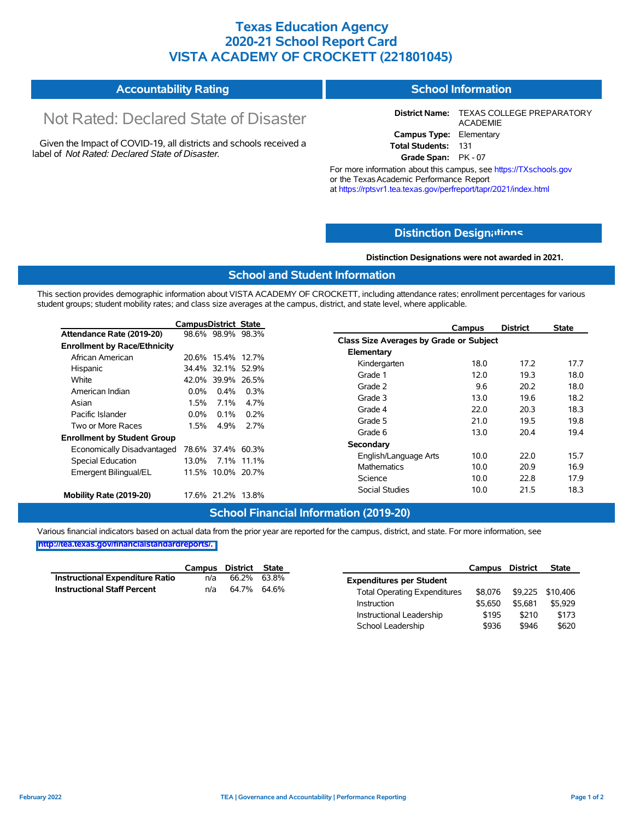## **Texas Education Agency 2020-21 School Report Card VISTA ACADEMY OF CROCKETT (221801045)**

#### **Accountability Rating School Information**

# Not Rated: Declared State of Disaster

Given the Impact of COVID-19, all districts and schools received a label of *Not Rated: Declared State of Disaster.*

**District Name:** TEXAS COLLEGE PREPARATORY ACADEMIE **Campus Type:** Elementary **Total Students:** 131

**Grade Span:** PK - 07

For more information about this campus, see https://TXschools.gov or the Texas Academic Performance Report at https://rptsvr1.tea.texas.gov/perfreport/tapr/2021/index.html

## **Distinction Design[ations](https://TXschools.gov)**

**Distinction Designations were not awarded in 2021.**

School Leadership  $$936$  \$946 \$620

### **School and Student Information**

This section provides demographic information about VISTA ACADEMY OF CROCKETT, including attendance rates; enrollment percentages for various student groups; student mobility rates; and class size averages at the campus, district, and state level, where applicable.

|                                     | <b>CampusDistrict State</b> |                   |             | <b>District</b><br>Campus               | <b>State</b> |
|-------------------------------------|-----------------------------|-------------------|-------------|-----------------------------------------|--------------|
| Attendance Rate (2019-20)           |                             | 98.6% 98.9% 98.3% |             | Class Size Averages by Grade or Subject |              |
| <b>Enrollment by Race/Ethnicity</b> |                             |                   |             |                                         |              |
| African American                    |                             | 20.6% 15.4% 12.7% |             | Elementary                              |              |
| Hispanic                            |                             | 34.4% 32.1% 52.9% |             | Kindergarten<br>18.0<br>17.2            | 17.7         |
| White                               | 42.0%                       |                   | 39.9% 26.5% | 19.3<br>Grade 1<br>12.0                 | 18.0         |
| American Indian                     | $0.0\%$                     | 0.4%              | 0.3%        | Grade 2<br>9.6<br>20.2                  | 18.0         |
| Asian                               | 1.5%                        | $7.1\%$           | 4.7%        | 19.6<br>Grade 3<br>13.0                 | 18.2         |
|                                     |                             |                   |             | Grade 4<br>20.3<br>22.0                 | 18.3         |
| Pacific Islander                    | $0.0\%$                     | 0.1%              | 0.2%        | 21.0<br>19.5<br>Grade 5                 | 19.8         |
| Two or More Races                   | 1.5%                        | 4.9%              | 2.7%        | 20.4<br>Grade 6<br>13.0                 | 19.4         |
| <b>Enrollment by Student Group</b>  |                             |                   |             |                                         |              |
| Economically Disadvantaged          |                             | 78.6% 37.4% 60.3% |             | Secondary                               |              |
| Special Education                   | 13.0%                       |                   | 7.1% 11.1%  | 10.0<br>22.0<br>English/Language Arts   | 15.7         |
| Emergent Bilingual/EL               |                             | 11.5% 10.0% 20.7% |             | 10.0<br>20.9<br><b>Mathematics</b>      | 16.9         |
|                                     |                             |                   |             | 22.8<br>Science<br>10.0                 | 17.9         |
| Mobility Rate (2019-20)             |                             | 17.6% 21.2% 13.8% |             | <b>Social Studies</b><br>10.0<br>21.5   | 18.3         |

## **School Financial Information (2019-20)**

Various financial indicators based on actual data from the prior year are reported for the campus, district, and state. For more information, see

|                                        |     | Campus District State |       |                                     | Campus  | <b>District</b> | <b>State</b>     |
|----------------------------------------|-----|-----------------------|-------|-------------------------------------|---------|-----------------|------------------|
| <b>Instructional Expenditure Ratio</b> | n/a | 66.2%                 | 63.8% | <b>Expenditures per Student</b>     |         |                 |                  |
| <b>Instructional Staff Percent</b>     | n/a | 64.7% 64.6%           |       | <b>Total Operating Expenditures</b> | \$8.076 |                 | \$9,225 \$10,406 |
|                                        |     |                       |       | Instruction                         | \$5.650 | \$5.681         | \$5.929          |
|                                        |     |                       |       | Instructional Leadership            | \$195   | \$210           | \$173            |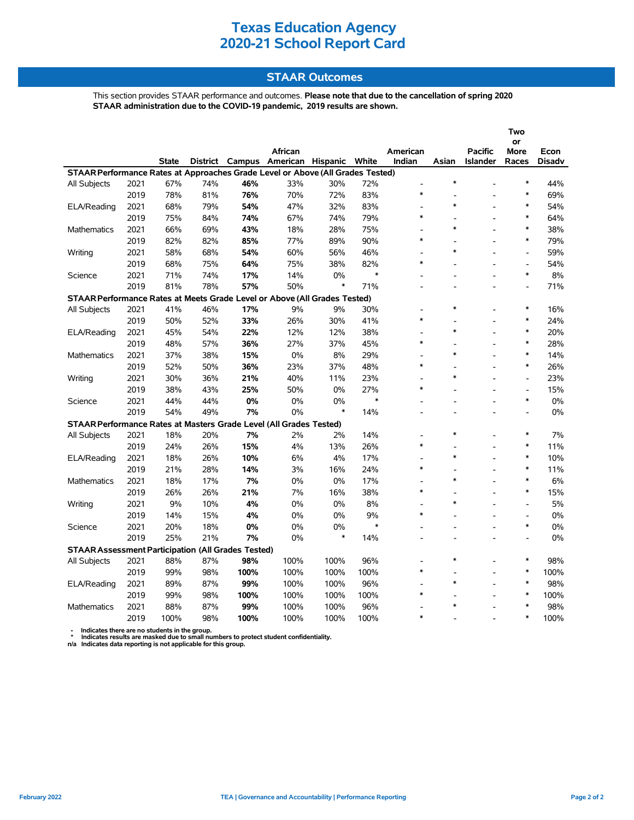### **STAAR Outcomes**

This section provides STAAR performance and outcomes. **Please note that due to the cancellation of spring 2020 STAAR administration due to the COVID-19 pandemic, 2019 results are shown.**

|                                                                                |              |              |     |                 |                   |        |        |                    |        |                            | Two                                |               |
|--------------------------------------------------------------------------------|--------------|--------------|-----|-----------------|-------------------|--------|--------|--------------------|--------|----------------------------|------------------------------------|---------------|
|                                                                                |              |              |     |                 |                   |        |        |                    |        |                            | or                                 |               |
|                                                                                |              | <b>State</b> |     | District Campus | African           |        | White  | American<br>Indian | Asian  | <b>Pacific</b><br>Islander | More                               | Econ          |
| STAAR Performance Rates at Approaches Grade Level or Above (All Grades Tested) |              |              |     |                 | American Hispanic |        |        |                    |        |                            | Races                              | <b>Disadv</b> |
|                                                                                | 2021         | 67%          | 74% | 46%             | 33%               | 30%    | 72%    | $\overline{a}$     | $\ast$ |                            | $\ast$                             | 44%           |
| All Subjects                                                                   | 2019         | 78%          |     |                 | 70%               | 72%    | 83%    | $\ast$             |        |                            | $\ast$                             | 69%           |
|                                                                                |              | 68%          | 81% | 76%<br>54%      | 47%               | 32%    | 83%    |                    | $\ast$ |                            | $\ast$                             | 54%           |
| ELA/Reading                                                                    | 2021<br>2019 |              | 79% |                 |                   |        |        | $\ast$             |        |                            | $\ast$                             |               |
|                                                                                |              | 75%          | 84% | 74%             | 67%               | 74%    | 79%    |                    | $\ast$ |                            | $\ast$                             | 64%           |
| Mathematics                                                                    | 2021         | 66%          | 69% | 43%             | 18%               | 28%    | 75%    | $\ast$             |        |                            | $\ast$                             | 38%           |
|                                                                                | 2019         | 82%          | 82% | 85%             | 77%               | 89%    | 90%    |                    | $\ast$ |                            |                                    | 79%           |
| Writing                                                                        | 2021         | 58%          | 68% | 54%             | 60%               | 56%    | 46%    | $\ast$             |        |                            | $\overline{a}$                     | 59%           |
|                                                                                | 2019         | 68%          | 75% | 64%             | 75%               | 38%    | 82%    |                    |        |                            | $\overline{\phantom{a}}$<br>$\ast$ | 54%           |
| Science                                                                        | 2021         | 71%          | 74% | 17%             | 14%               | 0%     | $\ast$ |                    |        |                            |                                    | 8%            |
|                                                                                | 2019         | 81%          | 78% | 57%             | 50%               | $\ast$ | 71%    |                    |        |                            | $\overline{a}$                     | 71%           |
| STAAR Performance Rates at Meets Grade Level or Above (All Grades Tested)      |              |              |     |                 |                   |        |        |                    |        |                            |                                    |               |
| All Subjects                                                                   | 2021         | 41%          | 46% | 17%             | 9%                | 9%     | 30%    |                    | $\ast$ |                            | $\ast$                             | 16%           |
|                                                                                | 2019         | 50%          | 52% | 33%             | 26%               | 30%    | 41%    | $\ast$             |        |                            | $\ast$                             | 24%           |
| ELA/Reading                                                                    | 2021         | 45%          | 54% | 22%             | 12%               | 12%    | 38%    |                    | $\ast$ |                            | $\ast$                             | 20%           |
|                                                                                | 2019         | 48%          | 57% | 36%             | 27%               | 37%    | 45%    | $\ast$             |        | $\overline{a}$             | $\ast$                             | 28%           |
| <b>Mathematics</b>                                                             | 2021         | 37%          | 38% | 15%             | $0\%$             | 8%     | 29%    |                    | $\ast$ |                            | $\ast$                             | 14%           |
|                                                                                | 2019         | 52%          | 50% | 36%             | 23%               | 37%    | 48%    | $\ast$             |        | $\overline{a}$             | $\ast$                             | 26%           |
| Writing                                                                        | 2021         | 30%          | 36% | 21%             | 40%               | 11%    | 23%    | ۰                  | $\ast$ | $\overline{a}$             | $\overline{a}$                     | 23%           |
|                                                                                | 2019         | 38%          | 43% | 25%             | 50%               | 0%     | 27%    | $\ast$             |        | -                          | $\overline{\phantom{a}}$           | 15%           |
| Science                                                                        | 2021         | 44%          | 44% | 0%              | 0%                | 0%     | $\ast$ |                    |        |                            | $\ast$                             | $0\%$         |
|                                                                                | 2019         | 54%          | 49% | 7%              | 0%                | $\ast$ | 14%    |                    |        |                            | Ĭ.                                 | 0%            |
| STAAR Performance Rates at Masters Grade Level (All Grades Tested)             |              |              |     |                 |                   |        |        |                    |        |                            |                                    |               |
| <b>All Subjects</b>                                                            | 2021         | 18%          | 20% | 7%              | 2%                | 2%     | 14%    |                    | $\ast$ |                            | $\ast$                             | 7%            |
|                                                                                | 2019         | 24%          | 26% | 15%             | 4%                | 13%    | 26%    | $\ast$             |        |                            | $\ast$                             | 11%           |
| ELA/Reading                                                                    | 2021         | 18%          | 26% | 10%             | 6%                | 4%     | 17%    |                    | $\ast$ |                            | $\ast$                             | 10%           |
|                                                                                | 2019         | 21%          | 28% | 14%             | 3%                | 16%    | 24%    | $\ast$             |        | $\overline{a}$             | $\ast$                             | 11%           |
| Mathematics                                                                    | 2021         | 18%          | 17% | 7%              | 0%                | 0%     | 17%    | ٠                  | $\ast$ |                            | $\ast$                             | 6%            |
|                                                                                | 2019         | 26%          | 26% | 21%             | 7%                | 16%    | 38%    | $\ast$             |        |                            | $\ast$                             | 15%           |
| Writing                                                                        | 2021         | 9%           | 10% | 4%              | 0%                | 0%     | 8%     |                    | $\ast$ |                            | $\overline{a}$                     | 5%            |
|                                                                                | 2019         | 14%          | 15% | 4%              | 0%                | 0%     | 9%     | $\ast$             |        | $\overline{a}$             | $\blacksquare$                     | 0%            |
| Science                                                                        | 2021         | 20%          | 18% | 0%              | 0%                | 0%     | $\ast$ |                    |        |                            | $\ast$                             | 0%            |
|                                                                                | 2019         | 25%          | 21% | 7%              | 0%                | $\ast$ | 14%    |                    |        |                            | $\overline{a}$                     | 0%            |
| <b>STAAR Assessment Participation (All Grades Tested)</b>                      |              |              |     |                 |                   |        |        |                    |        |                            |                                    |               |
| All Subjects                                                                   | 2021         | 88%          | 87% | 98%             | 100%              | 100%   | 96%    |                    | $\ast$ |                            | $\ast$                             | 98%           |
|                                                                                | 2019         | 99%          | 98% | 100%            | 100%              | 100%   | 100%   | $\ast$             |        |                            | ∗                                  | 100%          |
| ELA/Reading                                                                    | 2021         | 89%          | 87% | 99%             | 100%              | 100%   | 96%    |                    | $\ast$ |                            | $\ast$                             | 98%           |
|                                                                                | 2019         | 99%          | 98% | 100%            | 100%              | 100%   | 100%   | $\ast$             |        |                            | $\ast$                             | 100%          |
| <b>Mathematics</b>                                                             | 2021         | 88%          | 87% | 99%             | 100%              | 100%   | 96%    |                    |        |                            | $\ast$                             | 98%           |
|                                                                                | 2019         | 100%         | 98% | 100%            | 100%              | 100%   | 100%   | $\ast$             |        |                            | $\ast$                             | 100%          |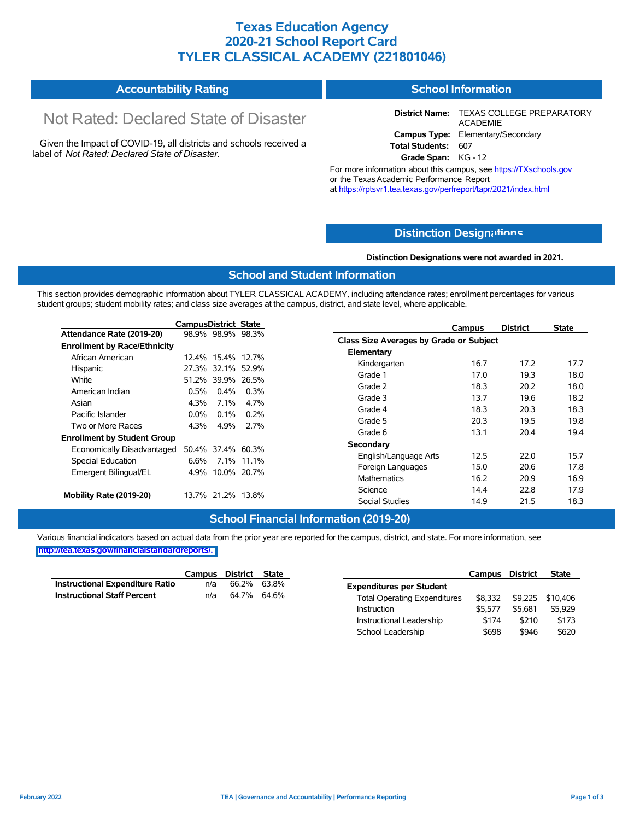### **Texas Education Agency 2020-21 School Report Card TYLER CLASSICAL ACADEMY (221801046)**

#### **Accountability Rating School Information**

# Not Rated: Declared State of Disaster

Given the Impact of COVID-19, all districts and schools received a label of *Not Rated: Declared State of Disaster.*

**District Name:** TEXAS COLLEGE PREPARATORY ACADEMIE **Campus Type:** Elementary/Secondary **Total Students:** 607

**Grade Span:** KG - 12

For more information about this campus, see https://TXschools.gov or the Texas Academic Performance Report at https://rptsvr1.tea.texas.gov/perfreport/tapr/2021/index.html

### **Distinction Design[ations](https://TXschools.gov)**

**Distinction Designations were not awarded in 2021.**

Instructional Leadership  $$174$  \$210 \$173 School Leadership  $$698$  \$946 \$620

#### **School and Student Information**

This section provides demographic information about TYLER CLASSICAL ACADEMY, including attendance rates; enrollment percentages for various student groups; student mobility rates; and class size averages at the campus, district, and state level, where applicable.

|                                     | <b>CampusDistrict State</b> |                   |            |                                         | Campus | <b>District</b> | <b>State</b> |
|-------------------------------------|-----------------------------|-------------------|------------|-----------------------------------------|--------|-----------------|--------------|
| Attendance Rate (2019-20)           |                             | 98.9% 98.9% 98.3% |            | Class Size Averages by Grade or Subject |        |                 |              |
| <b>Enrollment by Race/Ethnicity</b> |                             |                   |            |                                         |        |                 |              |
| African American                    |                             | 12.4% 15.4% 12.7% |            | Elementary                              |        |                 |              |
| Hispanic                            |                             | 27.3% 32.1% 52.9% |            | Kindergarten                            | 16.7   | 17.2            | 17.7         |
| White                               |                             | 51.2% 39.9% 26.5% |            | Grade 1                                 | 17.0   | 19.3            | 18.0         |
| American Indian                     | 0.5%                        | $0.4\%$           | $0.3\%$    | Grade 2                                 | 18.3   | 20.2            | 18.0         |
| Asian                               | 4.3%                        | $7.1\%$           | 4.7%       | Grade 3                                 | 13.7   | 19.6            | 18.2         |
| Pacific Islander                    | $0.0\%$                     | $0.1\%$           | $0.2\%$    | Grade 4                                 | 18.3   | 20.3            | 18.3         |
|                                     |                             |                   |            | Grade 5                                 | 20.3   | 19.5            | 19.8         |
| Two or More Races                   | 4.3%                        | 4.9%              | 2.7%       | Grade 6                                 | 13.1   | 20.4            | 19.4         |
| <b>Enrollment by Student Group</b>  |                             |                   |            | Secondary                               |        |                 |              |
| Economically Disadvantaged          |                             | 50.4% 37.4% 60.3% |            | English/Language Arts                   | 12.5   | 22.0            | 15.7         |
| Special Education                   | 6.6%                        |                   | 7.1% 11.1% |                                         |        |                 |              |
| Emergent Bilingual/EL               |                             | 4.9% 10.0% 20.7%  |            | Foreign Languages                       | 15.0   | 20.6            | 17.8         |
|                                     |                             |                   |            | <b>Mathematics</b>                      | 16.2   | 20.9            | 16.9         |
| Mobility Rate (2019-20)             |                             | 13.7% 21.2% 13.8% |            | Science                                 | 14.4   | 22.8            | 17.9         |
|                                     |                             |                   |            | Social Studies                          | 14.9   | 21.5            | 18.3         |

### **School Financial Information (2019-20)**

Various financial indicators based on actual data from the prior year are reported for the campus, district, and state. For more information, see **[http://tea.texas.gov/financialstandardreports/.](http://tea.texas.gov/financialstandardreports/)**

|                                    |     | Campus District State |                                     | Campus District |         | <b>State</b>     |
|------------------------------------|-----|-----------------------|-------------------------------------|-----------------|---------|------------------|
| Instructional Expenditure Ratio    | n/a | 66.2% 63.8%           | <b>Expenditures per Student</b>     |                 |         |                  |
| <b>Instructional Staff Percent</b> | n/a | 64.7% 64.6%           | <b>Total Operating Expenditures</b> | \$8,332         |         | \$9,225 \$10,406 |
|                                    |     |                       | Instruction                         | \$5.577         | \$5.681 | \$5,929          |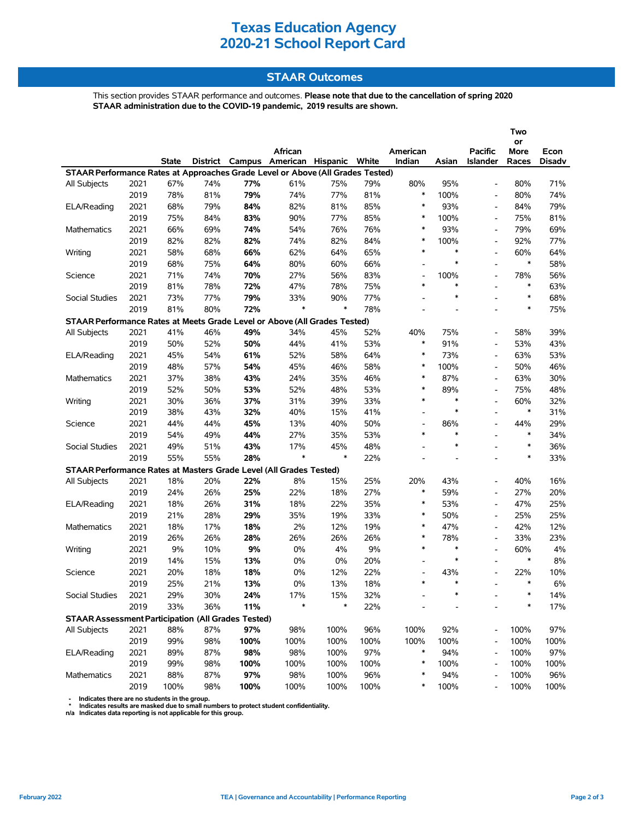### **STAAR Outcomes**

This section provides STAAR performance and outcomes. **Please note that due to the cancellation of spring 2020 STAAR administration due to the COVID-19 pandemic, 2019 results are shown.**

|                                                                                |      |       |     |      |                                         |        |      |                          |        |                          | Two<br>or |               |
|--------------------------------------------------------------------------------|------|-------|-----|------|-----------------------------------------|--------|------|--------------------------|--------|--------------------------|-----------|---------------|
|                                                                                |      |       |     |      | African                                 |        |      | American                 |        | <b>Pacific</b>           | More      | Econ          |
|                                                                                |      | State |     |      | District Campus American Hispanic White |        |      | Indian                   | Asian  | Islander                 | Races     | <b>Disadv</b> |
| STAAR Performance Rates at Approaches Grade Level or Above (All Grades Tested) |      |       |     |      |                                         |        |      |                          |        |                          |           |               |
| All Subjects                                                                   | 2021 | 67%   | 74% | 77%  | 61%                                     | 75%    | 79%  | 80%                      | 95%    | $\overline{\phantom{a}}$ | 80%       | 71%           |
|                                                                                | 2019 | 78%   | 81% | 79%  | 74%                                     | 77%    | 81%  | $\ast$                   | 100%   | $\overline{\phantom{a}}$ | 80%       | 74%           |
| ELA/Reading                                                                    | 2021 | 68%   | 79% | 84%  | 82%                                     | 81%    | 85%  | $\ast$                   | 93%    |                          | 84%       | 79%           |
|                                                                                | 2019 | 75%   | 84% | 83%  | 90%                                     | 77%    | 85%  | $\ast$                   | 100%   | $\overline{\phantom{a}}$ | 75%       | 81%           |
| <b>Mathematics</b>                                                             | 2021 | 66%   | 69% | 74%  | 54%                                     | 76%    | 76%  | $\ast$                   | 93%    |                          | 79%       | 69%           |
|                                                                                | 2019 | 82%   | 82% | 82%  | 74%                                     | 82%    | 84%  | $\ast$                   | 100%   | $\overline{\phantom{a}}$ | 92%       | 77%           |
| Writing                                                                        | 2021 | 58%   | 68% | 66%  | 62%                                     | 64%    | 65%  | $\ast$                   | $\ast$ | $\overline{a}$           | 60%       | 64%           |
|                                                                                | 2019 | 68%   | 75% | 64%  | 80%                                     | 60%    | 66%  | $\overline{\phantom{0}}$ | $\ast$ | $\overline{\phantom{a}}$ | $\ast$    | 58%           |
| Science                                                                        | 2021 | 71%   | 74% | 70%  | 27%                                     | 56%    | 83%  | $\overline{\phantom{0}}$ | 100%   | $\overline{\phantom{a}}$ | 78%       | 56%           |
|                                                                                | 2019 | 81%   | 78% | 72%  | 47%                                     | 78%    | 75%  | $\ast$                   | $\ast$ | $\overline{a}$           | $\ast$    | 63%           |
| Social Studies                                                                 | 2021 | 73%   | 77% | 79%  | 33%                                     | 90%    | 77%  | $\overline{\phantom{0}}$ | $\ast$ | $\overline{a}$           | $\ast$    | 68%           |
|                                                                                | 2019 | 81%   | 80% | 72%  | $\ast$                                  | $\ast$ | 78%  | $\overline{a}$           | ٠      | $\overline{a}$           | $\ast$    | 75%           |
| STAAR Performance Rates at Meets Grade Level or Above (All Grades Tested)      |      |       |     |      |                                         |        |      |                          |        |                          |           |               |
| <b>All Subjects</b>                                                            | 2021 | 41%   | 46% | 49%  | 34%                                     | 45%    | 52%  | 40%                      | 75%    | $\overline{\phantom{a}}$ | 58%       | 39%           |
|                                                                                | 2019 | 50%   | 52% | 50%  | 44%                                     | 41%    | 53%  | $\ast$                   | 91%    | $\blacksquare$           | 53%       | 43%           |
| ELA/Reading                                                                    | 2021 | 45%   | 54% | 61%  | 52%                                     | 58%    | 64%  | $\ast$                   | 73%    |                          | 63%       | 53%           |
|                                                                                | 2019 | 48%   | 57% | 54%  | 45%                                     | 46%    | 58%  | $\ast$                   | 100%   |                          | 50%       | 46%           |
| <b>Mathematics</b>                                                             | 2021 | 37%   | 38% | 43%  | 24%                                     | 35%    | 46%  | $\ast$                   | 87%    | $\overline{\phantom{a}}$ | 63%       | 30%           |
|                                                                                | 2019 | 52%   | 50% | 53%  | 52%                                     | 48%    | 53%  | $\ast$                   | 89%    | $\overline{\phantom{0}}$ | 75%       | 48%           |
| Writing                                                                        | 2021 | 30%   | 36% | 37%  | 31%                                     | 39%    | 33%  | $\ast$                   | $\ast$ | $\overline{\phantom{a}}$ | 60%       | 32%           |
|                                                                                | 2019 | 38%   | 43% | 32%  | 40%                                     | 15%    | 41%  | $\overline{\phantom{0}}$ | $\ast$ | $\blacksquare$           | $\ast$    | 31%           |
| Science                                                                        | 2021 | 44%   | 44% | 45%  | 13%                                     | 40%    | 50%  | $\overline{\phantom{0}}$ | 86%    |                          | 44%       | 29%           |
|                                                                                | 2019 | 54%   | 49% | 44%  | 27%                                     | 35%    | 53%  | $\ast$                   | $\ast$ | $\blacksquare$           | $\ast$    | 34%           |
| Social Studies                                                                 | 2021 | 49%   | 51% | 43%  | 17%                                     | 45%    | 48%  |                          | $\ast$ | $\overline{a}$           | $\ast$    | 36%           |
|                                                                                | 2019 | 55%   | 55% | 28%  | $\ast$                                  | $\ast$ | 22%  | $\overline{a}$           |        | $\overline{a}$           | $\ast$    | 33%           |
| STAAR Performance Rates at Masters Grade Level (All Grades Tested)             |      |       |     |      |                                         |        |      |                          |        |                          |           |               |
| All Subjects                                                                   | 2021 | 18%   | 20% | 22%  | 8%                                      | 15%    | 25%  | 20%                      | 43%    |                          | 40%       | 16%           |
|                                                                                | 2019 | 24%   | 26% | 25%  | 22%                                     | 18%    | 27%  | $\ast$                   | 59%    |                          | 27%       | 20%           |
| ELA/Reading                                                                    | 2021 | 18%   | 26% | 31%  | 18%                                     | 22%    | 35%  | $\ast$                   | 53%    | $\blacksquare$           | 47%       | 25%           |
|                                                                                | 2019 | 21%   | 28% | 29%  | 35%                                     | 19%    | 33%  | $\ast$                   | 50%    |                          | 25%       | 25%           |
| Mathematics                                                                    | 2021 | 18%   | 17% | 18%  | 2%                                      | 12%    | 19%  | $\ast$                   | 47%    | $\overline{a}$           | 42%       | 12%           |
|                                                                                | 2019 | 26%   | 26% | 28%  | 26%                                     | 26%    | 26%  | $\ast$                   | 78%    | $\overline{\phantom{a}}$ | 33%       | 23%           |
| Writing                                                                        | 2021 | 9%    | 10% | 9%   | 0%                                      | 4%     | 9%   | $\ast$                   | $\ast$ | $\overline{\phantom{a}}$ | 60%       | 4%            |
|                                                                                | 2019 | 14%   | 15% | 13%  | 0%                                      | 0%     | 20%  | $\overline{\phantom{a}}$ | $\ast$ |                          | $\ast$    | 8%            |
| Science                                                                        | 2021 | 20%   | 18% | 18%  | 0%                                      | 12%    | 22%  | $\overline{\phantom{a}}$ | 43%    |                          | 22%       | 10%           |
|                                                                                | 2019 | 25%   | 21% | 13%  | 0%                                      | 13%    | 18%  | $\ast$                   | $\ast$ |                          | $\ast$    | 6%            |
| Social Studies                                                                 | 2021 | 29%   | 30% | 24%  | 17%                                     | 15%    | 32%  |                          |        |                          | $\ast$    | 14%           |
|                                                                                | 2019 | 33%   | 36% | 11%  | *                                       | *      | 22%  |                          |        |                          | ∗         | 17%           |
| <b>STAAR Assessment Participation (All Grades Tested)</b>                      |      |       |     |      |                                         |        |      |                          |        |                          |           |               |
| All Subjects                                                                   | 2021 | 88%   | 87% | 97%  | 98%                                     | 100%   | 96%  | 100%                     | 92%    |                          | 100%      | 97%           |
|                                                                                | 2019 | 99%   | 98% | 100% | 100%                                    | 100%   | 100% | 100%                     | 100%   |                          | 100%      | 100%          |
| ELA/Reading                                                                    | 2021 | 89%   | 87% | 98%  | 98%                                     | 100%   | 97%  | $\ast$                   | 94%    |                          | 100%      | 97%           |
|                                                                                | 2019 | 99%   | 98% | 100% | 100%                                    | 100%   | 100% | $\ast$                   | 100%   |                          | 100%      | 100%          |
| Mathematics                                                                    | 2021 | 88%   | 87% | 97%  | 98%                                     | 100%   | 96%  | *                        | 94%    |                          | 100%      | 96%           |
|                                                                                | 2019 | 100%  | 98% | 100% | 100%                                    | 100%   | 100% | *                        | 100%   |                          | 100%      | 100%          |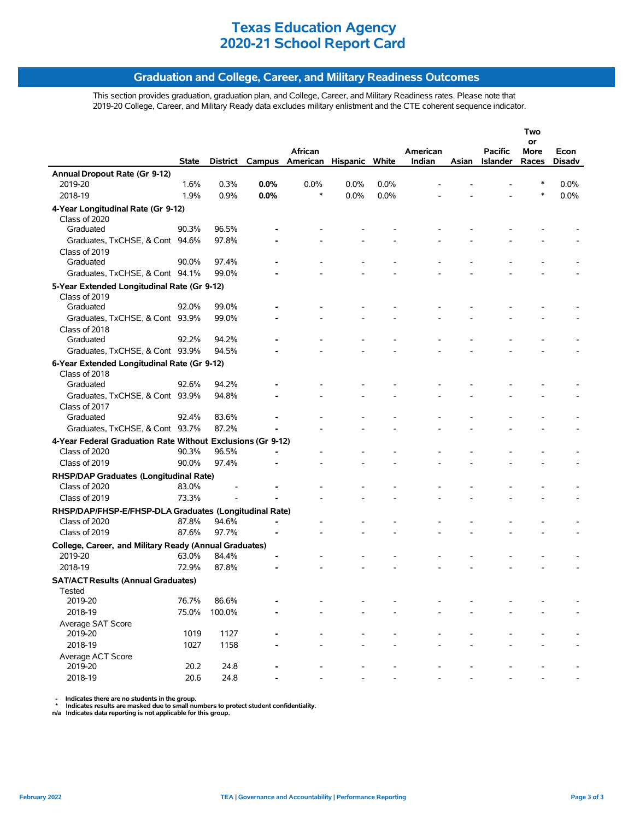### **Graduation and College, Career, and Military Readiness Outcomes**

This section provides graduation, graduation plan, and College, Career, and Military Readiness rates. Please note that 2019-20 College, Career, and Military Ready data excludes military enlistment and the CTE coherent sequence indicator.

|                                                             |              |          |      |                                |      |      |          |       |                 | Two        |               |
|-------------------------------------------------------------|--------------|----------|------|--------------------------------|------|------|----------|-------|-----------------|------------|---------------|
|                                                             |              |          |      | African                        |      |      | American |       | <b>Pacific</b>  | or<br>More | Econ          |
|                                                             | <b>State</b> | District |      | Campus American Hispanic White |      |      | Indian   | Asian | <b>Islander</b> | Races      | <b>Disadv</b> |
| Annual Dropout Rate (Gr 9-12)                               |              |          |      |                                |      |      |          |       |                 |            |               |
| 2019-20                                                     | 1.6%         | 0.3%     | 0.0% | 0.0%                           | 0.0% | 0.0% |          |       |                 | *          | 0.0%          |
| 2018-19                                                     | 1.9%         | 0.9%     | 0.0% | $\ast$                         | 0.0% | 0.0% |          |       |                 | $\ast$     | 0.0%          |
| 4-Year Longitudinal Rate (Gr 9-12)                          |              |          |      |                                |      |      |          |       |                 |            |               |
| Class of 2020                                               |              |          |      |                                |      |      |          |       |                 |            |               |
| Graduated                                                   | 90.3%        | 96.5%    |      |                                |      |      |          |       |                 |            |               |
| Graduates, TxCHSE, & Cont 94.6%                             |              | 97.8%    |      |                                |      |      |          |       |                 |            |               |
| Class of 2019                                               |              |          |      |                                |      |      |          |       |                 |            |               |
| Graduated                                                   | 90.0%        | 97.4%    |      |                                |      |      |          |       |                 |            |               |
| Graduates, TxCHSE, & Cont 94.1%                             |              | 99.0%    |      |                                |      |      |          |       |                 |            |               |
| 5-Year Extended Longitudinal Rate (Gr 9-12)                 |              |          |      |                                |      |      |          |       |                 |            |               |
| Class of 2019                                               |              |          |      |                                |      |      |          |       |                 |            |               |
| Graduated                                                   | 92.0%        | 99.0%    |      |                                |      |      |          |       |                 |            |               |
| Graduates, TxCHSE, & Cont 93.9%                             |              | 99.0%    |      |                                |      |      |          |       |                 |            |               |
| Class of 2018                                               |              |          |      |                                |      |      |          |       |                 |            |               |
| Graduated                                                   | 92.2%        | 94.2%    |      |                                |      |      |          |       |                 |            |               |
| Graduates, TxCHSE, & Cont 93.9%                             |              | 94.5%    |      |                                |      |      |          |       |                 |            |               |
| 6-Year Extended Longitudinal Rate (Gr 9-12)                 |              |          |      |                                |      |      |          |       |                 |            |               |
| Class of 2018                                               |              |          |      |                                |      |      |          |       |                 |            |               |
| Graduated                                                   | 92.6%        | 94.2%    |      |                                |      |      |          |       |                 |            |               |
| Graduates, TxCHSE, & Cont 93.9%                             |              | 94.8%    |      |                                |      |      |          |       |                 |            |               |
| Class of 2017                                               |              |          |      |                                |      |      |          |       |                 |            |               |
| Graduated                                                   | 92.4%        | 83.6%    |      |                                |      |      |          |       |                 |            |               |
| Graduates, TxCHSE, & Cont 93.7%                             |              | 87.2%    |      |                                |      |      |          |       |                 |            |               |
| 4-Year Federal Graduation Rate Without Exclusions (Gr 9-12) |              |          |      |                                |      |      |          |       |                 |            |               |
| Class of 2020                                               | 90.3%        | 96.5%    |      |                                |      |      |          |       |                 |            |               |
| Class of 2019                                               | 90.0%        | 97.4%    |      |                                |      |      |          |       |                 |            |               |
| RHSP/DAP Graduates (Longitudinal Rate)                      |              |          |      |                                |      |      |          |       |                 |            |               |
| Class of 2020                                               | 83.0%        |          |      |                                |      |      |          |       |                 |            |               |
| Class of 2019                                               | 73.3%        |          |      |                                |      |      |          |       |                 |            |               |
| RHSP/DAP/FHSP-E/FHSP-DLA Graduates (Longitudinal Rate)      |              |          |      |                                |      |      |          |       |                 |            |               |
| Class of 2020                                               | 87.8%        | 94.6%    |      |                                |      |      |          |       |                 |            |               |
| Class of 2019                                               | 87.6%        | 97.7%    |      |                                |      |      |          |       |                 |            |               |
| College, Career, and Military Ready (Annual Graduates)      |              |          |      |                                |      |      |          |       |                 |            |               |
| 2019-20                                                     | 63.0%        | 84.4%    |      |                                |      |      |          |       |                 |            |               |
| 2018-19                                                     | 72.9%        | 87.8%    |      |                                |      |      |          |       |                 |            |               |
| <b>SAT/ACT Results (Annual Graduates)</b>                   |              |          |      |                                |      |      |          |       |                 |            |               |
| Tested                                                      |              |          |      |                                |      |      |          |       |                 |            |               |
| 2019-20                                                     | 76.7%        | 86.6%    |      |                                |      |      |          |       |                 |            |               |
| 2018-19                                                     | 75.0%        | 100.0%   |      |                                |      |      |          |       |                 |            |               |
| Average SAT Score                                           |              |          |      |                                |      |      |          |       |                 |            |               |
| 2019-20                                                     | 1019         | 1127     |      |                                |      |      |          |       |                 |            |               |
| 2018-19                                                     | 1027         | 1158     |      |                                |      |      |          |       |                 |            |               |
| Average ACT Score                                           |              |          |      |                                |      |      |          |       |                 |            |               |
| 2019-20                                                     | 20.2         | 24.8     |      |                                |      |      |          |       |                 |            |               |
| 2018-19                                                     | 20.6         | 24.8     |      |                                |      |      |          |       |                 |            |               |
|                                                             |              |          |      |                                |      |      |          |       |                 |            |               |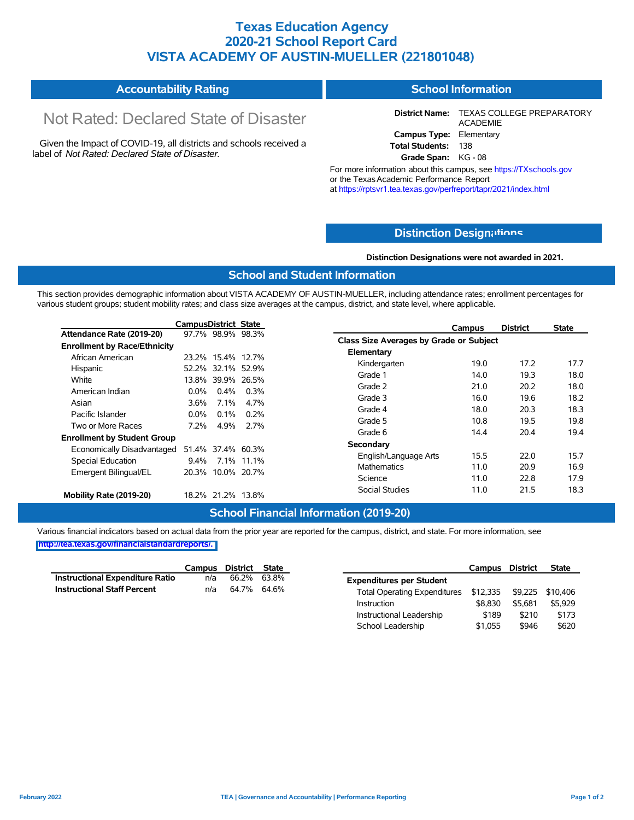### **Texas Education Agency 2020-21 School Report Card VISTA ACADEMY OF AUSTIN-MUELLER (221801048)**

#### **Accountability Rating School Information**

# Not Rated: Declared State of Disaster

Given the Impact of COVID-19, all districts and schools received a label of *Not Rated: Declared State of Disaster.*

**District Name:** TEXAS COLLEGE PREPARATORY ACADEMIE **Campus Type:** Elementary **Total Students:** 138

**Grade Span:** KG - 08

For more information about this campus, see https://TXschools.gov or the TexasAcademic Performance Report at https://rptsvr1.tea.texas.gov/perfreport/tapr/2021/index.html

### **Distinction Design[ations](https://TXschools.gov)**

**Distinction Designations were not awarded in 2021.**

School Leadership  $$1,055$  \$946 \$620

### **School and Student Information**

This section provides demographic information about VISTA ACADEMY OF AUSTIN-MUELLER, including attendance rates; enrollment percentages for various student groups; student mobility rates; and class size averages at the campus, district, and state level, where applicable.

|                                     | <b>CampusDistrict State</b> |                   |            | <b>District</b><br>Campus               | <b>State</b> |
|-------------------------------------|-----------------------------|-------------------|------------|-----------------------------------------|--------------|
| Attendance Rate (2019-20)           |                             | 97.7% 98.9% 98.3% |            | Class Size Averages by Grade or Subject |              |
| <b>Enrollment by Race/Ethnicity</b> |                             |                   |            |                                         |              |
| African American                    |                             | 23.2% 15.4% 12.7% |            | Elementary                              |              |
| Hispanic                            |                             | 52.2% 32.1% 52.9% |            | 17.2<br>Kindergarten<br>19.0            | 17.7         |
| White                               |                             | 13.8% 39.9% 26.5% |            | 19.3<br>Grade 1<br>14.0                 | 18.0         |
| American Indian                     | $0.0\%$                     | 0.4%              | 0.3%       | 20.2<br>Grade 2<br>21.0                 | 18.0         |
| Asian                               | 3.6%                        | $7.1\%$           | 4.7%       | Grade 3<br>19.6<br>16.0                 | 18.2         |
| Pacific Islander                    |                             | 0.1%              | 0.2%       | Grade 4<br>20.3<br>18.0                 | 18.3         |
|                                     | $0.0\%$                     |                   |            | 19.5<br>Grade 5<br>10.8                 | 19.8         |
| Two or More Races                   | 7.2%                        | 4.9%              | 2.7%       | 20.4<br>Grade 6<br>14.4                 | 19.4         |
| <b>Enrollment by Student Group</b>  |                             |                   |            | Secondary                               |              |
| Economically Disadvantaged          |                             | 51.4% 37.4% 60.3% |            |                                         |              |
| Special Education                   | $9.4\%$                     |                   | 7.1% 11.1% | 15.5<br>22.0<br>English/Language Arts   | 15.7         |
| Emergent Bilingual/EL               |                             | 20.3% 10.0% 20.7% |            | 20.9<br><b>Mathematics</b><br>11.0      | 16.9         |
|                                     |                             |                   |            | 11.0<br>22.8<br>Science                 | 17.9         |
| Mobility Rate (2019-20)             |                             | 18.2% 21.2% 13.8% |            | 21.5<br>Social Studies<br>11.0          | 18.3         |

#### **School Financial Information (2019-20)**

Various financial indicators based on actual data from the prior year are reported for the campus, district, and state. For more information, see

|                                        | Campus | District State |                                     | Campus                    | <b>District</b> | <b>State</b> |
|----------------------------------------|--------|----------------|-------------------------------------|---------------------------|-----------------|--------------|
| <b>Instructional Expenditure Ratio</b> | n/a    | 66.2% 63.8%    | <b>Expenditures per Student</b>     |                           |                 |              |
| <b>Instructional Staff Percent</b>     | n/a    | 64.7% 64.6%    | <b>Total Operating Expenditures</b> | \$12,335 \$9,225 \$10,406 |                 |              |
|                                        |        |                | Instruction                         | \$8.830                   | \$5.681         | \$5,929      |
|                                        |        |                | Instructional Leadership            | \$189                     | \$210           | \$173        |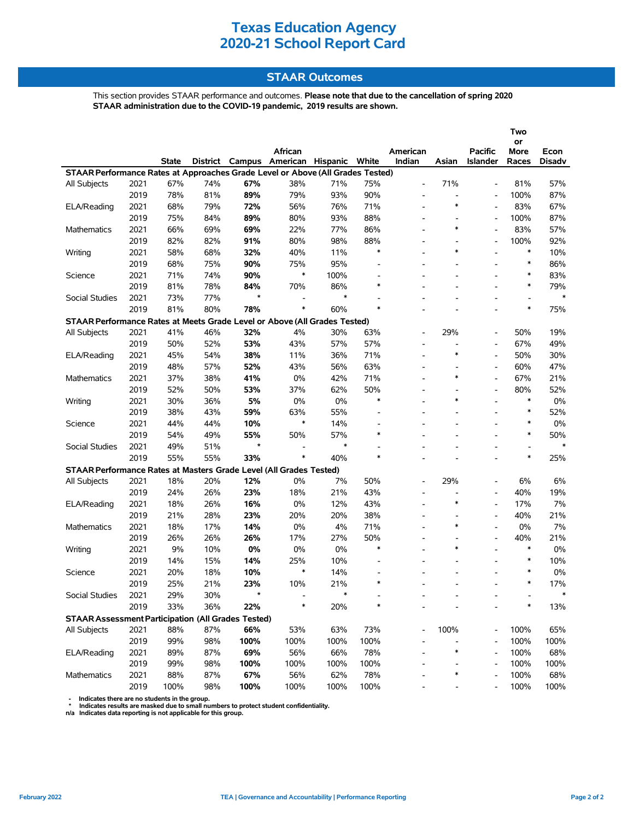### **STAAR Outcomes**

This section provides STAAR performance and outcomes. **Please note that due to the cancellation of spring 2020 STAAR administration due to the COVID-19 pandemic, 2019 results are shown.**

|                                                                                |      |              |     |         | African                                 |        |                          | American                     |                          | <b>Pacific</b>           | Two<br>or<br>More        | Econ          |
|--------------------------------------------------------------------------------|------|--------------|-----|---------|-----------------------------------------|--------|--------------------------|------------------------------|--------------------------|--------------------------|--------------------------|---------------|
|                                                                                |      | <b>State</b> |     |         | District Campus American Hispanic White |        |                          | Indian                       | Asian                    | <b>Islander</b>          | Races                    | <b>Disadv</b> |
| STAAR Performance Rates at Approaches Grade Level or Above (All Grades Tested) |      |              |     |         |                                         |        |                          |                              |                          |                          |                          |               |
| <b>All Subjects</b>                                                            | 2021 | 67%          | 74% | 67%     | 38%                                     | 71%    | 75%                      | $\overline{\phantom{0}}$     | 71%                      |                          | 81%                      | 57%           |
|                                                                                | 2019 | 78%          | 81% | 89%     | 79%                                     | 93%    | 90%                      | $\overline{\phantom{a}}$     | $\overline{\phantom{a}}$ |                          | 100%                     | 87%           |
| ELA/Reading                                                                    | 2021 | 68%          | 79% | 72%     | 56%                                     | 76%    | 71%                      |                              | $\ast$                   |                          | 83%                      | 67%           |
|                                                                                | 2019 | 75%          | 84% | 89%     | 80%                                     | 93%    | 88%                      |                              |                          |                          | 100%                     | 87%           |
| Mathematics                                                                    | 2021 | 66%          | 69% | 69%     | 22%                                     | 77%    | 86%                      |                              | $\ast$                   |                          | 83%                      | 57%           |
|                                                                                | 2019 | 82%          | 82% | 91%     | 80%                                     | 98%    | 88%                      |                              |                          | $\overline{\phantom{a}}$ | 100%                     | 92%           |
| Writing                                                                        | 2021 | 58%          | 68% | 32%     | 40%                                     | 11%    | $\ast$                   |                              | $\ast$                   |                          | $\ast$                   | 10%           |
|                                                                                | 2019 | 68%          | 75% | 90%     | 75%                                     | 95%    | $\overline{\phantom{a}}$ | $\overline{\phantom{a}}$     | ۰                        |                          | $\ast$                   | 86%           |
| Science                                                                        | 2021 | 71%          | 74% | 90%     | $\ast$                                  | 100%   |                          |                              |                          |                          | $\ast$                   | 83%           |
|                                                                                | 2019 | 81%          | 78% | 84%     | 70%                                     | 86%    | $\ast$                   |                              |                          |                          | $\ast$                   | 79%           |
| Social Studies                                                                 | 2021 | 73%          | 77% | $\star$ | $\overline{\phantom{a}}$                | *      |                          |                              |                          |                          | $\overline{\phantom{a}}$ | $\ast$        |
|                                                                                | 2019 | 81%          | 80% | 78%     | $\ast$                                  | 60%    | $\ast$                   |                              |                          |                          | $\ast$                   | 75%           |
| STAAR Performance Rates at Meets Grade Level or Above (All Grades Tested)      |      |              |     |         |                                         |        |                          |                              |                          |                          |                          |               |
| All Subjects                                                                   | 2021 | 41%          | 46% | 32%     | 4%                                      | 30%    | 63%                      | $\overline{\phantom{0}}$     | 29%                      | $\blacksquare$           | 50%                      | 19%           |
|                                                                                | 2019 | 50%          | 52% | 53%     | 43%                                     | 57%    | 57%                      | $\overline{\phantom{a}}$     | $\overline{a}$           | $\overline{\phantom{a}}$ | 67%                      | 49%           |
| ELA/Reading                                                                    | 2021 | 45%          | 54% | 38%     | 11%                                     | 36%    | 71%                      |                              | $\ast$                   | $\blacksquare$           | 50%                      | 30%           |
|                                                                                | 2019 | 48%          | 57% | 52%     | 43%                                     | 56%    | 63%                      | $\overline{\phantom{a}}$     |                          | $\blacksquare$           | 60%                      | 47%           |
| Mathematics                                                                    | 2021 | 37%          | 38% | 41%     | 0%                                      | 42%    | 71%                      |                              | $\ast$                   |                          | 67%                      | 21%           |
|                                                                                | 2019 | 52%          | 50% | 53%     | 37%                                     | 62%    | 50%                      | $\overline{\phantom{0}}$     |                          | $\blacksquare$           | 80%                      | 52%           |
| Writing                                                                        | 2021 | 30%          | 36% | 5%      | 0%                                      | 0%     | $\ast$                   |                              | $\ast$                   |                          | $\ast$                   | 0%            |
|                                                                                | 2019 | 38%          | 43% | 59%     | 63%                                     | 55%    | $\overline{\phantom{a}}$ | $\overline{\phantom{a}}$     |                          |                          | $\ast$                   | 52%           |
| Science                                                                        | 2021 | 44%          | 44% | 10%     | $\ast$                                  | 14%    | $\overline{\phantom{a}}$ |                              |                          | $\overline{a}$           | $\ast$                   | 0%            |
|                                                                                | 2019 | 54%          | 49% | 55%     | 50%                                     | 57%    | $\ast$                   |                              |                          |                          | $\ast$                   | 50%           |
| Social Studies                                                                 | 2021 | 49%          | 51% | $\star$ | $\blacksquare$                          | $\ast$ |                          |                              |                          |                          | $\overline{\phantom{a}}$ | $\ast$        |
|                                                                                | 2019 | 55%          | 55% | 33%     | $\ast$                                  | 40%    | $\ast$                   |                              |                          | $\overline{a}$           | $\ast$                   | 25%           |
| STAAR Performance Rates at Masters Grade Level (All Grades Tested)             |      |              |     |         |                                         |        |                          |                              |                          |                          |                          |               |
| All Subjects                                                                   | 2021 | 18%          | 20% | 12%     | 0%                                      | 7%     | 50%                      | $\qquad \qquad \blacksquare$ | 29%                      | $\overline{\phantom{a}}$ | 6%                       | 6%            |
|                                                                                | 2019 | 24%          | 26% | 23%     | 18%                                     | 21%    | 43%                      |                              | L,                       | $\overline{\phantom{a}}$ | 40%                      | 19%           |
| ELA/Reading                                                                    | 2021 | 18%          | 26% | 16%     | $0\%$                                   | 12%    | 43%                      |                              | $\ast$                   |                          | 17%                      | 7%            |
|                                                                                | 2019 | 21%          | 28% | 23%     | 20%                                     | 20%    | 38%                      | $\qquad \qquad \blacksquare$ |                          | $\blacksquare$           | 40%                      | 21%           |
| <b>Mathematics</b>                                                             | 2021 | 18%          | 17% | 14%     | 0%                                      | 4%     | 71%                      |                              | $\ast$                   | $\blacksquare$           | 0%                       | 7%            |
|                                                                                | 2019 | 26%          | 26% | 26%     | 17%                                     | 27%    | 50%                      |                              |                          |                          | 40%                      | 21%           |
| Writing                                                                        | 2021 | 9%           | 10% | 0%      | 0%                                      | 0%     | $\ast$                   | $\overline{\phantom{a}}$     | $\ast$                   | $\blacksquare$           | $\ast$                   | 0%            |
|                                                                                | 2019 | 14%          | 15% | 14%     | 25%                                     | 10%    |                          |                              |                          |                          | $\ast$                   | 10%           |
| Science                                                                        | 2021 | 20%          | 18% | 10%     | $\ast$                                  | 14%    |                          |                              |                          |                          | $\ast$                   | 0%            |
|                                                                                | 2019 | 25%          | 21% | 23%     | 10%                                     | 21%    | $\ast$                   |                              |                          |                          | $\ast$                   | 17%           |
| Social Studies                                                                 | 2021 | 29%          | 30% | $\star$ |                                         | *      |                          |                              |                          |                          |                          | $\ast$        |
|                                                                                | 2019 | 33%          | 36% | 22%     | $\ast$                                  | 20%    | *                        |                              |                          |                          | $\ast$                   | 13%           |
| <b>STAAR Assessment Participation (All Grades Tested)</b>                      |      |              |     |         |                                         |        |                          |                              |                          |                          |                          |               |
| All Subjects                                                                   | 2021 | 88%          | 87% | 66%     | 53%                                     | 63%    | 73%                      |                              | 100%                     |                          | 100%                     | 65%           |
|                                                                                | 2019 | 99%          | 98% | 100%    | 100%                                    | 100%   | 100%                     |                              |                          |                          | 100%                     | 100%          |
| ELA/Reading                                                                    | 2021 | 89%          | 87% | 69%     | 56%                                     | 66%    | 78%                      |                              | $\ast$                   |                          | 100%                     | 68%           |
|                                                                                | 2019 | 99%          | 98% | 100%    | 100%                                    | 100%   | 100%                     |                              |                          |                          | 100%                     | 100%          |
| Mathematics                                                                    | 2021 | 88%          | 87% | 67%     | 56%                                     | 62%    | 78%                      |                              | $\ast$                   |                          | 100%                     | 68%           |
|                                                                                | 2019 | 100%         | 98% | 100%    | 100%                                    | 100%   | 100%                     |                              |                          |                          | 100%                     | 100%          |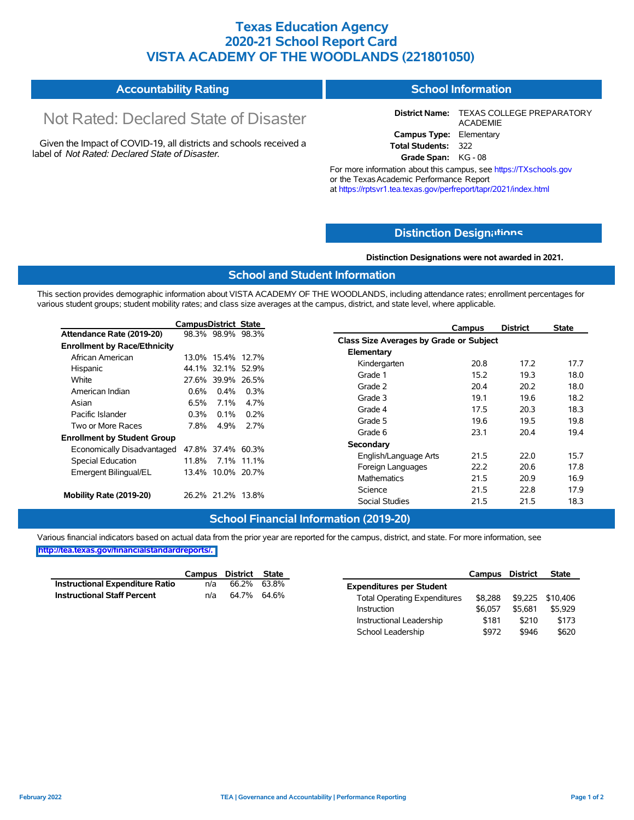### **Texas Education Agency 2020-21 School Report Card VISTA ACADEMY OF THE WOODLANDS (221801050)**

#### **Accountability Rating School Information**

# Not Rated: Declared State of Disaster

Given the Impact of COVID-19, all districts and schools received a label of *Not Rated: Declared State of Disaster.*

**District Name:** TEXAS COLLEGE PREPARATORY ACADEMIE **Campus Type:** Elementary **Total Students:** 322

**Grade Span:** KG - 08

For more information about this campus, see https://TXschools.gov or the Texas Academic Performance Report at https://rptsvr1.tea.texas.gov/perfreport/tapr/2021/index.html

### **Distinction Design[ations](https://TXschools.gov)**

**Distinction Designations were not awarded in 2021.**

Instructional Leadership  $$181$  \$210 \$173 School Leadership  $$972$  \$946 \$620

#### **School and Student Information**

This section provides demographic information about VISTA ACADEMY OF THE WOODLANDS, including attendance rates; enrollment percentages for various student groups; student mobility rates; and class size averages at the campus, district, and state level, where applicable.

|                                     | CampusDistrict State |                   |         | <b>District</b><br>Campus               | <b>State</b> |
|-------------------------------------|----------------------|-------------------|---------|-----------------------------------------|--------------|
| Attendance Rate (2019-20)           |                      | 98.3% 98.9% 98.3% |         | Class Size Averages by Grade or Subject |              |
| <b>Enrollment by Race/Ethnicity</b> |                      |                   |         |                                         |              |
| African American                    |                      | 13.0% 15.4% 12.7% |         | Elementary                              |              |
| Hispanic                            |                      | 44.1% 32.1% 52.9% |         | Kindergarten<br>20.8<br>17.2            | 17.7         |
| White                               |                      | 27.6% 39.9% 26.5% |         | 15.2<br>Grade 1<br>19.3                 | 18.0         |
| American Indian                     | 0.6%                 | $0.4\%$           | $0.3\%$ | Grade 2<br>20.2<br>20.4                 | 18.0         |
| Asian                               | 6.5%                 | $7.1\%$           | 4.7%    | Grade 3<br>19.1<br>19.6                 | 18.2         |
| Pacific Islander                    | $0.3\%$              | $0.1\%$           | $0.2\%$ | Grade 4<br>17.5<br>20.3                 | 18.3         |
|                                     |                      |                   |         | Grade 5<br>19.6<br>19.5                 | 19.8         |
| Two or More Races                   | 7.8%                 | 4.9%              | 2.7%    | Grade 6<br>23.1<br>20.4                 | 19.4         |
| <b>Enrollment by Student Group</b>  |                      |                   |         | Secondary                               |              |
| Economically Disadvantaged          |                      | 47.8% 37.4% 60.3% |         | 22.0                                    | 15.7         |
| Special Education                   |                      | 11.8% 7.1% 11.1%  |         | 21.5<br>English/Language Arts           |              |
| Emergent Bilingual/EL               |                      | 13.4% 10.0% 20.7% |         | 22.2<br>20.6<br>Foreign Languages       | 17.8         |
|                                     |                      |                   |         | 21.5<br>20.9<br>Mathematics             | 16.9         |
|                                     |                      | 26.2% 21.2% 13.8% |         | Science<br>22.8<br>21.5                 | 17.9         |
| Mobility Rate (2019-20)             |                      |                   |         | <b>Social Studies</b><br>21.5<br>21.5   | 18.3         |

### **School Financial Information (2019-20)**

Various financial indicators based on actual data from the prior year are reported for the campus, district, and state. For more information, see **[http://tea.texas.gov/financialstandardreports/.](http://tea.texas.gov/financialstandardreports/)**

|                                    |     | Campus District State |                                     | Campus District |         | <b>State</b>     |
|------------------------------------|-----|-----------------------|-------------------------------------|-----------------|---------|------------------|
| Instructional Expenditure Ratio    | n/a | 66.2% 63.8%           | <b>Expenditures per Student</b>     |                 |         |                  |
| <b>Instructional Staff Percent</b> | n/a | 64.7% 64.6%           | <b>Total Operating Expenditures</b> | \$8.288         |         | \$9,225 \$10,406 |
|                                    |     |                       | Instruction                         | \$6.057         | \$5.681 | \$5,929          |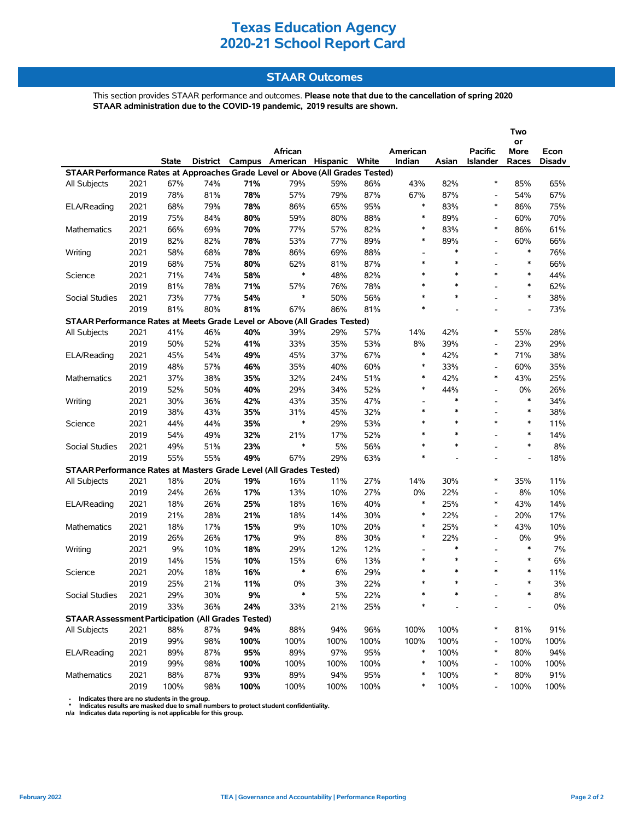### **STAAR Outcomes**

This section provides STAAR performance and outcomes. **Please note that due to the cancellation of spring 2020 STAAR administration due to the COVID-19 pandemic, 2019 results are shown.**

|                                                                                |      |              |     |      |                                         |      |      |                          |        |                          | Two            |               |
|--------------------------------------------------------------------------------|------|--------------|-----|------|-----------------------------------------|------|------|--------------------------|--------|--------------------------|----------------|---------------|
|                                                                                |      |              |     |      | African                                 |      |      | American                 |        | <b>Pacific</b>           | or<br>More     | Econ          |
|                                                                                |      | <b>State</b> |     |      | District Campus American Hispanic White |      |      | Indian                   | Asian  | Islander                 | Races          | <b>Disadv</b> |
| STAAR Performance Rates at Approaches Grade Level or Above (All Grades Tested) |      |              |     |      |                                         |      |      |                          |        |                          |                |               |
| All Subjects                                                                   | 2021 | 67%          | 74% | 71%  | 79%                                     | 59%  | 86%  | 43%                      | 82%    | $\ast$                   | 85%            | 65%           |
|                                                                                | 2019 | 78%          | 81% | 78%  | 57%                                     | 79%  | 87%  | 67%                      | 87%    | $\overline{\phantom{a}}$ | 54%            | 67%           |
| ELA/Reading                                                                    | 2021 | 68%          | 79% | 78%  | 86%                                     | 65%  | 95%  | $\ast$                   | 83%    | $\ast$                   | 86%            | 75%           |
|                                                                                | 2019 | 75%          | 84% | 80%  | 59%                                     | 80%  | 88%  | $\ast$                   | 89%    | $\overline{a}$           | 60%            | 70%           |
| <b>Mathematics</b>                                                             | 2021 | 66%          | 69% | 70%  | 77%                                     | 57%  | 82%  | $\ast$                   | 83%    | *                        | 86%            | 61%           |
|                                                                                | 2019 | 82%          | 82% | 78%  | 53%                                     | 77%  | 89%  | $\ast$                   | 89%    |                          | 60%            | 66%           |
| Writing                                                                        | 2021 | 58%          | 68% | 78%  | 86%                                     | 69%  | 88%  | $\overline{\phantom{0}}$ | $\ast$ | $\overline{a}$           | $\ast$         | 76%           |
|                                                                                | 2019 | 68%          | 75% | 80%  | 62%                                     | 81%  | 87%  | $\ast$                   | $\ast$ |                          | $\ast$         | 66%           |
| Science                                                                        | 2021 | 71%          | 74% | 58%  | $\ast$                                  | 48%  | 82%  | $\ast$                   | $\ast$ | $\ast$                   | $\ast$         | 44%           |
|                                                                                | 2019 | 81%          | 78% | 71%  | 57%                                     | 76%  | 78%  | $\ast$                   | $\ast$ | $\overline{a}$           | $\ast$         | 62%           |
| Social Studies                                                                 | 2021 | 73%          | 77% | 54%  | $\ast$                                  | 50%  | 56%  | $\ast$                   | $\ast$ |                          | $\ast$         | 38%           |
|                                                                                | 2019 | 81%          | 80% | 81%  | 67%                                     | 86%  | 81%  | $\ast$                   | ÷,     | $\blacksquare$           | $\overline{a}$ | 73%           |
| STAAR Performance Rates at Meets Grade Level or Above (All Grades Tested)      |      |              |     |      |                                         |      |      |                          |        |                          |                |               |
| All Subjects                                                                   | 2021 | 41%          | 46% | 40%  | 39%                                     | 29%  | 57%  | 14%                      | 42%    | $\ast$                   | 55%            | 28%           |
|                                                                                | 2019 | 50%          | 52% | 41%  | 33%                                     | 35%  | 53%  | 8%                       | 39%    | $\overline{\phantom{a}}$ | 23%            | 29%           |
| ELA/Reading                                                                    | 2021 | 45%          | 54% | 49%  | 45%                                     | 37%  | 67%  | $\ast$                   | 42%    | *                        | 71%            | 38%           |
|                                                                                | 2019 | 48%          | 57% | 46%  | 35%                                     | 40%  | 60%  | $\ast$                   | 33%    | $\overline{\phantom{a}}$ | 60%            | 35%           |
| <b>Mathematics</b>                                                             | 2021 | 37%          | 38% | 35%  | 32%                                     | 24%  | 51%  | $\ast$                   | 42%    | $\ast$                   | 43%            | 25%           |
|                                                                                | 2019 | 52%          | 50% | 40%  | 29%                                     | 34%  | 52%  | $\ast$                   | 44%    |                          | 0%             | 26%           |
| Writing                                                                        | 2021 | 30%          | 36% | 42%  | 43%                                     | 35%  | 47%  | $\overline{\phantom{a}}$ | $\ast$ | $\blacksquare$           | $\ast$         | 34%           |
|                                                                                | 2019 | 38%          | 43% | 35%  | 31%                                     | 45%  | 32%  | $\ast$                   | $\ast$ |                          | $\ast$         | 38%           |
| Science                                                                        | 2021 | 44%          | 44% | 35%  | $\ast$                                  | 29%  | 53%  | $\ast$                   | $\ast$ | $\ast$                   | $\ast$         | 11%           |
|                                                                                | 2019 | 54%          | 49% | 32%  | 21%                                     | 17%  | 52%  | $\ast$                   | $\ast$ | ۰                        | $\ast$         | 14%           |
| Social Studies                                                                 | 2021 | 49%          | 51% | 23%  | $\ast$                                  | 5%   | 56%  | $\ast$                   | $\ast$ | $\overline{a}$           | $\ast$         | 8%            |
|                                                                                | 2019 | 55%          | 55% | 49%  | 67%                                     | 29%  | 63%  | $\ast$                   |        | $\overline{a}$           | $\overline{a}$ | 18%           |
| STAAR Performance Rates at Masters Grade Level (All Grades Tested)             |      |              |     |      |                                         |      |      |                          |        |                          |                |               |
| All Subjects                                                                   | 2021 | 18%          | 20% | 19%  | 16%                                     | 11%  | 27%  | 14%                      | 30%    | *                        | 35%            | 11%           |
|                                                                                | 2019 | 24%          | 26% | 17%  | 13%                                     | 10%  | 27%  | 0%                       | 22%    | $\overline{\phantom{a}}$ | 8%             | 10%           |
| ELA/Reading                                                                    | 2021 | 18%          | 26% | 25%  | 18%                                     | 16%  | 40%  | $\ast$                   | 25%    | $\ast$                   | 43%            | 14%           |
|                                                                                | 2019 | 21%          | 28% | 21%  | 18%                                     | 14%  | 30%  | $\ast$                   | 22%    |                          | 20%            | 17%           |
| <b>Mathematics</b>                                                             | 2021 | 18%          | 17% | 15%  | 9%                                      | 10%  | 20%  | $\ast$                   | 25%    | $\ast$                   | 43%            | 10%           |
|                                                                                | 2019 | 26%          | 26% | 17%  | 9%                                      | 8%   | 30%  | $\ast$                   | 22%    | $\blacksquare$           | 0%             | 9%            |
| Writing                                                                        | 2021 | 9%           | 10% | 18%  | 29%                                     | 12%  | 12%  | $\overline{\phantom{a}}$ | $\ast$ |                          | $\ast$         | 7%            |
|                                                                                | 2019 | 14%          | 15% | 10%  | 15%                                     | 6%   | 13%  | $\ast$                   | $\ast$ |                          | $\ast$         | 6%            |
| Science                                                                        | 2021 | 20%          | 18% | 16%  | $\ast$                                  | 6%   | 29%  | $\ast$                   | $\ast$ | $\ast$                   | $\ast$         | 11%           |
|                                                                                | 2019 | 25%          | 21% | 11%  | 0%                                      | 3%   | 22%  | $\ast$                   | $\ast$ |                          | $\ast$         | 3%            |
| Social Studies                                                                 | 2021 | 29%          | 30% | 9%   | $\ast$                                  | 5%   | 22%  | *                        |        |                          | $\ast$         | 8%            |
|                                                                                | 2019 | 33%          | 36% | 24%  | 33%                                     | 21%  | 25%  | *                        |        |                          |                | $0\%$         |
| <b>STAAR Assessment Participation (All Grades Tested)</b>                      |      |              |     |      |                                         |      |      |                          |        |                          |                |               |
| All Subjects                                                                   | 2021 | 88%          | 87% | 94%  | 88%                                     | 94%  | 96%  | 100%                     | 100%   | ∗                        | 81%            | 91%           |
|                                                                                | 2019 | 99%          | 98% | 100% | 100%                                    | 100% | 100% | 100%                     | 100%   |                          | 100%           | 100%          |
| ELA/Reading                                                                    | 2021 | 89%          | 87% | 95%  | 89%                                     | 97%  | 95%  | $\ast$                   | 100%   | $\ast$                   | 80%            | 94%           |
|                                                                                | 2019 | 99%          | 98% | 100% | 100%                                    | 100% | 100% | $\ast$                   | 100%   |                          | 100%           | 100%          |
| Mathematics                                                                    | 2021 | 88%          | 87% | 93%  | 89%                                     | 94%  | 95%  | *                        | 100%   | $\ast$                   | 80%            | 91%           |
|                                                                                | 2019 | 100%         | 98% | 100% | 100%                                    | 100% | 100% | *                        | 100%   |                          | 100%           | 100%          |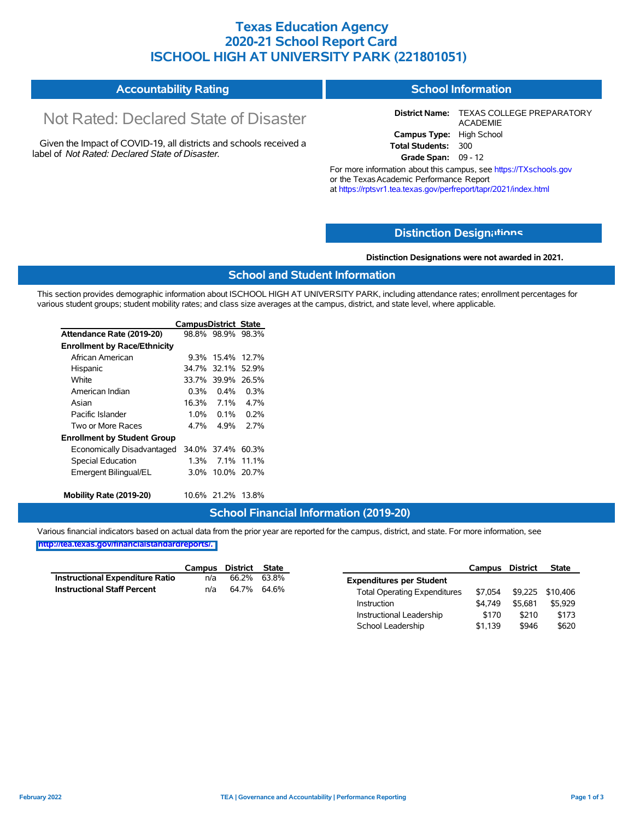### **Texas Education Agency 2020-21 School Report Card ISCHOOL HIGH AT UNIVERSITY PARK (221801051)**

| <b>Accountability Rating</b><br>School Information |
|----------------------------------------------------|
|----------------------------------------------------|

# Not Rated: Declared State of Disaster

Given the Impact of COVID-19, all districts and schools received a label of *Not Rated: Declared State of Disaster.*

**District Name:** TEXAS COLLEGE PREPARATORY ACADEMIE **Campus Type:** High School **Total Students:** 300 **Grade Span:** 09 - 12

For more information about this campus, see https://TXschools.gov or the TexasAcademic Performance Report

at https://rptsvr1.tea.texas.gov/perfreport/tapr/2021/index.html

### **Distinction Design[ations](https://TXschools.gov)**

**Distinction Designations were not awarded in 2021.**

School Leadership  $$1,139$  \$946 \$620

### **School and Student Information**

This section provides demographic information about ISCHOOL HIGH AT UNIVERSITY PARK, including attendance rates; enrollment percentages for various student groups; student mobility rates; and class size averages at the campus, district, and state level, where applicable.

|                                     | <b>CampusDistrict State</b> |                   |             |
|-------------------------------------|-----------------------------|-------------------|-------------|
| Attendance Rate (2019-20)           |                             | 98.8% 98.9% 98.3% |             |
| <b>Enrollment by Race/Ethnicity</b> |                             |                   |             |
| African American                    | $9.3\%$                     | 15.4%             | 127%        |
| Hispanic                            |                             | 34.7% 32.1%       | 52.9%       |
| White                               |                             | 33.7% 39.9%       | 26.5%       |
| American Indian                     | 0.3%                        | $0.4\%$           | $0.3\%$     |
| Asian                               | 16.3%                       | 7.1%              | 4.7%        |
| Pacific Islander                    | 1.0%                        | $0.1\%$           | 0.2%        |
| Two or More Races                   | 4 7%                        | 4 9%              | ን 7%        |
| <b>Enrollment by Student Group</b>  |                             |                   |             |
| Economically Disadvantaged          |                             | 34.0% 37.4%       | 60.3%       |
| Special Education                   | 1.3%                        | $7.1\%$           | 11.1%       |
| Emergent Bilingual/EL               | 3 0%                        |                   | 10.0% 20.7% |
| Mobility Rate (2019-20)             |                             | 10.6% 21.2%       | 13.8%       |

#### **School Financial Information (2019-20)**

Various financial indicators based on actual data from the prior year are reported for the campus, district, and state. For more information, see

|                                        |     | Campus District State |                                     | Campus  | <b>District</b> | <b>State</b>     |
|----------------------------------------|-----|-----------------------|-------------------------------------|---------|-----------------|------------------|
| <b>Instructional Expenditure Ratio</b> | n/a | 66.2% 63.8%           | <b>Expenditures per Student</b>     |         |                 |                  |
| <b>Instructional Staff Percent</b>     | n/a | 64.7% 64.6%           | <b>Total Operating Expenditures</b> | \$7,054 |                 | \$9,225 \$10,406 |
|                                        |     |                       | Instruction                         | \$4.749 | \$5.681         | \$5,929          |
|                                        |     |                       | Instructional Leadership            | \$170   | \$210           | \$173            |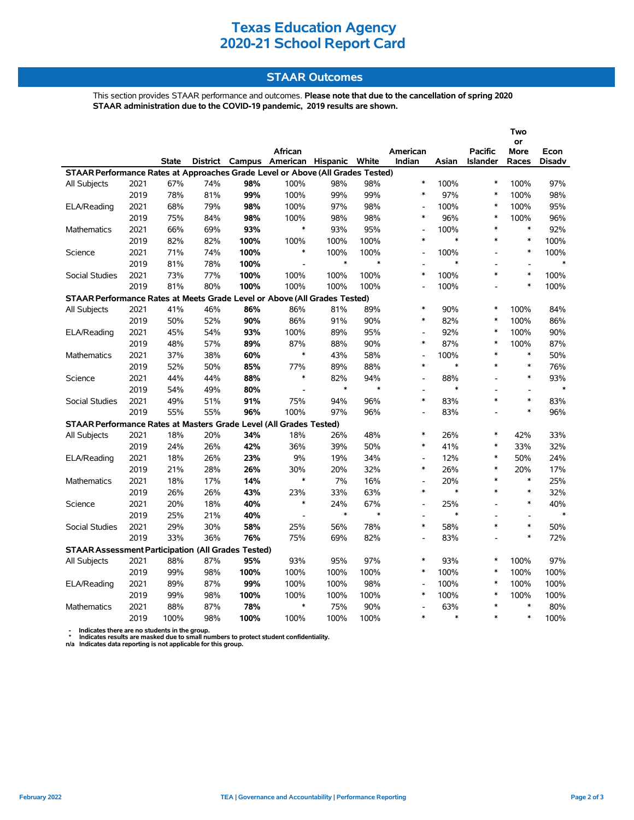### **STAAR Outcomes**

This section provides STAAR performance and outcomes. **Please note that due to the cancellation of spring 2020 STAAR administration due to the COVID-19 pandemic, 2019 results are shown.**

|                                                                                |      |              |     |      |                                         |        |        |                          |        |                 | Two               |               |
|--------------------------------------------------------------------------------|------|--------------|-----|------|-----------------------------------------|--------|--------|--------------------------|--------|-----------------|-------------------|---------------|
|                                                                                |      |              |     |      | African                                 |        |        | American                 |        | <b>Pacific</b>  | or<br><b>More</b> | Econ          |
|                                                                                |      | <b>State</b> |     |      | District Campus American Hispanic White |        |        | Indian                   | Asian  | <b>Islander</b> | Races             | <b>Disadv</b> |
| STAAR Performance Rates at Approaches Grade Level or Above (All Grades Tested) |      |              |     |      |                                         |        |        |                          |        |                 |                   |               |
| All Subjects                                                                   | 2021 | 67%          | 74% | 98%  | 100%                                    | 98%    | 98%    | $\ast$                   | 100%   | $\ast$          | 100%              | 97%           |
|                                                                                | 2019 | 78%          | 81% | 99%  | 100%                                    | 99%    | 99%    | $\ast$                   | 97%    | $\ast$          | 100%              | 98%           |
| ELA/Reading                                                                    | 2021 | 68%          | 79% | 98%  | 100%                                    | 97%    | 98%    | $\overline{a}$           | 100%   | $\ast$          | 100%              | 95%           |
|                                                                                | 2019 | 75%          | 84% | 98%  | 100%                                    | 98%    | 98%    | $\ast$                   | 96%    | $\ast$          | 100%              | 96%           |
| <b>Mathematics</b>                                                             | 2021 | 66%          | 69% | 93%  | $\ast$                                  | 93%    | 95%    | $\overline{a}$           | 100%   | $\ast$          | $\ast$            | 92%           |
|                                                                                | 2019 | 82%          | 82% | 100% | 100%                                    | 100%   | 100%   | $\ast$                   | $\ast$ | $\ast$          | $\ast$            | 100%          |
| Science                                                                        | 2021 | 71%          | 74% | 100% | $\ast$                                  | 100%   | 100%   | L,                       | 100%   |                 | $\ast$            | 100%          |
|                                                                                | 2019 | 81%          | 78% | 100% |                                         | $\ast$ | $\ast$ |                          | $\ast$ |                 |                   | $\ast$        |
| <b>Social Studies</b>                                                          | 2021 | 73%          | 77% | 100% | 100%                                    | 100%   | 100%   | $\ast$                   | 100%   | $\ast$          | $\ast$            | 100%          |
|                                                                                | 2019 | 81%          | 80% | 100% | 100%                                    | 100%   | 100%   | L,                       | 100%   |                 | $\ast$            | 100%          |
| STAAR Performance Rates at Meets Grade Level or Above (All Grades Tested)      |      |              |     |      |                                         |        |        |                          |        |                 |                   |               |
| All Subjects                                                                   | 2021 | 41%          | 46% | 86%  | 86%                                     | 81%    | 89%    | $\ast$                   | 90%    | $\ast$          | 100%              | 84%           |
|                                                                                | 2019 | 50%          | 52% | 90%  | 86%                                     | 91%    | 90%    | $\ast$                   | 82%    | $\ast$          | 100%              | 86%           |
| ELA/Reading                                                                    | 2021 | 45%          | 54% | 93%  | 100%                                    | 89%    | 95%    |                          | 92%    | $\ast$          | 100%              | 90%           |
|                                                                                | 2019 | 48%          | 57% | 89%  | 87%                                     | 88%    | 90%    | $\ast$                   | 87%    | $\ast$          | 100%              | 87%           |
| <b>Mathematics</b>                                                             | 2021 | 37%          | 38% | 60%  | $\ast$                                  | 43%    | 58%    | $\overline{\phantom{a}}$ | 100%   | $\ast$          | $\ast$            | 50%           |
|                                                                                | 2019 | 52%          | 50% | 85%  | 77%                                     | 89%    | 88%    | $\ast$                   | $\ast$ | $\ast$          | $\ast$            | 76%           |
| Science                                                                        | 2021 | 44%          | 44% | 88%  | $\ast$                                  | 82%    | 94%    | $\overline{a}$           | 88%    |                 | $\ast$            | 93%           |
|                                                                                | 2019 | 54%          | 49% | 80%  | $\bar{\phantom{a}}$                     | $\ast$ | $\ast$ | $\overline{a}$           | $\ast$ |                 | $\overline{a}$    | $\ast$        |
| <b>Social Studies</b>                                                          | 2021 | 49%          | 51% | 91%  | 75%                                     | 94%    | 96%    | $\ast$                   | 83%    | $\ast$          | $\ast$            | 83%           |
|                                                                                | 2019 | 55%          | 55% | 96%  | 100%                                    | 97%    | 96%    | $\overline{\phantom{a}}$ | 83%    | ÷               | $\ast$            | 96%           |
| STAAR Performance Rates at Masters Grade Level (All Grades Tested)             |      |              |     |      |                                         |        |        |                          |        |                 |                   |               |
| All Subjects                                                                   | 2021 | 18%          | 20% | 34%  | 18%                                     | 26%    | 48%    | $\ast$                   | 26%    | $\ast$          | 42%               | 33%           |
|                                                                                | 2019 | 24%          | 26% | 42%  | 36%                                     | 39%    | 50%    | $\ast$                   | 41%    | $\ast$          | 33%               | 32%           |
| ELA/Reading                                                                    | 2021 | 18%          | 26% | 23%  | 9%                                      | 19%    | 34%    | L,                       | 12%    | $\ast$          | 50%               | 24%           |
|                                                                                | 2019 | 21%          | 28% | 26%  | 30%                                     | 20%    | 32%    | $\ast$                   | 26%    | $\ast$          | 20%               | 17%           |
| <b>Mathematics</b>                                                             | 2021 | 18%          | 17% | 14%  | $\ast$                                  | 7%     | 16%    | $\overline{\phantom{a}}$ | 20%    | $\ast$          | $\ast$            | 25%           |
|                                                                                | 2019 | 26%          | 26% | 43%  | 23%                                     | 33%    | 63%    | $\ast$                   | $\ast$ | $\ast$          | $\ast$            | 32%           |
| Science                                                                        | 2021 | 20%          | 18% | 40%  | $\ast$                                  | 24%    | 67%    | $\overline{a}$           | 25%    | $\overline{a}$  | $\ast$            | 40%           |
|                                                                                | 2019 | 25%          | 21% | 40%  | $\overline{a}$                          | $\ast$ | $\ast$ | $\overline{a}$           | $\ast$ |                 | $\overline{a}$    | $\ast$        |
| Social Studies                                                                 | 2021 | 29%          | 30% | 58%  | 25%                                     | 56%    | 78%    | $\ast$                   | 58%    | $\ast$          | $\ast$            | 50%           |
|                                                                                | 2019 | 33%          | 36% | 76%  | 75%                                     | 69%    | 82%    |                          | 83%    |                 | $\ast$            | 72%           |
| <b>STAAR Assessment Participation (All Grades Tested)</b>                      |      |              |     |      |                                         |        |        |                          |        |                 |                   |               |
| All Subjects                                                                   | 2021 | 88%          | 87% | 95%  | 93%                                     | 95%    | 97%    | *                        | 93%    | $\ast$          | 100%              | 97%           |
|                                                                                | 2019 | 99%          | 98% | 100% | 100%                                    | 100%   | 100%   | $\ast$                   | 100%   | $\ast$          | 100%              | 100%          |
| ELA/Reading                                                                    | 2021 | 89%          | 87% | 99%  | 100%                                    | 100%   | 98%    | $\overline{a}$           | 100%   | $\ast$          | 100%              | 100%          |
|                                                                                | 2019 | 99%          | 98% | 100% | 100%                                    | 100%   | 100%   | $\ast$                   | 100%   | $\ast$          | 100%              | 100%          |
| <b>Mathematics</b>                                                             | 2021 | 88%          | 87% | 78%  | $\ast$                                  | 75%    | 90%    |                          | 63%    | $\ast$          | $\ast$            | 80%           |
|                                                                                | 2019 | 100%         | 98% | 100% | 100%                                    | 100%   | 100%   | $\ast$                   | $\ast$ | $\ast$          | $\ast$            | 100%          |

 **- Indicates there are no students in the group. \* Indicates results are masked due to small numbers to protect student confidentiality.**

**n/a Indicates data reporting is not applicable for this group.**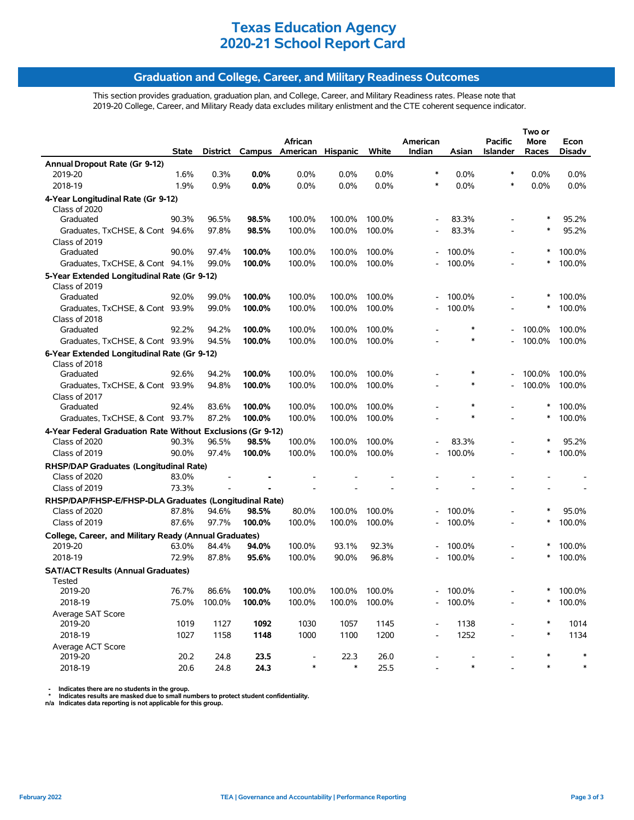### **Graduation and College, Career, and Military Readiness Outcomes**

This section provides graduation, graduation plan, and College, Career, and Military Readiness rates. Please note that 2019-20 College, Career, and Military Ready data excludes military enlistment and the CTE coherent sequence indicator.

|                                                              | State |                       | District Campus  | African<br>American Hispanic |                                | White  | American<br>Indian | Asian                | Pacific<br><b>Islander</b> | Two or<br>More<br>Races | Econ<br><b>Disadv</b> |
|--------------------------------------------------------------|-------|-----------------------|------------------|------------------------------|--------------------------------|--------|--------------------|----------------------|----------------------------|-------------------------|-----------------------|
| Annual Dropout Rate (Gr 9-12)                                |       |                       |                  |                              |                                |        |                    |                      |                            |                         |                       |
| 2019-20                                                      | 1.6%  | 0.3%                  | $0.0\%$          | 0.0%                         | 0.0%                           | 0.0%   | $\ast$             | $0.0\%$              | $\ast$                     | 0.0%                    | $0.0\%$               |
| 2018-19                                                      | 1.9%  | 0.9%                  | $0.0\%$          | 0.0%                         | 0.0%                           | 0.0%   |                    | 0.0%                 | $\ast$                     | 0.0%                    | $0.0\%$               |
| 4-Year Longitudinal Rate (Gr 9-12)                           |       |                       |                  |                              |                                |        |                    |                      |                            |                         |                       |
| Class of 2020                                                |       |                       |                  |                              |                                |        |                    |                      |                            |                         |                       |
| Graduated                                                    | 90.3% | 96.5%                 | 98.5%            | 100.0%                       | 100.0%                         | 100.0% |                    | 83.3%                |                            |                         | 95.2%                 |
| Graduates, TxCHSE, & Cont 94.6%                              |       | 97.8%                 | 98.5%            | 100.0%                       | 100.0%                         | 100.0% |                    | 83.3%                |                            | ∗                       | 95.2%                 |
| Class of 2019                                                |       |                       |                  |                              |                                |        |                    |                      |                            |                         |                       |
| Graduated                                                    | 90.0% | 97.4%                 | 100.0%           | 100.0%                       | 100.0%                         | 100.0% |                    | 100.0%               |                            | ∗                       | 100.0%                |
| Graduates, TxCHSE, & Cont 94.1%                              |       | 99.0%                 | 100.0%           | 100.0%                       | 100.0%                         | 100.0% |                    | 100.0%               |                            | ∗                       | 100.0%                |
| 5-Year Extended Longitudinal Rate (Gr 9-12)                  |       |                       |                  |                              |                                |        |                    |                      |                            |                         |                       |
| Class of 2019                                                |       |                       |                  |                              |                                |        |                    |                      |                            |                         |                       |
| Graduated                                                    | 92.0% | 99.0%                 | 100.0%           | 100.0%                       | 100.0%                         | 100.0% |                    | 100.0%               |                            |                         | 100.0%                |
| Graduates, TxCHSE, & Cont 93.9%                              |       | 99.0%                 | 100.0%           | 100.0%                       | 100.0%                         | 100.0% |                    | 100.0%               |                            | ∗                       | 100.0%                |
| Class of 2018                                                |       |                       |                  |                              |                                |        |                    |                      |                            |                         |                       |
| Graduated                                                    | 92.2% | 94.2%                 | 100.0%           | 100.0%                       | 100.0%                         | 100.0% |                    |                      |                            | 100.0%                  | 100.0%                |
| Graduates, TxCHSE, & Cont 93.9%                              |       | 94.5%                 | 100.0%           | 100.0%                       | 100.0%                         | 100.0% |                    | $\ast$               |                            | 100.0%                  | 100.0%                |
| 6-Year Extended Longitudinal Rate (Gr 9-12)<br>Class of 2018 |       |                       |                  |                              |                                |        |                    |                      |                            |                         |                       |
| Graduated                                                    | 92.6% | 94.2%                 | 100.0%           | 100.0%                       | 100.0%                         | 100.0% |                    | ∗                    |                            | 100.0%                  | 100.0%                |
| Graduates, TxCHSE, & Cont 93.9%                              |       | 94.8%                 | 100.0%           | 100.0%                       | 100.0%                         | 100.0% |                    | $\ast$               | $\overline{\phantom{a}}$   | 100.0%                  | 100.0%                |
| Class of 2017                                                |       |                       |                  |                              |                                |        |                    |                      |                            |                         |                       |
| Graduated                                                    | 92.4% | 83.6%                 | 100.0%           | 100.0%                       | 100.0%                         | 100.0% |                    | $\ast$               |                            | ∗                       | 100.0%                |
| Graduates, TxCHSE, & Cont 93.7%                              |       | 87.2%                 | 100.0%           | 100.0%                       | 100.0%                         | 100.0% |                    | $\ast$               |                            | $\ast$                  | 100.0%                |
| 4-Year Federal Graduation Rate Without Exclusions (Gr 9-12)  |       |                       |                  |                              |                                |        |                    |                      |                            |                         |                       |
| Class of 2020                                                | 90.3% | 96.5%                 | 98.5%            | 100.0%                       | 100.0%                         | 100.0% |                    | 83.3%                |                            |                         | 95.2%                 |
| Class of 2019                                                | 90.0% | 97.4%                 | 100.0%           | 100.0%                       | 100.0%                         | 100.0% |                    | 100.0%               |                            | ∗                       | 100.0%                |
| RHSP/DAP Graduates (Longitudinal Rate)                       |       |                       |                  |                              |                                |        |                    |                      |                            |                         |                       |
| Class of 2020                                                | 83.0% |                       |                  |                              |                                |        |                    |                      |                            |                         |                       |
| Class of 2019                                                | 73.3% |                       |                  |                              |                                |        |                    |                      |                            |                         |                       |
| RHSP/DAP/FHSP-E/FHSP-DLA Graduates (Longitudinal Rate)       |       |                       |                  |                              |                                |        |                    |                      |                            |                         |                       |
| Class of 2020                                                | 87.8% | 94.6%                 | 98.5%            | 80.0%                        | 100.0%                         | 100.0% |                    | 100.0%               |                            | ∗                       | 95.0%                 |
| Class of 2019                                                | 87.6% | 97.7%                 | 100.0%           | 100.0%                       | 100.0%                         | 100.0% |                    | 100.0%               | $\overline{\phantom{a}}$   | ∗                       | 100.0%                |
| College, Career, and Military Ready (Annual Graduates)       |       |                       |                  |                              |                                |        |                    |                      |                            |                         |                       |
| 2019-20                                                      | 63.0% | 84.4%                 | 94.0%            | 100.0%                       | 93.1%                          | 92.3%  |                    | 100.0%               |                            |                         | 100.0%                |
| 2018-19                                                      | 72.9% | 87.8%                 | 95.6%            | 100.0%                       | 90.0%                          | 96.8%  |                    | 100.0%               |                            | $\ast$                  | 100.0%                |
| <b>SAT/ACT Results (Annual Graduates)</b>                    |       |                       |                  |                              |                                |        |                    |                      |                            |                         |                       |
| Tested<br>2019-20                                            |       |                       |                  |                              |                                |        |                    |                      |                            | ∗                       |                       |
| 2018-19                                                      | 76.7% | 86.6%<br>75.0% 100.0% | 100.0%<br>100.0% | 100.0%<br>100.0%             | 100.0% 100.0%<br>100.0% 100.0% |        |                    | $-100.0\%$<br>100.0% |                            |                         | 100.0%                |
|                                                              |       |                       |                  |                              |                                |        |                    |                      |                            |                         | 100.0%                |
| Average SAT Score<br>2019-20                                 | 1019  | 1127                  | 1092             | 1030                         | 1057                           | 1145   |                    | 1138                 |                            |                         | 1014                  |
| 2018-19                                                      | 1027  | 1158                  | 1148             | 1000                         | 1100                           | 1200   |                    | 1252                 |                            |                         | 1134                  |
| Average ACT Score                                            |       |                       |                  |                              |                                |        |                    |                      |                            |                         |                       |
| 2019-20                                                      | 20.2  | 24.8                  | 23.5             |                              | 22.3                           | 26.0   |                    |                      |                            |                         | $\ast$                |
| 2018-19                                                      | 20.6  | 24.8                  | 24.3             |                              | $\ast$                         | 25.5   |                    |                      |                            |                         | *                     |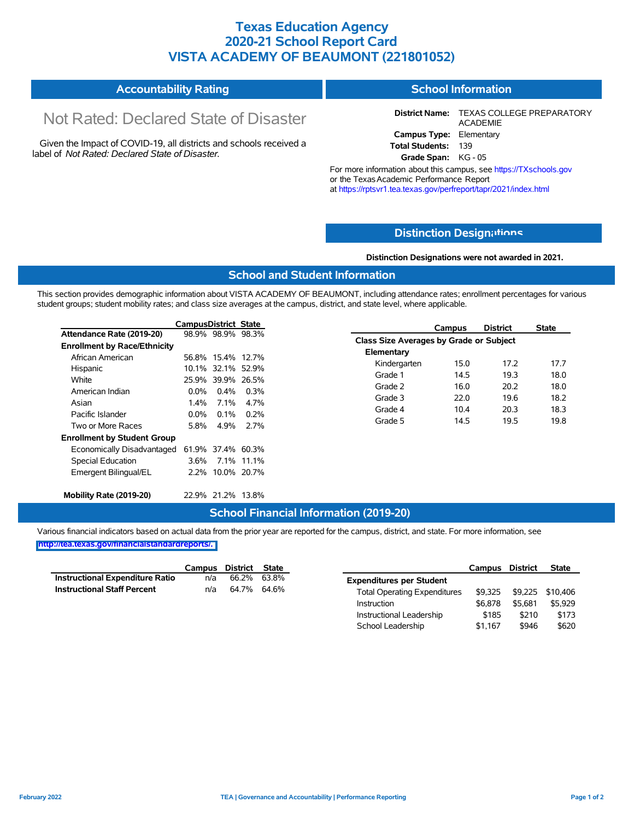### **Texas Education Agency 2020-21 School Report Card VISTA ACADEMY OF BEAUMONT (221801052)**

#### **Accountability Rating School Information**

# Not Rated: Declared State of Disaster

Given the Impact of COVID-19, all districts and schools received a label of *Not Rated: Declared State of Disaster.*

**District Name:** TEXAS COLLEGE PREPARATORY ACADEMIE **Campus Type:** Elementary **Total Students:** 139

**Grade Span:** KG - 05

For more information about this campus, see https://TXschools.gov or the TexasAcademic Performance Report at https://rptsvr1.tea.texas.gov/perfreport/tapr/2021/index.html

### **Distinction Design[ations](https://TXschools.gov)**

**Distinction Designations were not awarded in 2021.**

School Leadership  $$1,167$  \$946 \$620

#### **School and Student Information**

This section provides demographic information about VISTA ACADEMY OF BEAUMONT, including attendance rates; enrollment percentages for various student groups; student mobility rates; and class size averages at the campus, district, and state level, where applicable.

|                                     | <b>CampusDistrict State</b> |                   |         |                                                | Campus | <b>District</b> | <b>State</b> |
|-------------------------------------|-----------------------------|-------------------|---------|------------------------------------------------|--------|-----------------|--------------|
| Attendance Rate (2019-20)           |                             | 98.9% 98.9% 98.3% |         | <b>Class Size Averages by Grade or Subject</b> |        |                 |              |
| <b>Enrollment by Race/Ethnicity</b> |                             |                   |         |                                                |        |                 |              |
| African American                    |                             | 56.8% 15.4% 12.7% |         | Elementary                                     |        |                 |              |
| Hispanic                            |                             | 10.1% 32.1% 52.9% |         | Kindergarten                                   | 15.0   | 17.2            | 17.7         |
| White                               |                             | 25.9% 39.9% 26.5% |         | Grade 1                                        | 14.5   | 19.3            | 18.0         |
| American Indian                     | $0.0\%$                     | $0.4\%$           | 0.3%    | Grade 2                                        | 16.0   | 20.2            | 18.0         |
| Asian                               | 1.4%                        | $7.1\%$           | 4.7%    | Grade 3                                        | 22.0   | 19.6            | 18.2         |
| Pacific Islander                    | $0.0\%$                     |                   |         | Grade 4                                        | 10.4   | 20.3            | 18.3         |
|                                     |                             | $0.1\%$           | $0.2\%$ | Grade 5                                        | 14.5   | 19.5            | 19.8         |
| Two or More Races                   | 5.8%                        | 4.9%              | 2.7%    |                                                |        |                 |              |
| <b>Enrollment by Student Group</b>  |                             |                   |         |                                                |        |                 |              |
| Economically Disadvantaged          |                             | 61.9% 37.4% 60.3% |         |                                                |        |                 |              |
| Special Education                   |                             | 3.6% 7.1% 11.1%   |         |                                                |        |                 |              |
| Emergent Bilingual/EL               |                             | 2.2% 10.0% 20.7%  |         |                                                |        |                 |              |
| Mobility Rate (2019-20)             |                             | 22.9% 21.2% 13.8% |         |                                                |        |                 |              |

### **School Financial Information (2019-20)**

Various financial indicators based on actual data from the prior year are reported for the campus, district, and state. For more information, see

|                                        |     | Campus District State |                                     | Campus  | <b>District</b> | <b>State</b>     |
|----------------------------------------|-----|-----------------------|-------------------------------------|---------|-----------------|------------------|
| <b>Instructional Expenditure Ratio</b> | n/a | 66.2% 63.8%           | <b>Expenditures per Student</b>     |         |                 |                  |
| <b>Instructional Staff Percent</b>     | n/a | 64.7% 64.6%           | <b>Total Operating Expenditures</b> | \$9.325 |                 | \$9.225 \$10.406 |
|                                        |     |                       | Instruction                         | \$6.878 | \$5.681         | \$5,929          |
|                                        |     |                       | Instructional Leadership            | \$185   | \$210           | \$173            |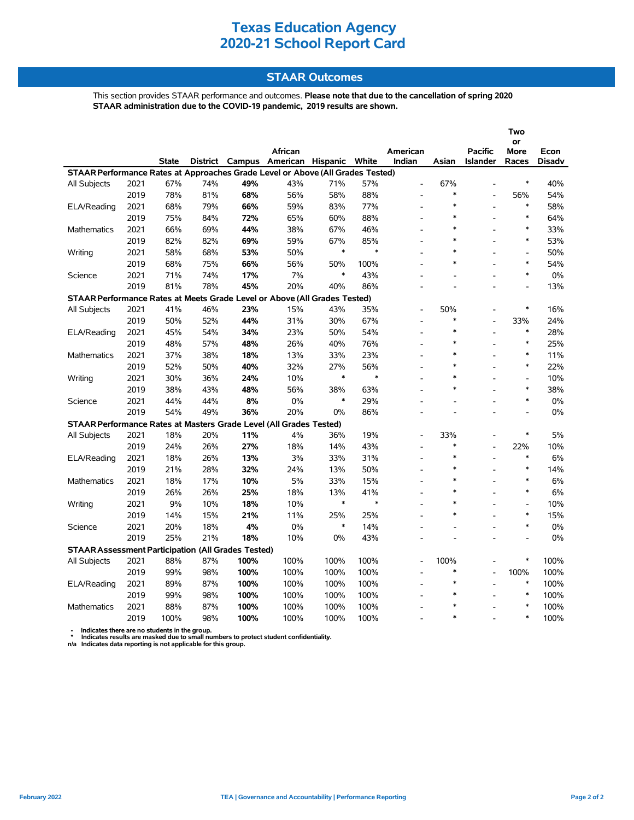### **STAAR Outcomes**

This section provides STAAR performance and outcomes. **Please note that due to the cancellation of spring 2020 STAAR administration due to the COVID-19 pandemic, 2019 results are shown.**

|                                                                                |      |              |     |                 |                   |        |        |                |        |                          | Two            |               |
|--------------------------------------------------------------------------------|------|--------------|-----|-----------------|-------------------|--------|--------|----------------|--------|--------------------------|----------------|---------------|
|                                                                                |      |              |     |                 |                   |        |        |                |        |                          | or             |               |
|                                                                                |      |              |     |                 | African           |        |        | American       |        | <b>Pacific</b>           | More           | Econ          |
|                                                                                |      | <b>State</b> |     | District Campus | American Hispanic |        | White  | Indian         | Asian  | <b>Islander</b>          | Races          | <b>Disadv</b> |
| STAAR Performance Rates at Approaches Grade Level or Above (All Grades Tested) |      |              |     |                 |                   |        |        |                |        |                          |                |               |
| All Subjects                                                                   | 2021 | 67%          | 74% | 49%             | 43%               | 71%    | 57%    | $\overline{a}$ | 67%    |                          | ∗              | 40%           |
|                                                                                | 2019 | 78%          | 81% | 68%             | 56%               | 58%    | 88%    |                | $\ast$ |                          | 56%            | 54%           |
| ELA/Reading                                                                    | 2021 | 68%          | 79% | 66%             | 59%               | 83%    | 77%    | L,             | $\ast$ |                          | $\ast$         | 58%           |
|                                                                                | 2019 | 75%          | 84% | 72%             | 65%               | 60%    | 88%    |                | $\ast$ |                          | $\ast$         | 64%           |
| Mathematics                                                                    | 2021 | 66%          | 69% | 44%             | 38%               | 67%    | 46%    | L,             | $\ast$ |                          | ∗              | 33%           |
|                                                                                | 2019 | 82%          | 82% | 69%             | 59%               | 67%    | 85%    |                | $\ast$ |                          | $\ast$         | 53%           |
| Writing                                                                        | 2021 | 58%          | 68% | 53%             | 50%               | $\ast$ | $\ast$ | L.             | $\ast$ |                          | $\overline{a}$ | 50%           |
|                                                                                | 2019 | 68%          | 75% | 66%             | 56%               | 50%    | 100%   |                | $\ast$ |                          | $\ast$         | 54%           |
| Science                                                                        | 2021 | 71%          | 74% | 17%             | 7%                | $\ast$ | 43%    |                |        |                          | $\ast$         | 0%            |
|                                                                                | 2019 | 81%          | 78% | 45%             | 20%               | 40%    | 86%    |                |        | $\overline{a}$           | $\overline{a}$ | 13%           |
| STAAR Performance Rates at Meets Grade Level or Above (All Grades Tested)      |      |              |     |                 |                   |        |        |                |        |                          |                |               |
| All Subjects                                                                   | 2021 | 41%          | 46% | 23%             | 15%               | 43%    | 35%    |                | 50%    |                          | ∗              | 16%           |
|                                                                                | 2019 | 50%          | 52% | 44%             | 31%               | 30%    | 67%    |                | $\ast$ |                          | 33%            | 24%           |
| ELA/Reading                                                                    | 2021 | 45%          | 54% | 34%             | 23%               | 50%    | 54%    |                | $\ast$ |                          | $\ast$         | 28%           |
|                                                                                | 2019 | 48%          | 57% | 48%             | 26%               | 40%    | 76%    | $\overline{a}$ | $\ast$ | $\overline{a}$           | $\ast$         | 25%           |
| <b>Mathematics</b>                                                             | 2021 | 37%          | 38% | 18%             | 13%               | 33%    | 23%    | $\overline{a}$ | $\ast$ |                          | $\ast$         | 11%           |
|                                                                                | 2019 | 52%          | 50% | 40%             | 32%               | 27%    | 56%    | ۰              | $\ast$ | $\overline{a}$           | $\ast$         | 22%           |
| Writing                                                                        | 2021 | 30%          | 36% | 24%             | 10%               | $\ast$ | $\ast$ | L.             | $\ast$ | $\overline{a}$           | $\overline{a}$ | 10%           |
|                                                                                | 2019 | 38%          | 43% | 48%             | 56%               | 38%    | 63%    | L.             | $\ast$ |                          | $\ast$         | 38%           |
| Science                                                                        | 2021 | 44%          | 44% | 8%              | 0%                | $\ast$ | 29%    | ٠              |        |                          | $\ast$         | 0%            |
|                                                                                | 2019 | 54%          | 49% | 36%             | 20%               | 0%     | 86%    |                |        |                          | $\overline{a}$ | 0%            |
| STAAR Performance Rates at Masters Grade Level (All Grades Tested)             |      |              |     |                 |                   |        |        |                |        |                          |                |               |
| <b>All Subjects</b>                                                            | 2021 | 18%          | 20% | 11%             | 4%                | 36%    | 19%    | $\overline{a}$ | 33%    |                          | $\ast$         | 5%            |
|                                                                                | 2019 | 24%          | 26% | 27%             | 18%               | 14%    | 43%    |                | $\ast$ |                          | 22%            | 10%           |
| ELA/Reading                                                                    | 2021 | 18%          | 26% | 13%             | 3%                | 33%    | 31%    |                | $\ast$ | $\overline{a}$           | $\ast$         | 6%            |
|                                                                                | 2019 | 21%          | 28% | 32%             | 24%               | 13%    | 50%    | L.             | $\ast$ | $\overline{a}$           | $\ast$         | 14%           |
| Mathematics                                                                    | 2021 | 18%          | 17% | 10%             | 5%                | 33%    | 15%    | $\overline{a}$ | $\ast$ |                          | $\ast$         | 6%            |
|                                                                                | 2019 | 26%          | 26% | 25%             | 18%               | 13%    | 41%    | ۰              | $\ast$ |                          | $\ast$         | 6%            |
| Writing                                                                        | 2021 | 9%           | 10% | 18%             | 10%               | $\ast$ | $\ast$ | $\frac{1}{2}$  | $\ast$ |                          | $\overline{a}$ | 10%           |
|                                                                                | 2019 | 14%          | 15% | 21%             | 11%               | 25%    | 25%    | L,             | $\ast$ | $\overline{\phantom{a}}$ | $\ast$         | 15%           |
| Science                                                                        | 2021 | 20%          | 18% | 4%              | 0%                | ∗      | 14%    |                |        |                          | $\ast$         | 0%            |
|                                                                                | 2019 | 25%          | 21% | 18%             | 10%               | 0%     | 43%    |                |        |                          | $\overline{a}$ | 0%            |
| <b>STAAR Assessment Participation (All Grades Tested)</b>                      |      |              |     |                 |                   |        |        |                |        |                          |                |               |
| All Subjects                                                                   | 2021 | 88%          | 87% | 100%            | 100%              | 100%   | 100%   |                | 100%   |                          | *              | 100%          |
|                                                                                | 2019 | 99%          | 98% | 100%            | 100%              | 100%   | 100%   |                | $\ast$ |                          | 100%           | 100%          |
| ELA/Reading                                                                    | 2021 | 89%          | 87% | 100%            | 100%              | 100%   | 100%   |                | $\ast$ |                          | $\ast$         | 100%          |
|                                                                                | 2019 | 99%          | 98% | 100%            | 100%              | 100%   | 100%   | L.             | $\ast$ |                          | $\ast$         | 100%          |
| <b>Mathematics</b>                                                             | 2021 | 88%          | 87% | 100%            | 100%              | 100%   | 100%   | $\overline{a}$ |        |                          | $\ast$         | 100%          |
|                                                                                | 2019 | 100%         | 98% | 100%            | 100%              | 100%   | 100%   |                | $\ast$ |                          | $\ast$         | 100%          |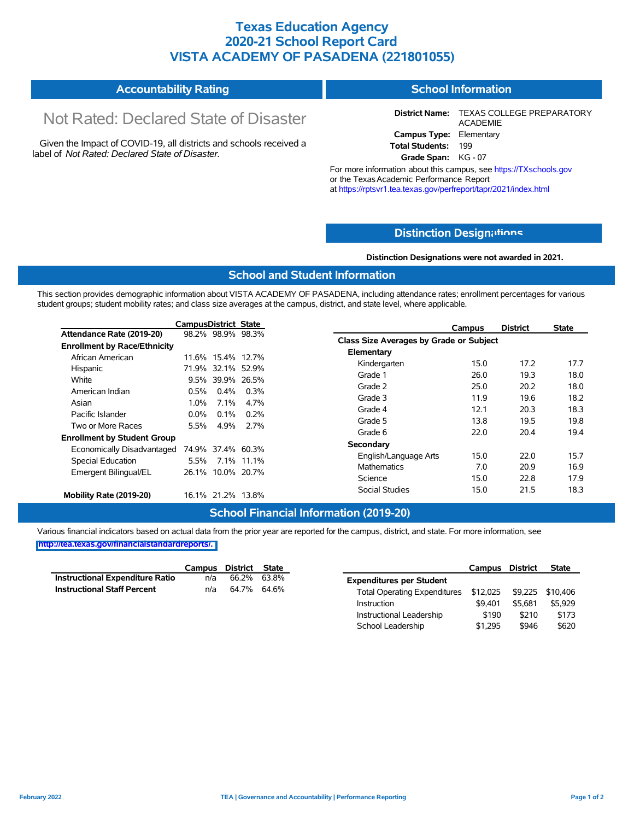### **Texas Education Agency 2020-21 School Report Card VISTA ACADEMY OF PASADENA (221801055)**

#### **Accountability Rating School Information**

# Not Rated: Declared State of Disaster

Given the Impact of COVID-19, all districts and schools received a label of *Not Rated: Declared State of Disaster.*

**District Name:** TEXAS COLLEGE PREPARATORY ACADEMIE **Campus Type:** Elementary **Total Students:** 199

**Grade Span:** KG - 07

For more information about this campus, see https://TXschools.gov or the Texas Academic Performance Report at https://rptsvr1.tea.texas.gov/perfreport/tapr/2021/index.html

### **Distinction Design[ations](https://TXschools.gov)**

**Distinction Designations were not awarded in 2021.**

School Leadership  $$1,295$  \$946 \$620

#### **School and Student Information**

This section provides demographic information about VISTA ACADEMY OF PASADENA, including attendance rates; enrollment percentages for various student groups; student mobility rates; and class size averages at the campus, district, and state level, where applicable.

|                                     | <b>CampusDistrict State</b> |         |                   | <b>District</b><br>Campus               | <b>State</b> |
|-------------------------------------|-----------------------------|---------|-------------------|-----------------------------------------|--------------|
| Attendance Rate (2019-20)           |                             |         | 98.2% 98.9% 98.3% | Class Size Averages by Grade or Subject |              |
| <b>Enrollment by Race/Ethnicity</b> |                             |         |                   |                                         |              |
| African American                    |                             |         | 11.6% 15.4% 12.7% | Elementary                              |              |
| Hispanic                            |                             |         | 71.9% 32.1% 52.9% | 17.2<br>Kindergarten<br>15.0            | 17.7         |
| White                               | 9.5%                        |         | 39.9% 26.5%       | 19.3<br>Grade 1<br>26.0                 | 18.0         |
| American Indian                     | 0.5%                        | $0.4\%$ | 0.3%              | Grade 2<br>20.2<br>25.0                 | 18.0         |
| Asian                               | 1.0%                        | 7.1%    | 4.7%              | Grade 3<br>11.9<br>19.6                 | 18.2         |
|                                     |                             |         |                   | 20.3<br>Grade 4<br>12.1                 | 18.3         |
| Pacific Islander                    | $0.0\%$                     | 0.1%    | 0.2%              | 19.5<br>Grade 5<br>13.8                 | 19.8         |
| Two or More Races                   | 5.5%                        | 4.9%    | 2.7%              | 20.4<br>Grade 6<br>22.0                 | 19.4         |
| <b>Enrollment by Student Group</b>  |                             |         |                   |                                         |              |
| Economically Disadvantaged          |                             |         | 74.9% 37.4% 60.3% | Secondary                               |              |
| Special Education                   | 5.5%                        |         | 7.1% 11.1%        | 22.0<br>15.0<br>English/Language Arts   | 15.7         |
| Emergent Bilingual/EL               |                             |         | 26.1% 10.0% 20.7% | <b>Mathematics</b><br>20.9<br>7.0       | 16.9         |
|                                     |                             |         |                   | 22.8<br>15.0<br>Science                 | 17.9         |
| Mobility Rate (2019-20)             |                             |         | 16.1% 21.2% 13.8% | Social Studies<br>21.5<br>15.0          | 18.3         |

#### **School Financial Information (2019-20)**

Various financial indicators based on actual data from the prior year are reported for the campus, district, and state. For more information, see

|                                        | Campus | District State |                                     | Campus                    | <b>District</b> | <b>State</b> |
|----------------------------------------|--------|----------------|-------------------------------------|---------------------------|-----------------|--------------|
| <b>Instructional Expenditure Ratio</b> | n/a    | 66.2% 63.8%    | <b>Expenditures per Student</b>     |                           |                 |              |
| <b>Instructional Staff Percent</b>     | n/a    | 64.7% 64.6%    | <b>Total Operating Expenditures</b> | \$12,025 \$9,225 \$10,406 |                 |              |
|                                        |        |                | Instruction                         | \$9.401                   | \$5.681         | \$5,929      |
|                                        |        |                | Instructional Leadership            | \$190                     | \$210           | \$173        |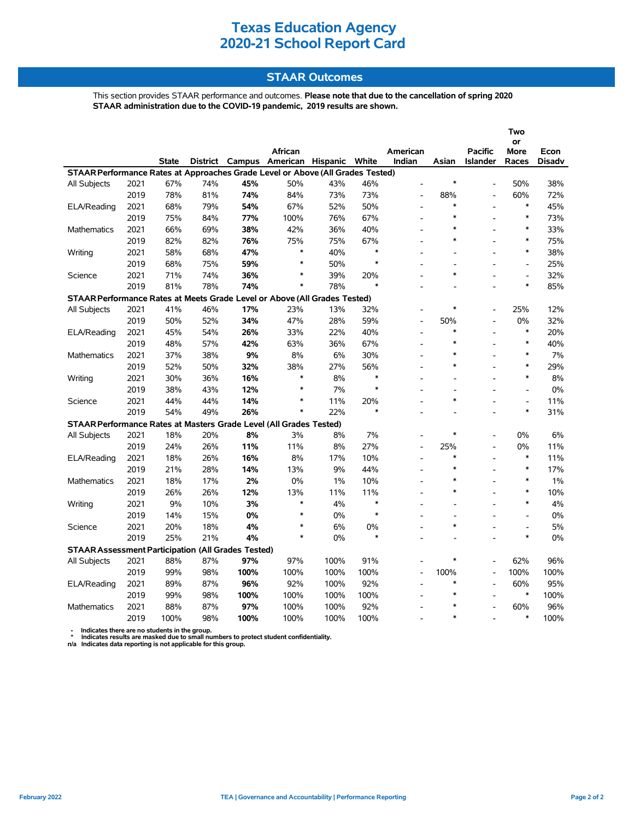### **STAAR Outcomes**

This section provides STAAR performance and outcomes. **Please note that due to the cancellation of spring 2020 STAAR administration due to the COVID-19 pandemic, 2019 results are shown.**

|                                                                                |      |              |                 |            |                          |      |                  |                          |                |                                   | Two                      |               |
|--------------------------------------------------------------------------------|------|--------------|-----------------|------------|--------------------------|------|------------------|--------------------------|----------------|-----------------------------------|--------------------------|---------------|
|                                                                                |      |              |                 |            |                          |      |                  |                          |                |                                   | or                       |               |
|                                                                                |      | <b>State</b> | <b>District</b> |            | African                  |      | White            | American<br>Indian       | Asian          | <b>Pacific</b><br><b>Islander</b> | More                     | Econ          |
| STAAR Performance Rates at Approaches Grade Level or Above (All Grades Tested) |      |              |                 |            | Campus American Hispanic |      |                  |                          |                |                                   | Races                    | <b>Disadv</b> |
|                                                                                | 2021 | 67%          | 74%             | 45%        | 50%                      | 43%  | 46%              |                          | *              |                                   | 50%                      | 38%           |
| All Subjects                                                                   | 2019 | 78%          | 81%             |            |                          | 73%  | 73%              |                          | 88%            |                                   | 60%                      | 72%           |
|                                                                                |      | 68%          | 79%             | 74%<br>54% | 84%<br>67%               |      | 50%              | L,                       | $\ast$         |                                   | $\ast$                   | 45%           |
| <b>ELA/Reading</b>                                                             | 2021 |              |                 |            |                          | 52%  |                  |                          | $\ast$         |                                   | $\ast$                   |               |
|                                                                                | 2019 | 75%          | 84%             | 77%        | 100%                     | 76%  | 67%              | L,                       | $\ast$         |                                   | $\ast$                   | 73%           |
| Mathematics                                                                    | 2021 | 66%          | 69%             | 38%        | 42%                      | 36%  | 40%              | L,                       | *              |                                   | $\ast$                   | 33%           |
|                                                                                | 2019 | 82%          | 82%             | 76%        | 75%<br>$\ast$            | 75%  | 67%              | ٠                        |                |                                   | $\ast$                   | 75%           |
| Writing                                                                        | 2021 | 58%          | 68%             | 47%        | $\ast$                   | 40%  | $\ast$<br>$\ast$ | ÷.                       | $\overline{a}$ |                                   |                          | 38%           |
|                                                                                | 2019 | 68%          | 75%             | 59%        |                          | 50%  |                  |                          |                |                                   | $\overline{\phantom{a}}$ | 25%           |
| Science                                                                        | 2021 | 71%          | 74%             | 36%        | *                        | 39%  | 20%              |                          | $\ast$         |                                   | $\overline{a}$           | 32%           |
|                                                                                | 2019 | 81%          | 78%             | 74%        | $\ast$                   | 78%  | $\ast$           |                          |                |                                   | $\ast$                   | 85%           |
| STAAR Performance Rates at Meets Grade Level or Above (All Grades Tested)      |      |              |                 |            |                          |      |                  |                          |                |                                   |                          |               |
| All Subjects                                                                   | 2021 | 41%          | 46%             | 17%        | 23%                      | 13%  | 32%              |                          | *              |                                   | 25%                      | 12%           |
|                                                                                | 2019 | 50%          | 52%             | 34%        | 47%                      | 28%  | 59%              | L,                       | 50%            |                                   | $0\%$                    | 32%           |
| <b>ELA/Reading</b>                                                             | 2021 | 45%          | 54%             | 26%        | 33%                      | 22%  | 40%              | Ĭ.                       | *              |                                   | $\ast$                   | 20%           |
|                                                                                | 2019 | 48%          | 57%             | 42%        | 63%                      | 36%  | 67%              | $\overline{\phantom{a}}$ | *              |                                   | $\ast$                   | 40%           |
| <b>Mathematics</b>                                                             | 2021 | 37%          | 38%             | 9%         | 8%                       | 6%   | 30%              | L,                       | *              |                                   | $\ast$                   | 7%            |
|                                                                                | 2019 | 52%          | 50%             | 32%        | 38%                      | 27%  | 56%              | ۰                        | $\ast$         |                                   | $\ast$                   | 29%           |
| Writing                                                                        | 2021 | 30%          | 36%             | 16%        | $\ast$                   | 8%   | $\ast$           | ÷.                       | $\overline{a}$ |                                   | $\ast$                   | 8%            |
|                                                                                | 2019 | 38%          | 43%             | 12%        | $\ast$                   | 7%   | $\ast$           |                          | $\overline{a}$ |                                   | $\overline{a}$           | 0%            |
| Science                                                                        | 2021 | 44%          | 44%             | 14%        | *                        | 11%  | 20%              |                          | $\ast$         |                                   | $\blacksquare$           | 11%           |
|                                                                                | 2019 | 54%          | 49%             | 26%        | $\ast$                   | 22%  | $\ast$           |                          |                |                                   | $\ast$                   | 31%           |
| STAAR Performance Rates at Masters Grade Level (All Grades Tested)             |      |              |                 |            |                          |      |                  |                          |                |                                   |                          |               |
| All Subjects                                                                   | 2021 | 18%          | 20%             | 8%         | 3%                       | 8%   | 7%               | L,                       | *              |                                   | 0%                       | 6%            |
|                                                                                | 2019 | 24%          | 26%             | 11%        | 11%                      | 8%   | 27%              | $\overline{a}$           | 25%            |                                   | 0%                       | 11%           |
| ELA/Reading                                                                    | 2021 | 18%          | 26%             | 16%        | 8%                       | 17%  | 10%              |                          | *              |                                   | $\ast$                   | 11%           |
|                                                                                | 2019 | 21%          | 28%             | 14%        | 13%                      | 9%   | 44%              | $\overline{a}$           | *              |                                   | $\ast$                   | 17%           |
| <b>Mathematics</b>                                                             | 2021 | 18%          | 17%             | 2%         | 0%                       | 1%   | 10%              | L,                       | $\ast$         |                                   | $\ast$                   | 1%            |
|                                                                                | 2019 | 26%          | 26%             | 12%        | 13%                      | 11%  | 11%              | ۰                        | $\ast$         |                                   | $\ast$                   | 10%           |
| Writing                                                                        | 2021 | 9%           | 10%             | 3%         | $\ast$                   | 4%   | $\ast$           |                          |                |                                   | $\ast$                   | 4%            |
|                                                                                | 2019 | 14%          | 15%             | 0%         | $\ast$                   | 0%   | ∗                | ٠                        | $\blacksquare$ |                                   | $\blacksquare$           | 0%            |
| Science                                                                        | 2021 | 20%          | 18%             | 4%         | $\ast$                   | 6%   | 0%               |                          | $\ast$         |                                   | $\overline{a}$           | 5%            |
|                                                                                | 2019 | 25%          | 21%             | 4%         | $\ast$                   | 0%   | $\ast$           |                          |                |                                   | $\ast$                   | 0%            |
| <b>STAAR Assessment Participation (All Grades Tested)</b>                      |      |              |                 |            |                          |      |                  |                          |                |                                   |                          |               |
| All Subjects                                                                   | 2021 | 88%          | 87%             | 97%        | 97%                      | 100% | 91%              |                          | *              |                                   | 62%                      | 96%           |
|                                                                                | 2019 | 99%          | 98%             | 100%       | 100%                     | 100% | 100%             | $\overline{a}$           | 100%           |                                   | 100%                     | 100%          |
| ELA/Reading                                                                    | 2021 | 89%          | 87%             | 96%        | 92%                      | 100% | 92%              |                          | *              |                                   | 60%                      | 95%           |
|                                                                                | 2019 | 99%          | 98%             | 100%       | 100%                     | 100% | 100%             | $\overline{a}$           | $\ast$         |                                   | $\ast$                   | 100%          |
| <b>Mathematics</b>                                                             | 2021 | 88%          | 87%             | 97%        | 100%                     | 100% | 92%              | Ē,                       | $\ast$         |                                   | 60%                      | 96%           |
|                                                                                | 2019 | 100%         | 98%             | 100%       | 100%                     | 100% | 100%             |                          | $\ast$         |                                   | $\ast$                   | 100%          |
|                                                                                |      |              |                 |            |                          |      |                  |                          |                |                                   |                          |               |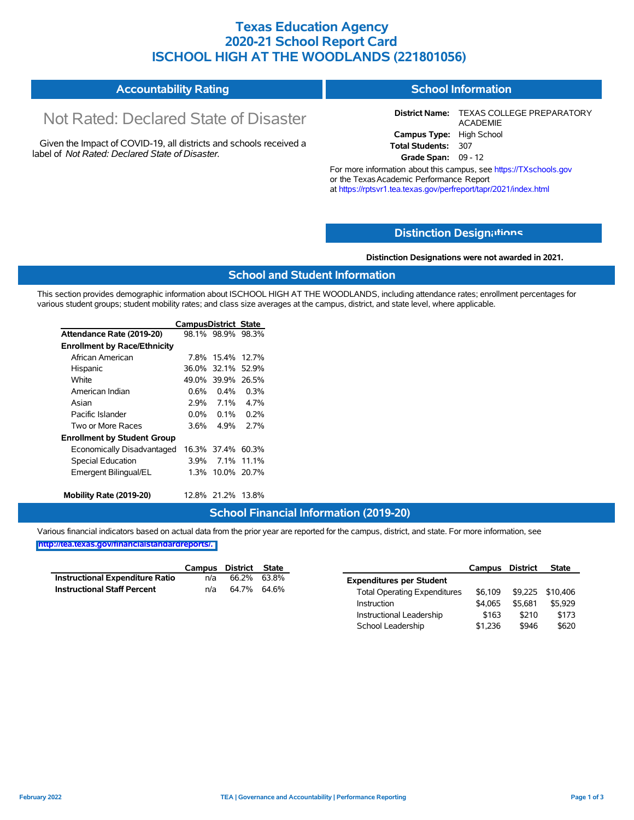### **Texas Education Agency 2020-21 School Report Card ISCHOOL HIGH AT THE WOODLANDS (221801056)**

#### **Accountability Rating School Information**

# Not Rated: Declared State of Disaster

Given the Impact of COVID-19, all districts and schools received a label of *Not Rated: Declared State of Disaster.*

**District Name:** TEXAS COLLEGE PREPARATORY ACADEMIE **Campus Type:** High School **Total Students:** 307 **Grade Span:** 09 - 12

For more information about this campus, see https://TXschools.gov or the TexasAcademic Performance Report at https://rptsvr1.tea.texas.gov/perfreport/tapr/2021/index.html

### **Distinction Design[ations](https://TXschools.gov)**

**Distinction Designations were not awarded in 2021.**

School Leadership  $$1,236$  \$946 \$620

#### **School and Student Information**

This section provides demographic information about ISCHOOL HIGH AT THE WOODLANDS, including attendance rates; enrollment percentages for various student groups; student mobility rates; and class size averages at the campus, district, and state level, where applicable.

|                                     | <b>CampusDistrict State</b> |                   |             |
|-------------------------------------|-----------------------------|-------------------|-------------|
| Attendance Rate (2019-20)           |                             | 98.1% 98.9% 98.3% |             |
| <b>Enrollment by Race/Ethnicity</b> |                             |                   |             |
| African American                    | 7.8%                        | 15.4%             | 127%        |
| Hispanic                            |                             | 36.0% 32.1%       | 52.9%       |
| White                               | 49.0%                       | 39.9%             | 26.5%       |
| American Indian                     | 0.6%                        | $0.4\%$           | $0.3\%$     |
| Asian                               | 2.9%                        | 7 1%              | 4.7%        |
| Pacific Islander                    | 0.0%                        | $0.1\%$           | 0.2%        |
| Two or More Races                   | 3.6%                        | 4 9%              | 27%         |
| <b>Enrollment by Student Group</b>  |                             |                   |             |
| Economically Disadvantaged          |                             | 16.3% 37.4%       | 60.3%       |
| <b>Special Education</b>            | 3.9%                        | $7.1\%$           | 11.1%       |
| Emergent Bilingual/EL               | 1.3%                        |                   | 10.0% 20.7% |
| Mobility Rate (2019-20)             |                             | 12.8% 21.2%       | 13.8%       |

#### **School Financial Information (2019-20)**

Various financial indicators based on actual data from the prior year are reported for the campus, district, and state. For more information, see

|                                        |     | Campus District State |                                     | Campus  | <b>District</b> | <b>State</b>     |
|----------------------------------------|-----|-----------------------|-------------------------------------|---------|-----------------|------------------|
| <b>Instructional Expenditure Ratio</b> | n/a | 66.2% 63.8%           | <b>Expenditures per Student</b>     |         |                 |                  |
| <b>Instructional Staff Percent</b>     | n/a | 64.7% 64.6%           | <b>Total Operating Expenditures</b> | \$6.109 |                 | \$9,225 \$10,406 |
|                                        |     |                       | Instruction                         | \$4.065 | \$5.681         | \$5,929          |
|                                        |     |                       | Instructional Leadership            | \$163   | \$210           | \$173            |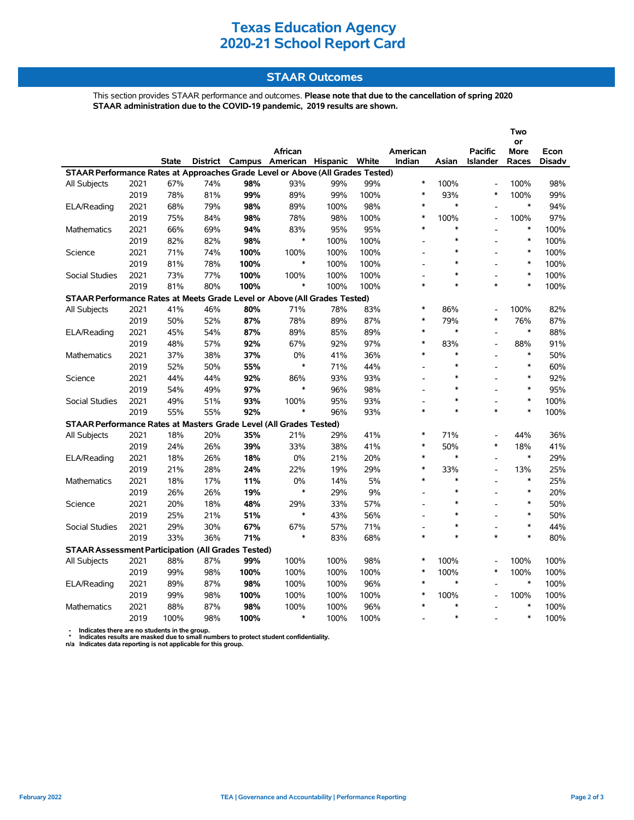### **STAAR Outcomes**

This section provides STAAR performance and outcomes. **Please note that due to the cancellation of spring 2020 STAAR administration due to the COVID-19 pandemic, 2019 results are shown.**

|                                                                                |      |       |     |      |                                                    |      |      |                          |               |                                   | Two           |                |
|--------------------------------------------------------------------------------|------|-------|-----|------|----------------------------------------------------|------|------|--------------------------|---------------|-----------------------------------|---------------|----------------|
|                                                                                |      |       |     |      |                                                    |      |      |                          |               |                                   | or            |                |
|                                                                                |      | State |     |      | African<br>District Campus American Hispanic White |      |      | American<br>Indian       | Asian         | <b>Pacific</b><br><b>Islander</b> | More<br>Races | Econ<br>Disadv |
| STAAR Performance Rates at Approaches Grade Level or Above (All Grades Tested) |      |       |     |      |                                                    |      |      |                          |               |                                   |               |                |
| All Subjects                                                                   | 2021 | 67%   | 74% | 98%  | 93%                                                | 99%  | 99%  | $\ast$                   | 100%          | L,                                | 100%          | 98%            |
|                                                                                | 2019 | 78%   | 81% | 99%  | 89%                                                | 99%  | 100% | $\ast$                   | 93%           | $\ast$                            | 100%          | 99%            |
| ELA/Reading                                                                    | 2021 | 68%   | 79% | 98%  | 89%                                                | 100% | 98%  | $\ast$                   | $\ast$        |                                   | $\ast$        | 94%            |
|                                                                                | 2019 | 75%   | 84% | 98%  | 78%                                                | 98%  | 100% | *                        | 100%          | $\overline{a}$                    | 100%          | 97%            |
| Mathematics                                                                    | 2021 | 66%   | 69% | 94%  | 83%                                                | 95%  | 95%  | $\ast$                   | $\ast$        | $\overline{a}$                    | ∗             | 100%           |
|                                                                                | 2019 | 82%   | 82% | 98%  | $\ast$                                             | 100% | 100% |                          | $\ast$        |                                   | $\ast$        | 100%           |
| Science                                                                        | 2021 | 71%   | 74% | 100% | 100%                                               | 100% | 100% |                          | $\ast$        |                                   | $\ast$        | 100%           |
|                                                                                | 2019 | 81%   | 78% | 100% | $\ast$                                             | 100% | 100% | $\overline{\phantom{a}}$ | $\ast$        |                                   | $\ast$        | 100%           |
|                                                                                | 2021 | 73%   | 77% | 100% | 100%                                               | 100% | 100% |                          | $\ast$        |                                   | $\ast$        | 100%           |
| Social Studies                                                                 | 2019 | 81%   | 80% | 100% | $\ast$                                             | 100% | 100% | $\ast$                   | $\ast$        | $\ast$                            | $\ast$        | 100%           |
|                                                                                |      |       |     |      |                                                    |      |      |                          |               |                                   |               |                |
| STAAR Performance Rates at Meets Grade Level or Above (All Grades Tested)      |      |       |     |      |                                                    |      |      | $\ast$                   |               |                                   |               |                |
| All Subjects                                                                   | 2021 | 41%   | 46% | 80%  | 71%                                                | 78%  | 83%  | *                        | 86%           | L,<br>$\ast$                      | 100%          | 82%            |
|                                                                                | 2019 | 50%   | 52% | 87%  | 78%                                                | 89%  | 87%  | $\ast$                   | 79%<br>$\ast$ |                                   | 76%<br>$\ast$ | 87%            |
| ELA/Reading                                                                    | 2021 | 45%   | 54% | 87%  | 89%                                                | 85%  | 89%  | $\ast$                   |               | $\overline{a}$                    |               | 88%            |
|                                                                                | 2019 | 48%   | 57% | 92%  | 67%                                                | 92%  | 97%  | $\ast$                   | 83%<br>$\ast$ | $\overline{a}$                    | 88%<br>$\ast$ | 91%            |
| Mathematics                                                                    | 2021 | 37%   | 38% | 37%  | 0%<br>$\ast$                                       | 41%  | 36%  |                          | $\ast$        | $\overline{a}$                    |               | 50%            |
|                                                                                | 2019 | 52%   | 50% | 55%  |                                                    | 71%  | 44%  |                          |               |                                   | $\ast$        | 60%            |
| Science                                                                        | 2021 | 44%   | 44% | 92%  | 86%                                                | 93%  | 93%  |                          | $\ast$        |                                   | $\ast$        | 92%            |
|                                                                                | 2019 | 54%   | 49% | 97%  | $\ast$                                             | 96%  | 98%  |                          | $\ast$        |                                   | $\ast$        | 95%            |
| Social Studies                                                                 | 2021 | 49%   | 51% | 93%  | 100%                                               | 95%  | 93%  |                          | $\ast$        |                                   | $\ast$        | 100%           |
|                                                                                | 2019 | 55%   | 55% | 92%  | $\ast$                                             | 96%  | 93%  | $\ast$                   | $\ast$        | $\ast$                            | $\ast$        | 100%           |
| STAAR Performance Rates at Masters Grade Level (All Grades Tested)             |      |       |     |      |                                                    |      |      |                          |               |                                   |               |                |
| All Subjects                                                                   | 2021 | 18%   | 20% | 35%  | 21%                                                | 29%  | 41%  | *                        | 71%           | $\overline{a}$                    | 44%           | 36%            |
|                                                                                | 2019 | 24%   | 26% | 39%  | 33%                                                | 38%  | 41%  | $\ast$                   | 50%           | $\ast$                            | 18%           | 41%            |
| ELA/Reading                                                                    | 2021 | 18%   | 26% | 18%  | 0%                                                 | 21%  | 20%  | $\ast$                   | $\ast$        | $\overline{a}$                    | $\ast$        | 29%            |
|                                                                                | 2019 | 21%   | 28% | 24%  | 22%                                                | 19%  | 29%  | $\ast$                   | 33%           | $\overline{a}$                    | 13%           | 25%            |
| Mathematics                                                                    | 2021 | 18%   | 17% | 11%  | 0%                                                 | 14%  | 5%   | $\ast$                   | $\ast$        |                                   | $\ast$        | 25%            |
|                                                                                | 2019 | 26%   | 26% | 19%  | $\ast$                                             | 29%  | 9%   |                          | $\ast$        |                                   | $\ast$        | 20%            |
| Science                                                                        | 2021 | 20%   | 18% | 48%  | 29%                                                | 33%  | 57%  |                          | $\ast$        |                                   | $\ast$        | 50%            |
|                                                                                | 2019 | 25%   | 21% | 51%  | $\ast$                                             | 43%  | 56%  | $\overline{\phantom{a}}$ | $\ast$        | $\overline{a}$                    | $\ast$        | 50%            |
| Social Studies                                                                 | 2021 | 29%   | 30% | 67%  | 67%                                                | 57%  | 71%  | $\overline{\phantom{a}}$ | $\ast$        | ۰                                 | $\ast$        | 44%            |
|                                                                                | 2019 | 33%   | 36% | 71%  | $\ast$                                             | 83%  | 68%  | $\ast$                   | $\ast$        | $\ast$                            | $\ast$        | 80%            |
| <b>STAAR Assessment Participation (All Grades Tested)</b>                      |      |       |     |      |                                                    |      |      |                          |               |                                   |               |                |
| All Subjects                                                                   | 2021 | 88%   | 87% | 99%  | 100%                                               | 100% | 98%  | $\ast$                   | 100%          | $\overline{a}$                    | 100%          | 100%           |
|                                                                                | 2019 | 99%   | 98% | 100% | 100%                                               | 100% | 100% | $\ast$                   | 100%          | $\ast$                            | 100%          | 100%           |
| ELA/Reading                                                                    | 2021 | 89%   | 87% | 98%  | 100%                                               | 100% | 96%  | $\ast$                   | $\ast$        |                                   | $\ast$        | 100%           |
|                                                                                | 2019 | 99%   | 98% | 100% | 100%                                               | 100% | 100% | *                        | 100%          |                                   | 100%          | 100%           |
| Mathematics                                                                    | 2021 | 88%   | 87% | 98%  | 100%                                               | 100% | 96%  | $\ast$                   | $\ast$        |                                   | $\ast$        | 100%           |
|                                                                                | 2019 | 100%  | 98% | 100% | $\ast$                                             | 100% | 100% |                          | $\ast$        |                                   | $\ast$        | 100%           |
|                                                                                |      |       |     |      |                                                    |      |      |                          |               |                                   |               |                |

 **- Indicates there are no students in the group. \* Indicates results are masked due to small numbers to protect student confidentiality.**

**n/a Indicates data reporting is not applicable for this group.**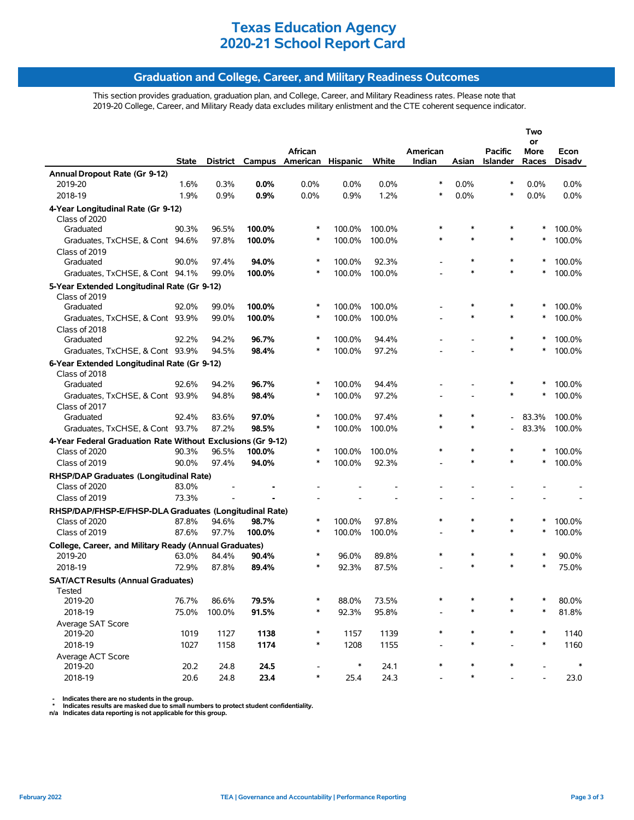### **Graduation and College, Career, and Military Readiness Outcomes**

This section provides graduation, graduation plan, and College, Career, and Military Readiness rates. Please note that 2019-20 College, Career, and Military Ready data excludes military enlistment and the CTE coherent sequence indicator.

| American Hispanic<br>White<br>Indian<br>Asian<br>Races<br>Disadv<br><b>State</b><br>District Campus<br>Islander<br>Annual Dropout Rate (Gr 9-12)<br>2019-20<br>1.6%<br>0.3%<br>0.0%<br>0.0%<br>0.0%<br>0.0%<br>$\ast$<br>0.0%<br>$\ast$<br>0.0%<br>0.0%<br>2018-19<br>1.9%<br>0.9%<br>0.9%<br>0.0%<br>0.9%<br>1.2%<br>$\ast$<br>0.0%<br>$\ast$<br>0.0%<br>0.0%<br>4-Year Longitudinal Rate (Gr 9-12)<br>Class of 2020<br>$\ast$<br>Graduated<br>90.3%<br>96.5%<br>100.0%<br>∗<br>100.0%<br>100.0%<br>$\ast$<br>*<br>100.0%<br>$\ast$<br>100.0%<br>$\ast$<br>100.0%<br>100.0%<br>*<br>$\ast$<br>100.0%<br>Graduates, TxCHSE, & Cont 94.6%<br>97.8%<br>Class of 2019<br>$\ast$<br>*<br>Graduated<br>90.0%<br>97.4%<br>94.0%<br>∗<br>100.0%<br>92.3%<br>*<br>100.0%<br>99.0%<br>100.0%<br>$\ast$<br>100.0%<br>100.0%<br>$\ast$<br>*<br>$\ast$<br>Graduates, TxCHSE, & Cont 94.1%<br>100.0% |
|-----------------------------------------------------------------------------------------------------------------------------------------------------------------------------------------------------------------------------------------------------------------------------------------------------------------------------------------------------------------------------------------------------------------------------------------------------------------------------------------------------------------------------------------------------------------------------------------------------------------------------------------------------------------------------------------------------------------------------------------------------------------------------------------------------------------------------------------------------------------------------------------|
|                                                                                                                                                                                                                                                                                                                                                                                                                                                                                                                                                                                                                                                                                                                                                                                                                                                                                         |
|                                                                                                                                                                                                                                                                                                                                                                                                                                                                                                                                                                                                                                                                                                                                                                                                                                                                                         |
|                                                                                                                                                                                                                                                                                                                                                                                                                                                                                                                                                                                                                                                                                                                                                                                                                                                                                         |
|                                                                                                                                                                                                                                                                                                                                                                                                                                                                                                                                                                                                                                                                                                                                                                                                                                                                                         |
|                                                                                                                                                                                                                                                                                                                                                                                                                                                                                                                                                                                                                                                                                                                                                                                                                                                                                         |
|                                                                                                                                                                                                                                                                                                                                                                                                                                                                                                                                                                                                                                                                                                                                                                                                                                                                                         |
|                                                                                                                                                                                                                                                                                                                                                                                                                                                                                                                                                                                                                                                                                                                                                                                                                                                                                         |
|                                                                                                                                                                                                                                                                                                                                                                                                                                                                                                                                                                                                                                                                                                                                                                                                                                                                                         |
|                                                                                                                                                                                                                                                                                                                                                                                                                                                                                                                                                                                                                                                                                                                                                                                                                                                                                         |
|                                                                                                                                                                                                                                                                                                                                                                                                                                                                                                                                                                                                                                                                                                                                                                                                                                                                                         |
|                                                                                                                                                                                                                                                                                                                                                                                                                                                                                                                                                                                                                                                                                                                                                                                                                                                                                         |
| 5-Year Extended Longitudinal Rate (Gr 9-12)                                                                                                                                                                                                                                                                                                                                                                                                                                                                                                                                                                                                                                                                                                                                                                                                                                             |
| Class of 2019<br>92.0%<br>99.0%<br>100.0%<br>*<br>100.0%<br>100.0%<br>$\ast$<br>*<br>*<br>100.0%<br>Graduated                                                                                                                                                                                                                                                                                                                                                                                                                                                                                                                                                                                                                                                                                                                                                                           |
| $\ast$<br>100.0%<br>100.0%<br>100.0%<br>$\ast$<br>$\ast$<br>100.0%<br>Graduates, TxCHSE, & Cont 93.9%<br>99.0%<br>*                                                                                                                                                                                                                                                                                                                                                                                                                                                                                                                                                                                                                                                                                                                                                                     |
| Class of 2018                                                                                                                                                                                                                                                                                                                                                                                                                                                                                                                                                                                                                                                                                                                                                                                                                                                                           |
| 96.7%<br>Graduated<br>92.2%<br>94.2%<br>∗<br>100.0%<br>94.4%<br>∗<br>*<br>100.0%                                                                                                                                                                                                                                                                                                                                                                                                                                                                                                                                                                                                                                                                                                                                                                                                        |
| 98.4%<br>97.2%<br>Graduates, TxCHSE, & Cont 93.9%<br>94.5%<br>100.0%<br>$\ast$<br>100.0%                                                                                                                                                                                                                                                                                                                                                                                                                                                                                                                                                                                                                                                                                                                                                                                                |
| 6-Year Extended Longitudinal Rate (Gr 9-12)                                                                                                                                                                                                                                                                                                                                                                                                                                                                                                                                                                                                                                                                                                                                                                                                                                             |
| Class of 2018                                                                                                                                                                                                                                                                                                                                                                                                                                                                                                                                                                                                                                                                                                                                                                                                                                                                           |
| 92.6%<br>94.2%<br>96.7%<br>$\ast$<br>100.0%<br>94.4%<br>∗<br>*<br>100.0%<br>Graduated                                                                                                                                                                                                                                                                                                                                                                                                                                                                                                                                                                                                                                                                                                                                                                                                   |
| $\ast$<br>97.2%<br>*<br>*<br>100.0%<br>Graduates, TxCHSE, & Cont 93.9%<br>94.8%<br>98.4%<br>100.0%                                                                                                                                                                                                                                                                                                                                                                                                                                                                                                                                                                                                                                                                                                                                                                                      |
| Class of 2017                                                                                                                                                                                                                                                                                                                                                                                                                                                                                                                                                                                                                                                                                                                                                                                                                                                                           |
| $\ast$<br>Graduated<br>92.4%<br>83.6%<br>97.0%<br>∗<br>100.0%<br>97.4%<br>$\ast$<br>83.3%<br>100.0%                                                                                                                                                                                                                                                                                                                                                                                                                                                                                                                                                                                                                                                                                                                                                                                     |
| $\ast$<br>$\ast$<br>83.3%<br>Graduates, TxCHSE, & Cont 93.7%<br>87.2%<br>98.5%<br>$\ast$<br>100.0%<br>100.0%<br>100.0%                                                                                                                                                                                                                                                                                                                                                                                                                                                                                                                                                                                                                                                                                                                                                                  |
| 4-Year Federal Graduation Rate Without Exclusions (Gr 9-12)                                                                                                                                                                                                                                                                                                                                                                                                                                                                                                                                                                                                                                                                                                                                                                                                                             |
| Class of 2020<br>96.5%<br>100.0%<br>$\ast$<br>100.0%<br>100.0%<br>$\ast$<br>$\ast$<br>90.3%<br>$\ast$<br>∗<br>100.0%                                                                                                                                                                                                                                                                                                                                                                                                                                                                                                                                                                                                                                                                                                                                                                    |
| $\ast$<br>100.0%<br>*<br>100.0%<br>Class of 2019<br>90.0%<br>97.4%<br>94.0%<br>*<br>92.3%<br>*                                                                                                                                                                                                                                                                                                                                                                                                                                                                                                                                                                                                                                                                                                                                                                                          |
| RHSP/DAP Graduates (Longitudinal Rate)                                                                                                                                                                                                                                                                                                                                                                                                                                                                                                                                                                                                                                                                                                                                                                                                                                                  |
| Class of 2020<br>83.0%                                                                                                                                                                                                                                                                                                                                                                                                                                                                                                                                                                                                                                                                                                                                                                                                                                                                  |
| Class of 2019<br>73.3%                                                                                                                                                                                                                                                                                                                                                                                                                                                                                                                                                                                                                                                                                                                                                                                                                                                                  |
| RHSP/DAP/FHSP-E/FHSP-DLA Graduates (Longitudinal Rate)                                                                                                                                                                                                                                                                                                                                                                                                                                                                                                                                                                                                                                                                                                                                                                                                                                  |
| $\ast$<br>Class of 2020<br>87.8%<br>94.6%<br>98.7%<br>∗<br>100.0%<br>97.8%<br>$\ast$<br>$\ast$<br>*<br>100.0%                                                                                                                                                                                                                                                                                                                                                                                                                                                                                                                                                                                                                                                                                                                                                                           |
| 87.6%<br>97.7%<br>100.0%<br>$\ast$<br>100.0%<br>100.0%<br>$\ast$<br>$\ast$<br>*<br>100.0%<br>Class of 2019                                                                                                                                                                                                                                                                                                                                                                                                                                                                                                                                                                                                                                                                                                                                                                              |
| College, Career, and Military Ready (Annual Graduates)                                                                                                                                                                                                                                                                                                                                                                                                                                                                                                                                                                                                                                                                                                                                                                                                                                  |
| 63.0%<br>$\ast$<br>96.0%<br>$\ast$<br>$\ast$<br>90.0%<br>2019-20<br>84.4%<br>90.4%<br>89.8%<br>∗<br>*                                                                                                                                                                                                                                                                                                                                                                                                                                                                                                                                                                                                                                                                                                                                                                                   |
| $\ast$<br>$\ast$<br>$\ast$<br>72.9%<br>87.8%<br>$\ast$<br>92.3%<br>75.0%<br>2018-19<br>89.4%<br>87.5%                                                                                                                                                                                                                                                                                                                                                                                                                                                                                                                                                                                                                                                                                                                                                                                   |
| <b>SAT/ACT Results (Annual Graduates)</b>                                                                                                                                                                                                                                                                                                                                                                                                                                                                                                                                                                                                                                                                                                                                                                                                                                               |
| I ested<br>86.6%<br>∗<br>*                                                                                                                                                                                                                                                                                                                                                                                                                                                                                                                                                                                                                                                                                                                                                                                                                                                              |
| 76.7%<br>79.5%<br>88.0%<br>73.5%<br>80.0%<br>2019-20<br>2018-19<br>*<br>∗<br>$\ast$<br>∗                                                                                                                                                                                                                                                                                                                                                                                                                                                                                                                                                                                                                                                                                                                                                                                                |
| 75.0%<br>100.0%<br>91.5%<br>92.3%<br>95.8%<br>81.8%                                                                                                                                                                                                                                                                                                                                                                                                                                                                                                                                                                                                                                                                                                                                                                                                                                     |
| Average SAT Score<br>1019<br>1138<br>$\ast$<br>1139<br>$\ast$<br>$\ast$<br>*<br>$\ast$<br>1140<br>2019-20<br>1127<br>1157                                                                                                                                                                                                                                                                                                                                                                                                                                                                                                                                                                                                                                                                                                                                                               |
| 2018-19<br>$\ast$<br>$\ast$<br>1027<br>1158<br>1174<br>1208<br>1155<br>$\ast$<br>1160                                                                                                                                                                                                                                                                                                                                                                                                                                                                                                                                                                                                                                                                                                                                                                                                   |
| Average ACT Score                                                                                                                                                                                                                                                                                                                                                                                                                                                                                                                                                                                                                                                                                                                                                                                                                                                                       |
| $\ast$<br>20.2<br>24.8<br>24.5<br>$\ast$<br>24.1<br>$\ast$<br>2019-20<br>$\ast$                                                                                                                                                                                                                                                                                                                                                                                                                                                                                                                                                                                                                                                                                                                                                                                                         |
| 23.4<br>$\ast$<br>24.3<br>$\ast$<br>2018-19<br>20.6<br>24.8<br>25.4<br>23.0                                                                                                                                                                                                                                                                                                                                                                                                                                                                                                                                                                                                                                                                                                                                                                                                             |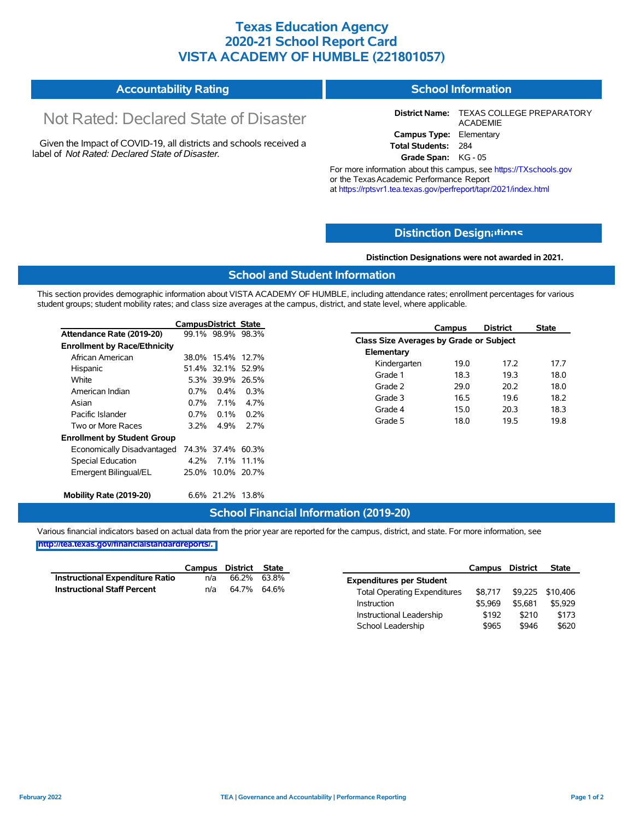### **Texas Education Agency 2020-21 School Report Card VISTA ACADEMY OF HUMBLE (221801057)**

#### **Accountability Rating School Information**

# Not Rated: Declared State of Disaster

Given the Impact of COVID-19, all districts and schools received a label of *Not Rated: Declared State of Disaster.*

**District Name:** TEXAS COLLEGE PREPARATORY ACADEMIE **Campus Type:** Elementary **Total Students:** 284

**Grade Span:** KG - 05

For more information about this campus, see https://TXschools.gov or the TexasAcademic Performance Report at https://rptsvr1.tea.texas.gov/perfreport/tapr/2021/index.html

### **Distinction Design[ations](https://TXschools.gov)**

**Distinction Designations were not awarded in 2021.**

School Leadership  $$965$  \$946 \$620

### **School and Student Information**

This section provides demographic information about VISTA ACADEMY OF HUMBLE, including attendance rates; enrollment percentages for various student groups; student mobility rates; and class size averages at the campus, district, and state level, where applicable.

|                                     | <b>CampusDistrict State</b> |                   |            |                                         | Campus | <b>District</b> | <b>State</b> |
|-------------------------------------|-----------------------------|-------------------|------------|-----------------------------------------|--------|-----------------|--------------|
| Attendance Rate (2019-20)           |                             | 99.1% 98.9% 98.3% |            | Class Size Averages by Grade or Subject |        |                 |              |
| <b>Enrollment by Race/Ethnicity</b> |                             |                   |            |                                         |        |                 |              |
| African American                    |                             | 38.0% 15.4% 12.7% |            | Elementary                              |        |                 |              |
| Hispanic                            |                             | 51.4% 32.1% 52.9% |            | Kindergarten                            | 19.0   | 17.2            | 17.7         |
| White                               |                             | 5.3% 39.9% 26.5%  |            | Grade 1                                 | 18.3   | 19.3            | 18.0         |
| American Indian                     | $0.7\%$                     | $0.4\%$           | $0.3\%$    | Grade 2                                 | 29.0   | 20.2            | 18.0         |
| Asian                               | $0.7\%$                     | $7.1\%$           | 4.7%       | Grade 3                                 | 16.5   | 19.6            | 18.2         |
| Pacific Islander                    | $0.7\%$                     | $0.1\%$           | 0.2%       | Grade 4                                 | 15.0   | 20.3            | 18.3         |
| Two or More Races                   | $3.2\%$                     | 4.9%              | 2.7%       | Grade 5                                 | 18.0   | 19.5            | 19.8         |
| <b>Enrollment by Student Group</b>  |                             |                   |            |                                         |        |                 |              |
| Economically Disadvantaged          |                             | 74.3% 37.4% 60.3% |            |                                         |        |                 |              |
| Special Education                   | 4.2%                        |                   | 7.1% 11.1% |                                         |        |                 |              |
| Emergent Bilingual/EL               |                             | 25.0% 10.0% 20.7% |            |                                         |        |                 |              |
| Mobility Rate (2019-20)             |                             | 6.6% 21.2% 13.8%  |            |                                         |        |                 |              |

### **School Financial Information (2019-20)**

Various financial indicators based on actual data from the prior year are reported for the campus, district, and state. For more information, see

|                                        |     | Campus District State |       |                                     | Campus  | District | <b>State</b>     |
|----------------------------------------|-----|-----------------------|-------|-------------------------------------|---------|----------|------------------|
| <b>Instructional Expenditure Ratio</b> | n/a | 66.2%                 | 63.8% | <b>Expenditures per Student</b>     |         |          |                  |
| <b>Instructional Staff Percent</b>     | n/a | 64.7% 64.6%           |       | <b>Total Operating Expenditures</b> | \$8.717 |          | \$9,225 \$10,406 |
|                                        |     |                       |       | Instruction                         | \$5.969 | \$5.681  | \$5,929          |
|                                        |     |                       |       | Instructional Leadership            | \$192   | \$210    | \$173            |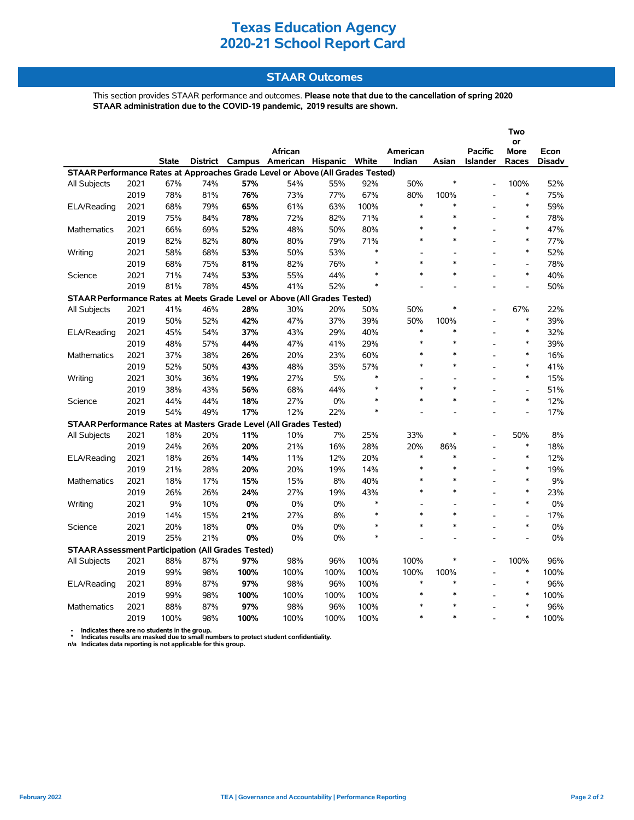### **STAAR Outcomes**

This section provides STAAR performance and outcomes. **Please note that due to the cancellation of spring 2020 STAAR administration due to the COVID-19 pandemic, 2019 results are shown.**

|                                                                                |              |              |            |            |                                   |      |               |                          |                          |                                   | Two                      |               |
|--------------------------------------------------------------------------------|--------------|--------------|------------|------------|-----------------------------------|------|---------------|--------------------------|--------------------------|-----------------------------------|--------------------------|---------------|
|                                                                                |              |              |            |            |                                   |      |               |                          |                          |                                   | or                       |               |
|                                                                                |              |              |            |            | African                           |      | White         | American<br>Indian       | Asian                    | <b>Pacific</b><br><b>Islander</b> | More                     | Econ          |
| STAAR Performance Rates at Approaches Grade Level or Above (All Grades Tested) |              | <b>State</b> |            |            | District Campus American Hispanic |      |               |                          |                          |                                   | Races                    | <b>Disadv</b> |
|                                                                                | 2021         | 67%          | 74%        | 57%        | 54%                               | 55%  | 92%           | 50%                      | $\ast$                   |                                   | 100%                     | 52%           |
| All Subjects                                                                   | 2019         |              |            |            |                                   | 77%  | 67%           | 80%                      | 100%                     |                                   | $\ast$                   |               |
|                                                                                |              | 78%<br>68%   | 81%<br>79% | 76%<br>65% | 73%<br>61%                        | 63%  | 100%          | $\ast$                   | $\ast$                   |                                   | $\ast$                   | 75%<br>59%    |
| ELA/Reading                                                                    | 2021<br>2019 |              |            |            |                                   |      |               | $\ast$                   | $\ast$                   |                                   | $\ast$                   | 78%           |
|                                                                                |              | 75%          | 84%        | 78%        | 72%                               | 82%  | 71%           | *                        | $\ast$                   |                                   | $\ast$                   |               |
| Mathematics                                                                    | 2021         | 66%          | 69%        | 52%        | 48%                               | 50%  | 80%           | $\ast$                   | $\ast$                   |                                   | $\ast$                   | 47%           |
|                                                                                | 2019         | 82%          | 82%        | 80%        | 80%                               | 79%  | 71%<br>$\ast$ |                          |                          |                                   | $\ast$                   | 77%           |
| Writing                                                                        | 2021         | 58%          | 68%        | 53%        | 50%                               | 53%  | $\ast$        | $\overline{a}$<br>$\ast$ | $\overline{a}$<br>$\ast$ |                                   |                          | 52%           |
|                                                                                | 2019         | 68%          | 75%        | 81%        | 82%                               | 76%  | $\ast$        | $\ast$                   | $\ast$                   |                                   | $\overline{a}$<br>$\ast$ | 78%           |
| Science                                                                        | 2021         | 71%          | 74%        | 53%        | 55%                               | 44%  |               |                          |                          |                                   |                          | 40%           |
|                                                                                | 2019         | 81%          | 78%        | 45%        | 41%                               | 52%  | $\ast$        |                          |                          |                                   | $\overline{a}$           | 50%           |
| STAAR Performance Rates at Meets Grade Level or Above (All Grades Tested)      |              |              |            |            |                                   |      |               |                          |                          |                                   |                          |               |
| All Subjects                                                                   | 2021         | 41%          | 46%        | 28%        | 30%                               | 20%  | 50%           | 50%                      | $\ast$                   |                                   | 67%                      | 22%           |
|                                                                                | 2019         | 50%          | 52%        | 42%        | 47%                               | 37%  | 39%           | 50%                      | 100%                     |                                   | $\ast$                   | 39%           |
| ELA/Reading                                                                    | 2021         | 45%          | 54%        | 37%        | 43%                               | 29%  | 40%           | $\ast$                   | $\ast$                   |                                   | $\ast$                   | 32%           |
|                                                                                | 2019         | 48%          | 57%        | 44%        | 47%                               | 41%  | 29%           | $\ast$                   | $\ast$                   | L.                                | $\ast$                   | 39%           |
| <b>Mathematics</b>                                                             | 2021         | 37%          | 38%        | 26%        | 20%                               | 23%  | 60%           | *                        | $\ast$                   |                                   | $\ast$                   | 16%           |
|                                                                                | 2019         | 52%          | 50%        | 43%        | 48%                               | 35%  | 57%           | $\ast$                   | $\ast$                   |                                   | $\ast$                   | 41%           |
| Writing                                                                        | 2021         | 30%          | 36%        | 19%        | 27%                               | 5%   | $\ast$        | $\overline{a}$           | $\overline{a}$           |                                   | $\ast$                   | 15%           |
|                                                                                | 2019         | 38%          | 43%        | 56%        | 68%                               | 44%  | *             | $\ast$                   | $\ast$                   |                                   | $\overline{\phantom{a}}$ | 51%           |
| Science                                                                        | 2021         | 44%          | 44%        | 18%        | 27%                               | 0%   | $\ast$        | $\ast$                   | $\ast$                   |                                   | $\ast$                   | 12%           |
|                                                                                | 2019         | 54%          | 49%        | 17%        | 12%                               | 22%  | $\ast$        |                          |                          |                                   | $\overline{a}$           | 17%           |
| STAAR Performance Rates at Masters Grade Level (All Grades Tested)             |              |              |            |            |                                   |      |               |                          |                          |                                   |                          |               |
| <b>All Subjects</b>                                                            | 2021         | 18%          | 20%        | 11%        | 10%                               | 7%   | 25%           | 33%                      | ∗                        |                                   | 50%                      | 8%            |
|                                                                                | 2019         | 24%          | 26%        | 20%        | 21%                               | 16%  | 28%           | 20%                      | 86%                      |                                   | $\ast$                   | 18%           |
| ELA/Reading                                                                    | 2021         | 18%          | 26%        | 14%        | 11%                               | 12%  | 20%           | *                        | $\ast$                   |                                   | $\ast$                   | 12%           |
|                                                                                | 2019         | 21%          | 28%        | 20%        | 20%                               | 19%  | 14%           | $\ast$                   | $\ast$                   |                                   | $\ast$                   | 19%           |
| Mathematics                                                                    | 2021         | 18%          | 17%        | 15%        | 15%                               | 8%   | 40%           | $\ast$                   | $\ast$                   |                                   | $\ast$                   | 9%            |
|                                                                                | 2019         | 26%          | 26%        | 24%        | 27%                               | 19%  | 43%           | $\ast$                   | $\ast$                   |                                   | $\ast$                   | 23%           |
| Writing                                                                        | 2021         | 9%           | 10%        | 0%         | 0%                                | 0%   | $\ast$        | $\overline{a}$           | $\overline{a}$           |                                   | $\ast$                   | $0\%$         |
|                                                                                | 2019         | 14%          | 15%        | 21%        | 27%                               | 8%   | *             | $\ast$                   | $\ast$                   |                                   | $\blacksquare$           | 17%           |
| Science                                                                        | 2021         | 20%          | 18%        | $0\%$      | 0%                                | 0%   | $\ast$        | $\ast$                   | $\ast$                   |                                   | $\ast$                   | 0%            |
|                                                                                | 2019         | 25%          | 21%        | 0%         | 0%                                | 0%   | $\ast$        |                          |                          |                                   |                          | $0\%$         |
| <b>STAAR Assessment Participation (All Grades Tested)</b>                      |              |              |            |            |                                   |      |               |                          |                          |                                   |                          |               |
| All Subjects                                                                   | 2021         | 88%          | 87%        | 97%        | 98%                               | 96%  | 100%          | 100%                     | $\ast$                   |                                   | 100%                     | 96%           |
|                                                                                | 2019         | 99%          | 98%        | 100%       | 100%                              | 100% | 100%          | 100%                     | 100%                     |                                   | $\ast$                   | 100%          |
| ELA/Reading                                                                    | 2021         | 89%          | 87%        | 97%        | 98%                               | 96%  | 100%          | $\ast$                   | $\ast$                   |                                   | $\ast$                   | 96%           |
|                                                                                | 2019         | 99%          | 98%        | 100%       | 100%                              | 100% | 100%          | $\ast$                   | $\ast$                   |                                   | $\ast$                   | 100%          |
| <b>Mathematics</b>                                                             | 2021         | 88%          | 87%        | 97%        | 98%                               | 96%  | 100%          | $\ast$                   | $\ast$                   |                                   | $\ast$                   | 96%           |
|                                                                                | 2019         | 100%         | 98%        | 100%       | 100%                              | 100% | 100%          | $\ast$                   | $\ast$                   |                                   | $\ast$                   | 100%          |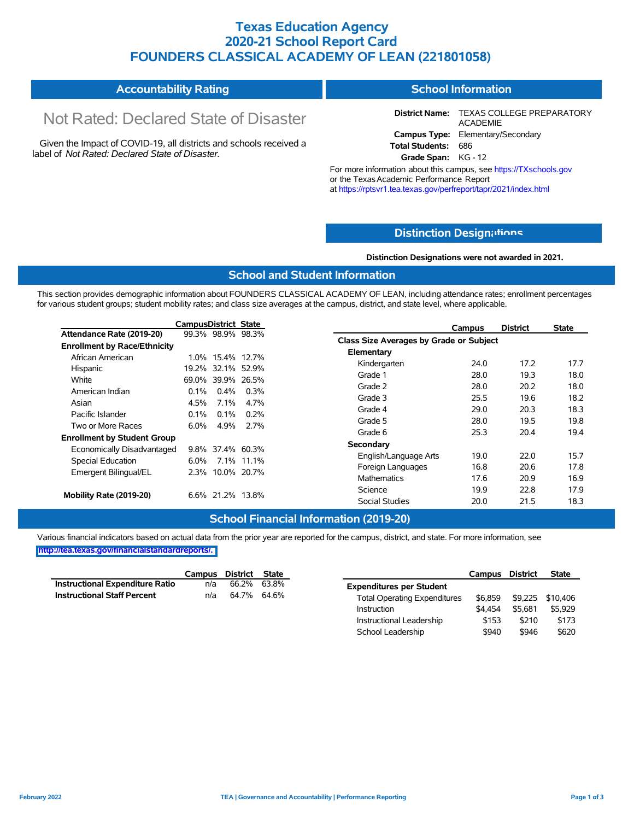### **Texas Education Agency 2020-21 School Report Card FOUNDERS CLASSICAL ACADEMY OF LEAN (221801058)**

| <b>Accountability Rating</b> | <b>School Information</b> |
|------------------------------|---------------------------|
|------------------------------|---------------------------|

# Not Rated: Declared State of Disaster

Given the Impact of COVID-19, all districts and schools received a label of *Not Rated: Declared State of Disaster.*

**District Name:** TEXAS COLLEGE PREPARATORY ACADEMIE **Campus Type:** Elementary/Secondary **Total Students:** 686

**Grade Span:** KG - 12

For more information about this campus, see https://TXschools.gov or the Texas Academic Performance Report at https://rptsvr1.tea.texas.gov/perfreport/tapr/2021/index.html

### **Distinction Design[ations](https://TXschools.gov)**

**Distinction Designations were not awarded in 2021.**

Instructional Leadership  $$153$  \$210 \$173 School Leadership  $$940$  \$946 \$620

#### **School and Student Information**

This section provides demographic information about FOUNDERS CLASSICAL ACADEMY OF LEAN, including attendance rates; enrollment percentages for various student groups; student mobility rates; and class size averages at the campus, district, and state level, where applicable.

|                                     | CampusDistrict State |                   |            | <b>District</b><br>Campus               | <b>State</b> |
|-------------------------------------|----------------------|-------------------|------------|-----------------------------------------|--------------|
| Attendance Rate (2019-20)           |                      | 99.3% 98.9% 98.3% |            | Class Size Averages by Grade or Subject |              |
| <b>Enrollment by Race/Ethnicity</b> |                      |                   |            |                                         |              |
| African American                    |                      | 1.0% 15.4% 12.7%  |            | Elementary                              |              |
| Hispanic                            |                      | 19.2% 32.1% 52.9% |            | Kindergarten<br>17.2<br>24.0            | 17.7         |
| White                               |                      | 69.0% 39.9% 26.5% |            | Grade 1<br>28.0<br>19.3                 | 18.0         |
| American Indian                     | $0.1\%$              | $0.4\%$           | $0.3\%$    | Grade 2<br>20.2<br>28.0                 | 18.0         |
| Asian                               | 4.5%                 | $7.1\%$           | 4.7%       | Grade 3<br>25.5<br>19.6                 | 18.2         |
|                                     |                      |                   |            | Grade 4<br>29.0<br>20.3                 | 18.3         |
| Pacific Islander                    | $0.1\%$              | $0.1\%$           | $0.2\%$    | Grade 5<br>28.0<br>19.5                 | 19.8         |
| Two or More Races                   | $6.0\%$              | 4.9%              | 2.7%       | Grade 6<br>25.3<br>20.4                 | 19.4         |
| <b>Enrollment by Student Group</b>  |                      |                   |            | Secondary                               |              |
| Economically Disadvantaged          |                      | 9.8% 37.4% 60.3%  |            |                                         |              |
| Special Education                   | 6.0%                 |                   | 7.1% 11.1% | 22.0<br>19.0<br>English/Language Arts   | 15.7         |
| Emergent Bilingual/EL               |                      | 2.3% 10.0% 20.7%  |            | 16.8<br>20.6<br>Foreign Languages       | 17.8         |
|                                     |                      |                   |            | 17.6<br>20.9<br>Mathematics             | 16.9         |
| Mobility Rate (2019-20)             |                      | 6.6% 21.2% 13.8%  |            | Science<br>22.8<br>19.9                 | 17.9         |
|                                     |                      |                   |            | 21.5<br><b>Social Studies</b><br>20.0   | 18.3         |

#### **School Financial Information (2019-20)**

Various financial indicators based on actual data from the prior year are reported for the campus, district, and state. For more information, see **[http://tea.texas.gov/financialstandardreports/.](http://tea.texas.gov/financialstandardreports/)**

|                                 |     | Campus District State |                                     | Campus District |         | <b>State</b>     |
|---------------------------------|-----|-----------------------|-------------------------------------|-----------------|---------|------------------|
| Instructional Expenditure Ratio | n/a | 66.2% 63.8%           | <b>Expenditures per Student</b>     |                 |         |                  |
| Instructional Staff Percent     | n/a | 64.7% 64.6%           | <b>Total Operating Expenditures</b> | \$6.859         |         | \$9,225 \$10,406 |
|                                 |     |                       | Instruction                         | \$4.454         | \$5.681 | \$5,929          |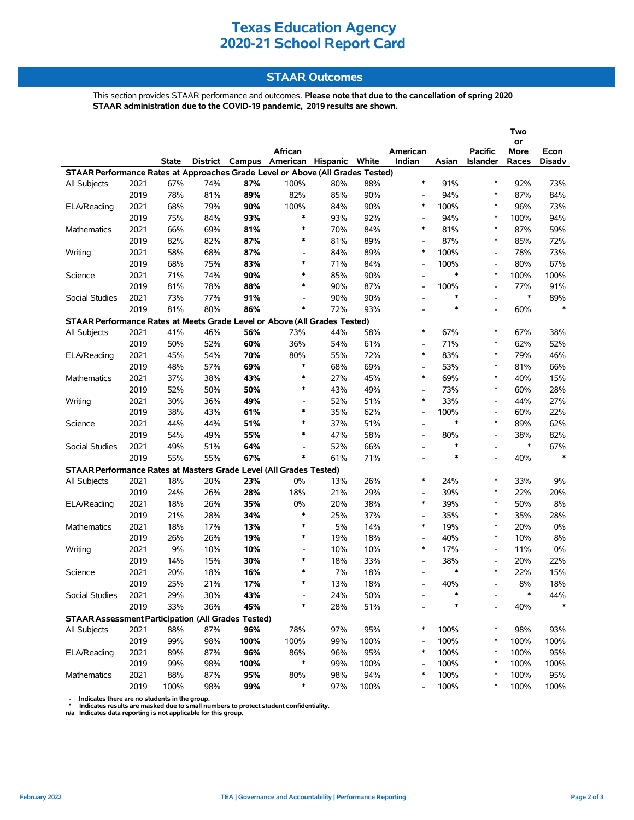### **STAAR Outcomes**

This section provides STAAR performance and outcomes. **Please note that due to the cancellation of spring 2020 STAAR administration due to the COVID-19 pandemic, 2019 results are shown.**

|                                                                                |      |              |     |      |                                         |     |      |                          |        |                          | Two        |               |
|--------------------------------------------------------------------------------|------|--------------|-----|------|-----------------------------------------|-----|------|--------------------------|--------|--------------------------|------------|---------------|
|                                                                                |      |              |     |      | African                                 |     |      | American                 |        | <b>Pacific</b>           | or<br>More | Econ          |
|                                                                                |      | <b>State</b> |     |      | District Campus American Hispanic White |     |      | Indian                   | Asian  | Islander                 | Races      | <b>Disadv</b> |
| STAAR Performance Rates at Approaches Grade Level or Above (All Grades Tested) |      |              |     |      |                                         |     |      |                          |        |                          |            |               |
| All Subjects                                                                   | 2021 | 67%          | 74% | 87%  | 100%                                    | 80% | 88%  | $\ast$                   | 91%    | $\ast$                   | 92%        | 73%           |
|                                                                                | 2019 | 78%          | 81% | 89%  | 82%                                     | 85% | 90%  | $\overline{\phantom{0}}$ | 94%    | $\ast$                   | 87%        | 84%           |
| ELA/Reading                                                                    | 2021 | 68%          | 79% | 90%  | 100%                                    | 84% | 90%  | $\ast$                   | 100%   | $\ast$                   | 96%        | 73%           |
|                                                                                | 2019 | 75%          | 84% | 93%  | $\ast$                                  | 93% | 92%  | $\overline{\phantom{0}}$ | 94%    | $\ast$                   | 100%       | 94%           |
| <b>Mathematics</b>                                                             | 2021 | 66%          | 69% | 81%  | $\ast$                                  | 70% | 84%  | $\ast$                   | 81%    | $\ast$                   | 87%        | 59%           |
|                                                                                | 2019 | 82%          | 82% | 87%  | $\ast$                                  | 81% | 89%  | $\overline{\phantom{0}}$ | 87%    | $\ast$                   | 85%        | 72%           |
| Writing                                                                        | 2021 | 58%          | 68% | 87%  | $\overline{\phantom{a}}$                | 84% | 89%  | $\ast$                   | 100%   | $\blacksquare$           | 78%        | 73%           |
|                                                                                | 2019 | 68%          | 75% | 83%  | $\ast$                                  | 71% | 84%  | $\overline{\phantom{0}}$ | 100%   | $\overline{\phantom{a}}$ | 80%        | 67%           |
| Science                                                                        | 2021 | 71%          | 74% | 90%  | $\ast$                                  | 85% | 90%  | $\overline{\phantom{a}}$ | $\ast$ | $\ast$                   | 100%       | 100%          |
|                                                                                | 2019 | 81%          | 78% | 88%  | $\ast$                                  | 90% | 87%  | $\overline{\phantom{0}}$ | 100%   | $\blacksquare$           | 77%        | 91%           |
| Social Studies                                                                 | 2021 | 73%          | 77% | 91%  | $\overline{\phantom{a}}$                | 90% | 90%  | $\overline{\phantom{0}}$ | $\ast$ | ٠                        | $\ast$     | 89%           |
|                                                                                | 2019 | 81%          | 80% | 86%  | $\ast$                                  | 72% | 93%  | $\overline{a}$           | $\ast$ | $\blacksquare$           | 60%        | $\ast$        |
| STAAR Performance Rates at Meets Grade Level or Above (All Grades Tested)      |      |              |     |      |                                         |     |      |                          |        |                          |            |               |
| <b>All Subjects</b>                                                            | 2021 | 41%          | 46% | 56%  | 73%                                     | 44% | 58%  | $\ast$                   | 67%    | $\ast$                   | 67%        | 38%           |
|                                                                                | 2019 | 50%          | 52% | 60%  | 36%                                     | 54% | 61%  | $\overline{\phantom{a}}$ | 71%    | $\ast$                   | 62%        | 52%           |
| ELA/Reading                                                                    | 2021 | 45%          | 54% | 70%  | 80%                                     | 55% | 72%  | $\ast$                   | 83%    | $\ast$                   | 79%        | 46%           |
|                                                                                | 2019 | 48%          | 57% | 69%  | $\ast$                                  | 68% | 69%  | $\overline{\phantom{0}}$ | 53%    | $\ast$                   | 81%        | 66%           |
| <b>Mathematics</b>                                                             | 2021 | 37%          | 38% | 43%  | $\ast$                                  | 27% | 45%  | $\ast$                   | 69%    | $\ast$                   | 40%        | 15%           |
|                                                                                | 2019 | 52%          | 50% | 50%  | $\ast$                                  | 43% | 49%  | $\overline{\phantom{0}}$ | 73%    | $\ast$                   | 60%        | 28%           |
| Writing                                                                        | 2021 | 30%          | 36% | 49%  | $\overline{\phantom{a}}$                | 52% | 51%  | $\ast$                   | 33%    | $\overline{\phantom{a}}$ | 44%        | 27%           |
|                                                                                | 2019 | 38%          | 43% | 61%  | $\ast$                                  | 35% | 62%  | $\overline{\phantom{a}}$ | 100%   | $\overline{\phantom{a}}$ | 60%        | 22%           |
| Science                                                                        | 2021 | 44%          | 44% | 51%  | $\ast$                                  | 37% | 51%  | $\overline{a}$           | $\ast$ | $\ast$                   | 89%        | 62%           |
|                                                                                | 2019 | 54%          | 49% | 55%  | $\ast$                                  | 47% | 58%  | $\overline{\phantom{0}}$ | 80%    | $\overline{\phantom{a}}$ | 38%        | 82%           |
| Social Studies                                                                 | 2021 | 49%          | 51% | 64%  | $\overline{a}$                          | 52% | 66%  | $\overline{\phantom{0}}$ | $\ast$ | $\blacksquare$           | $\ast$     | 67%           |
|                                                                                | 2019 | 55%          | 55% | 67%  | $\ast$                                  | 61% | 71%  | $\overline{\phantom{0}}$ | $\ast$ |                          | 40%        | $\ast$        |
| STAAR Performance Rates at Masters Grade Level (All Grades Tested)             |      |              |     |      |                                         |     |      |                          |        |                          |            |               |
| All Subjects                                                                   | 2021 | 18%          | 20% | 23%  | 0%                                      | 13% | 26%  | $\ast$                   | 24%    | $\ast$                   | 33%        | 9%            |
|                                                                                | 2019 | 24%          | 26% | 28%  | 18%                                     | 21% | 29%  | $\overline{\phantom{0}}$ | 39%    | $\ast$                   | 22%        | 20%           |
| ELA/Reading                                                                    | 2021 | 18%          | 26% | 35%  | 0%                                      | 20% | 38%  | $\ast$                   | 39%    | $\ast$                   | 50%        | 8%            |
|                                                                                | 2019 | 21%          | 28% | 34%  | $\ast$                                  | 25% | 37%  | $\overline{\phantom{0}}$ | 35%    | $\ast$                   | 35%        | 28%           |
| <b>Mathematics</b>                                                             | 2021 | 18%          | 17% | 13%  | $\ast$                                  | 5%  | 14%  | $\ast$                   | 19%    | $\ast$                   | 20%        | 0%            |
|                                                                                | 2019 | 26%          | 26% | 19%  | $\ast$                                  | 19% | 18%  | $\overline{\phantom{a}}$ | 40%    | $\ast$                   | 10%        | 8%            |
| Writing                                                                        | 2021 | 9%           | 10% | 10%  | $\overline{\phantom{a}}$                | 10% | 10%  | $\ast$                   | 17%    | $\overline{\phantom{a}}$ | 11%        | 0%            |
|                                                                                | 2019 | 14%          | 15% | 30%  | $\ast$                                  | 18% | 33%  | $\overline{\phantom{0}}$ | 38%    | $\overline{\phantom{a}}$ | 20%        | 22%           |
| Science                                                                        | 2021 | 20%          | 18% | 16%  | $\ast$                                  | 7%  | 18%  | $\overline{\phantom{a}}$ | $\ast$ | $\ast$                   | 22%        | 15%           |
|                                                                                | 2019 | 25%          | 21% | 17%  | $\ast$                                  | 13% | 18%  | $\overline{a}$           | 40%    |                          | 8%         | 18%           |
| Social Studies                                                                 | 2021 | 29%          | 30% | 43%  | $\overline{a}$                          | 24% | 50%  |                          |        |                          | $\ast$     | 44%           |
|                                                                                | 2019 | 33%          | 36% | 45%  | ∗                                       | 28% | 51%  |                          |        |                          | 40%        |               |
| <b>STAAR Assessment Participation (All Grades Tested)</b>                      |      |              |     |      |                                         |     |      |                          |        |                          |            |               |
| All Subjects                                                                   | 2021 | 88%          | 87% | 96%  | 78%                                     | 97% | 95%  | $\ast$                   | 100%   | ∗                        | 98%        | 93%           |
|                                                                                | 2019 | 99%          | 98% | 100% | 100%                                    | 99% | 100% | $\overline{\phantom{a}}$ | 100%   | ∗                        | 100%       | 100%          |
| ELA/Reading                                                                    | 2021 | 89%          | 87% | 96%  | 86%                                     | 96% | 95%  | $\ast$                   | 100%   | $\ast$                   | 100%       | 95%           |
|                                                                                | 2019 | 99%          | 98% | 100% | $\ast$                                  | 99% | 100% |                          | 100%   | $\ast$                   | 100%       | 100%          |
| Mathematics                                                                    | 2021 | 88%          | 87% | 95%  | 80%                                     | 98% | 94%  | *                        | 100%   | $\ast$                   | 100%       | 95%           |
|                                                                                | 2019 | 100%         | 98% | 99%  | $\ast$                                  | 97% | 100% | $\overline{\phantom{m}}$ | 100%   |                          | 100%       | 100%          |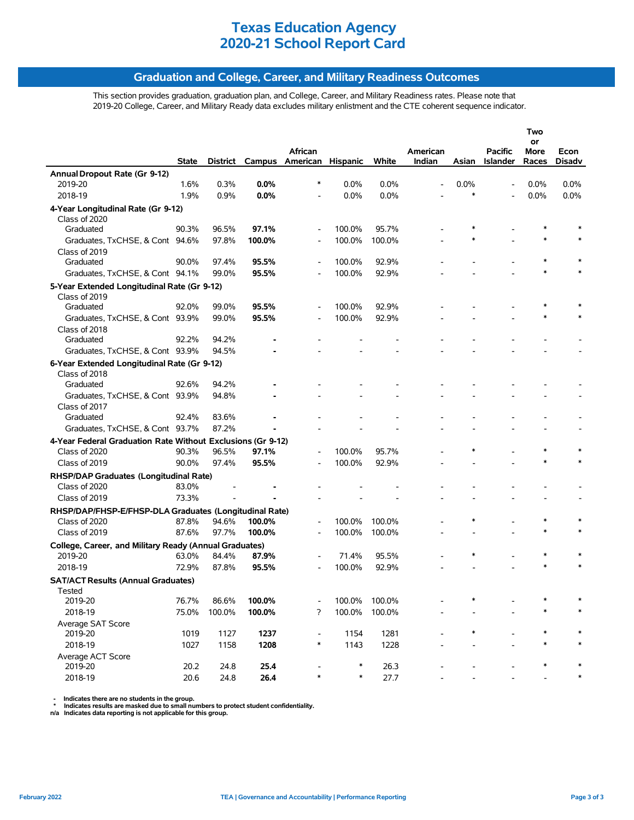### **Graduation and College, Career, and Military Readiness Outcomes**

This section provides graduation, graduation plan, and College, Career, and Military Readiness rates. Please note that 2019-20 College, Career, and Military Ready data excludes military enlistment and the CTE coherent sequence indicator.

|                                                             |       |        |        |                          |          |        |          |        |                | Two        |               |
|-------------------------------------------------------------|-------|--------|--------|--------------------------|----------|--------|----------|--------|----------------|------------|---------------|
|                                                             |       |        |        | African                  |          |        | American |        | <b>Pacific</b> | or<br>More | Econ          |
|                                                             | State |        |        | District Campus American | Hispanic | White  | Indian   | Asian  | Islander       | Races      | <b>Disadv</b> |
| Annual Dropout Rate (Gr 9-12)                               |       |        |        |                          |          |        |          |        |                |            |               |
| 2019-20                                                     | 1.6%  | 0.3%   | 0.0%   | $\ast$                   | 0.0%     | 0.0%   |          | 0.0%   | $\overline{a}$ | 0.0%       | 0.0%          |
| 2018-19                                                     | 1.9%  | 0.9%   | 0.0%   |                          | 0.0%     | 0.0%   |          | $\ast$ |                | 0.0%       | 0.0%          |
| 4-Year Longitudinal Rate (Gr 9-12)                          |       |        |        |                          |          |        |          |        |                |            |               |
| Class of 2020                                               |       |        |        |                          |          |        |          |        |                |            |               |
| Graduated                                                   | 90.3% | 96.5%  | 97.1%  | $\overline{\phantom{a}}$ | 100.0%   | 95.7%  |          |        |                |            |               |
| Graduates, TxCHSE, & Cont 94.6%                             |       | 97.8%  | 100.0% |                          | 100.0%   | 100.0% |          | *      |                | $\ast$     |               |
| Class of 2019                                               |       |        |        |                          |          |        |          |        |                |            |               |
| Graduated                                                   | 90.0% | 97.4%  | 95.5%  | $\overline{\phantom{a}}$ | 100.0%   | 92.9%  |          |        |                |            |               |
| Graduates, TxCHSE, & Cont 94.1%                             |       | 99.0%  | 95.5%  |                          | 100.0%   | 92.9%  |          |        |                |            |               |
| 5-Year Extended Longitudinal Rate (Gr 9-12)                 |       |        |        |                          |          |        |          |        |                |            |               |
| Class of 2019                                               |       |        |        |                          |          |        |          |        |                |            |               |
| Graduated                                                   | 92.0% | 99.0%  | 95.5%  |                          | 100.0%   | 92.9%  |          |        |                |            |               |
| Graduates, TxCHSE, & Cont 93.9%                             |       | 99.0%  | 95.5%  |                          | 100.0%   | 92.9%  |          |        |                | *          |               |
| Class of 2018                                               |       |        |        |                          |          |        |          |        |                |            |               |
| Graduated                                                   | 92.2% | 94.2%  |        |                          |          |        |          |        |                |            |               |
| Graduates, TxCHSE, & Cont 93.9%                             |       | 94.5%  |        |                          |          |        |          |        |                |            |               |
| 6-Year Extended Longitudinal Rate (Gr 9-12)                 |       |        |        |                          |          |        |          |        |                |            |               |
| Class of 2018                                               |       |        |        |                          |          |        |          |        |                |            |               |
| Graduated                                                   | 92.6% | 94.2%  |        |                          |          |        |          |        |                |            |               |
| Graduates, TxCHSE, & Cont 93.9%                             |       | 94.8%  |        |                          |          |        |          |        |                |            |               |
| Class of 2017                                               |       |        |        |                          |          |        |          |        |                |            |               |
| Graduated                                                   | 92.4% | 83.6%  |        |                          |          |        |          |        |                |            |               |
| Graduates, TxCHSE, & Cont 93.7%                             |       | 87.2%  |        |                          |          |        |          |        |                |            |               |
| 4-Year Federal Graduation Rate Without Exclusions (Gr 9-12) |       |        |        |                          |          |        |          |        |                |            |               |
| Class of 2020                                               | 90.3% | 96.5%  | 97.1%  | $\overline{\phantom{a}}$ | 100.0%   | 95.7%  |          | $\ast$ |                | $\ast$     |               |
| Class of 2019                                               | 90.0% | 97.4%  | 95.5%  |                          | 100.0%   | 92.9%  |          |        |                | *          |               |
| RHSP/DAP Graduates (Longitudinal Rate)                      |       |        |        |                          |          |        |          |        |                |            |               |
| Class of 2020                                               | 83.0% |        |        |                          |          |        |          |        |                |            |               |
| Class of 2019                                               | 73.3% |        |        |                          |          |        |          |        |                |            |               |
| RHSP/DAP/FHSP-E/FHSP-DLA Graduates (Longitudinal Rate)      |       |        |        |                          |          |        |          |        |                |            |               |
| Class of 2020                                               | 87.8% | 94.6%  | 100.0% | $\overline{\phantom{a}}$ | 100.0%   | 100.0% |          | $\ast$ |                | $\ast$     | $\ast$        |
| Class of 2019                                               | 87.6% | 97.7%  | 100.0% |                          | 100.0%   | 100.0% |          |        |                | $\ast$     |               |
| College, Career, and Military Ready (Annual Graduates)      |       |        |        |                          |          |        |          |        |                |            |               |
| 2019-20                                                     | 63.0% | 84.4%  | 87.9%  |                          | 71.4%    | 95.5%  |          | $\ast$ |                |            |               |
| 2018-19                                                     | 72.9% | 87.8%  | 95.5%  |                          | 100.0%   | 92.9%  |          |        |                | $\ast$     |               |
| <b>SAT/ACT Results (Annual Graduates)</b>                   |       |        |        |                          |          |        |          |        |                |            |               |
| Tested                                                      |       |        |        |                          |          |        |          |        |                |            |               |
| 2019-20                                                     | 76.7% | 86.6%  | 100.0% |                          | 100.0%   | 100.0% |          | $\ast$ |                |            |               |
| 2018-19                                                     | 75.0% | 100.0% | 100.0% | ?                        | 100.0%   | 100.0% |          |        |                | $\ast$     | *             |
| Average SAT Score                                           |       |        |        |                          |          |        |          |        |                |            |               |
| 2019-20                                                     | 1019  | 1127   | 1237   | $\overline{\phantom{a}}$ | 1154     | 1281   |          |        |                |            |               |
| 2018-19                                                     | 1027  | 1158   | 1208   | $\ast$                   | 1143     | 1228   |          |        |                | $\ast$     | $\ast$        |
| Average ACT Score                                           |       |        |        |                          |          |        |          |        |                |            |               |
| 2019-20                                                     | 20.2  | 24.8   | 25.4   |                          | $\ast$   | 26.3   |          |        |                |            |               |
| 2018-19                                                     | 20.6  | 24.8   | 26.4   | $\ast$                   | $\ast$   | 27.7   |          |        |                |            |               |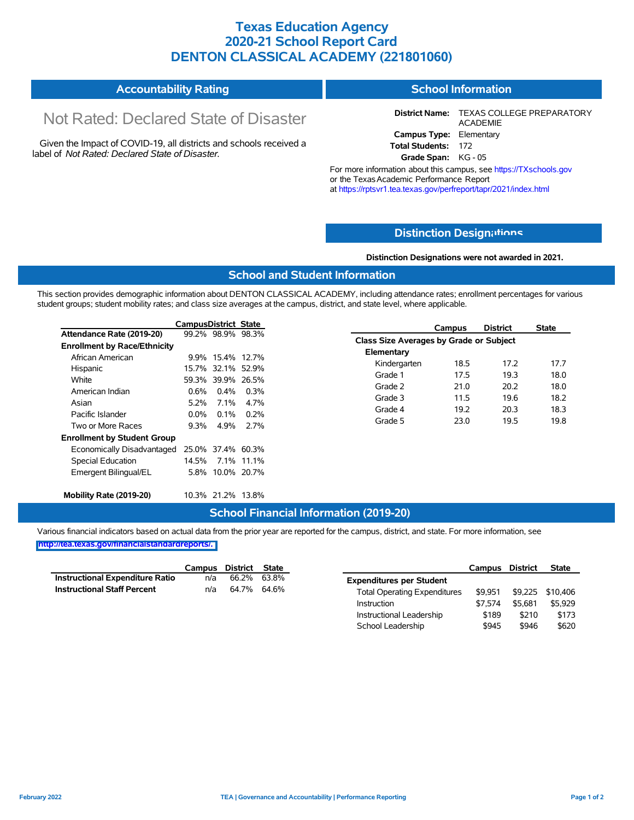### **Texas Education Agency 2020-21 School Report Card DENTON CLASSICAL ACADEMY (221801060)**

#### **Accountability Rating School Information**

# Not Rated: Declared State of Disaster

Given the Impact of COVID-19, all districts and schools received a label of *Not Rated: Declared State of Disaster.*

**District Name:** TEXAS COLLEGE PREPARATORY ACADEMIE **Campus Type:** Elementary **Total Students:** 172

**Grade Span:** KG - 05

For more information about this campus, see https://TXschools.gov or the Texas Academic Performance Report at https://rptsvr1.tea.texas.gov/perfreport/tapr/2021/index.html

### **Distinction Design[ations](https://TXschools.gov)**

**Distinction Designations were not awarded in 2021.**

School Leadership  $$945$  \$946 \$620

#### **School and Student Information**

This section provides demographic information about DENTON CLASSICAL ACADEMY, including attendance rates; enrollment percentages for various student groups; student mobility rates; and class size averages at the campus, district, and state level, where applicable.

|                                     | <b>CampusDistrict State</b> |                   |                   |                                                | Campus | <b>District</b> | <b>State</b> |
|-------------------------------------|-----------------------------|-------------------|-------------------|------------------------------------------------|--------|-----------------|--------------|
| Attendance Rate (2019-20)           |                             |                   | 99.2% 98.9% 98.3% |                                                |        |                 |              |
| <b>Enrollment by Race/Ethnicity</b> |                             |                   |                   | <b>Class Size Averages by Grade or Subject</b> |        |                 |              |
| African American                    |                             | 9.9% 15.4% 12.7%  |                   | Elementary                                     |        |                 |              |
| Hispanic                            |                             | 15.7% 32.1% 52.9% |                   | Kindergarten                                   | 18.5   | 17.2            | 17.7         |
| White                               |                             |                   | 59.3% 39.9% 26.5% | Grade 1                                        | 17.5   | 19.3            | 18.0         |
| American Indian                     | $0.6\%$                     | $0.4\%$           | 0.3%              | Grade 2                                        | 21.0   | 20.2            | 18.0         |
| Asian                               | 5.2%                        | $7.1\%$           | 4.7%              | Grade 3                                        | 11.5   | 19.6            | 18.2         |
| Pacific Islander                    | $0.0\%$                     | 0.1%              | 0.2%              | Grade 4                                        | 19.2   | 20.3            | 18.3         |
| Two or More Races                   | $9.3\%$                     | 4.9%              | 2.7%              | Grade 5                                        | 23.0   | 19.5            | 19.8         |
| <b>Enrollment by Student Group</b>  |                             |                   |                   |                                                |        |                 |              |
| Economically Disadvantaged          |                             | 25.0% 37.4% 60.3% |                   |                                                |        |                 |              |
| Special Education                   | 14.5%                       |                   | 7.1% 11.1%        |                                                |        |                 |              |
| Emergent Bilingual/EL               |                             |                   | 5.8% 10.0% 20.7%  |                                                |        |                 |              |
| Mobility Rate (2019-20)             |                             | 10.3% 21.2% 13.8% |                   |                                                |        |                 |              |

### **School Financial Information (2019-20)**

Various financial indicators based on actual data from the prior year are reported for the campus, district, and state. For more information, see

|                                        | Campus | District State |                                     | Campus  | <b>District</b> | <b>State</b>     |
|----------------------------------------|--------|----------------|-------------------------------------|---------|-----------------|------------------|
| <b>Instructional Expenditure Ratio</b> | n/a    | 66.2% 63.8%    | <b>Expenditures per Student</b>     |         |                 |                  |
| <b>Instructional Staff Percent</b>     | n/a    | 64.7% 64.6%    | <b>Total Operating Expenditures</b> | \$9.951 |                 | \$9,225 \$10,406 |
|                                        |        |                | Instruction                         | \$7.574 | \$5.681         | \$5,929          |
|                                        |        |                | Instructional Leadership            | \$189   | \$210           | \$173            |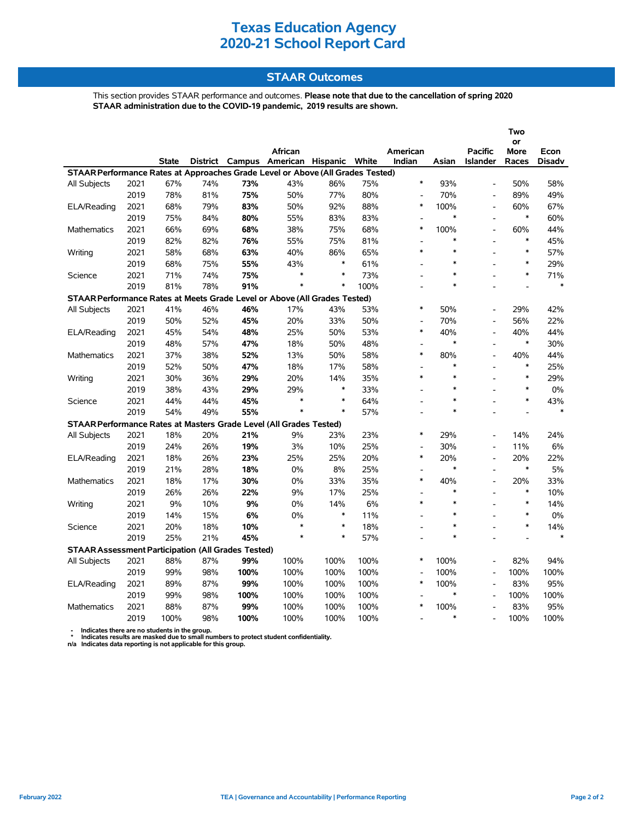### **STAAR Outcomes**

This section provides STAAR performance and outcomes. **Please note that due to the cancellation of spring 2020 STAAR administration due to the COVID-19 pandemic, 2019 results are shown.**

|                                                                                |      |              |     |      |                                         |        |      |                          |        |                          | Two               |               |
|--------------------------------------------------------------------------------|------|--------------|-----|------|-----------------------------------------|--------|------|--------------------------|--------|--------------------------|-------------------|---------------|
|                                                                                |      |              |     |      | African                                 |        |      | American                 |        | <b>Pacific</b>           | or<br><b>More</b> | Econ          |
|                                                                                |      | <b>State</b> |     |      | District Campus American Hispanic White |        |      | Indian                   | Asian  | <b>Islander</b>          | Races             | <b>Disadv</b> |
| STAAR Performance Rates at Approaches Grade Level or Above (All Grades Tested) |      |              |     |      |                                         |        |      |                          |        |                          |                   |               |
| All Subjects                                                                   | 2021 | 67%          | 74% | 73%  | 43%                                     | 86%    | 75%  | $\ast$                   | 93%    |                          | 50%               | 58%           |
|                                                                                | 2019 | 78%          | 81% | 75%  | 50%                                     | 77%    | 80%  | Ĭ.                       | 70%    | L,                       | 89%               | 49%           |
| ELA/Reading                                                                    | 2021 | 68%          | 79% | 83%  | 50%                                     | 92%    | 88%  | $\ast$                   | 100%   | $\overline{\phantom{a}}$ | 60%               | 67%           |
|                                                                                | 2019 | 75%          | 84% | 80%  | 55%                                     | 83%    | 83%  | Ĭ.                       | $\ast$ |                          | $\ast$            | 60%           |
| <b>Mathematics</b>                                                             | 2021 | 66%          | 69% | 68%  | 38%                                     | 75%    | 68%  | $\ast$                   | 100%   | $\overline{a}$           | 60%               | 44%           |
|                                                                                | 2019 | 82%          | 82% | 76%  | 55%                                     | 75%    | 81%  | $\overline{\phantom{a}}$ | *      |                          | $\ast$            | 45%           |
| Writing                                                                        | 2021 | 58%          | 68% | 63%  | 40%                                     | 86%    | 65%  | $\ast$                   | $\ast$ |                          | $\ast$            | 57%           |
|                                                                                | 2019 | 68%          | 75% | 55%  | 43%                                     | $\ast$ | 61%  | $\overline{a}$           | $\ast$ |                          | $\ast$            | 29%           |
| Science                                                                        | 2021 | 71%          | 74% | 75%  | $\ast$                                  | $\ast$ | 73%  |                          | $\ast$ |                          | $\ast$            | 71%           |
|                                                                                | 2019 | 81%          | 78% | 91%  | $\ast$                                  | $\ast$ | 100% | $\overline{a}$           | $\ast$ |                          |                   | $\ast$        |
| STAAR Performance Rates at Meets Grade Level or Above (All Grades Tested)      |      |              |     |      |                                         |        |      |                          |        |                          |                   |               |
| All Subjects                                                                   | 2021 | 41%          | 46% | 46%  | 17%                                     | 43%    | 53%  | $\ast$                   | 50%    |                          | 29%               | 42%           |
|                                                                                | 2019 | 50%          | 52% | 45%  | 20%                                     | 33%    | 50%  | $\overline{\phantom{a}}$ | 70%    | $\overline{\phantom{a}}$ | 56%               | 22%           |
| ELA/Reading                                                                    | 2021 | 45%          | 54% | 48%  | 25%                                     | 50%    | 53%  | $\ast$                   | 40%    |                          | 40%               | 44%           |
|                                                                                | 2019 | 48%          | 57% | 47%  | 18%                                     | 50%    | 48%  | ÷,                       | $\ast$ | $\overline{a}$           | $\ast$            | 30%           |
| <b>Mathematics</b>                                                             | 2021 | 37%          | 38% | 52%  | 13%                                     | 50%    | 58%  | $\ast$                   | 80%    |                          | 40%               | 44%           |
|                                                                                | 2019 | 52%          | 50% | 47%  | 18%                                     | 17%    | 58%  | Ĭ.                       | *      | L.                       | $\ast$            | 25%           |
| Writing                                                                        | 2021 | 30%          | 36% | 29%  | 20%                                     | 14%    | 35%  | $\ast$                   | $\ast$ |                          | $\ast$            | 29%           |
|                                                                                | 2019 | 38%          | 43% | 29%  | 29%                                     | $\ast$ | 33%  | L,                       | $\ast$ |                          | $\ast$            | $0\%$         |
| Science                                                                        | 2021 | 44%          | 44% | 45%  | *                                       | $\ast$ | 64%  | $\overline{\phantom{a}}$ | *      |                          | $\ast$            | 43%           |
|                                                                                | 2019 | 54%          | 49% | 55%  | $\ast$                                  | $\ast$ | 57%  |                          | $\ast$ |                          |                   | $\ast$        |
| STAAR Performance Rates at Masters Grade Level (All Grades Tested)             |      |              |     |      |                                         |        |      |                          |        |                          |                   |               |
| All Subjects                                                                   | 2021 | 18%          | 20% | 21%  | 9%                                      | 23%    | 23%  | $\ast$                   | 29%    |                          | 14%               | 24%           |
|                                                                                | 2019 | 24%          | 26% | 19%  | 3%                                      | 10%    | 25%  | $\overline{\phantom{a}}$ | 30%    | $\overline{a}$           | 11%               | 6%            |
| ELA/Reading                                                                    | 2021 | 18%          | 26% | 23%  | 25%                                     | 25%    | 20%  | $\ast$                   | 20%    | $\overline{a}$           | 20%               | 22%           |
|                                                                                | 2019 | 21%          | 28% | 18%  | 0%                                      | 8%     | 25%  | $\overline{a}$           | $\ast$ | $\overline{a}$           | $\ast$            | 5%            |
| <b>Mathematics</b>                                                             | 2021 | 18%          | 17% | 30%  | 0%                                      | 33%    | 35%  | $\ast$                   | 40%    | $\overline{a}$           | 20%               | 33%           |
|                                                                                | 2019 | 26%          | 26% | 22%  | 9%                                      | 17%    | 25%  | Ĭ.                       | $\ast$ |                          | $\ast$            | 10%           |
| Writing                                                                        | 2021 | $9\%$        | 10% | 9%   | $0\%$                                   | 14%    | 6%   | $\ast$                   | $\ast$ |                          | $\ast$            | 14%           |
|                                                                                | 2019 | 14%          | 15% | 6%   | 0%                                      | $\ast$ | 11%  | $\overline{\phantom{a}}$ | $\ast$ |                          | $\ast$            | $0\%$         |
| Science                                                                        | 2021 | 20%          | 18% | 10%  | $\ast$                                  | $\ast$ | 18%  | $\overline{\phantom{a}}$ | $\ast$ |                          | $\ast$            | 14%           |
|                                                                                | 2019 | 25%          | 21% | 45%  | $\ast$                                  | $\ast$ | 57%  | $\overline{\phantom{a}}$ | $\ast$ |                          |                   | $\ast$        |
| <b>STAAR Assessment Participation (All Grades Tested)</b>                      |      |              |     |      |                                         |        |      |                          |        |                          |                   |               |
| All Subjects                                                                   | 2021 | 88%          | 87% | 99%  | 100%                                    | 100%   | 100% | $\ast$                   | 100%   |                          | 82%               | 94%           |
|                                                                                | 2019 | 99%          | 98% | 100% | 100%                                    | 100%   | 100% | Ĭ.                       | 100%   |                          | 100%              | 100%          |
| ELA/Reading                                                                    | 2021 | 89%          | 87% | 99%  | 100%                                    | 100%   | 100% | $\ast$                   | 100%   |                          | 83%               | 95%           |
|                                                                                | 2019 | 99%          | 98% | 100% | 100%                                    | 100%   | 100% | $\overline{\phantom{a}}$ | *      |                          | 100%              | 100%          |
| Mathematics                                                                    | 2021 | 88%          | 87% | 99%  | 100%                                    | 100%   | 100% | $\ast$                   | 100%   |                          | 83%               | 95%           |
|                                                                                | 2019 | 100%         | 98% | 100% | 100%                                    | 100%   | 100% | $\overline{\phantom{a}}$ | *      |                          | 100%              | 100%          |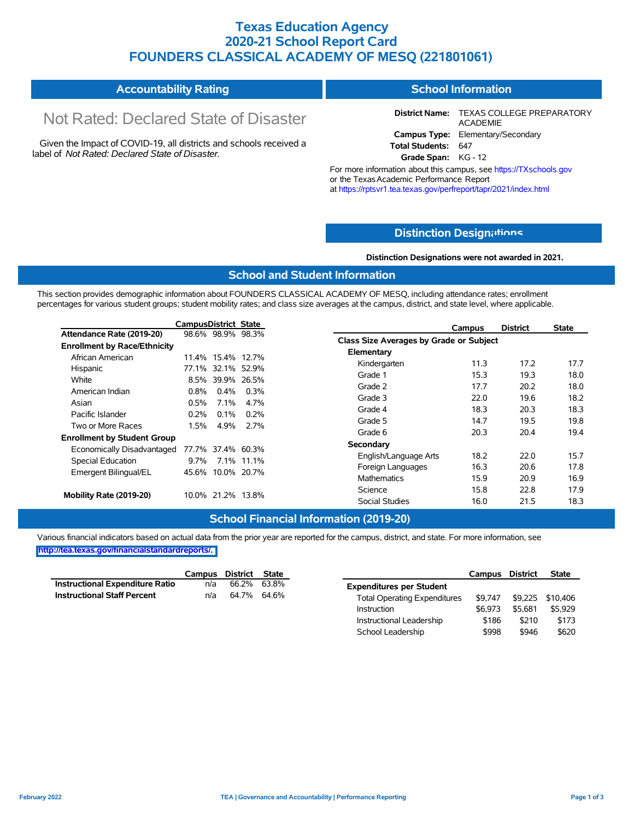### **Texas Education Agency 2020-21 School Report Card FOUNDERS CLASSICAL ACADEMY OF MESQ (221801061)**

#### **Accountability Rating School Information**

# Not Rated: Declared State of Disaster

Given the Impact of COVID-19, all districts and schools received a label of *Not Rated: Declared State of Disaster.*

**District Name:** TEXAS COLLEGE PREPARATORY ACADEMIE **Campus Type:** Elementary/Secondary **Total Students:** 647

**Grade Span:** KG - 12

For more information about this campus, see https://TXschools.gov or the Texas Academic Performance Report at https://rptsvr1.tea.texas.gov/perfreport/tapr/2021/index.html

### **Distinction Design[ations](https://TXschools.gov)**

**Distinction Designations were not awarded in 2021.**

Instructional Leadership  $$186$  \$210 \$173 School Leadership  $$998$  \$946 \$620

#### **School and Student Information**

This section provides demographic information about FOUNDERS CLASSICAL ACADEMY OF MESQ, including attendance rates; enrollment percentages for various student groups; student mobility rates; and class size averages at the campus, district, and state level, where applicable.

|                                     | CampusDistrict State |         |                   | <b>District</b><br>Campus               | State |
|-------------------------------------|----------------------|---------|-------------------|-----------------------------------------|-------|
| Attendance Rate (2019-20)           |                      |         | 98.6% 98.9% 98.3% | Class Size Averages by Grade or Subject |       |
| <b>Enrollment by Race/Ethnicity</b> |                      |         |                   |                                         |       |
| African American                    |                      |         | 11.4% 15.4% 12.7% | Elementary                              |       |
| Hispanic                            |                      |         | 77.1% 32.1% 52.9% | 11.3<br>17.2<br>Kindergarten            | 17.7  |
| White                               |                      |         | 8.5% 39.9% 26.5%  | 15.3<br>Grade 1<br>19.3                 | 18.0  |
| American Indian                     | 0.8%                 | $0.4\%$ | 0.3%              | 20.2<br>Grade 2<br>17.7                 | 18.0  |
| Asian                               | 0.5%                 | 7.1%    | 4.7%              | Grade 3<br>19.6<br>22.0                 | 18.2  |
| Pacific Islander                    | 0.2%                 | 0.1%    | 0.2%              | Grade 4<br>18.3<br>20.3                 | 18.3  |
|                                     |                      |         |                   | 14.7<br>Grade 5<br>19.5                 | 19.8  |
| Two or More Races                   | 1.5%                 | 4.9%    | 2.7%              | Grade 6<br>20.3<br>20.4                 | 19.4  |
| <b>Enrollment by Student Group</b>  |                      |         |                   | Secondary                               |       |
| Economically Disadvantaged          |                      |         | 77.7% 37.4% 60.3% | 18.2<br>22.0<br>English/Language Arts   | 15.7  |
| Special Education                   | $9.7\%$              |         | 7.1% 11.1%        |                                         |       |
| Emergent Bilingual/EL               | 45.6%                |         | 10.0% 20.7%       | 16.3<br>20.6<br>Foreign Languages       | 17.8  |
|                                     |                      |         |                   | 15.9<br>20.9<br>Mathematics             | 16.9  |
| Mobility Rate (2019-20)             |                      |         | 10.0% 21.2% 13.8% | Science<br>22.8<br>15.8                 | 17.9  |
|                                     |                      |         |                   | Social Studies<br>16.0<br>21.5          | 18.3  |

### **School Financial Information (2019-20)**

Various financial indicators based on actual data from the prior year are reported for the campus, district, and state. For more information, see **[http://tea.texas.gov/financialstandardreports/.](http://tea.texas.gov/financialstandardreports/)**

|                                 |     | Campus District State |                                     | Campus District |         | <b>State</b>             |
|---------------------------------|-----|-----------------------|-------------------------------------|-----------------|---------|--------------------------|
| Instructional Expenditure Ratio | n/a | 66.2% 63.8%           | <b>Expenditures per Student</b>     |                 |         |                          |
| Instructional Staff Percent     | n/a | 64.7% 64.6%           | <b>Total Operating Expenditures</b> |                 |         | \$9,747 \$9,225 \$10,406 |
|                                 |     |                       | Instruction                         | \$6.973         | \$5.681 | \$5,929                  |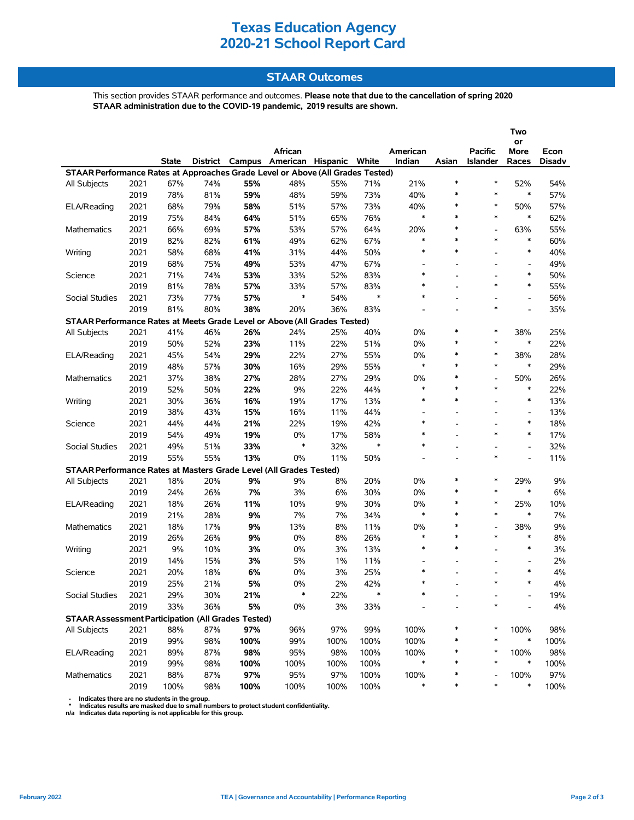### **STAAR Outcomes**

This section provides STAAR performance and outcomes. **Please note that due to the cancellation of spring 2020 STAAR administration due to the COVID-19 pandemic, 2019 results are shown.**

|                                                                                |      |              |          |      |                          |       |               |              |                |                          | Two                                |                |
|--------------------------------------------------------------------------------|------|--------------|----------|------|--------------------------|-------|---------------|--------------|----------------|--------------------------|------------------------------------|----------------|
|                                                                                |      |              |          |      | African                  |       |               | American     |                | <b>Pacific</b>           | or                                 |                |
|                                                                                |      | <b>State</b> | District |      | Campus American Hispanic |       | White         | Indian       | Asian          | Islander                 | More<br>Races                      | Econ<br>Disadv |
| STAAR Performance Rates at Approaches Grade Level or Above (All Grades Tested) |      |              |          |      |                          |       |               |              |                |                          |                                    |                |
| All Subjects                                                                   | 2021 | 67%          | 74%      | 55%  | 48%                      | 55%   | 71%           | 21%          | $\ast$         | $\ast$                   | 52%                                | 54%            |
|                                                                                | 2019 | 78%          | 81%      | 59%  | 48%                      | 59%   | 73%           | 40%          | ∗              | $\ast$                   | $\ast$                             | 57%            |
| ELA/Reading                                                                    | 2021 | 68%          | 79%      | 58%  | 51%                      | 57%   | 73%           | 40%          | $\ast$         | $\ast$                   | 50%                                | 57%            |
|                                                                                | 2019 | 75%          | 84%      | 64%  | 51%                      | 65%   | 76%           | $\ast$       | $\ast$         | $\ast$                   | $\ast$                             | 62%            |
| <b>Mathematics</b>                                                             | 2021 | 66%          | 69%      | 57%  | 53%                      | 57%   | 64%           | 20%          | ∗              | $\overline{a}$           | 63%                                | 55%            |
|                                                                                | 2019 | 82%          | 82%      | 61%  | 49%                      | 62%   | 67%           | *            | $\ast$         | $\ast$                   | $\ast$                             | 60%            |
| Writing                                                                        | 2021 | 58%          | 68%      | 41%  | 31%                      | 44%   | 50%           | $\ast$       | $\ast$         |                          | $\ast$                             | 40%            |
|                                                                                | 2019 | 68%          | 75%      | 49%  | 53%                      | 47%   | 67%           |              |                |                          | $\overline{\phantom{a}}$           | 49%            |
| Science                                                                        | 2021 | 71%          | 74%      | 53%  | 33%                      | 52%   | 83%           | $\ast$       |                |                          | $\ast$                             | 50%            |
|                                                                                | 2019 | 81%          | 78%      | 57%  | 33%                      | 57%   | 83%           | $\ast$       | $\blacksquare$ | $\ast$                   | $\ast$                             | 55%            |
| Social Studies                                                                 | 2021 | 73%          | 77%      | 57%  | $\ast$                   | 54%   | $\ast$        | $\ast$       |                | $\overline{\phantom{0}}$ | $\overline{a}$                     | 56%            |
|                                                                                | 2019 | 81%          | 80%      | 38%  | 20%                      | 36%   | 83%           |              |                | $\ast$                   |                                    | 35%            |
| STAAR Performance Rates at Meets Grade Level or Above (All Grades Tested)      |      |              |          |      |                          |       |               |              |                |                          |                                    |                |
| All Subjects                                                                   | 2021 | 41%          | 46%      | 26%  | 24%                      | 25%   | 40%           | 0%           | $\ast$         | $\ast$                   | 38%                                | 25%            |
|                                                                                | 2019 | 50%          | 52%      | 23%  | 11%                      | 22%   | 51%           | $0\%$        | $\ast$         | $\ast$                   | $\ast$                             | 22%            |
|                                                                                | 2021 | 45%          |          |      |                          | 27%   |               |              | ∗              | $\ast$                   |                                    | 28%            |
| ELA/Reading                                                                    |      |              | 54%      | 29%  | 22%                      |       | 55%           | 0%<br>$\ast$ | $\ast$         | $\ast$                   | 38%<br>$\ast$                      |                |
|                                                                                | 2019 | 48%          | 57%      | 30%  | 16%                      | 29%   | 55%           |              | $\ast$         |                          |                                    | 29%            |
| Mathematics                                                                    | 2021 | 37%          | 38%      | 27%  | 28%                      | 27%   | 29%           | 0%<br>$\ast$ | $\ast$         | $\overline{a}$<br>$\ast$ | 50%<br>$\ast$                      | 26%            |
|                                                                                | 2019 | 52%          | 50%      | 22%  | 9%                       | 22%   | 44%           | $\ast$       | $\ast$         |                          | $\ast$                             | 22%            |
| Writing                                                                        | 2021 | 30%          | 36%      | 16%  | 19%                      | 17%   | 13%           |              |                |                          |                                    | 13%            |
|                                                                                | 2019 | 38%          | 43%      | 15%  | 16%                      | 11%   | 44%           | *            |                | ۰                        | $\overline{\phantom{a}}$<br>$\ast$ | 13%            |
| Science                                                                        | 2021 | 44%          | 44%      | 21%  | 22%                      | 19%   | 42%           | $\ast$       |                | $\ast$                   | $\ast$                             | 18%            |
|                                                                                | 2019 | 54%          | 49%      | 19%  | 0%                       | 17%   | 58%<br>$\ast$ | $\ast$       |                |                          |                                    | 17%            |
| Social Studies                                                                 | 2021 | 49%          | 51%      | 33%  | $\ast$                   | 32%   |               |              |                |                          | $\overline{\phantom{a}}$           | 32%            |
|                                                                                | 2019 | 55%          | 55%      | 13%  | 0%                       | 11%   | 50%           |              |                | $\ast$                   |                                    | 11%            |
| STAAR Performance Rates at Masters Grade Level (All Grades Tested)             |      |              |          |      |                          |       |               |              |                |                          |                                    |                |
| All Subjects                                                                   | 2021 | 18%          | 20%      | 9%   | 9%                       | 8%    | 20%           | 0%           | $\ast$         | $\ast$                   | 29%                                | 9%             |
|                                                                                | 2019 | 24%          | 26%      | 7%   | 3%                       | 6%    | 30%           | 0%           | $\ast$         | $\ast$                   | $\ast$                             | 6%             |
| ELA/Reading                                                                    | 2021 | 18%          | 26%      | 11%  | 10%                      | 9%    | 30%           | 0%           | $\ast$         | $\ast$                   | 25%                                | 10%            |
|                                                                                | 2019 | 21%          | 28%      | 9%   | 7%                       | 7%    | 34%           | $\ast$       | $\ast$         | $\ast$                   | $\ast$                             | 7%             |
| Mathematics                                                                    | 2021 | 18%          | 17%      | 9%   | 13%                      | 8%    | 11%           | 0%           | $\ast$         | $\overline{a}$           | 38%                                | 9%             |
|                                                                                | 2019 | 26%          | 26%      | 9%   | 0%                       | 8%    | 26%           | $\ast$       | $\ast$         | $\ast$                   | $\ast$                             | 8%             |
| Writing                                                                        | 2021 | 9%           | 10%      | 3%   | 0%                       | 3%    | 13%           | $\ast$       | $\ast$         |                          | $\ast$                             | 3%             |
|                                                                                | 2019 | 14%          | 15%      | 3%   | 5%                       | $1\%$ | 11%           |              |                |                          |                                    | 2%             |
| Science                                                                        | 2021 | 20%          | 18%      | 6%   | 0%                       | 3%    | 25%           | $\ast$       |                | $\overline{\phantom{a}}$ | $\ast$                             | 4%             |
|                                                                                | 2019 | 25%          | 21%      | 5%   | 0%                       | 2%    | 42%           | $\ast$       |                | *                        | $\ast$                             | 4%             |
| Social Studies                                                                 | 2021 | 29%          | 30%      | 21%  |                          | 22%   |               |              |                |                          |                                    | 19%            |
|                                                                                | 2019 | 33%          | 36%      | 5%   | 0%                       | $3%$  | 33%           |              |                | ∗                        |                                    | $4\%$          |
| <b>STAAR Assessment Participation (All Grades Tested)</b>                      |      |              |          |      |                          |       |               |              |                |                          |                                    |                |
| All Subjects                                                                   | 2021 | 88%          | 87%      | 97%  | 96%                      | 97%   | 99%           | 100%         | $\ast$         | ∗                        | 100%                               | 98%            |
|                                                                                | 2019 | 99%          | 98%      | 100% | 99%                      | 100%  | 100%          | 100%         |                | ∗                        | $\ast$                             | 100%           |
| ELA/Reading                                                                    | 2021 | 89%          | 87%      | 98%  | 95%                      | 98%   | 100%          | 100%         |                | ∗                        | 100%                               | 98%            |
|                                                                                | 2019 | 99%          | 98%      | 100% | 100%                     | 100%  | 100%          | *            |                | $\ast$                   | $\ast$                             | 100%           |
| Mathematics                                                                    | 2021 | 88%          | 87%      | 97%  | 95%                      | 97%   | 100%          | 100%         | ∗              |                          | 100%                               | 97%            |
|                                                                                | 2019 | 100%         | 98%      | 100% | 100%                     | 100%  | 100%          | *            | $\ast$         | $\ast$                   | $\ast$                             | 100%           |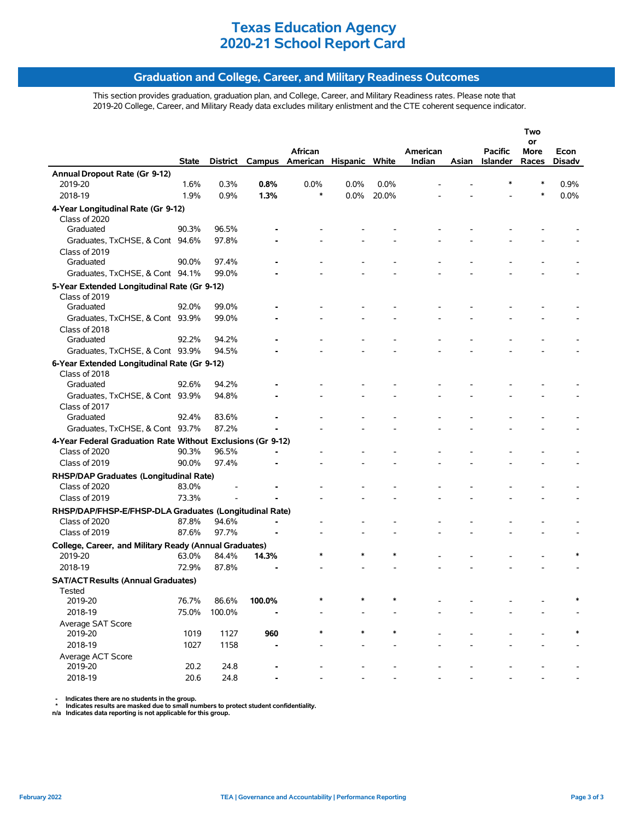### **Graduation and College, Career, and Military Readiness Outcomes**

This section provides graduation, graduation plan, and College, Career, and Military Readiness rates. Please note that 2019-20 College, Career, and Military Ready data excludes military enlistment and the CTE coherent sequence indicator.

| or<br>African<br>American<br><b>Pacific</b><br>More<br>District<br>Campus American Hispanic White<br>Indian<br><b>Islander</b><br>Races<br><b>State</b><br>Asian<br>Annual Dropout Rate (Gr 9-12)<br>0.8%<br>0.0%<br>2019-20<br>1.6%<br>0.3%<br>0.0%<br>0.0%<br>*<br>2018-19<br>1.9%<br>0.9%<br>1.3%<br>$\ast$<br>$0.0\%$<br>20.0%<br>$\ast$<br>4-Year Longitudinal Rate (Gr 9-12)<br>Class of 2020 | Econ<br><b>Disadv</b><br>0.9%<br>0.0% |
|-----------------------------------------------------------------------------------------------------------------------------------------------------------------------------------------------------------------------------------------------------------------------------------------------------------------------------------------------------------------------------------------------------|---------------------------------------|
|                                                                                                                                                                                                                                                                                                                                                                                                     |                                       |
|                                                                                                                                                                                                                                                                                                                                                                                                     |                                       |
|                                                                                                                                                                                                                                                                                                                                                                                                     |                                       |
|                                                                                                                                                                                                                                                                                                                                                                                                     |                                       |
|                                                                                                                                                                                                                                                                                                                                                                                                     |                                       |
|                                                                                                                                                                                                                                                                                                                                                                                                     |                                       |
|                                                                                                                                                                                                                                                                                                                                                                                                     |                                       |
| 90.3%<br>96.5%<br>Graduated                                                                                                                                                                                                                                                                                                                                                                         |                                       |
| Graduates, TxCHSE, & Cont 94.6%<br>97.8%                                                                                                                                                                                                                                                                                                                                                            |                                       |
| Class of 2019                                                                                                                                                                                                                                                                                                                                                                                       |                                       |
| Graduated<br>90.0%<br>97.4%                                                                                                                                                                                                                                                                                                                                                                         |                                       |
| Graduates, TxCHSE, & Cont 94.1%<br>99.0%                                                                                                                                                                                                                                                                                                                                                            |                                       |
| 5-Year Extended Longitudinal Rate (Gr 9-12)                                                                                                                                                                                                                                                                                                                                                         |                                       |
| Class of 2019                                                                                                                                                                                                                                                                                                                                                                                       |                                       |
| 92.0%<br>99.0%<br>Graduated                                                                                                                                                                                                                                                                                                                                                                         |                                       |
| Graduates, TxCHSE, & Cont 93.9%<br>99.0%                                                                                                                                                                                                                                                                                                                                                            |                                       |
| Class of 2018                                                                                                                                                                                                                                                                                                                                                                                       |                                       |
| Graduated<br>92.2%<br>94.2%                                                                                                                                                                                                                                                                                                                                                                         |                                       |
| Graduates, TxCHSE, & Cont 93.9%<br>94.5%                                                                                                                                                                                                                                                                                                                                                            |                                       |
| 6-Year Extended Longitudinal Rate (Gr 9-12)                                                                                                                                                                                                                                                                                                                                                         |                                       |
| Class of 2018                                                                                                                                                                                                                                                                                                                                                                                       |                                       |
| 92.6%<br>94.2%<br>Graduated                                                                                                                                                                                                                                                                                                                                                                         |                                       |
| Graduates, TxCHSE, & Cont 93.9%<br>94.8%                                                                                                                                                                                                                                                                                                                                                            |                                       |
| Class of 2017<br>Graduated<br>92.4%<br>83.6%                                                                                                                                                                                                                                                                                                                                                        |                                       |
| Graduates, TxCHSE, & Cont 93.7%<br>87.2%                                                                                                                                                                                                                                                                                                                                                            |                                       |
|                                                                                                                                                                                                                                                                                                                                                                                                     |                                       |
| 4-Year Federal Graduation Rate Without Exclusions (Gr 9-12)<br>Class of 2020<br>90.3%<br>96.5%                                                                                                                                                                                                                                                                                                      |                                       |
| 90.0%<br>97.4%<br>Class of 2019                                                                                                                                                                                                                                                                                                                                                                     |                                       |
|                                                                                                                                                                                                                                                                                                                                                                                                     |                                       |
| RHSP/DAP Graduates (Longitudinal Rate)<br>83.0%<br>Class of 2020                                                                                                                                                                                                                                                                                                                                    |                                       |
| Class of 2019<br>73.3%                                                                                                                                                                                                                                                                                                                                                                              |                                       |
|                                                                                                                                                                                                                                                                                                                                                                                                     |                                       |
| RHSP/DAP/FHSP-E/FHSP-DLA Graduates (Longitudinal Rate)                                                                                                                                                                                                                                                                                                                                              |                                       |
| Class of 2020<br>87.8%<br>94.6%<br>Class of 2019<br>87.6%<br>97.7%                                                                                                                                                                                                                                                                                                                                  |                                       |
|                                                                                                                                                                                                                                                                                                                                                                                                     |                                       |
| College, Career, and Military Ready (Annual Graduates)                                                                                                                                                                                                                                                                                                                                              |                                       |
| 2019-20<br>63.0%<br>84.4%<br>14.3%<br>2018-19<br>72.9%<br>87.8%                                                                                                                                                                                                                                                                                                                                     |                                       |
|                                                                                                                                                                                                                                                                                                                                                                                                     |                                       |
| <b>SAT/ACT Results (Annual Graduates)</b>                                                                                                                                                                                                                                                                                                                                                           |                                       |
| Tested<br>100.0%<br>76.7%<br>86.6%<br>2019-20                                                                                                                                                                                                                                                                                                                                                       |                                       |
| 2018-19<br>75.0%<br>100.0%                                                                                                                                                                                                                                                                                                                                                                          |                                       |
| Average SAT Score                                                                                                                                                                                                                                                                                                                                                                                   |                                       |
| 2019-20<br>1019<br>1127<br>960                                                                                                                                                                                                                                                                                                                                                                      |                                       |
| 2018-19<br>1027<br>1158                                                                                                                                                                                                                                                                                                                                                                             |                                       |
| Average ACT Score                                                                                                                                                                                                                                                                                                                                                                                   |                                       |
| 2019-20<br>20.2<br>24.8                                                                                                                                                                                                                                                                                                                                                                             |                                       |
| 2018-19<br>20.6<br>24.8                                                                                                                                                                                                                                                                                                                                                                             |                                       |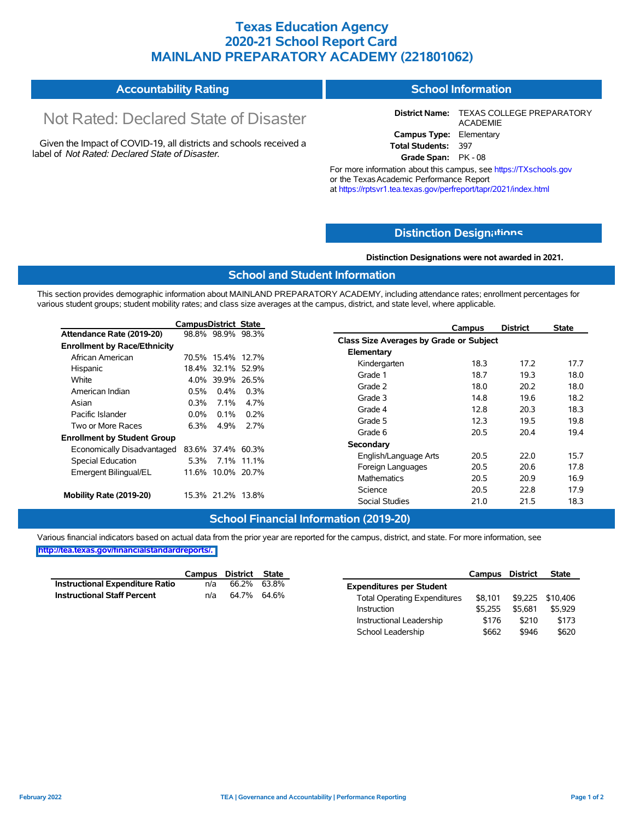### **Texas Education Agency 2020-21 School Report Card MAINLAND PREPARATORY ACADEMY (221801062)**

#### **Accountability Rating School Information**

# Not Rated: Declared State of Disaster

Given the Impact of COVID-19, all districts and schools received a label of *Not Rated: Declared State of Disaster.*

**District Name:** TEXAS COLLEGE PREPARATORY ACADEMIE **Campus Type:** Elementary **Total Students:** 397

**Grade Span:** PK - 08

For more information about this campus, see https://TXschools.gov or the Texas Academic Performance Report at https://rptsvr1.tea.texas.gov/perfreport/tapr/2021/index.html

### **Distinction Design[ations](https://TXschools.gov)**

**Distinction Designations were not awarded in 2021.**

Instructional Leadership  $$176$  \$210 \$173 School Leadership  $$662$  \$946 \$620

### **School and Student Information**

This section provides demographic information about MAINLAND PREPARATORY ACADEMY, including attendance rates; enrollment percentages for various student groups; student mobility rates; and class size averages at the campus, district, and state level, where applicable.

|                                     | <b>CampusDistrict State</b> |                   |            | Campus                                  | <b>District</b> | <b>State</b> |
|-------------------------------------|-----------------------------|-------------------|------------|-----------------------------------------|-----------------|--------------|
| Attendance Rate (2019-20)           |                             | 98.8% 98.9% 98.3% |            | Class Size Averages by Grade or Subject |                 |              |
| <b>Enrollment by Race/Ethnicity</b> |                             |                   |            |                                         |                 |              |
| African American                    |                             | 70.5% 15.4% 12.7% |            | Elementary                              |                 |              |
| Hispanic                            |                             | 18.4% 32.1% 52.9% |            | 18.3<br>Kindergarten                    | 17.2            | 17.7         |
| White                               |                             | 4.0% 39.9% 26.5%  |            | Grade 1<br>18.7                         | 19.3            | 18.0         |
| American Indian                     | 0.5%                        | $0.4\%$           | 0.3%       | Grade 2<br>18.0                         | 20.2            | 18.0         |
| Asian                               | $0.3\%$                     | $7.1\%$           | 4.7%       | Grade 3<br>14.8                         | 19.6            | 18.2         |
| Pacific Islander                    | $0.0\%$                     | $0.1\%$           | 0.2%       | Grade 4<br>12.8                         | 20.3            | 18.3         |
|                                     |                             |                   |            | Grade 5<br>12.3                         | 19.5            | 19.8         |
| Two or More Races                   | 6.3%                        | 4.9%              | 2.7%       | Grade 6<br>20.5                         | 20.4            | 19.4         |
| <b>Enrollment by Student Group</b>  |                             |                   |            | Secondary                               |                 |              |
| Economically Disadvantaged          |                             | 83.6% 37.4% 60.3% |            |                                         | 22.0            |              |
| Special Education                   | 5.3%                        |                   | 7.1% 11.1% | 20.5<br>English/Language Arts           |                 | 15.7         |
| Emergent Bilingual/EL               |                             | 11.6% 10.0% 20.7% |            | 20.5<br>Foreign Languages               | 20.6            | 17.8         |
|                                     |                             |                   |            | Mathematics<br>20.5                     | 20.9            | 16.9         |
|                                     |                             | 15.3% 21.2% 13.8% |            | Science<br>20.5                         | 22.8            | 17.9         |
| Mobility Rate (2019-20)             |                             |                   |            | <b>Social Studies</b><br>21.0           | 21.5            | 18.3         |

#### **School Financial Information (2019-20)**

Various financial indicators based on actual data from the prior year are reported for the campus, district, and state. For more information, see **[http://tea.texas.gov/financialstandardreports/.](http://tea.texas.gov/financialstandardreports/)**

|                                 | Campus District State |             |                                     | Campus District |         | <b>State</b>     |
|---------------------------------|-----------------------|-------------|-------------------------------------|-----------------|---------|------------------|
| Instructional Expenditure Ratio | n/a                   | 66.2% 63.8% | <b>Expenditures per Student</b>     |                 |         |                  |
| Instructional Staff Percent     | n/a                   | 64.7% 64.6% | <b>Total Operating Expenditures</b> | \$8.101         |         | \$9,225 \$10,406 |
|                                 |                       |             | Instruction                         | \$5.255         | \$5.681 | \$5,929          |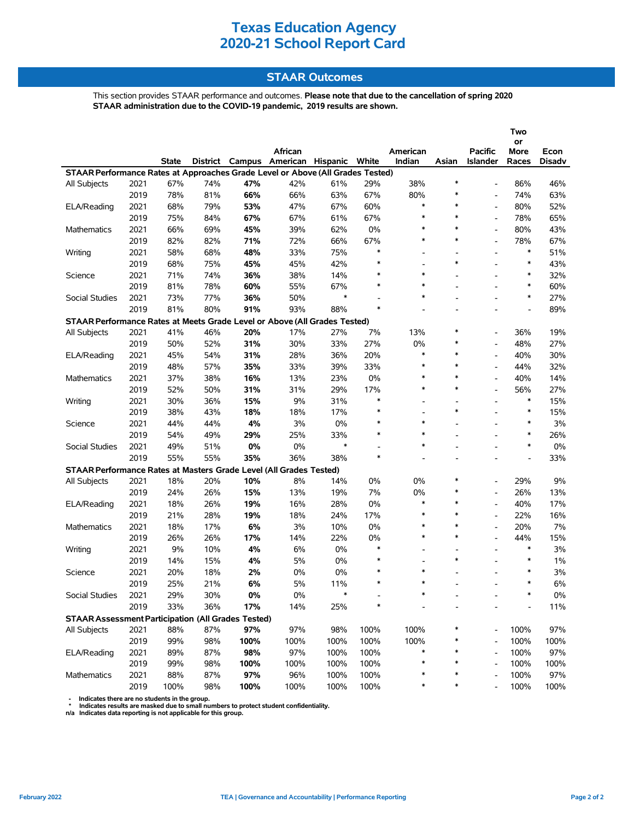### **STAAR Outcomes**

This section provides STAAR performance and outcomes. **Please note that due to the cancellation of spring 2020 STAAR administration due to the COVID-19 pandemic, 2019 results are shown.**

|                                                                                |      |              |     |       |                                                    |            |                                    |                          |                          |                          | Two<br>or                |               |
|--------------------------------------------------------------------------------|------|--------------|-----|-------|----------------------------------------------------|------------|------------------------------------|--------------------------|--------------------------|--------------------------|--------------------------|---------------|
|                                                                                |      |              |     |       | African<br>District Campus American Hispanic White |            |                                    | American                 |                          | <b>Pacific</b>           | More                     | Econ          |
| STAAR Performance Rates at Approaches Grade Level or Above (All Grades Tested) |      | <b>State</b> |     |       |                                                    |            |                                    | Indian                   | Asian                    | <b>Islander</b>          | Races                    | <b>Disadv</b> |
| All Subjects                                                                   | 2021 | 67%          | 74% | 47%   | 42%                                                | 61%        | 29%                                | 38%                      | ∗                        |                          | 86%                      | 46%           |
|                                                                                | 2019 | 78%          | 81% | 66%   | 66%                                                | 63%        | 67%                                | 80%                      | ∗                        | $\overline{\phantom{a}}$ | 74%                      | 63%           |
| ELA/Reading                                                                    | 2021 | 68%          | 79% | 53%   | 47%                                                | 67%        | 60%                                | $\ast$                   | $\ast$                   | $\overline{\phantom{a}}$ | 80%                      | 52%           |
|                                                                                | 2019 | 75%          | 84% | 67%   | 67%                                                | 61%        | 67%                                | $\ast$                   | $\ast$                   |                          | 78%                      | 65%           |
| <b>Mathematics</b>                                                             | 2021 | 66%          | 69% | 45%   | 39%                                                | 62%        | 0%                                 | $\ast$                   | $\ast$                   | $\blacksquare$           | 80%                      | 43%           |
|                                                                                | 2019 | 82%          | 82% | 71%   | 72%                                                | 66%        | 67%                                | $\ast$                   | $\ast$                   | $\overline{\phantom{a}}$ | 78%                      | 67%           |
| Writing                                                                        | 2021 | 58%          | 68% | 48%   | 33%                                                | 75%        | $\ast$                             | $\overline{a}$           |                          | $\overline{a}$           | $\ast$                   | 51%           |
|                                                                                | 2019 | 68%          | 75% | 45%   | 45%                                                | 42%        | $\ast$                             | $\overline{\phantom{a}}$ | $\ast$                   | $\blacksquare$           | $\ast$                   | 43%           |
|                                                                                |      |              |     |       |                                                    |            | $\ast$                             | *                        |                          |                          | $\ast$                   |               |
| Science                                                                        | 2021 | 71%          | 74% | 36%   | 38%                                                | 14%<br>67% | $\ast$                             | $\ast$                   |                          |                          | $\ast$                   | 32%           |
|                                                                                | 2019 | 81%          | 78% | 60%   | 55%                                                | $\ast$     |                                    | $\ast$                   |                          |                          | $\ast$                   | 60%           |
| Social Studies                                                                 | 2021 | 73%          | 77% | 36%   | 50%                                                |            | $\overline{\phantom{a}}$<br>$\ast$ |                          |                          |                          |                          | 27%           |
|                                                                                | 2019 | 81%          | 80% | 91%   | 93%                                                | 88%        |                                    |                          |                          |                          |                          | 89%           |
| STAAR Performance Rates at Meets Grade Level or Above (All Grades Tested)      |      |              |     |       |                                                    |            |                                    |                          | ∗                        |                          |                          |               |
| All Subjects                                                                   | 2021 | 41%          | 46% | 20%   | 17%                                                | 27%        | 7%                                 | 13%                      | ∗                        | $\blacksquare$           | 36%                      | 19%           |
|                                                                                | 2019 | 50%          | 52% | 31%   | 30%                                                | 33%        | 27%                                | 0%<br>$\ast$             | $\ast$                   | $\overline{\phantom{a}}$ | 48%                      | 27%           |
| ELA/Reading                                                                    | 2021 | 45%          | 54% | 31%   | 28%                                                | 36%        | 20%                                | $\ast$                   | $\ast$                   |                          | 40%                      | 30%           |
|                                                                                | 2019 | 48%          | 57% | 35%   | 33%                                                | 39%        | 33%                                | $\ast$                   |                          | $\blacksquare$           | 44%                      | 32%           |
| Mathematics                                                                    | 2021 | 37%          | 38% | 16%   | 13%                                                | 23%        | $0\%$                              | $\ast$                   | $\ast$                   |                          | 40%                      | 14%           |
|                                                                                | 2019 | 52%          | 50% | 31%   | 31%                                                | 29%        | 17%                                |                          | $\ast$                   | $\overline{\phantom{a}}$ | 56%                      | 27%           |
| Writing                                                                        | 2021 | 30%          | 36% | 15%   | 9%                                                 | 31%        | $\ast$                             | $\overline{\phantom{a}}$ |                          |                          | $\ast$                   | 15%           |
|                                                                                | 2019 | 38%          | 43% | 18%   | 18%                                                | 17%        | $\ast$                             | $\overline{a}$           | $\ast$                   |                          | $\ast$                   | 15%           |
| Science                                                                        | 2021 | 44%          | 44% | 4%    | 3%                                                 | 0%         | $\ast$                             | $\ast$                   |                          |                          | $\ast$                   | 3%            |
|                                                                                | 2019 | 54%          | 49% | 29%   | 25%                                                | 33%        | $\ast$                             | $\ast$                   |                          |                          | $\ast$                   | 26%           |
| Social Studies                                                                 | 2021 | 49%          | 51% | 0%    | $0\%$                                              | $\ast$     | $\blacksquare$                     | $\ast$                   |                          |                          | $\ast$                   | 0%            |
|                                                                                | 2019 | 55%          | 55% | 35%   | 36%                                                | 38%        | $\ast$                             |                          | $\overline{a}$           | ۰                        | $\overline{\phantom{a}}$ | 33%           |
| STAAR Performance Rates at Masters Grade Level (All Grades Tested)             |      |              |     |       |                                                    |            |                                    |                          |                          |                          |                          |               |
| All Subjects                                                                   | 2021 | 18%          | 20% | 10%   | 8%                                                 | 14%        | 0%                                 | 0%                       | ∗                        | $\blacksquare$           | 29%                      | 9%            |
|                                                                                | 2019 | 24%          | 26% | 15%   | 13%                                                | 19%        | 7%                                 | 0%                       | ∗                        | $\overline{\phantom{a}}$ | 26%                      | 13%           |
| ELA/Reading                                                                    | 2021 | 18%          | 26% | 19%   | 16%                                                | 28%        | $0\%$                              | $\ast$                   | $\ast$                   |                          | 40%                      | 17%           |
|                                                                                | 2019 | 21%          | 28% | 19%   | 18%                                                | 24%        | 17%                                | $\ast$                   | $\ast$                   | $\blacksquare$           | 22%                      | 16%           |
| <b>Mathematics</b>                                                             | 2021 | 18%          | 17% | 6%    | 3%                                                 | 10%        | $0\%$                              | $\ast$                   | $\ast$                   | $\overline{\phantom{a}}$ | 20%                      | 7%            |
|                                                                                | 2019 | 26%          | 26% | 17%   | 14%                                                | 22%        | $0\%$                              | $\ast$                   | $\ast$                   | $\overline{a}$           | 44%                      | 15%           |
| Writing                                                                        | 2021 | 9%           | 10% | 4%    | 6%                                                 | 0%         | $\ast$                             | $\overline{\phantom{a}}$ | $\overline{\phantom{a}}$ | $\blacksquare$           | $\ast$                   | 3%            |
|                                                                                | 2019 | 14%          | 15% | 4%    | 5%                                                 | 0%         | ∗                                  |                          | $\ast$                   |                          | $\ast$                   | 1%            |
| Science                                                                        | 2021 | 20%          | 18% | 2%    | $0\%$                                              | 0%         | $\ast$                             | $\ast$                   |                          |                          | $\ast$                   | 3%            |
|                                                                                | 2019 | 25%          | 21% | 6%    | 5%                                                 | 11%        | $\ast$                             | $\ast$                   |                          |                          | $\ast$                   | 6%            |
| Social Studies                                                                 | 2021 | 29%          | 30% | $0\%$ | $0\%$                                              | *          |                                    |                          |                          |                          |                          | $0\%$         |
|                                                                                | 2019 | 33%          | 36% | 17%   | 14%                                                | 25%        | $\ast$                             |                          |                          |                          |                          | 11%           |
| <b>STAAR Assessment Participation (All Grades Tested)</b>                      |      |              |     |       |                                                    |            |                                    |                          |                          |                          |                          |               |
| All Subjects                                                                   | 2021 | 88%          | 87% | 97%   | 97%                                                | 98%        | 100%                               | 100%                     |                          |                          | 100%                     | 97%           |
|                                                                                | 2019 | 99%          | 98% | 100%  | 100%                                               | 100%       | 100%                               | 100%                     |                          |                          | 100%                     | 100%          |
| ELA/Reading                                                                    | 2021 | 89%          | 87% | 98%   | 97%                                                | 100%       | 100%                               | *                        | ∗                        |                          | 100%                     | 97%           |
|                                                                                | 2019 | 99%          | 98% | 100%  | 100%                                               | 100%       | 100%                               | $\ast$                   | ∗                        |                          | 100%                     | 100%          |
| Mathematics                                                                    | 2021 | 88%          | 87% | 97%   | 96%                                                | 100%       | 100%                               |                          | $\ast$                   |                          | 100%                     | 97%           |
|                                                                                | 2019 | 100%         | 98% | 100%  | 100%                                               | 100%       | 100%                               | *                        | $\ast$                   |                          | 100%                     | 100%          |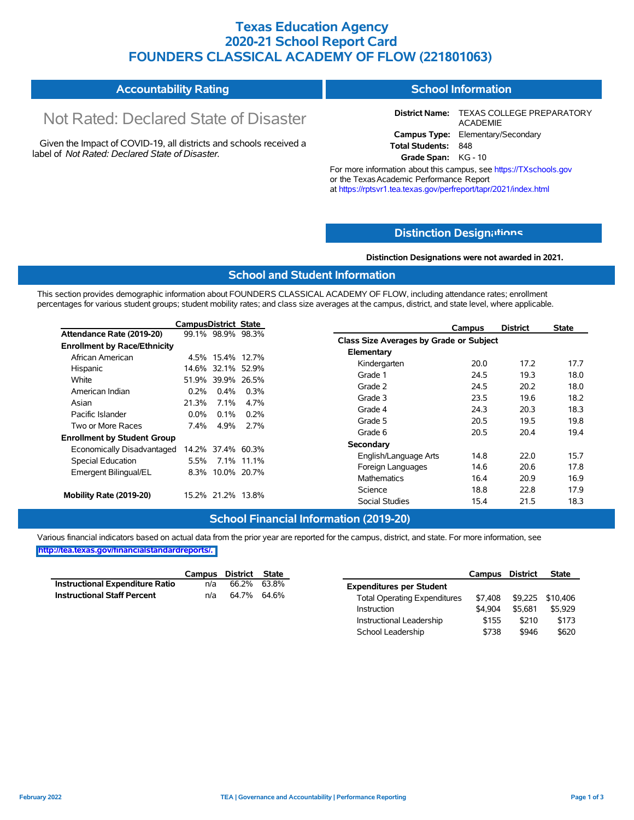### **Texas Education Agency 2020-21 School Report Card FOUNDERS CLASSICAL ACADEMY OF FLOW (221801063)**

| <b>Accountability Rating</b> | <b>School Information</b> |
|------------------------------|---------------------------|
|------------------------------|---------------------------|

# Not Rated: Declared State of Disaster

Given the Impact of COVID-19, all districts and schools received a label of *Not Rated: Declared State of Disaster.*

**District Name:** TEXAS COLLEGE PREPARATORY ACADEMIE **Campus Type:** Elementary/Secondary **Total Students:** 848

**Grade Span:** KG - 10

For more information about this campus, see https://TXschools.gov or the TexasAcademic Performance Report at https://rptsvr1.tea.texas.gov/perfreport/tapr/2021/index.html

### **Distinction Design[ations](https://TXschools.gov)**

**Distinction Designations were not awarded in 2021.**

Instructional Leadership  $$155$  \$210 \$173 School Leadership  $$738$  \$946 \$620

#### **School and Student Information**

This section provides demographic information about FOUNDERS CLASSICAL ACADEMY OF FLOW, including attendance rates; enrollment percentages for various student groups; student mobility rates; and class size averages at the campus, district, and state level, where applicable.

|                                     | <b>CampusDistrict State</b> |         |                   |                                         | Campus | <b>District</b> | <b>State</b> |
|-------------------------------------|-----------------------------|---------|-------------------|-----------------------------------------|--------|-----------------|--------------|
| Attendance Rate (2019-20)           |                             |         | 99.1% 98.9% 98.3% | Class Size Averages by Grade or Subject |        |                 |              |
| <b>Enrollment by Race/Ethnicity</b> |                             |         |                   |                                         |        |                 |              |
| African American                    |                             |         | 4.5% 15.4% 12.7%  | Elementary                              |        |                 |              |
| Hispanic                            |                             |         | 14.6% 32.1% 52.9% | Kindergarten                            | 20.0   | 17.2            | 17.7         |
| White                               |                             |         | 51.9% 39.9% 26.5% | Grade 1                                 | 24.5   | 19.3            | 18.0         |
| American Indian                     | 0.2%                        | $0.4\%$ | 0.3%              | Grade 2                                 | 24.5   | 20.2            | 18.0         |
| Asian                               | 21.3%                       | $7.1\%$ | 4.7%              | Grade 3                                 | 23.5   | 19.6            | 18.2         |
| Pacific Islander                    | $0.0\%$                     | 0.1%    | $0.2\%$           | Grade 4                                 | 24.3   | 20.3            | 18.3         |
| Two or More Races                   | 7.4%                        | 4.9%    | 2.7%              | Grade 5                                 | 20.5   | 19.5            | 19.8         |
|                                     |                             |         |                   | Grade 6                                 | 20.5   | 20.4            | 19.4         |
| <b>Enrollment by Student Group</b>  |                             |         |                   | Secondary                               |        |                 |              |
| Economically Disadvantaged          |                             |         | 14.2% 37.4% 60.3% | English/Language Arts                   | 14.8   | 22.0            | 15.7         |
| Special Education                   | 5.5%                        |         | 7.1% 11.1%        | Foreign Languages                       | 14.6   | 20.6            | 17.8         |
| Emergent Bilingual/EL               | 8.3%                        |         | 10.0% 20.7%       | Mathematics                             | 16.4   | 20.9            | 16.9         |
|                                     |                             |         |                   |                                         |        |                 |              |
| Mobility Rate (2019-20)             |                             |         | 15.2% 21.2% 13.8% | Science                                 | 18.8   | 22.8            | 17.9         |
|                                     |                             |         |                   | <b>Social Studies</b>                   | 15.4   | 21.5            | 18.3         |

### **School Financial Information (2019-20)**

Various financial indicators based on actual data from the prior year are reported for the campus, district, and state. For more information, see **[http://tea.texas.gov/financialstandardreports/.](http://tea.texas.gov/financialstandardreports/)**

|                                 |     | Campus District State |                                     | Campus District |                  | <b>State</b> |
|---------------------------------|-----|-----------------------|-------------------------------------|-----------------|------------------|--------------|
| Instructional Expenditure Ratio | n/a | 66.2% 63.8%           | <b>Expenditures per Student</b>     |                 |                  |              |
| Instructional Staff Percent     | n/a | 64.7% 64.6%           | <b>Total Operating Expenditures</b> | \$7.408         | \$9,225 \$10,406 |              |
|                                 |     |                       | Instruction                         | \$4.904         | \$5.681          | \$5,929      |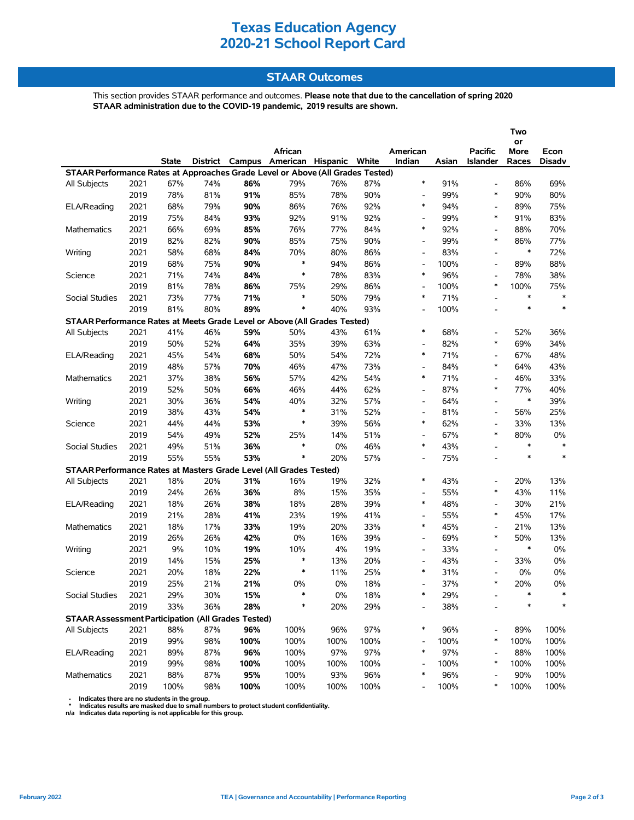### **STAAR Outcomes**

This section provides STAAR performance and outcomes. **Please note that due to the cancellation of spring 2020 STAAR administration due to the COVID-19 pandemic, 2019 results are shown.**

|                                                                                |      |              |     |      |                                         |       |      |                          |       |                          | Two        |               |
|--------------------------------------------------------------------------------|------|--------------|-----|------|-----------------------------------------|-------|------|--------------------------|-------|--------------------------|------------|---------------|
|                                                                                |      |              |     |      | African                                 |       |      | American                 |       | <b>Pacific</b>           | or<br>More | Econ          |
|                                                                                |      | <b>State</b> |     |      | District Campus American Hispanic White |       |      | Indian                   | Asian | Islander                 | Races      | <b>Disadv</b> |
| STAAR Performance Rates at Approaches Grade Level or Above (All Grades Tested) |      |              |     |      |                                         |       |      |                          |       |                          |            |               |
| All Subjects                                                                   | 2021 | 67%          | 74% | 86%  | 79%                                     | 76%   | 87%  | $\ast$                   | 91%   | $\overline{\phantom{a}}$ | 86%        | 69%           |
|                                                                                | 2019 | 78%          | 81% | 91%  | 85%                                     | 78%   | 90%  | $\overline{\phantom{a}}$ | 99%   | $\ast$                   | 90%        | 80%           |
| ELA/Reading                                                                    | 2021 | 68%          | 79% | 90%  | 86%                                     | 76%   | 92%  | $\ast$                   | 94%   | $\overline{\phantom{a}}$ | 89%        | 75%           |
|                                                                                | 2019 | 75%          | 84% | 93%  | 92%                                     | 91%   | 92%  | $\overline{\phantom{a}}$ | 99%   | $\ast$                   | 91%        | 83%           |
| <b>Mathematics</b>                                                             | 2021 | 66%          | 69% | 85%  | 76%                                     | 77%   | 84%  | $\ast$                   | 92%   |                          | 88%        | 70%           |
|                                                                                | 2019 | 82%          | 82% | 90%  | 85%                                     | 75%   | 90%  | $\overline{\phantom{a}}$ | 99%   | $\ast$                   | 86%        | 77%           |
| Writing                                                                        | 2021 | 58%          | 68% | 84%  | 70%                                     | 80%   | 86%  | $\overline{\phantom{a}}$ | 83%   | $\overline{\phantom{a}}$ | $\ast$     | 72%           |
|                                                                                | 2019 | 68%          | 75% | 90%  | ∗                                       | 94%   | 86%  | $\overline{\phantom{a}}$ | 100%  | $\overline{\phantom{a}}$ | 89%        | 88%           |
| Science                                                                        | 2021 | 71%          | 74% | 84%  | $\ast$                                  | 78%   | 83%  | *                        | 96%   | $\blacksquare$           | 78%        | 38%           |
|                                                                                | 2019 | 81%          | 78% | 86%  | 75%                                     | 29%   | 86%  | $\overline{\phantom{a}}$ | 100%  | $\ast$                   | 100%       | 75%           |
| Social Studies                                                                 | 2021 | 73%          | 77% | 71%  | $\ast$                                  | 50%   | 79%  | *                        | 71%   | $\overline{a}$           | $\ast$     | $\ast$        |
|                                                                                | 2019 | 81%          | 80% | 89%  | $\ast$                                  | 40%   | 93%  | $\overline{\phantom{a}}$ | 100%  | ۰                        | $\ast$     | $\ast$        |
| STAAR Performance Rates at Meets Grade Level or Above (All Grades Tested)      |      |              |     |      |                                         |       |      |                          |       |                          |            |               |
| All Subjects                                                                   | 2021 | 41%          | 46% | 59%  | 50%                                     | 43%   | 61%  | $\ast$                   | 68%   | $\overline{\phantom{a}}$ | 52%        | 36%           |
|                                                                                | 2019 | 50%          | 52% | 64%  | 35%                                     | 39%   | 63%  | $\overline{\phantom{a}}$ | 82%   | $\ast$                   | 69%        | 34%           |
| ELA/Reading                                                                    | 2021 | 45%          | 54% | 68%  | 50%                                     | 54%   | 72%  | $\ast$                   | 71%   | $\overline{\phantom{a}}$ | 67%        | 48%           |
|                                                                                | 2019 | 48%          | 57% | 70%  | 46%                                     | 47%   | 73%  | $\overline{\phantom{a}}$ | 84%   | $\ast$                   | 64%        | 43%           |
| <b>Mathematics</b>                                                             | 2021 | 37%          | 38% | 56%  | 57%                                     | 42%   | 54%  | $\ast$                   | 71%   | $\overline{\phantom{a}}$ | 46%        | 33%           |
|                                                                                | 2019 | 52%          | 50% | 66%  | 46%                                     | 44%   | 62%  | $\overline{\phantom{a}}$ | 87%   | $\ast$                   | 77%        | 40%           |
| Writing                                                                        | 2021 | 30%          | 36% | 54%  | 40%                                     | 32%   | 57%  | $\overline{\phantom{a}}$ | 64%   | $\overline{\phantom{a}}$ | $\ast$     | 39%           |
|                                                                                | 2019 | 38%          | 43% | 54%  | ∗                                       | 31%   | 52%  | $\overline{\phantom{a}}$ | 81%   | $\overline{\phantom{a}}$ | 56%        | 25%           |
| Science                                                                        | 2021 | 44%          | 44% | 53%  | $\ast$                                  | 39%   | 56%  | *                        | 62%   | $\overline{a}$           | 33%        | 13%           |
|                                                                                | 2019 | 54%          | 49% | 52%  | 25%                                     | 14%   | 51%  | $\overline{\phantom{a}}$ | 67%   | $\ast$                   | 80%        | 0%            |
| Social Studies                                                                 | 2021 | 49%          | 51% | 36%  | $\ast$                                  | 0%    | 46%  | $\ast$                   | 43%   |                          | $\ast$     | $\ast$        |
|                                                                                | 2019 | 55%          | 55% | 53%  | $\ast$                                  | 20%   | 57%  | $\overline{a}$           | 75%   | L,                       | $\ast$     | $\ast$        |
| STAAR Performance Rates at Masters Grade Level (All Grades Tested)             |      |              |     |      |                                         |       |      |                          |       |                          |            |               |
| All Subjects                                                                   | 2021 | 18%          | 20% | 31%  | 16%                                     | 19%   | 32%  | $\ast$                   | 43%   | $\overline{\phantom{a}}$ | 20%        | 13%           |
|                                                                                | 2019 | 24%          | 26% | 36%  | 8%                                      | 15%   | 35%  | $\overline{\phantom{a}}$ | 55%   | $\ast$                   | 43%        | 11%           |
| ELA/Reading                                                                    | 2021 | 18%          | 26% | 38%  | 18%                                     | 28%   | 39%  | $\ast$                   | 48%   | $\overline{\phantom{a}}$ | 30%        | 21%           |
|                                                                                | 2019 | 21%          | 28% | 41%  | 23%                                     | 19%   | 41%  | $\overline{\phantom{a}}$ | 55%   | $\ast$                   | 45%        | 17%           |
| <b>Mathematics</b>                                                             | 2021 | 18%          | 17% | 33%  | 19%                                     | 20%   | 33%  | $\ast$                   | 45%   | $\overline{\phantom{a}}$ | 21%        | 13%           |
|                                                                                | 2019 | 26%          | 26% | 42%  | 0%                                      | 16%   | 39%  | $\overline{\phantom{a}}$ | 69%   | $\ast$                   | 50%        | 13%           |
| Writing                                                                        | 2021 | 9%           | 10% | 19%  | 10%                                     | 4%    | 19%  | $\overline{\phantom{a}}$ | 33%   | $\overline{\phantom{a}}$ | $\ast$     | 0%            |
|                                                                                | 2019 | 14%          | 15% | 25%  | ∗                                       | 13%   | 20%  | $\overline{\phantom{a}}$ | 43%   | $\overline{\phantom{a}}$ | 33%        | 0%            |
| Science                                                                        | 2021 | 20%          | 18% | 22%  | $\ast$                                  | 11%   | 25%  | $\ast$                   | 31%   | ٠                        | 0%         | 0%            |
|                                                                                | 2019 | 25%          | 21% | 21%  | 0%                                      | 0%    | 18%  |                          | 37%   | $\ast$                   | 20%        | 0%            |
| Social Studies                                                                 | 2021 | 29%          | 30% | 15%  | ∗                                       | $0\%$ | 18%  | *                        | 29%   |                          |            |               |
|                                                                                | 2019 | 33%          | 36% | 28%  |                                         | 20%   | 29%  |                          | 38%   |                          |            |               |
| <b>STAAR Assessment Participation (All Grades Tested)</b>                      |      |              |     |      |                                         |       |      |                          |       |                          |            |               |
| All Subjects                                                                   | 2021 | 88%          | 87% | 96%  | 100%                                    | 96%   | 97%  | *                        | 96%   |                          | 89%        | 100%          |
|                                                                                | 2019 | 99%          | 98% | 100% | 100%                                    | 100%  | 100% | $\overline{\phantom{a}}$ | 100%  | $\ast$                   | 100%       | 100%          |
| ELA/Reading                                                                    | 2021 | 89%          | 87% | 96%  | 100%                                    | 97%   | 97%  | *                        | 97%   |                          | 88%        | 100%          |
|                                                                                | 2019 | 99%          | 98% | 100% | 100%                                    | 100%  | 100% |                          | 100%  | $\ast$                   | 100%       | 100%          |
| Mathematics                                                                    | 2021 | 88%          | 87% | 95%  | 100%                                    | 93%   | 96%  | *                        | 96%   |                          | 90%        | 100%          |
|                                                                                | 2019 | 100%         | 98% | 100% | 100%                                    | 100%  | 100% | $\overline{\phantom{a}}$ | 100%  | ∗                        | 100%       | 100%          |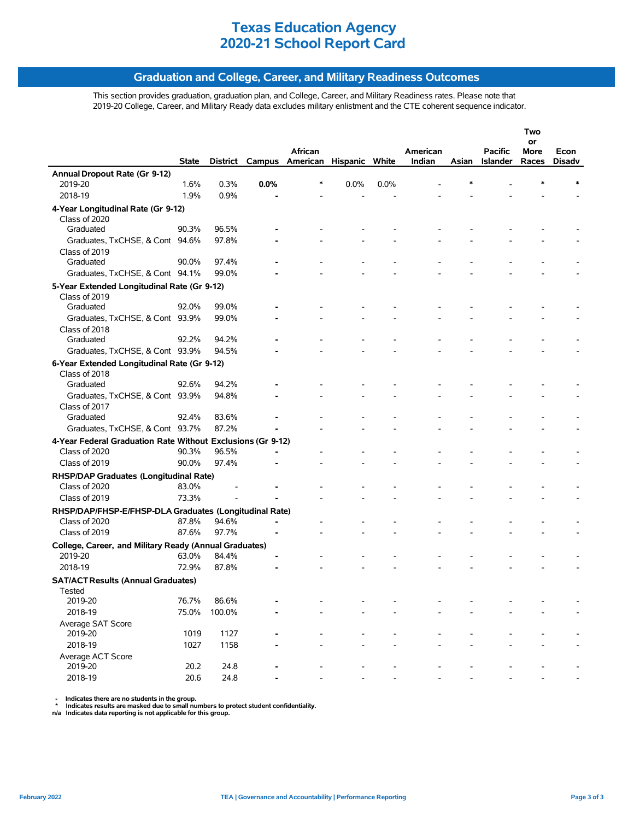### **Graduation and College, Career, and Military Readiness Outcomes**

This section provides graduation, graduation plan, and College, Career, and Military Readiness rates. Please note that 2019-20 College, Career, and Military Ready data excludes military enlistment and the CTE coherent sequence indicator.

|                                                                         |              |          |      |                                |      |      |          |       |                 | Two<br>or |               |
|-------------------------------------------------------------------------|--------------|----------|------|--------------------------------|------|------|----------|-------|-----------------|-----------|---------------|
|                                                                         |              |          |      | African                        |      |      | American |       | <b>Pacific</b>  | More      | Econ          |
|                                                                         | <b>State</b> | District |      | Campus American Hispanic White |      |      | Indian   | Asian | <b>Islander</b> | Races     | <b>Disadv</b> |
| Annual Dropout Rate (Gr 9-12)                                           |              |          |      |                                |      |      |          |       |                 |           |               |
| 2019-20                                                                 | 1.6%         | 0.3%     | 0.0% | *                              | 0.0% | 0.0% |          |       |                 |           |               |
| 2018-19                                                                 | 1.9%         | 0.9%     |      |                                |      |      |          |       |                 |           |               |
| 4-Year Longitudinal Rate (Gr 9-12)                                      |              |          |      |                                |      |      |          |       |                 |           |               |
| Class of 2020                                                           |              |          |      |                                |      |      |          |       |                 |           |               |
| Graduated                                                               | 90.3%        | 96.5%    |      |                                |      |      |          |       |                 |           |               |
| Graduates, TxCHSE, & Cont 94.6%                                         |              | 97.8%    |      |                                |      |      |          |       |                 |           |               |
| Class of 2019                                                           |              |          |      |                                |      |      |          |       |                 |           |               |
| Graduated                                                               | 90.0%        | 97.4%    |      |                                |      |      |          |       |                 |           |               |
| Graduates, TxCHSE, & Cont 94.1%                                         |              | 99.0%    |      |                                |      |      |          |       |                 |           |               |
| 5-Year Extended Longitudinal Rate (Gr 9-12)                             |              |          |      |                                |      |      |          |       |                 |           |               |
| Class of 2019                                                           |              |          |      |                                |      |      |          |       |                 |           |               |
| Graduated                                                               | 92.0%        | 99.0%    |      |                                |      |      |          |       |                 |           |               |
| Graduates, TxCHSE, & Cont 93.9%                                         |              | 99.0%    |      |                                |      |      |          |       |                 |           |               |
| Class of 2018                                                           |              |          |      |                                |      |      |          |       |                 |           |               |
| Graduated                                                               | 92.2%        | 94.2%    |      |                                |      |      |          |       |                 |           |               |
| Graduates, TxCHSE, & Cont 93.9%                                         |              | 94.5%    |      |                                |      |      |          |       |                 |           |               |
| 6-Year Extended Longitudinal Rate (Gr 9-12)                             |              |          |      |                                |      |      |          |       |                 |           |               |
| Class of 2018                                                           | 92.6%        | 94.2%    |      |                                |      |      |          |       |                 |           |               |
| Graduated                                                               |              |          |      |                                |      |      |          |       |                 |           |               |
| Graduates, TxCHSE, & Cont 93.9%<br>Class of 2017                        |              | 94.8%    |      |                                |      |      |          |       |                 |           |               |
| Graduated                                                               | 92.4%        | 83.6%    |      |                                |      |      |          |       |                 |           |               |
| Graduates, TxCHSE, & Cont 93.7%                                         |              | 87.2%    |      |                                |      |      |          |       |                 |           |               |
| 4-Year Federal Graduation Rate Without Exclusions (Gr 9-12)             |              |          |      |                                |      |      |          |       |                 |           |               |
| Class of 2020                                                           | 90.3%        | 96.5%    |      |                                |      |      |          |       |                 |           |               |
| Class of 2019                                                           | 90.0%        | 97.4%    |      |                                |      |      |          |       |                 |           |               |
|                                                                         |              |          |      |                                |      |      |          |       |                 |           |               |
| RHSP/DAP Graduates (Longitudinal Rate)<br>Class of 2020                 | 83.0%        |          |      |                                |      |      |          |       |                 |           |               |
| Class of 2019                                                           | 73.3%        |          |      |                                |      |      |          |       |                 |           |               |
|                                                                         |              |          |      |                                |      |      |          |       |                 |           |               |
| RHSP/DAP/FHSP-E/FHSP-DLA Graduates (Longitudinal Rate)<br>Class of 2020 | 87.8%        | 94.6%    |      |                                |      |      |          |       |                 |           |               |
| Class of 2019                                                           | 87.6%        | 97.7%    |      |                                |      |      |          |       |                 |           |               |
|                                                                         |              |          |      |                                |      |      |          |       |                 |           |               |
| College, Career, and Military Ready (Annual Graduates)<br>2019-20       | 63.0%        | 84.4%    |      |                                |      |      |          |       |                 |           |               |
| 2018-19                                                                 | 72.9%        | 87.8%    |      |                                |      |      |          |       |                 |           |               |
|                                                                         |              |          |      |                                |      |      |          |       |                 |           |               |
| <b>SAT/ACT Results (Annual Graduates)</b>                               |              |          |      |                                |      |      |          |       |                 |           |               |
| Tested<br>2019-20                                                       | 76.7%        | 86.6%    |      |                                |      |      |          |       |                 |           |               |
| 2018-19                                                                 | 75.0%        | 100.0%   |      |                                |      |      |          |       |                 |           |               |
| Average SAT Score                                                       |              |          |      |                                |      |      |          |       |                 |           |               |
| 2019-20                                                                 | 1019         | 1127     |      |                                |      |      |          |       |                 |           |               |
| 2018-19                                                                 | 1027         | 1158     |      |                                |      |      |          |       |                 |           |               |
| Average ACT Score                                                       |              |          |      |                                |      |      |          |       |                 |           |               |
| 2019-20                                                                 | 20.2         | 24.8     |      |                                |      |      |          |       |                 |           |               |
| 2018-19                                                                 | 20.6         | 24.8     |      |                                |      |      |          |       |                 |           |               |
|                                                                         |              |          |      |                                |      |      |          |       |                 |           |               |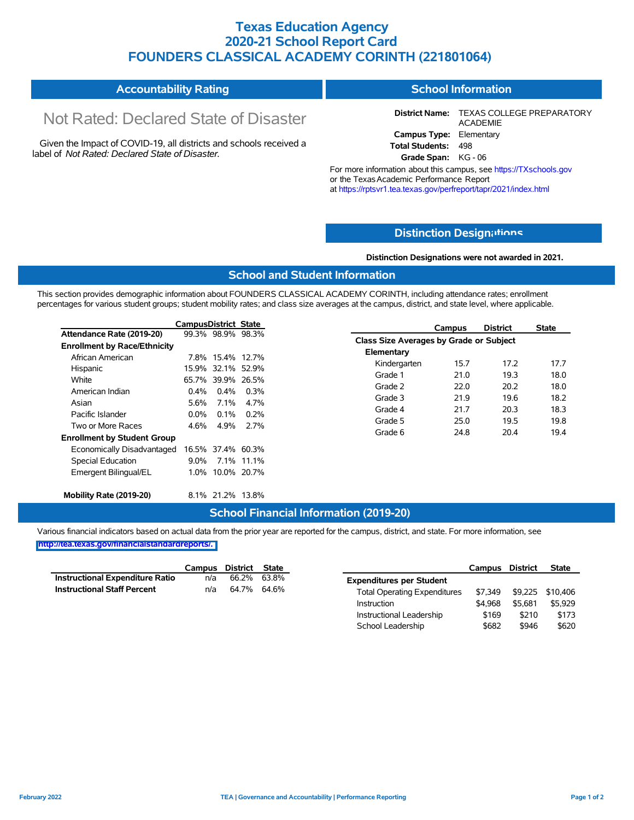### **Texas Education Agency 2020-21 School Report Card FOUNDERS CLASSICAL ACADEMY CORINTH (221801064)**

| <b>Accountability Rating</b> | <b>School Information</b> |
|------------------------------|---------------------------|
|------------------------------|---------------------------|

# Not Rated: Declared State of Disaster

Given the Impact of COVID-19, all districts and schools received a label of *Not Rated: Declared State of Disaster.*

**District Name:** TEXAS COLLEGE PREPARATORY ACADEMIE **Campus Type:** Elementary **Total Students:** 498

**Grade Span:** KG - 06

For more information about this campus, see https://TXschools.gov or the TexasAcademic Performance Report at https://rptsvr1.tea.texas.gov/perfreport/tapr/2021/index.html

### **Distinction Design[ations](https://TXschools.gov)**

**Distinction Designations were not awarded in 2021.**

#### **School and Student Information**

This section provides demographic information about FOUNDERS CLASSICAL ACADEMY CORINTH, including attendance rates; enrollment percentages for various student groups; student mobility rates; and class size averages at the campus, district, and state level, where applicable.

|                                     | <b>CampusDistrict State</b> |                   |             |
|-------------------------------------|-----------------------------|-------------------|-------------|
| Attendance Rate (2019-20)           |                             | 99.3% 98.9% 98.3% |             |
| <b>Enrollment by Race/Ethnicity</b> |                             |                   |             |
| African American                    | 7.8%                        | 15.4% 12.7%       |             |
| Hispanic                            | 15.9%                       | 32.1%             | 52.9%       |
| White                               |                             | 65.7% 39.9% 26.5% |             |
| American Indian                     | $0.4\%$                     | $0.4\%$           | 0.3%        |
| Asian                               | 5.6%                        | 7.1%              | 4.7%        |
| Pacific Islander                    | 0.0%                        | በ 1%              | 0.2%        |
| Two or More Races                   | 4.6%                        | 4 9%              | 27%         |
| <b>Enrollment by Student Group</b>  |                             |                   |             |
| Economically Disadvantaged          |                             | 16.5% 37.4% 60.3% |             |
| Special Education                   | $9.0\%$                     |                   | 7.1% 11.1%  |
| Emergent Bilingual/EL               | $1.0\%$                     |                   | 10.0% 20.7% |
| Mobility Rate (2019-20)             |                             | 8.1% 21.2%        | 13.8%       |

|                                         | Campus | <b>District</b> | <b>State</b> |
|-----------------------------------------|--------|-----------------|--------------|
| Class Size Averages by Grade or Subject |        |                 |              |
| Elementary                              |        |                 |              |
| Kindergarten                            | 15.7   | 17.2            | 17.7         |
| Grade 1                                 | 21.0   | 19.3            | 18.0         |
| Grade 2                                 | 22.0   | 20.2            | 18.0         |
| Grade 3                                 | 21.9   | 19.6            | 18.2         |
| Grade 4                                 | 21.7   | 20.3            | 18.3         |
| Grade 5                                 | 25.0   | 19.5            | 19.8         |
| Grade 6                                 | 24.8   | 20.4            | 19.4         |
|                                         |        |                 |              |

Instructional Leadership  $$169$  \$210 \$173 School Leadership  $$682$  \$946 \$620

#### **School Financial Information (2019-20)**

Various financial indicators based on actual data from the prior year are reported for the campus, district, and state. For more information, see

|                                    | Campus District State |             |                                     | Campus  | <b>District</b>          | <b>State</b> |
|------------------------------------|-----------------------|-------------|-------------------------------------|---------|--------------------------|--------------|
| Instructional Expenditure Ratio    | n/a                   | 66.2% 63.8% | <b>Expenditures per Student</b>     |         |                          |              |
| <b>Instructional Staff Percent</b> | n/a                   | 64.7% 64.6% | <b>Total Operating Expenditures</b> |         | \$7,349 \$9,225 \$10,406 |              |
|                                    |                       |             | Instruction                         | \$4.968 | \$5.681                  | \$5.929      |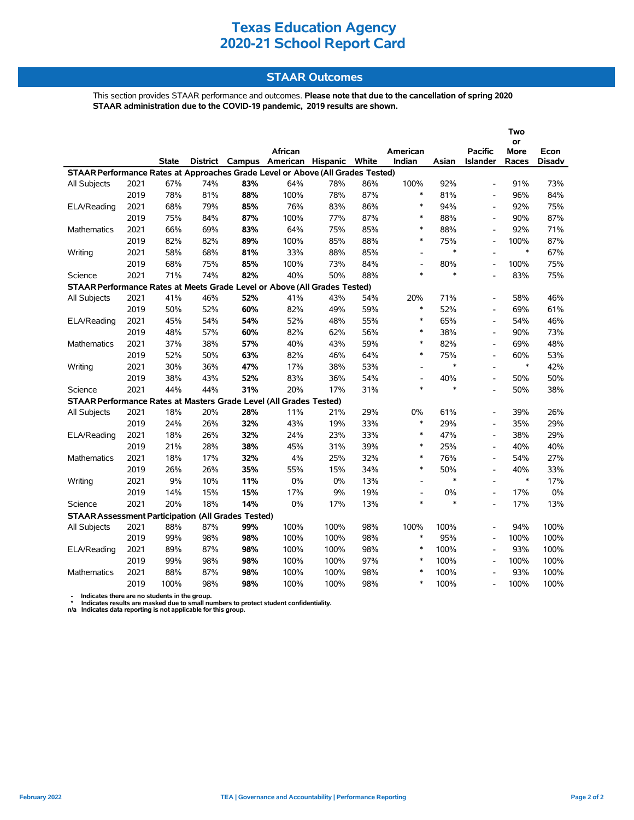### **STAAR Outcomes**

This section provides STAAR performance and outcomes. **Please note that due to the cancellation of spring 2020 STAAR administration due to the COVID-19 pandemic, 2019 results are shown.**

|                                                                                |      |              |     |     |                                         |      |     |                          |        |                          | Two               |               |
|--------------------------------------------------------------------------------|------|--------------|-----|-----|-----------------------------------------|------|-----|--------------------------|--------|--------------------------|-------------------|---------------|
|                                                                                |      |              |     |     | African                                 |      |     | American                 |        | <b>Pacific</b>           | or<br><b>More</b> | Econ          |
|                                                                                |      | <b>State</b> |     |     | District Campus American Hispanic White |      |     | Indian                   | Asian  | Islander                 | Races             | <b>Disadv</b> |
| STAAR Performance Rates at Approaches Grade Level or Above (All Grades Tested) |      |              |     |     |                                         |      |     |                          |        |                          |                   |               |
| All Subjects                                                                   | 2021 | 67%          | 74% | 83% | 64%                                     | 78%  | 86% | 100%                     | 92%    | $\overline{a}$           | 91%               | 73%           |
|                                                                                | 2019 | 78%          | 81% | 88% | 100%                                    | 78%  | 87% | $\ast$                   | 81%    | $\overline{a}$           | 96%               | 84%           |
| ELA/Reading                                                                    | 2021 | 68%          | 79% | 85% | 76%                                     | 83%  | 86% | $\ast$                   | 94%    |                          | 92%               | 75%           |
|                                                                                | 2019 | 75%          | 84% | 87% | 100%                                    | 77%  | 87% | $\ast$                   | 88%    |                          | 90%               | 87%           |
| <b>Mathematics</b>                                                             | 2021 | 66%          | 69% | 83% | 64%                                     | 75%  | 85% | $\ast$                   | 88%    | $\overline{\phantom{a}}$ | 92%               | 71%           |
|                                                                                | 2019 | 82%          | 82% | 89% | 100%                                    | 85%  | 88% | $\ast$                   | 75%    | $\overline{a}$           | 100%              | 87%           |
| Writing                                                                        | 2021 | 58%          | 68% | 81% | 33%                                     | 88%  | 85% | $\blacksquare$           | $\ast$ | $\overline{a}$           | $\ast$            | 67%           |
|                                                                                | 2019 | 68%          | 75% | 85% | 100%                                    | 73%  | 84% | $\overline{\phantom{a}}$ | 80%    | $\overline{\phantom{a}}$ | 100%              | 75%           |
| Science                                                                        | 2021 | 71%          | 74% | 82% | 40%                                     | 50%  | 88% | $\ast$                   | $\ast$ |                          | 83%               | 75%           |
| STAAR Performance Rates at Meets Grade Level or Above (All Grades Tested)      |      |              |     |     |                                         |      |     |                          |        |                          |                   |               |
| All Subjects                                                                   | 2021 | 41%          | 46% | 52% | 41%                                     | 43%  | 54% | 20%                      | 71%    | $\overline{\phantom{a}}$ | 58%               | 46%           |
|                                                                                | 2019 | 50%          | 52% | 60% | 82%                                     | 49%  | 59% | $\ast$                   | 52%    | $\overline{\phantom{a}}$ | 69%               | 61%           |
| ELA/Reading                                                                    | 2021 | 45%          | 54% | 54% | 52%                                     | 48%  | 55% | $\ast$                   | 65%    | $\overline{a}$           | 54%               | 46%           |
|                                                                                | 2019 | 48%          | 57% | 60% | 82%                                     | 62%  | 56% | $\ast$                   | 38%    | $\blacksquare$           | 90%               | 73%           |
| <b>Mathematics</b>                                                             | 2021 | 37%          | 38% | 57% | 40%                                     | 43%  | 59% | $\ast$                   | 82%    | $\overline{a}$           | 69%               | 48%           |
|                                                                                | 2019 | 52%          | 50% | 63% | 82%                                     | 46%  | 64% | $\ast$                   | 75%    |                          | 60%               | 53%           |
| Writing                                                                        | 2021 | 30%          | 36% | 47% | 17%                                     | 38%  | 53% | $\blacksquare$           | $\ast$ | $\overline{a}$           | $\ast$            | 42%           |
|                                                                                | 2019 | 38%          | 43% | 52% | 83%                                     | 36%  | 54% | $\overline{\phantom{a}}$ | 40%    |                          | 50%               | 50%           |
| Science                                                                        | 2021 | 44%          | 44% | 31% | 20%                                     | 17%  | 31% | $\ast$                   | $\ast$ | $\overline{a}$           | 50%               | 38%           |
| STAAR Performance Rates at Masters Grade Level (All Grades Tested)             |      |              |     |     |                                         |      |     |                          |        |                          |                   |               |
| All Subjects                                                                   | 2021 | 18%          | 20% | 28% | 11%                                     | 21%  | 29% | 0%                       | 61%    | $\overline{a}$           | 39%               | 26%           |
|                                                                                | 2019 | 24%          | 26% | 32% | 43%                                     | 19%  | 33% | $\ast$                   | 29%    | $\overline{a}$           | 35%               | 29%           |
| ELA/Reading                                                                    | 2021 | 18%          | 26% | 32% | 24%                                     | 23%  | 33% | $\ast$                   | 47%    | $\overline{\phantom{a}}$ | 38%               | 29%           |
|                                                                                | 2019 | 21%          | 28% | 38% | 45%                                     | 31%  | 39% | $\ast$                   | 25%    | $\overline{\phantom{a}}$ | 40%               | 40%           |
| <b>Mathematics</b>                                                             | 2021 | 18%          | 17% | 32% | 4%                                      | 25%  | 32% | $\ast$                   | 76%    | $\overline{\phantom{a}}$ | 54%               | 27%           |
|                                                                                | 2019 | 26%          | 26% | 35% | 55%                                     | 15%  | 34% | $\ast$                   | 50%    | $\overline{a}$           | 40%               | 33%           |
| Writing                                                                        | 2021 | 9%           | 10% | 11% | 0%                                      | 0%   | 13% | $\overline{\phantom{a}}$ | $\ast$ | $\overline{a}$           | $\ast$            | 17%           |
|                                                                                | 2019 | 14%          | 15% | 15% | 17%                                     | 9%   | 19% | $\overline{\phantom{a}}$ | 0%     | $\overline{a}$           | 17%               | 0%            |
| Science                                                                        | 2021 | 20%          | 18% | 14% | 0%                                      | 17%  | 13% | $\ast$                   | $\ast$ | $\overline{a}$           | 17%               | 13%           |
| <b>STAAR Assessment Participation (All Grades Tested)</b>                      |      |              |     |     |                                         |      |     |                          |        |                          |                   |               |
| All Subjects                                                                   | 2021 | 88%          | 87% | 99% | 100%                                    | 100% | 98% | 100%                     | 100%   | $\overline{\phantom{a}}$ | 94%               | 100%          |
|                                                                                | 2019 | 99%          | 98% | 98% | 100%                                    | 100% | 98% | $\ast$                   | 95%    | $\overline{\phantom{a}}$ | 100%              | 100%          |
| ELA/Reading                                                                    | 2021 | 89%          | 87% | 98% | 100%                                    | 100% | 98% | $\ast$                   | 100%   | $\overline{a}$           | 93%               | 100%          |
|                                                                                | 2019 | 99%          | 98% | 98% | 100%                                    | 100% | 97% | $\ast$                   | 100%   | $\overline{a}$           | 100%              | 100%          |
| <b>Mathematics</b>                                                             | 2021 | 88%          | 87% | 98% | 100%                                    | 100% | 98% | $\ast$                   | 100%   |                          | 93%               | 100%          |
|                                                                                | 2019 | 100%         | 98% | 98% | 100%                                    | 100% | 98% | $\ast$                   | 100%   | $\overline{a}$           | 100%              | 100%          |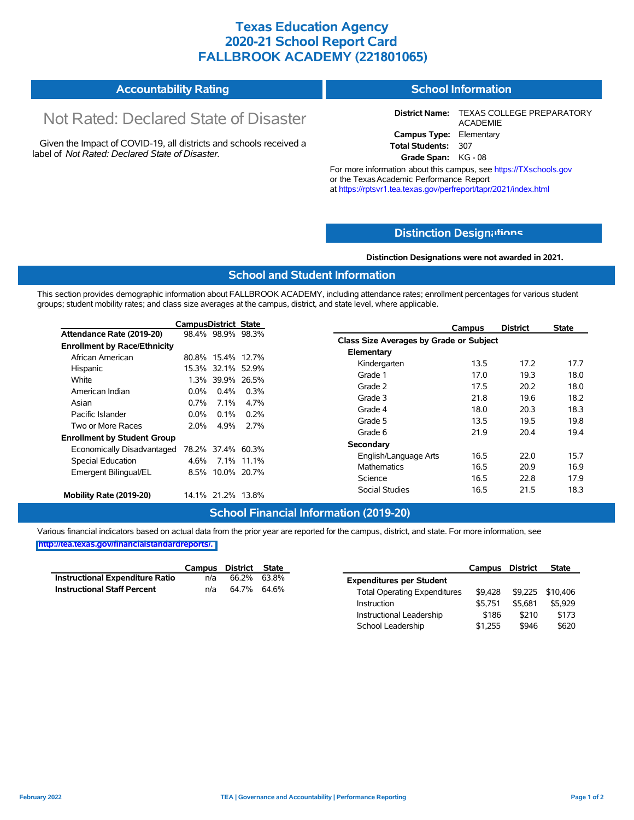### **Texas Education Agency 2020-21 School Report Card FALLBROOK ACADEMY (221801065)**

| <b>Accountability Rating</b> | <b>School Information</b> |
|------------------------------|---------------------------|
|------------------------------|---------------------------|

# Not Rated: Declared State of Disaster

Given the Impact of COVID-19, all districts and schools received a label of *Not Rated: Declared State of Disaster.*

**District Name:** TEXAS COLLEGE PREPARATORY ACADEMIE **Campus Type:** Elementary **Total Students:** 307

**Grade Span:** KG - 08

For more information about this campus, see https://TXschools.gov or the TexasAcademic Performance Report at https://rptsvr1.tea.texas.gov/perfreport/tapr/2021/index.html

### **Distinction Design[ations](https://TXschools.gov)**

**Distinction Designations were not awarded in 2021.**

School Leadership  $$1,255$  \$946 \$620

#### **School and Student Information**

This section provides demographic information about FALLBROOK ACADEMY, including attendance rates; enrollment percentages for various student groups; student mobility rates; and class size averages at the campus, district, and state level, where applicable.

|                                     | <b>CampusDistrict State</b> |                   |             | <b>District</b><br><b>State</b><br>Campus |      |
|-------------------------------------|-----------------------------|-------------------|-------------|-------------------------------------------|------|
| Attendance Rate (2019-20)           |                             | 98.4% 98.9% 98.3% |             | Class Size Averages by Grade or Subject   |      |
| <b>Enrollment by Race/Ethnicity</b> |                             |                   |             |                                           |      |
| African American                    |                             | 80.8% 15.4% 12.7% |             | Elementary                                |      |
| Hispanic                            |                             | 15.3% 32.1% 52.9% |             | Kindergarten<br>13.5<br>17.2              | 17.7 |
| White                               | 1.3%                        |                   | 39.9% 26.5% | 19.3<br>Grade 1<br>17.0                   | 18.0 |
| American Indian                     | $0.0\%$                     | 0.4%              | 0.3%        | 20.2<br>Grade 2<br>17.5                   | 18.0 |
| Asian                               | $0.7\%$                     | 7.1%              | 4.7%        | Grade 3<br>21.8<br>19.6                   | 18.2 |
|                                     |                             |                   |             | Grade 4<br>20.3<br>18.0                   | 18.3 |
| Pacific Islander                    | $0.0\%$                     | 0.1%              | 0.2%        | 19.5<br>Grade 5<br>13.5                   | 19.8 |
| Two or More Races                   | 2.0%                        | 4.9%              | 2.7%        | Grade 6<br>21.9<br>20.4                   | 19.4 |
| <b>Enrollment by Student Group</b>  |                             |                   |             |                                           |      |
| Economically Disadvantaged          |                             | 78.2% 37.4% 60.3% |             | Secondary                                 |      |
| Special Education                   | 4.6%                        |                   | 7.1% 11.1%  | 16.5<br>22.0<br>English/Language Arts     | 15.7 |
| Emergent Bilingual/EL               |                             | 8.5% 10.0% 20.7%  |             | <b>Mathematics</b><br>16.5<br>20.9        | 16.9 |
|                                     |                             |                   |             | Science<br>22.8<br>16.5                   | 17.9 |
| Mobility Rate (2019-20)             |                             | 14.1% 21.2% 13.8% |             | 16.5<br>21.5<br>Social Studies            | 18.3 |

### **School Financial Information (2019-20)**

Various financial indicators based on actual data from the prior year are reported for the campus, district, and state. For more information, see

|                                        | Campus | District State |                                     | Campus  | <b>District</b> | <b>State</b>     |
|----------------------------------------|--------|----------------|-------------------------------------|---------|-----------------|------------------|
| <b>Instructional Expenditure Ratio</b> | n/a    | 66.2% 63.8%    | <b>Expenditures per Student</b>     |         |                 |                  |
| <b>Instructional Staff Percent</b>     | n/a    | 64.7% 64.6%    | <b>Total Operating Expenditures</b> | \$9.428 |                 | \$9,225 \$10,406 |
|                                        |        |                | Instruction                         | \$5.751 | \$5.681         | \$5.929          |
|                                        |        |                | Instructional Leadership            | \$186   | \$210           | \$173            |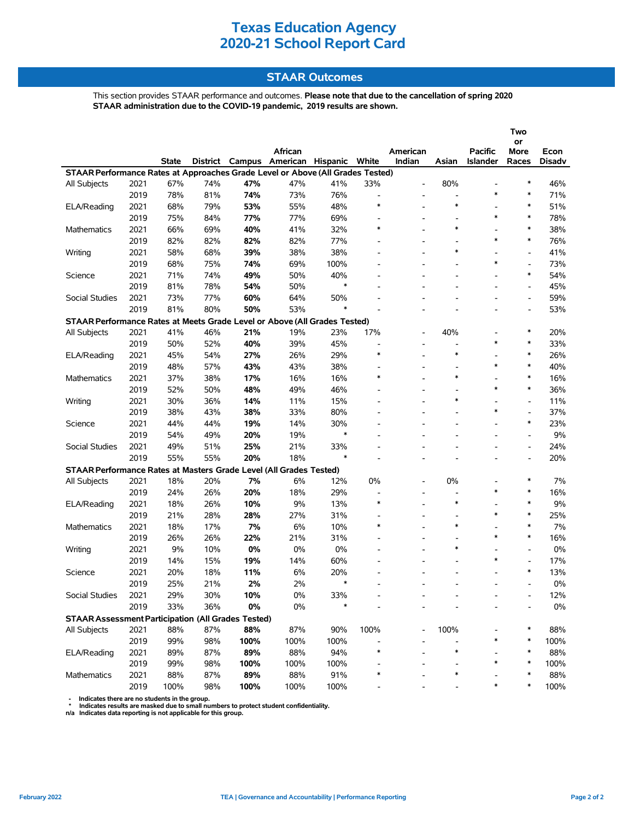### **STAAR Outcomes**

This section provides STAAR performance and outcomes. **Please note that due to the cancellation of spring 2020 STAAR administration due to the COVID-19 pandemic, 2019 results are shown.**

|                                                                                |      |              |          |      |                          |          |                          |                              |                          |                 | Two                      |                |
|--------------------------------------------------------------------------------|------|--------------|----------|------|--------------------------|----------|--------------------------|------------------------------|--------------------------|-----------------|--------------------------|----------------|
|                                                                                |      |              |          |      | African                  |          |                          | American                     |                          | Pacific         | or                       |                |
|                                                                                |      | <b>State</b> | District |      | Campus American Hispanic |          | White                    | Indian                       | Asian                    | <b>Islander</b> | More<br>Races            | Econ<br>Disadv |
| STAAR Performance Rates at Approaches Grade Level or Above (All Grades Tested) |      |              |          |      |                          |          |                          |                              |                          |                 |                          |                |
| All Subjects                                                                   | 2021 | 67%          | 74%      | 47%  | 47%                      | 41%      | 33%                      |                              | 80%                      |                 | $\ast$                   | 46%            |
|                                                                                | 2019 | 78%          | 81%      | 74%  | 73%                      | 76%      | $\overline{\phantom{a}}$ |                              | Ĭ.                       | *               | $\ast$                   | 71%            |
| ELA/Reading                                                                    | 2021 | 68%          | 79%      | 53%  | 55%                      | 48%      | $\ast$                   |                              | $\ast$                   |                 | $\ast$                   | 51%            |
|                                                                                | 2019 | 75%          | 84%      | 77%  | 77%                      | 69%      |                          |                              | $\overline{\phantom{a}}$ | *               | $\ast$                   | 78%            |
| Mathematics                                                                    | 2021 | 66%          | 69%      | 40%  | 41%                      | 32%      | ∗                        |                              | $\ast$                   |                 | $\ast$                   | 38%            |
|                                                                                | 2019 | 82%          | 82%      | 82%  | 82%                      | 77%      |                          |                              |                          | *               | $\ast$                   | 76%            |
| Writing                                                                        | 2021 | 58%          | 68%      | 39%  | 38%                      | 38%      |                          |                              | $\ast$                   |                 | $\overline{\phantom{a}}$ | 41%            |
|                                                                                | 2019 | 68%          | 75%      | 74%  | 69%                      | 100%     |                          |                              |                          | $\ast$          | $\overline{\phantom{a}}$ | 73%            |
| Science                                                                        | 2021 | 71%          | 74%      | 49%  | 50%                      | 40%      |                          |                              |                          |                 | $\ast$                   | 54%            |
|                                                                                | 2019 | 81%          | 78%      | 54%  | 50%                      | *        |                          | $\qquad \qquad \blacksquare$ |                          |                 | $\overline{\phantom{a}}$ | 45%            |
| Social Studies                                                                 | 2021 | 73%          | 77%      | 60%  | 64%                      | 50%      |                          |                              |                          |                 | $\overline{\phantom{a}}$ | 59%            |
|                                                                                | 2019 | 81%          | 80%      | 50%  | 53%                      | $\ast$   |                          |                              |                          |                 | L,                       | 53%            |
| STAAR Performance Rates at Meets Grade Level or Above (All Grades Tested)      |      |              |          |      |                          |          |                          |                              |                          |                 |                          |                |
| All Subjects                                                                   | 2021 | 41%          | 46%      | 21%  | 19%                      | 23%      | 17%                      |                              | 40%                      |                 | $\ast$                   | 20%            |
|                                                                                | 2019 | 50%          | 52%      | 40%  | 39%                      | 45%      |                          |                              |                          | *               | $\ast$                   | 33%            |
|                                                                                | 2021 |              |          |      |                          |          | $\ast$                   |                              | $\ast$                   |                 | $\ast$                   | 26%            |
| ELA/Reading                                                                    | 2019 | 45%          | 54%      | 27%  | 26%                      | 29%      |                          |                              |                          | *               | $\ast$                   |                |
|                                                                                |      | 48%          | 57%      | 43%  | 43%                      | 38%      | $\ast$                   |                              | $\ast$                   |                 | $\ast$                   | 40%            |
| <b>Mathematics</b>                                                             | 2021 | 37%          | 38%      | 17%  | 16%                      | 16%      |                          |                              |                          | *               | $\ast$                   | 16%            |
|                                                                                | 2019 | 52%          | 50%      | 48%  | 49%                      | 46%      |                          |                              | $\ast$                   |                 |                          | 36%            |
| Writing                                                                        | 2021 | 30%          | 36%      | 14%  | 11%                      | 15%      |                          |                              |                          | *               | $\overline{\phantom{a}}$ | 11%            |
|                                                                                | 2019 | 38%          | 43%      | 38%  | 33%                      | 80%      |                          |                              |                          |                 | $\blacksquare$<br>$\ast$ | 37%            |
| Science                                                                        | 2021 | 44%          | 44%      | 19%  | 14%                      | 30%<br>* |                          |                              |                          |                 |                          | 23%            |
|                                                                                | 2019 | 54%          | 49%      | 20%  | 19%                      |          |                          |                              |                          |                 | $\overline{\phantom{a}}$ | 9%             |
| Social Studies                                                                 | 2021 | 49%          | 51%      | 25%  | 21%                      | 33%      |                          |                              |                          |                 | $\overline{\phantom{a}}$ | 24%            |
|                                                                                | 2019 | 55%          | 55%      | 20%  | 18%                      | $\ast$   |                          |                              |                          |                 | $\overline{\phantom{a}}$ | 20%            |
| STAAR Performance Rates at Masters Grade Level (All Grades Tested)             |      |              |          |      |                          |          |                          |                              |                          |                 |                          |                |
| All Subjects                                                                   | 2021 | 18%          | 20%      | 7%   | 6%                       | 12%      | 0%                       |                              | $0\%$                    |                 | $\ast$                   | 7%             |
|                                                                                | 2019 | 24%          | 26%      | 20%  | 18%                      | 29%      |                          |                              |                          | *               | $\ast$                   | 16%            |
| ELA/Reading                                                                    | 2021 | 18%          | 26%      | 10%  | 9%                       | 13%      | $\ast$                   |                              | $\ast$                   |                 | $\ast$                   | 9%             |
|                                                                                | 2019 | 21%          | 28%      | 28%  | 27%                      | 31%      |                          |                              |                          | $\ast$          | $\ast$                   | 25%            |
| Mathematics                                                                    | 2021 | 18%          | 17%      | 7%   | 6%                       | 10%      | $\ast$                   |                              | $\ast$                   |                 | $\ast$                   | 7%             |
|                                                                                | 2019 | 26%          | 26%      | 22%  | 21%                      | 31%      |                          | $\overline{\phantom{a}}$     |                          | *               | $\ast$                   | 16%            |
| Writing                                                                        | 2021 | 9%           | 10%      | 0%   | 0%                       | 0%       |                          |                              | ∗                        |                 | $\overline{\phantom{a}}$ | 0%             |
|                                                                                | 2019 | 14%          | 15%      | 19%  | 14%                      | 60%      |                          |                              |                          | *               | $\blacksquare$           | 17%            |
| Science                                                                        | 2021 | 20%          | 18%      | 11%  | 6%                       | 20%      |                          |                              |                          |                 | $\ast$                   | 13%            |
|                                                                                | 2019 | 25%          | 21%      | 2%   | 2%                       | *        |                          |                              |                          |                 |                          | 0%             |
| Social Studies                                                                 | 2021 | 29%          | 30%      | 10%  | $0\%$                    | 33%      |                          |                              |                          |                 |                          | 12%            |
|                                                                                | 2019 | 33%          | 36%      | 0%   | 0%                       | *        |                          |                              |                          |                 |                          | 0%             |
| <b>STAAR Assessment Participation (All Grades Tested)</b>                      |      |              |          |      |                          |          |                          |                              |                          |                 |                          |                |
| All Subjects                                                                   | 2021 | 88%          | 87%      | 88%  | 87%                      | 90%      | 100%                     |                              | 100%                     |                 | $\ast$                   | 88%            |
|                                                                                | 2019 | 99%          | 98%      | 100% | 100%                     | 100%     |                          |                              |                          | ∗               | $\ast$                   | 100%           |
| ELA/Reading                                                                    | 2021 | 89%          | 87%      | 89%  | 88%                      | 94%      | $\ast$                   |                              | $\ast$                   |                 | ∗                        | 88%            |
|                                                                                | 2019 | 99%          | 98%      | 100% | 100%                     | 100%     |                          |                              |                          | *               | $\ast$                   | 100%           |
| Mathematics                                                                    | 2021 | 88%          | 87%      | 89%  | 88%                      | 91%      | $\ast$                   |                              | $\ast$                   |                 | ∗                        | 88%            |
|                                                                                | 2019 | 100%         | 98%      | 100% | 100%                     | 100%     |                          |                              |                          | ∗               | $\ast$                   | 100%           |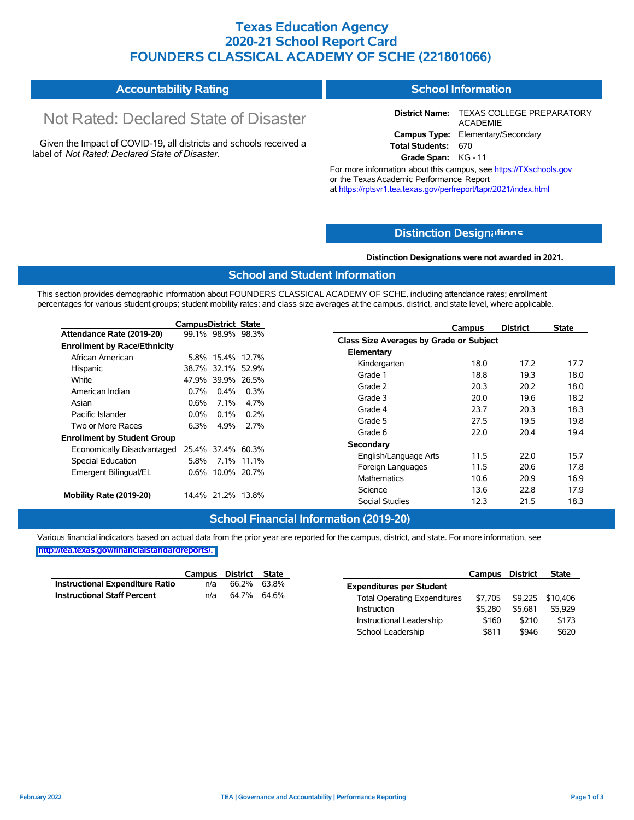### **Texas Education Agency 2020-21 School Report Card FOUNDERS CLASSICAL ACADEMY OF SCHE (221801066)**

| <b>Accountability Rating</b> | School Information |
|------------------------------|--------------------|
|------------------------------|--------------------|

# Not Rated: Declared State of Disaster

Given the Impact of COVID-19, all districts and schools received a label of *Not Rated: Declared State of Disaster.*

**District Name:** TEXAS COLLEGE PREPARATORY ACADEMIE **Campus Type:** Elementary/Secondary **Total Students:** 670

**Grade Span:** KG - 11

For more information about this campus, see https://TXschools.gov or the TexasAcademic Performance Report at https://rptsvr1.tea.texas.gov/perfreport/tapr/2021/index.html

### **Distinction Design[ations](https://TXschools.gov)**

**Distinction Designations were not awarded in 2021.**

Instructional Leadership  $$160$  \$210 \$173 School Leadership  $$811$  \$946 \$620

#### **School and Student Information**

This section provides demographic information about FOUNDERS CLASSICAL ACADEMY OF SCHE, including attendance rates; enrollment percentages for various student groups; student mobility rates; and class size averages at the campus, district, and state level, where applicable.

|                                     | <b>CampusDistrict State</b> |                   |                   | <b>District</b><br><b>State</b><br>Campus |      |
|-------------------------------------|-----------------------------|-------------------|-------------------|-------------------------------------------|------|
| Attendance Rate (2019-20)           |                             |                   | 99.1% 98.9% 98.3% | Class Size Averages by Grade or Subject   |      |
| <b>Enrollment by Race/Ethnicity</b> |                             |                   |                   |                                           |      |
| African American                    |                             |                   | 5.8% 15.4% 12.7%  | Elementary                                |      |
| Hispanic                            |                             |                   | 38.7% 32.1% 52.9% | 17.2<br>Kindergarten<br>18.0              | 17.7 |
| White                               |                             |                   | 47.9% 39.9% 26.5% | Grade 1<br>18.8<br>19.3                   | 18.0 |
| American Indian                     | $0.7\%$                     | $0.4\%$           | $0.3\%$           | 20.2<br>Grade 2<br>20.3                   | 18.0 |
| Asian                               | $0.6\%$                     | 7.1%              | 4.7%              | Grade 3<br>20.0<br>19.6                   | 18.2 |
| Pacific Islander                    | $0.0\%$                     | $0.1\%$           | $0.2\%$           | Grade 4<br>23.7<br>20.3                   | 18.3 |
| Two or More Races                   | 6.3%                        | 4.9%              | 2.7%              | Grade 5<br>27.5<br>19.5                   | 19.8 |
|                                     |                             |                   |                   | 20.4<br>22.0<br>Grade 6                   | 19.4 |
| <b>Enrollment by Student Group</b>  |                             |                   |                   | Secondary                                 |      |
| Economically Disadvantaged          |                             |                   | 25.4% 37.4% 60.3% | 22.0<br>11.5<br>English/Language Arts     | 15.7 |
| Special Education                   | 5.8%                        |                   | 7.1% 11.1%        |                                           |      |
| Emergent Bilingual/EL               |                             |                   | 0.6% 10.0% 20.7%  | 11.5<br>20.6<br>Foreign Languages         | 17.8 |
|                                     |                             |                   |                   | 10.6<br>20.9<br><b>Mathematics</b>        | 16.9 |
| Mobility Rate (2019-20)             |                             |                   |                   | 22.8<br>Science<br>13.6                   | 17.9 |
|                                     |                             | 14.4% 21.2% 13.8% |                   | <b>Social Studies</b><br>12.3<br>21.5     | 18.3 |

### **School Financial Information (2019-20)**

|                                 | Campus District State |             |                                     | Campus District |                          | <b>State</b> |
|---------------------------------|-----------------------|-------------|-------------------------------------|-----------------|--------------------------|--------------|
| Instructional Expenditure Ratio | n/a                   | 66.2% 63.8% | <b>Expenditures per Student</b>     |                 |                          |              |
| Instructional Staff Percent     | n/a                   | 64.7% 64.6% | <b>Total Operating Expenditures</b> |                 | \$7,705 \$9,225 \$10,406 |              |
|                                 |                       |             | Instruction                         | \$5.280         | \$5.681                  | \$5,929      |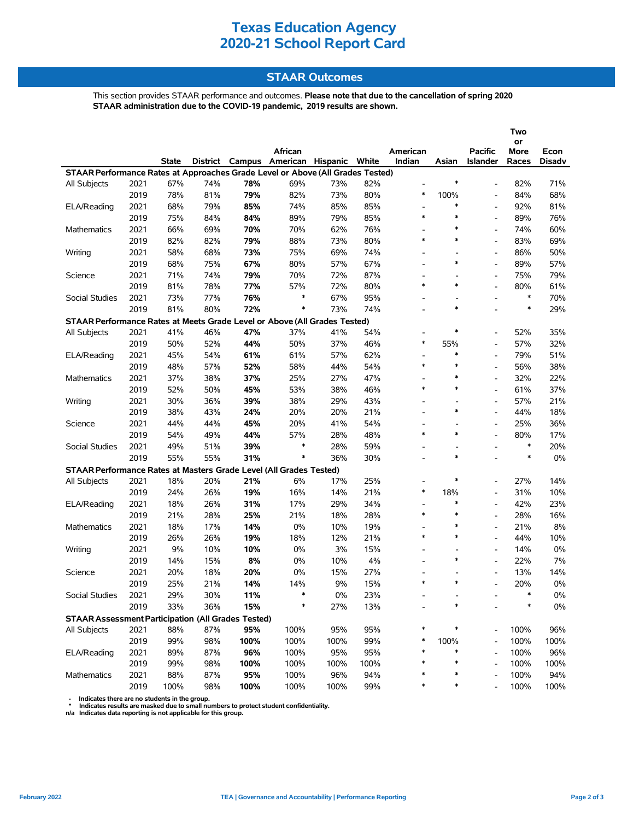### **STAAR Outcomes**

This section provides STAAR performance and outcomes. **Please note that due to the cancellation of spring 2020 STAAR administration due to the COVID-19 pandemic, 2019 results are shown.**

|                                                                                |      |       |     |      |                                         |       |      |                          |                          |                          | Two        |               |
|--------------------------------------------------------------------------------|------|-------|-----|------|-----------------------------------------|-------|------|--------------------------|--------------------------|--------------------------|------------|---------------|
|                                                                                |      |       |     |      | African                                 |       |      | American                 |                          | <b>Pacific</b>           | or<br>More | Econ          |
|                                                                                |      | State |     |      | District Campus American Hispanic White |       |      | Indian                   | Asian                    | Islander                 | Races      | <b>Disadv</b> |
| STAAR Performance Rates at Approaches Grade Level or Above (All Grades Tested) |      |       |     |      |                                         |       |      |                          |                          |                          |            |               |
| All Subjects                                                                   | 2021 | 67%   | 74% | 78%  | 69%                                     | 73%   | 82%  | $\overline{\phantom{a}}$ | $\ast$                   | $\overline{a}$           | 82%        | 71%           |
|                                                                                | 2019 | 78%   | 81% | 79%  | 82%                                     | 73%   | 80%  | *                        | 100%                     | $\overline{\phantom{a}}$ | 84%        | 68%           |
| ELA/Reading                                                                    | 2021 | 68%   | 79% | 85%  | 74%                                     | 85%   | 85%  | $\overline{\phantom{a}}$ | $\ast$                   |                          | 92%        | 81%           |
|                                                                                | 2019 | 75%   | 84% | 84%  | 89%                                     | 79%   | 85%  | $\ast$                   | $\ast$                   | $\overline{a}$           | 89%        | 76%           |
| <b>Mathematics</b>                                                             | 2021 | 66%   | 69% | 70%  | 70%                                     | 62%   | 76%  | $\overline{\phantom{0}}$ | $\ast$                   |                          | 74%        | 60%           |
|                                                                                | 2019 | 82%   | 82% | 79%  | 88%                                     | 73%   | 80%  | $\ast$                   | $\ast$                   | $\overline{a}$           | 83%        | 69%           |
| Writing                                                                        | 2021 | 58%   | 68% | 73%  | 75%                                     | 69%   | 74%  | $\overline{\phantom{a}}$ | $\overline{\phantom{a}}$ | $\overline{\phantom{a}}$ | 86%        | 50%           |
|                                                                                | 2019 | 68%   | 75% | 67%  | 80%                                     | 57%   | 67%  | $\overline{\phantom{0}}$ | $\ast$                   | $\overline{\phantom{a}}$ | 89%        | 57%           |
| Science                                                                        | 2021 | 71%   | 74% | 79%  | 70%                                     | 72%   | 87%  | $\overline{\phantom{a}}$ | ۰                        | $\overline{\phantom{a}}$ | 75%        | 79%           |
|                                                                                | 2019 | 81%   | 78% | 77%  | 57%                                     | 72%   | 80%  | $\ast$                   | $\ast$                   | $\overline{a}$           | 80%        | 61%           |
| Social Studies                                                                 | 2021 | 73%   | 77% | 76%  | $\ast$                                  | 67%   | 95%  | $\overline{\phantom{a}}$ | $\overline{\phantom{a}}$ | $\blacksquare$           | $\ast$     | 70%           |
|                                                                                | 2019 | 81%   | 80% | 72%  | $\ast$                                  | 73%   | 74%  | $\overline{\phantom{a}}$ | $\ast$                   | ۰                        | $\ast$     | 29%           |
| STAAR Performance Rates at Meets Grade Level or Above (All Grades Tested)      |      |       |     |      |                                         |       |      |                          |                          |                          |            |               |
| <b>All Subjects</b>                                                            | 2021 | 41%   | 46% | 47%  | 37%                                     | 41%   | 54%  | $\overline{\phantom{a}}$ | $\ast$                   |                          | 52%        | 35%           |
|                                                                                | 2019 | 50%   | 52% | 44%  | 50%                                     | 37%   | 46%  | $\ast$                   | 55%                      | $\overline{\phantom{a}}$ | 57%        | 32%           |
| ELA/Reading                                                                    | 2021 | 45%   | 54% | 61%  | 61%                                     | 57%   | 62%  | $\overline{\phantom{0}}$ | $\ast$                   |                          | 79%        | 51%           |
|                                                                                | 2019 | 48%   | 57% | 52%  | 58%                                     | 44%   | 54%  | $\ast$                   | $\ast$                   | $\overline{a}$           | 56%        | 38%           |
| <b>Mathematics</b>                                                             | 2021 | 37%   | 38% | 37%  | 25%                                     | 27%   | 47%  | $\frac{1}{2}$            | $\ast$                   | $\overline{\phantom{a}}$ | 32%        | 22%           |
|                                                                                | 2019 | 52%   | 50% | 45%  | 53%                                     | 38%   | 46%  | $\ast$                   | $\ast$                   |                          | 61%        | 37%           |
| Writing                                                                        | 2021 | 30%   | 36% | 39%  | 38%                                     | 29%   | 43%  | $\overline{\phantom{a}}$ | $\overline{\phantom{a}}$ | $\overline{\phantom{a}}$ | 57%        | 21%           |
|                                                                                | 2019 | 38%   | 43% | 24%  | 20%                                     | 20%   | 21%  | $\overline{\phantom{0}}$ | $\ast$                   | $\overline{\phantom{a}}$ | 44%        | 18%           |
| Science                                                                        | 2021 | 44%   | 44% | 45%  | 20%                                     | 41%   | 54%  | $\overline{\phantom{a}}$ |                          |                          | 25%        | 36%           |
|                                                                                | 2019 | 54%   | 49% | 44%  | 57%                                     | 28%   | 48%  | $\ast$                   | $\ast$                   |                          | 80%        | 17%           |
| Social Studies                                                                 | 2021 | 49%   | 51% | 39%  | $\ast$                                  | 28%   | 59%  | $\overline{\phantom{0}}$ | L,                       | $\overline{\phantom{a}}$ | $\ast$     | 20%           |
|                                                                                | 2019 | 55%   | 55% | 31%  | $\ast$                                  | 36%   | 30%  | $\overline{a}$           | $\ast$                   |                          | $\ast$     | $0\%$         |
| STAAR Performance Rates at Masters Grade Level (All Grades Tested)             |      |       |     |      |                                         |       |      |                          |                          |                          |            |               |
| All Subjects                                                                   | 2021 | 18%   | 20% | 21%  | 6%                                      | 17%   | 25%  | $\overline{\phantom{a}}$ | $\ast$                   |                          | 27%        | 14%           |
|                                                                                | 2019 | 24%   | 26% | 19%  | 16%                                     | 14%   | 21%  | $\ast$                   | 18%                      |                          | 31%        | 10%           |
| ELA/Reading                                                                    | 2021 | 18%   | 26% | 31%  | 17%                                     | 29%   | 34%  | $\overline{\phantom{a}}$ | $\ast$                   | $\overline{a}$           | 42%        | 23%           |
|                                                                                | 2019 | 21%   | 28% | 25%  | 21%                                     | 18%   | 28%  | $\ast$                   | $\ast$                   |                          | 28%        | 16%           |
| <b>Mathematics</b>                                                             | 2021 | 18%   | 17% | 14%  | 0%                                      | 10%   | 19%  | $\overline{\phantom{0}}$ | $\ast$                   | $\overline{a}$           | 21%        | 8%            |
|                                                                                | 2019 | 26%   | 26% | 19%  | 18%                                     | 12%   | 21%  | $\ast$                   | $\ast$                   | $\blacksquare$           | 44%        | 10%           |
| Writing                                                                        | 2021 | 9%    | 10% | 10%  | 0%                                      | 3%    | 15%  | $\overline{\phantom{a}}$ |                          | $\overline{\phantom{a}}$ | 14%        | 0%            |
|                                                                                | 2019 | 14%   | 15% | 8%   | 0%                                      | 10%   | 4%   | $\overline{\phantom{a}}$ | $\ast$                   | $\overline{\phantom{a}}$ | 22%        | 7%            |
| Science                                                                        | 2021 | 20%   | 18% | 20%  | 0%                                      | 15%   | 27%  | $\overline{a}$           |                          |                          | 13%        | 14%           |
|                                                                                | 2019 | 25%   | 21% | 14%  | 14%                                     | 9%    | 15%  | $\ast$                   | $\ast$                   |                          | 20%        | 0%            |
| Social Studies                                                                 | 2021 | 29%   | 30% | 11%  | ∗                                       | $0\%$ | 23%  |                          |                          |                          | ∗          | 0%            |
|                                                                                | 2019 | 33%   | 36% | 15%  | ∗                                       | 27%   | 13%  |                          |                          |                          |            | $0\%$         |
| <b>STAAR Assessment Participation (All Grades Tested)</b>                      |      |       |     |      |                                         |       |      |                          |                          |                          |            |               |
| All Subjects                                                                   | 2021 | 88%   | 87% | 95%  | 100%                                    | 95%   | 95%  | *                        | ∗                        |                          | 100%       | 96%           |
|                                                                                | 2019 | 99%   | 98% | 100% | 100%                                    | 100%  | 99%  | *                        | 100%                     |                          | 100%       | 100%          |
| ELA/Reading                                                                    | 2021 | 89%   | 87% | 96%  | 100%                                    | 95%   | 95%  | *                        | $\ast$                   |                          | 100%       | 96%           |
|                                                                                | 2019 | 99%   | 98% | 100% | 100%                                    | 100%  | 100% | ∗                        | $\ast$                   |                          | 100%       | 100%          |
| Mathematics                                                                    | 2021 | 88%   | 87% | 95%  | 100%                                    | 96%   | 94%  | ∗                        | $\ast$                   |                          | 100%       | 94%           |
|                                                                                | 2019 | 100%  | 98% | 100% | 100%                                    | 100%  | 99%  | *                        | ∗                        |                          | 100%       | 100%          |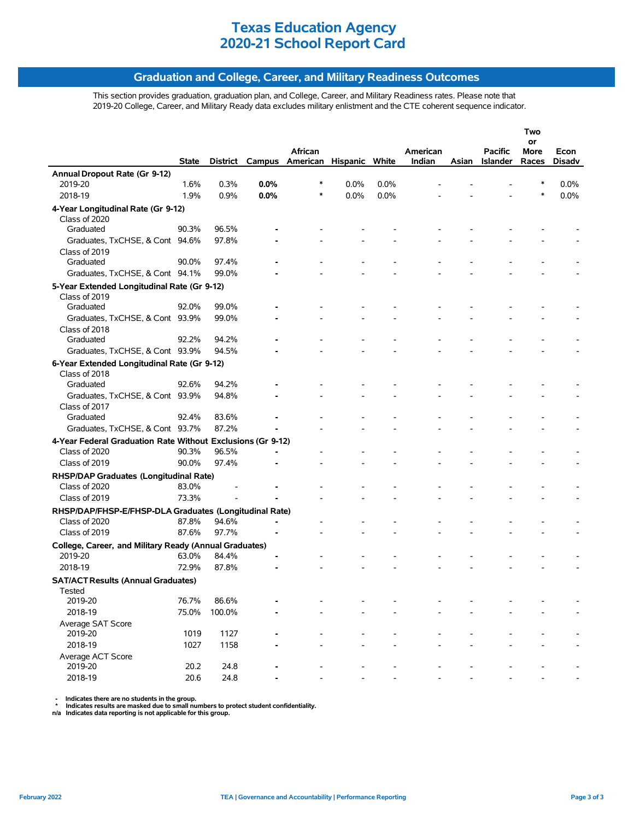### **Graduation and College, Career, and Military Readiness Outcomes**

This section provides graduation, graduation plan, and College, Career, and Military Readiness rates. Please note that 2019-20 College, Career, and Military Ready data excludes military enlistment and the CTE coherent sequence indicator.

|                                                                         |              |          |      |                                |      |      |          |       |                 | Two        |               |
|-------------------------------------------------------------------------|--------------|----------|------|--------------------------------|------|------|----------|-------|-----------------|------------|---------------|
|                                                                         |              |          |      | African                        |      |      | American |       | <b>Pacific</b>  | or<br>More | Econ          |
|                                                                         | <b>State</b> | District |      | Campus American Hispanic White |      |      | Indian   | Asian | <b>Islander</b> | Races      | <b>Disadv</b> |
| Annual Dropout Rate (Gr 9-12)                                           |              |          |      |                                |      |      |          |       |                 |            |               |
| 2019-20                                                                 | 1.6%         | 0.3%     | 0.0% | ∗                              | 0.0% | 0.0% |          |       |                 | *          | 0.0%          |
| 2018-19                                                                 | 1.9%         | 0.9%     | 0.0% | $\ast$                         | 0.0% | 0.0% |          |       |                 | $\ast$     | 0.0%          |
| 4-Year Longitudinal Rate (Gr 9-12)                                      |              |          |      |                                |      |      |          |       |                 |            |               |
| Class of 2020                                                           |              |          |      |                                |      |      |          |       |                 |            |               |
| Graduated                                                               | 90.3%        | 96.5%    |      |                                |      |      |          |       |                 |            |               |
| Graduates, TxCHSE, & Cont 94.6%                                         |              | 97.8%    |      |                                |      |      |          |       |                 |            |               |
| Class of 2019                                                           |              |          |      |                                |      |      |          |       |                 |            |               |
| Graduated                                                               | 90.0%        | 97.4%    |      |                                |      |      |          |       |                 |            |               |
| Graduates, TxCHSE, & Cont 94.1%                                         |              | 99.0%    |      |                                |      |      |          |       |                 |            |               |
| 5-Year Extended Longitudinal Rate (Gr 9-12)                             |              |          |      |                                |      |      |          |       |                 |            |               |
| Class of 2019                                                           |              |          |      |                                |      |      |          |       |                 |            |               |
| Graduated                                                               | 92.0%        | 99.0%    |      |                                |      |      |          |       |                 |            |               |
| Graduates, TxCHSE, & Cont 93.9%                                         |              | 99.0%    |      |                                |      |      |          |       |                 |            |               |
| Class of 2018                                                           |              |          |      |                                |      |      |          |       |                 |            |               |
| Graduated                                                               | 92.2%        | 94.2%    |      |                                |      |      |          |       |                 |            |               |
| Graduates, TxCHSE, & Cont 93.9%                                         |              | 94.5%    |      |                                |      |      |          |       |                 |            |               |
| 6-Year Extended Longitudinal Rate (Gr 9-12)                             |              |          |      |                                |      |      |          |       |                 |            |               |
| Class of 2018                                                           | 92.6%        | 94.2%    |      |                                |      |      |          |       |                 |            |               |
| Graduated                                                               |              |          |      |                                |      |      |          |       |                 |            |               |
| Graduates, TxCHSE, & Cont 93.9%<br>Class of 2017                        |              | 94.8%    |      |                                |      |      |          |       |                 |            |               |
| Graduated                                                               | 92.4%        | 83.6%    |      |                                |      |      |          |       |                 |            |               |
| Graduates, TxCHSE, & Cont 93.7%                                         |              | 87.2%    |      |                                |      |      |          |       |                 |            |               |
| 4-Year Federal Graduation Rate Without Exclusions (Gr 9-12)             |              |          |      |                                |      |      |          |       |                 |            |               |
| Class of 2020                                                           | 90.3%        | 96.5%    |      |                                |      |      |          |       |                 |            |               |
| Class of 2019                                                           | 90.0%        | 97.4%    |      |                                |      |      |          |       |                 |            |               |
|                                                                         |              |          |      |                                |      |      |          |       |                 |            |               |
| RHSP/DAP Graduates (Longitudinal Rate)<br>Class of 2020                 | 83.0%        |          |      |                                |      |      |          |       |                 |            |               |
| Class of 2019                                                           | 73.3%        |          |      |                                |      |      |          |       |                 |            |               |
|                                                                         |              |          |      |                                |      |      |          |       |                 |            |               |
| RHSP/DAP/FHSP-E/FHSP-DLA Graduates (Longitudinal Rate)<br>Class of 2020 | 87.8%        | 94.6%    |      |                                |      |      |          |       |                 |            |               |
| Class of 2019                                                           | 87.6%        | 97.7%    |      |                                |      |      |          |       |                 |            |               |
|                                                                         |              |          |      |                                |      |      |          |       |                 |            |               |
| College, Career, and Military Ready (Annual Graduates)<br>2019-20       | 63.0%        | 84.4%    |      |                                |      |      |          |       |                 |            |               |
| 2018-19                                                                 | 72.9%        | 87.8%    |      |                                |      |      |          |       |                 |            |               |
|                                                                         |              |          |      |                                |      |      |          |       |                 |            |               |
| <b>SAT/ACT Results (Annual Graduates)</b>                               |              |          |      |                                |      |      |          |       |                 |            |               |
| Tested<br>2019-20                                                       | 76.7%        | 86.6%    |      |                                |      |      |          |       |                 |            |               |
| 2018-19                                                                 | 75.0%        | 100.0%   |      |                                |      |      |          |       |                 |            |               |
| Average SAT Score                                                       |              |          |      |                                |      |      |          |       |                 |            |               |
| 2019-20                                                                 | 1019         | 1127     |      |                                |      |      |          |       |                 |            |               |
| 2018-19                                                                 | 1027         | 1158     |      |                                |      |      |          |       |                 |            |               |
| Average ACT Score                                                       |              |          |      |                                |      |      |          |       |                 |            |               |
| 2019-20                                                                 | 20.2         | 24.8     |      |                                |      |      |          |       |                 |            |               |
| 2018-19                                                                 | 20.6         | 24.8     |      |                                |      |      |          |       |                 |            |               |
|                                                                         |              |          |      |                                |      |      |          |       |                 |            |               |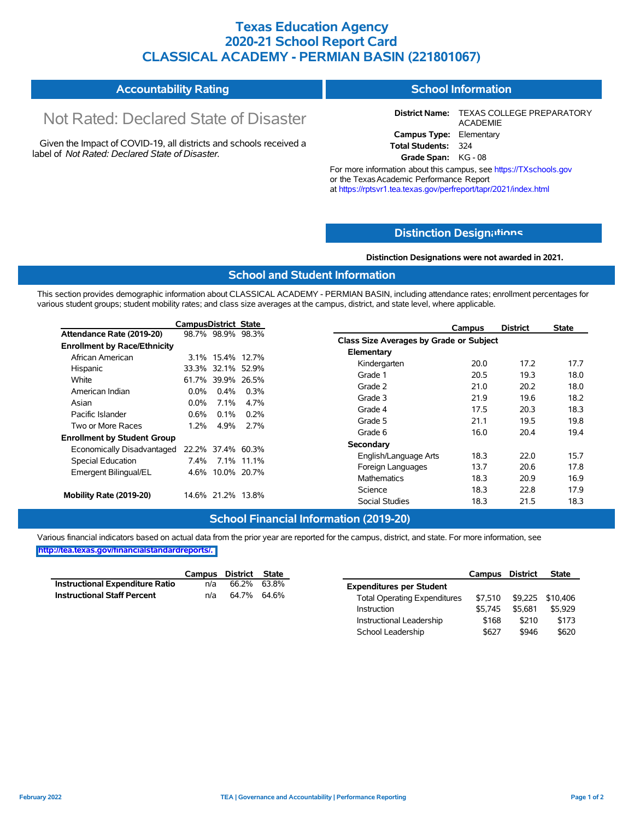### **Texas Education Agency 2020-21 School Report Card CLASSICAL ACADEMY - PERMIAN BASIN (221801067)**

#### **Accountability Rating School Information**

# Not Rated: Declared State of Disaster

Given the Impact of COVID-19, all districts and schools received a label of *Not Rated: Declared State of Disaster.*

**District Name:** TEXAS COLLEGE PREPARATORY ACADEMIE **Campus Type:** Elementary **Total Students:** 324

**Grade Span:** KG - 08

For more information about this campus, see https://TXschools.gov or the Texas Academic Performance Report at https://rptsvr1.tea.texas.gov/perfreport/tapr/2021/index.html

### **Distinction Design[ations](https://TXschools.gov)**

**Distinction Designations were not awarded in 2021.**

Instructional Leadership  $$168$  \$210 \$173 School Leadership  $$627$  \$946 \$620

### **School and Student Information**

This section provides demographic information about CLASSICAL ACADEMY - PERMIAN BASIN, including attendance rates; enrollment percentages for various student groups; student mobility rates; and class size averages at the campus, district, and state level, where applicable.

|                                     | <b>CampusDistrict State</b> |                   |                         | <b>District</b><br>Campus               | <b>State</b> |
|-------------------------------------|-----------------------------|-------------------|-------------------------|-----------------------------------------|--------------|
| Attendance Rate (2019-20)           |                             | 98.7% 98.9% 98.3% |                         | Class Size Averages by Grade or Subject |              |
| <b>Enrollment by Race/Ethnicity</b> |                             |                   |                         |                                         |              |
| African American                    |                             | 3.1% 15.4% 12.7%  |                         | Elementary                              |              |
| Hispanic                            |                             | 33.3% 32.1% 52.9% |                         | Kindergarten<br>17.2<br>20.0            | 17.7         |
| White                               |                             | 61.7% 39.9% 26.5% |                         | Grade 1<br>20.5<br>19.3                 | 18.0         |
| American Indian                     | $0.0\%$                     | $0.4\%$           | 0.3%                    | 20.2<br>Grade 2<br>21.0                 | 18.0         |
| Asian                               | $0.0\%$                     | $7.1\%$           | 4.7%                    | Grade 3<br>21.9<br>19.6                 | 18.2         |
| Pacific Islander                    | $0.6\%$                     | $0.1\%$           | $0.2\%$                 | Grade 4<br>20.3<br>17.5                 | 18.3         |
|                                     |                             |                   |                         | Grade 5<br>21.1<br>19.5                 | 19.8         |
| Two or More Races                   | $1.2\%$                     | 4.9%              | 2.7%                    | Grade 6<br>16.0<br>20.4                 | 19.4         |
| <b>Enrollment by Student Group</b>  |                             |                   |                         | Secondary                               |              |
| Economically Disadvantaged          |                             | 22.2% 37.4% 60.3% |                         |                                         |              |
| Special Education                   |                             | 7.4% 7.1% 11.1%   |                         | 18.3<br>22.0<br>English/Language Arts   | 15.7         |
| Emergent Bilingual/EL               |                             | 4.6% 10.0% 20.7%  |                         | 13.7<br>20.6<br>Foreign Languages       | 17.8         |
|                                     |                             |                   |                         | 18.3<br>20.9<br>Mathematics             | 16.9         |
|                                     | 14.6% 21.2% 13.8%           |                   | Science<br>22.8<br>18.3 | 17.9                                    |              |
| Mobility Rate (2019-20)             |                             |                   |                         | <b>Social Studies</b><br>21.5<br>18.3   | 18.3         |

### **School Financial Information (2019-20)**

|                                 | Campus District State |             |                                     | Campus District |                          | <b>State</b> |
|---------------------------------|-----------------------|-------------|-------------------------------------|-----------------|--------------------------|--------------|
| Instructional Expenditure Ratio | n/a                   | 66.2% 63.8% | <b>Expenditures per Student</b>     |                 |                          |              |
| Instructional Staff Percent     | n/a                   | 64.7% 64.6% | <b>Total Operating Expenditures</b> |                 | \$7,510 \$9,225 \$10,406 |              |
|                                 |                       |             | Instruction                         | \$5.745         | \$5.681                  | \$5,929      |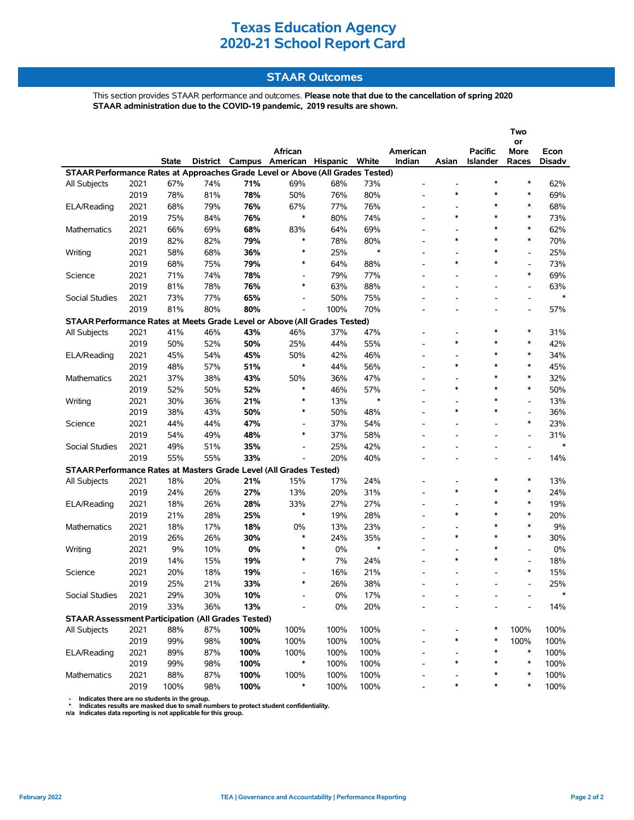### **STAAR Outcomes**

This section provides STAAR performance and outcomes. **Please note that due to the cancellation of spring 2020 STAAR administration due to the COVID-19 pandemic, 2019 results are shown.**

|                                                                                |      |       |          |      |                          |       |        |          |                                    |                          | Two                      |        |
|--------------------------------------------------------------------------------|------|-------|----------|------|--------------------------|-------|--------|----------|------------------------------------|--------------------------|--------------------------|--------|
|                                                                                |      |       |          |      |                          |       |        |          |                                    |                          | or                       |        |
|                                                                                |      |       |          |      | African                  |       |        | American |                                    | Pacific                  | More                     | Econ   |
|                                                                                |      | State | District |      | Campus American Hispanic |       | White  | Indian   | Asian                              | <b>Islander</b>          | Races                    | Disadv |
| STAAR Performance Rates at Approaches Grade Level or Above (All Grades Tested) |      |       |          |      |                          |       |        |          |                                    | $\ast$                   | $\ast$                   |        |
| All Subjects                                                                   | 2021 | 67%   | 74%      | 71%  | 69%                      | 68%   | 73%    |          | $\ast$                             | $\ast$                   | $\ast$                   | 62%    |
|                                                                                | 2019 | 78%   | 81%      | 78%  | 50%                      | 76%   | 80%    |          |                                    | $\ast$                   | $\ast$                   | 69%    |
| ELA/Reading                                                                    | 2021 | 68%   | 79%      | 76%  | 67%                      | 77%   | 76%    |          |                                    |                          | $\ast$                   | 68%    |
|                                                                                | 2019 | 75%   | 84%      | 76%  | $\ast$                   | 80%   | 74%    |          | $\ast$                             | $\ast$                   |                          | 73%    |
| <b>Mathematics</b>                                                             | 2021 | 66%   | 69%      | 68%  | 83%                      | 64%   | 69%    |          |                                    | $\ast$                   | $\ast$                   | 62%    |
|                                                                                | 2019 | 82%   | 82%      | 79%  | ∗                        | 78%   | 80%    |          | $\ast$                             | $\ast$                   | $\ast$                   | 70%    |
| Writing                                                                        | 2021 | 58%   | 68%      | 36%  | $\ast$                   | 25%   | $\ast$ |          | $\overline{\phantom{a}}$           | $\ast$                   | $\overline{\phantom{a}}$ | 25%    |
|                                                                                | 2019 | 68%   | 75%      | 79%  | $\ast$                   | 64%   | 88%    |          | $\ast$                             | $\ast$                   | $\frac{1}{2}$            | 73%    |
| Science                                                                        | 2021 | 71%   | 74%      | 78%  | $\overline{a}$           | 79%   | 77%    |          |                                    |                          | $\ast$                   | 69%    |
|                                                                                | 2019 | 81%   | 78%      | 76%  | $\ast$                   | 63%   | 88%    |          | $\overline{\phantom{a}}$           | $\overline{\phantom{a}}$ | $\overline{\phantom{a}}$ | 63%    |
| Social Studies                                                                 | 2021 | 73%   | 77%      | 65%  | $\overline{\phantom{0}}$ | 50%   | 75%    |          |                                    |                          | $\overline{\phantom{a}}$ | $\ast$ |
|                                                                                | 2019 | 81%   | 80%      | 80%  |                          | 100%  | 70%    |          |                                    |                          |                          | 57%    |
| STAAR Performance Rates at Meets Grade Level or Above (All Grades Tested)      |      |       |          |      |                          |       |        |          |                                    |                          |                          |        |
| All Subjects                                                                   | 2021 | 41%   | 46%      | 43%  | 46%                      | 37%   | 47%    |          |                                    | $\ast$                   | $\ast$                   | 31%    |
|                                                                                | 2019 | 50%   | 52%      | 50%  | 25%                      | 44%   | 55%    |          | $\ast$                             | $\ast$                   | $\ast$                   | 42%    |
| ELA/Reading                                                                    | 2021 | 45%   | 54%      | 45%  | 50%                      | 42%   | 46%    |          | $\overline{\phantom{a}}$           | $\ast$                   | $\ast$                   | 34%    |
|                                                                                | 2019 | 48%   | 57%      | 51%  | $\ast$                   | 44%   | 56%    |          | $\ast$                             | *                        | $\ast$                   | 45%    |
| <b>Mathematics</b>                                                             | 2021 | 37%   | 38%      | 43%  | 50%                      | 36%   | 47%    |          | $\overline{\phantom{a}}$           | $\ast$                   | $\ast$                   | 32%    |
|                                                                                | 2019 | 52%   | 50%      | 52%  | $\ast$                   | 46%   | 57%    |          | $\ast$                             | $\ast$                   | $\ast$                   | 50%    |
| Writing                                                                        | 2021 | 30%   | 36%      | 21%  | $\ast$                   | 13%   | $\ast$ |          | $\overline{\phantom{a}}$           | $\ast$                   | $\overline{a}$           | 13%    |
|                                                                                | 2019 | 38%   | 43%      | 50%  | $\ast$                   | 50%   | 48%    |          | $\ast$                             | $\ast$                   | $\overline{a}$           | 36%    |
| Science                                                                        | 2021 | 44%   | 44%      | 47%  | $\overline{\phantom{a}}$ | 37%   | 54%    |          |                                    |                          | $\ast$                   | 23%    |
|                                                                                | 2019 | 54%   | 49%      | 48%  | ∗                        | 37%   | 58%    |          |                                    |                          | $\overline{a}$           | 31%    |
| Social Studies                                                                 | 2021 | 49%   | 51%      | 35%  |                          | 25%   | 42%    |          |                                    |                          | $\overline{\phantom{a}}$ | $\ast$ |
|                                                                                | 2019 | 55%   | 55%      | 33%  |                          | 20%   | 40%    |          |                                    |                          |                          | 14%    |
|                                                                                |      |       |          |      |                          |       |        |          |                                    |                          |                          |        |
| STAAR Performance Rates at Masters Grade Level (All Grades Tested)             | 2021 | 18%   | 20%      | 21%  | 15%                      | 17%   | 24%    |          |                                    | ∗                        | $\ast$                   | 13%    |
| All Subjects                                                                   |      |       |          |      |                          |       |        |          | $\ast$                             | $\ast$                   | $\ast$                   |        |
|                                                                                | 2019 | 24%   | 26%      | 27%  | 13%                      | 20%   | 31%    |          |                                    | $\ast$                   | $\ast$                   | 24%    |
| ELA/Reading                                                                    | 2021 | 18%   | 26%      | 28%  | 33%<br>$\ast$            | 27%   | 27%    |          | $\overline{\phantom{a}}$<br>$\ast$ | $\ast$                   | $\ast$                   | 19%    |
|                                                                                | 2019 | 21%   | 28%      | 25%  |                          | 19%   | 28%    |          |                                    | $\ast$                   | $\ast$                   | 20%    |
| Mathematics                                                                    | 2021 | 18%   | 17%      | 18%  | 0%                       | 13%   | 23%    |          |                                    |                          |                          | 9%     |
|                                                                                | 2019 | 26%   | 26%      | 30%  | ∗                        | 24%   | 35%    |          | $\ast$                             | $\ast$                   | $\ast$                   | 30%    |
| Writing                                                                        | 2021 | 9%    | 10%      | 0%   | $\ast$                   | 0%    | $\ast$ |          |                                    | $\ast$                   | $\overline{\phantom{a}}$ | 0%     |
|                                                                                | 2019 | 14%   | 15%      | 19%  | $\ast$                   | 7%    | 24%    |          | $\ast$                             | $\ast$                   | $\overline{a}$           | 18%    |
| Science                                                                        | 2021 | 20%   | 18%      | 19%  | $\overline{\phantom{0}}$ | 16%   | 21%    |          |                                    |                          | ∗                        | 15%    |
|                                                                                | 2019 | 25%   | 21%      | 33%  | $\ast$                   | 26%   | 38%    |          |                                    |                          |                          | 25%    |
| Social Studies                                                                 | 2021 | 29%   | 30%      | 10%  |                          | $0\%$ | 17%    |          |                                    |                          |                          |        |
|                                                                                | 2019 | 33%   | 36%      | 13%  |                          | 0%    | 20%    |          |                                    |                          |                          | 14%    |
| <b>STAAR Assessment Participation (All Grades Tested)</b>                      |      |       |          |      |                          |       |        |          |                                    |                          |                          |        |
| All Subjects                                                                   | 2021 | 88%   | 87%      | 100% | 100%                     | 100%  | 100%   |          |                                    | ∗                        | 100%                     | 100%   |
|                                                                                | 2019 | 99%   | 98%      | 100% | 100%                     | 100%  | 100%   |          | ∗                                  |                          | 100%                     | 100%   |
| ELA/Reading                                                                    | 2021 | 89%   | 87%      | 100% | 100%                     | 100%  | 100%   |          |                                    |                          | $\ast$                   | 100%   |
|                                                                                | 2019 | 99%   | 98%      | 100% | *                        | 100%  | 100%   |          | $\ast$                             | $\ast$                   | $\ast$                   | 100%   |
| Mathematics                                                                    | 2021 | 88%   | 87%      | 100% | 100%                     | 100%  | 100%   |          |                                    | ∗                        | $\ast$                   | 100%   |
|                                                                                | 2019 | 100%  | 98%      | 100% | $\ast$                   | 100%  | 100%   |          | $\ast$                             | $\ast$                   | ∗                        | 100%   |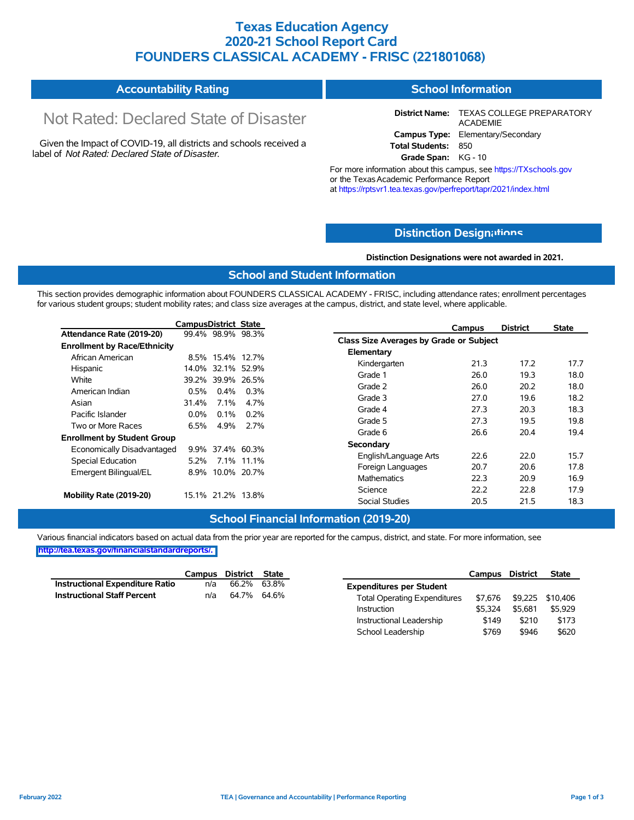### **Texas Education Agency 2020-21 School Report Card FOUNDERS CLASSICAL ACADEMY - FRISC (221801068)**

#### **Accountability Rating School Information**

# Not Rated: Declared State of Disaster

Given the Impact of COVID-19, all districts and schools received a label of *Not Rated: Declared State of Disaster.*

**District Name:** TEXAS COLLEGE PREPARATORY ACADEMIE **Campus Type:** Elementary/Secondary **Total Students:** 850

**Grade Span:** KG - 10

For more information about this campus, see https://TXschools.gov or the Texas Academic Performance Report at https://rptsvr1.tea.texas.gov/perfreport/tapr/2021/index.html

### **Distinction Design[ations](https://TXschools.gov)**

**Distinction Designations were not awarded in 2021.**

Instructional Leadership  $$149$  \$210 \$173 School Leadership  $$769$  \$946 \$620

#### **School and Student Information**

This section provides demographic information about FOUNDERS CLASSICAL ACADEMY - FRISC, including attendance rates; enrollment percentages for various student groups; student mobility rates; and class size averages at the campus, district, and state level, where applicable.

|                                     | CampusDistrict State |                   |         |                                         | Campus | <b>District</b> | <b>State</b> |
|-------------------------------------|----------------------|-------------------|---------|-----------------------------------------|--------|-----------------|--------------|
| Attendance Rate (2019-20)           |                      | 99.4% 98.9% 98.3% |         | Class Size Averages by Grade or Subject |        |                 |              |
| <b>Enrollment by Race/Ethnicity</b> |                      |                   |         |                                         |        |                 |              |
| African American                    |                      | 8.5% 15.4% 12.7%  |         | Elementary                              |        |                 |              |
| Hispanic                            |                      | 14.0% 32.1% 52.9% |         | Kindergarten                            | 21.3   | 17.2            | 17.7         |
| White                               |                      | 39.2% 39.9% 26.5% |         | Grade 1                                 | 26.0   | 19.3            | 18.0         |
| American Indian                     | 0.5%                 | $0.4\%$           | $0.3\%$ | Grade 2                                 | 26.0   | 20.2            | 18.0         |
| Asian                               | 31.4%                | 7.1%              | 4.7%    | Grade 3                                 | 27.0   | 19.6            | 18.2         |
|                                     |                      |                   |         | Grade 4                                 | 27.3   | 20.3            | 18.3         |
| Pacific Islander                    | $0.0\%$              | 0.1%              | $0.2\%$ | Grade 5                                 | 27.3   | 19.5            | 19.8         |
| Two or More Races                   | 6.5%                 | 4.9%              | 2.7%    | Grade 6                                 | 26.6   | 20.4            | 19.4         |
| <b>Enrollment by Student Group</b>  |                      |                   |         | Secondary                               |        |                 |              |
| Economically Disadvantaged          |                      | 9.9% 37.4% 60.3%  |         |                                         |        |                 |              |
| Special Education                   |                      | 5.2% 7.1% 11.1%   |         | English/Language Arts                   | 22.6   | 22.0            | 15.7         |
| Emergent Bilingual/EL               |                      | 8.9% 10.0% 20.7%  |         | Foreign Languages                       | 20.7   | 20.6            | 17.8         |
|                                     |                      |                   |         | <b>Mathematics</b>                      | 22.3   | 20.9            | 16.9         |
| Mobility Rate (2019-20)             |                      | 15.1% 21.2% 13.8% |         | Science                                 | 22.2   | 22.8            | 17.9         |
|                                     |                      |                   |         | Social Studies                          | 20.5   | 21.5            | 18.3         |

### **School Financial Information (2019-20)**

|                                 | Campus District State |             |                                     | Campus District |         | <b>State</b>             |
|---------------------------------|-----------------------|-------------|-------------------------------------|-----------------|---------|--------------------------|
| Instructional Expenditure Ratio | n/a                   | 66.2% 63.8% | <b>Expenditures per Student</b>     |                 |         |                          |
| Instructional Staff Percent     | n/a                   | 64.7% 64.6% | <b>Total Operating Expenditures</b> |                 |         | \$7,676 \$9,225 \$10,406 |
|                                 |                       |             | Instruction                         | \$5.324         | \$5.681 | \$5,929                  |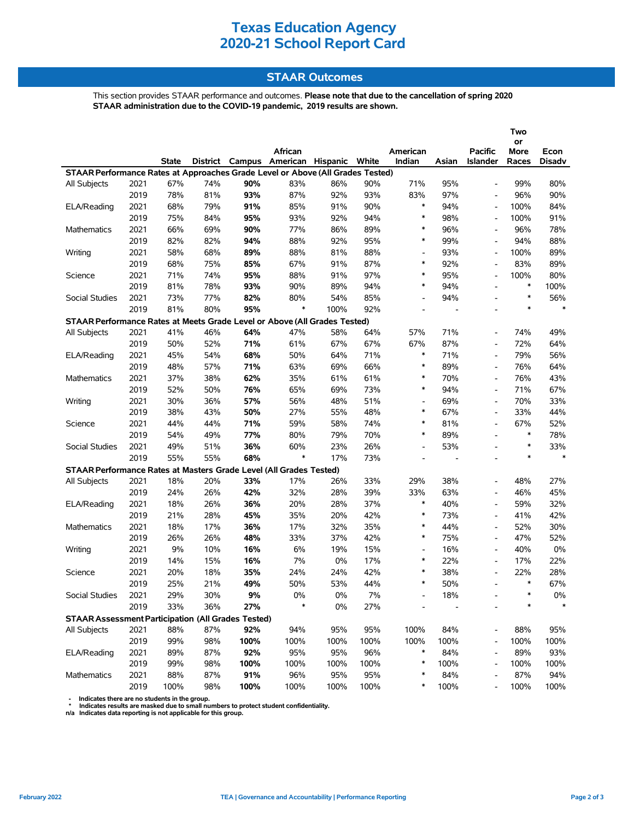### **STAAR Outcomes**

This section provides STAAR performance and outcomes. **Please note that due to the cancellation of spring 2020 STAAR administration due to the COVID-19 pandemic, 2019 results are shown.**

|                                                                                |      |              |     |       |                                         |       |      |                          |                          |                          | Two        |               |
|--------------------------------------------------------------------------------|------|--------------|-----|-------|-----------------------------------------|-------|------|--------------------------|--------------------------|--------------------------|------------|---------------|
|                                                                                |      |              |     |       | African                                 |       |      | American                 |                          | <b>Pacific</b>           | or<br>More | Econ          |
|                                                                                |      | <b>State</b> |     |       | District Campus American Hispanic White |       |      | Indian                   | Asian                    | Islander                 | Races      | <b>Disadv</b> |
| STAAR Performance Rates at Approaches Grade Level or Above (All Grades Tested) |      |              |     |       |                                         |       |      |                          |                          |                          |            |               |
| All Subjects                                                                   | 2021 | 67%          | 74% | 90%   | 83%                                     | 86%   | 90%  | 71%                      | 95%                      | $\overline{\phantom{a}}$ | 99%        | 80%           |
|                                                                                | 2019 | 78%          | 81% | 93%   | 87%                                     | 92%   | 93%  | 83%                      | 97%                      | $\overline{\phantom{a}}$ | 96%        | 90%           |
| ELA/Reading                                                                    | 2021 | 68%          | 79% | 91%   | 85%                                     | 91%   | 90%  | $\ast$                   | 94%                      |                          | 100%       | 84%           |
|                                                                                | 2019 | 75%          | 84% | 95%   | 93%                                     | 92%   | 94%  | $\ast$                   | 98%                      | $\blacksquare$           | 100%       | 91%           |
| Mathematics                                                                    | 2021 | 66%          | 69% | 90%   | 77%                                     | 86%   | 89%  | $\ast$                   | 96%                      |                          | 96%        | 78%           |
|                                                                                | 2019 | 82%          | 82% | 94%   | 88%                                     | 92%   | 95%  | $\ast$                   | 99%                      |                          | 94%        | 88%           |
| Writing                                                                        | 2021 | 58%          | 68% | 89%   | 88%                                     | 81%   | 88%  | $\overline{\phantom{a}}$ | 93%                      | $\overline{\phantom{a}}$ | 100%       | 89%           |
|                                                                                | 2019 | 68%          | 75% | 85%   | 67%                                     | 91%   | 87%  | $\ast$                   | 92%                      | $\overline{\phantom{a}}$ | 83%        | 89%           |
| Science                                                                        | 2021 | 71%          | 74% | 95%   | 88%                                     | 91%   | 97%  | $\ast$                   | 95%                      | $\blacksquare$           | 100%       | 80%           |
|                                                                                | 2019 | 81%          | 78% | 93%   | 90%                                     | 89%   | 94%  | $\ast$                   | 94%                      | $\overline{a}$           | $\ast$     | 100%          |
| Social Studies                                                                 | 2021 | 73%          | 77% | 82%   | 80%                                     | 54%   | 85%  | $\overline{\phantom{0}}$ | 94%                      |                          | $\ast$     | 56%           |
|                                                                                | 2019 | 81%          | 80% | 95%   | $\ast$                                  | 100%  | 92%  | $\overline{a}$           | $\overline{\phantom{a}}$ | ۰                        | $\ast$     | $\ast$        |
| STAAR Performance Rates at Meets Grade Level or Above (All Grades Tested)      |      |              |     |       |                                         |       |      |                          |                          |                          |            |               |
| All Subjects                                                                   | 2021 | 41%          | 46% | 64%   | 47%                                     | 58%   | 64%  | 57%                      | 71%                      | $\overline{\phantom{a}}$ | 74%        | 49%           |
|                                                                                | 2019 | 50%          | 52% | 71%   | 61%                                     | 67%   | 67%  | 67%                      | 87%                      | $\blacksquare$           | 72%        | 64%           |
| ELA/Reading                                                                    | 2021 | 45%          | 54% | 68%   | 50%                                     | 64%   | 71%  | $\ast$                   | 71%                      |                          | 79%        | 56%           |
|                                                                                | 2019 | 48%          | 57% | 71%   | 63%                                     | 69%   | 66%  | $\ast$                   | 89%                      | $\overline{a}$           | 76%        | 64%           |
| <b>Mathematics</b>                                                             | 2021 | 37%          | 38% | 62%   | 35%                                     | 61%   | 61%  | $\ast$                   | 70%                      | $\overline{\phantom{a}}$ | 76%        | 43%           |
|                                                                                | 2019 | 52%          | 50% | 76%   | 65%                                     | 69%   | 73%  | $\ast$                   | 94%                      | $\overline{\phantom{a}}$ | 71%        | 67%           |
| Writing                                                                        | 2021 | 30%          | 36% | 57%   | 56%                                     | 48%   | 51%  | $\overline{\phantom{a}}$ | 69%                      | $\overline{\phantom{a}}$ | 70%        | 33%           |
|                                                                                | 2019 | 38%          | 43% | 50%   | 27%                                     | 55%   | 48%  | $\ast$                   | 67%                      | $\overline{\phantom{a}}$ | 33%        | 44%           |
| Science                                                                        | 2021 | 44%          | 44% | 71%   | 59%                                     | 58%   | 74%  | $\ast$                   | 81%                      |                          | 67%        | 52%           |
|                                                                                | 2019 | 54%          | 49% | 77%   | 80%                                     | 79%   | 70%  | $\ast$                   | 89%                      | $\overline{\phantom{a}}$ | $\ast$     | 78%           |
| Social Studies                                                                 | 2021 | 49%          | 51% | 36%   | 60%                                     | 23%   | 26%  | $\overline{\phantom{a}}$ | 53%                      | $\overline{a}$           | $\ast$     | 33%           |
|                                                                                | 2019 | 55%          | 55% | 68%   | $\ast$                                  | 17%   | 73%  | $\overline{a}$           | ÷,                       |                          | $\ast$     | $\ast$        |
| STAAR Performance Rates at Masters Grade Level (All Grades Tested)             |      |              |     |       |                                         |       |      |                          |                          |                          |            |               |
| All Subjects                                                                   | 2021 | 18%          | 20% | 33%   | 17%                                     | 26%   | 33%  | 29%                      | 38%                      |                          | 48%        | 27%           |
|                                                                                | 2019 | 24%          | 26% | 42%   | 32%                                     | 28%   | 39%  | 33%                      | 63%                      |                          | 46%        | 45%           |
| ELA/Reading                                                                    | 2021 | 18%          | 26% | 36%   | 20%                                     | 28%   | 37%  | $\ast$                   | 40%                      | ۰                        | 59%        | 32%           |
|                                                                                | 2019 | 21%          | 28% | 45%   | 35%                                     | 20%   | 42%  | $\ast$                   | 73%                      |                          | 41%        | 42%           |
| <b>Mathematics</b>                                                             | 2021 | 18%          | 17% | 36%   | 17%                                     | 32%   | 35%  | $\ast$                   | 44%                      | $\overline{\phantom{a}}$ | 52%        | 30%           |
|                                                                                | 2019 | 26%          | 26% | 48%   | 33%                                     | 37%   | 42%  | $\ast$                   | 75%                      | $\overline{\phantom{a}}$ | 47%        | 52%           |
| Writing                                                                        | 2021 | 9%           | 10% | 16%   | 6%                                      | 19%   | 15%  | $\overline{\phantom{0}}$ | 16%                      | $\overline{\phantom{a}}$ | 40%        | 0%            |
|                                                                                | 2019 | 14%          | 15% | 16%   | 7%                                      | 0%    | 17%  | $\ast$                   | 22%                      | $\overline{\phantom{a}}$ | 17%        | 22%           |
| Science                                                                        | 2021 | 20%          | 18% | 35%   | 24%                                     | 24%   | 42%  | $\ast$                   | 38%                      |                          | 22%        | 28%           |
|                                                                                | 2019 | 25%          | 21% | 49%   | 50%                                     | 53%   | 44%  | $\ast$                   | 50%                      |                          | $\ast$     | 67%           |
| Social Studies                                                                 | 2021 | 29%          | 30% | $9\%$ | $0\%$                                   | $0\%$ | 7%   |                          | 18%                      |                          | ∗          | 0%            |
|                                                                                | 2019 | 33%          | 36% | 27%   | *                                       | $0\%$ | 27%  |                          |                          |                          |            |               |
| <b>STAAR Assessment Participation (All Grades Tested)</b>                      |      |              |     |       |                                         |       |      |                          |                          |                          |            |               |
| All Subjects                                                                   | 2021 | 88%          | 87% | 92%   | 94%                                     | 95%   | 95%  | 100%                     | 84%                      |                          | 88%        | 95%           |
|                                                                                | 2019 | 99%          | 98% | 100%  | 100%                                    | 100%  | 100% | 100%                     | 100%                     |                          | 100%       | 100%          |
| ELA/Reading                                                                    | 2021 | 89%          | 87% | 92%   | 95%                                     | 95%   | 96%  | $\ast$                   | 84%                      |                          | 89%        | 93%           |
|                                                                                | 2019 | 99%          | 98% | 100%  | 100%                                    | 100%  | 100% | $\ast$                   | 100%                     | $\overline{\phantom{a}}$ | 100%       | 100%          |
| Mathematics                                                                    | 2021 | 88%          | 87% | 91%   | 96%                                     | 95%   | 95%  | *                        | 84%                      |                          | 87%        | 94%           |
|                                                                                | 2019 | 100%         | 98% | 100%  | 100%                                    | 100%  | 100% | *                        | 100%                     |                          | 100%       | 100%          |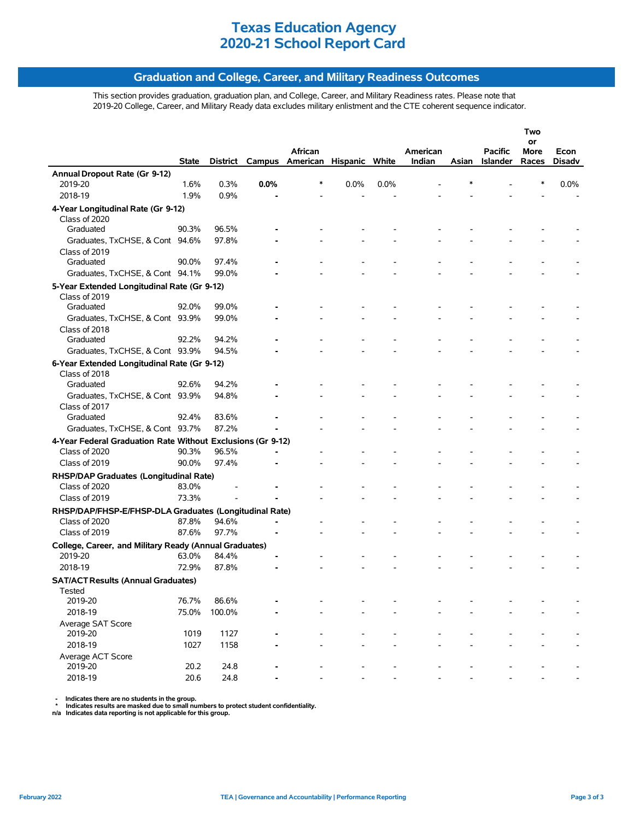### **Graduation and College, Career, and Military Readiness Outcomes**

This section provides graduation, graduation plan, and College, Career, and Military Readiness rates. Please note that 2019-20 College, Career, and Military Ready data excludes military enlistment and the CTE coherent sequence indicator.

|                                                             |              |        |      |                                         |      |      |          |       |                 | Two        |               |
|-------------------------------------------------------------|--------------|--------|------|-----------------------------------------|------|------|----------|-------|-----------------|------------|---------------|
|                                                             |              |        |      | African                                 |      |      | American |       | Pacific         | or<br>More | Econ          |
|                                                             | <b>State</b> |        |      | District Campus American Hispanic White |      |      | Indian   | Asian | <b>Islander</b> | Races      | <b>Disady</b> |
| Annual Dropout Rate (Gr 9-12)                               |              |        |      |                                         |      |      |          |       |                 |            |               |
| 2019-20                                                     | 1.6%         | 0.3%   | 0.0% | *                                       | 0.0% | 0.0% |          |       |                 | ∗          | 0.0%          |
| 2018-19                                                     | 1.9%         | 0.9%   |      |                                         |      |      |          |       |                 |            |               |
| 4-Year Longitudinal Rate (Gr 9-12)                          |              |        |      |                                         |      |      |          |       |                 |            |               |
| Class of 2020                                               |              |        |      |                                         |      |      |          |       |                 |            |               |
| Graduated                                                   | 90.3%        | 96.5%  |      |                                         |      |      |          |       |                 |            |               |
| Graduates, TxCHSE, & Cont 94.6%                             |              | 97.8%  |      |                                         |      |      |          |       |                 |            |               |
| Class of 2019                                               |              |        |      |                                         |      |      |          |       |                 |            |               |
| Graduated                                                   | 90.0%        | 97.4%  |      |                                         |      |      |          |       |                 |            |               |
| Graduates, TxCHSE, & Cont 94.1%                             |              | 99.0%  |      |                                         |      |      |          |       |                 |            |               |
| 5-Year Extended Longitudinal Rate (Gr 9-12)                 |              |        |      |                                         |      |      |          |       |                 |            |               |
| Class of 2019                                               |              |        |      |                                         |      |      |          |       |                 |            |               |
| Graduated                                                   | 92.0%        | 99.0%  |      |                                         |      |      |          |       |                 |            |               |
| Graduates, TxCHSE, & Cont 93.9%                             |              | 99.0%  |      |                                         |      |      |          |       |                 |            |               |
| Class of 2018                                               |              |        |      |                                         |      |      |          |       |                 |            |               |
| Graduated                                                   | 92.2%        | 94.2%  |      |                                         |      |      |          |       |                 |            |               |
| Graduates, TxCHSE, & Cont 93.9%                             |              | 94.5%  |      |                                         |      |      |          |       |                 |            |               |
| 6-Year Extended Longitudinal Rate (Gr 9-12)                 |              |        |      |                                         |      |      |          |       |                 |            |               |
| Class of 2018                                               |              |        |      |                                         |      |      |          |       |                 |            |               |
| Graduated                                                   | 92.6%        | 94.2%  |      |                                         |      |      |          |       |                 |            |               |
| Graduates, TxCHSE, & Cont 93.9%                             |              | 94.8%  |      |                                         |      |      |          |       |                 |            |               |
| Class of 2017                                               |              |        |      |                                         |      |      |          |       |                 |            |               |
| Graduated                                                   | 92.4%        | 83.6%  |      |                                         |      |      |          |       |                 |            |               |
| Graduates, TxCHSE, & Cont 93.7%                             |              | 87.2%  |      |                                         |      |      |          |       |                 |            |               |
| 4-Year Federal Graduation Rate Without Exclusions (Gr 9-12) |              |        |      |                                         |      |      |          |       |                 |            |               |
| Class of 2020                                               | 90.3%        | 96.5%  |      |                                         |      |      |          |       |                 |            |               |
| Class of 2019                                               | 90.0%        | 97.4%  |      |                                         |      |      |          |       |                 |            |               |
| RHSP/DAP Graduates (Longitudinal Rate)                      |              |        |      |                                         |      |      |          |       |                 |            |               |
| Class of 2020                                               | 83.0%        |        |      |                                         |      |      |          |       |                 |            |               |
| Class of 2019                                               | 73.3%        |        |      |                                         |      |      |          |       |                 |            |               |
| RHSP/DAP/FHSP-E/FHSP-DLA Graduates (Longitudinal Rate)      |              |        |      |                                         |      |      |          |       |                 |            |               |
| Class of 2020                                               | 87.8%        | 94.6%  |      |                                         |      |      |          |       |                 |            |               |
| Class of 2019                                               | 87.6%        | 97.7%  |      |                                         |      |      |          |       |                 |            |               |
| College, Career, and Military Ready (Annual Graduates)      |              |        |      |                                         |      |      |          |       |                 |            |               |
| 2019-20                                                     | 63.0%        | 84.4%  |      |                                         |      |      |          |       |                 |            |               |
| 2018-19                                                     | 72.9%        | 87.8%  |      |                                         |      |      |          |       |                 |            |               |
| <b>SAT/ACT Results (Annual Graduates)</b>                   |              |        |      |                                         |      |      |          |       |                 |            |               |
| Tested                                                      |              |        |      |                                         |      |      |          |       |                 |            |               |
| 2019-20                                                     | 76.7%        | 86.6%  |      |                                         |      |      |          |       |                 |            |               |
| 2018-19                                                     | 75.0%        | 100.0% |      |                                         |      |      |          |       |                 |            |               |
| Average SAT Score                                           |              |        |      |                                         |      |      |          |       |                 |            |               |
| 2019-20                                                     | 1019         | 1127   |      |                                         |      |      |          |       |                 |            |               |
| 2018-19                                                     | 1027         | 1158   |      |                                         |      |      |          |       |                 |            |               |
| Average ACT Score                                           |              |        |      |                                         |      |      |          |       |                 |            |               |
| 2019-20                                                     | 20.2         | 24.8   |      |                                         |      |      |          |       |                 |            |               |
| 2018-19                                                     | 20.6         | 24.8   |      |                                         |      |      |          |       |                 |            |               |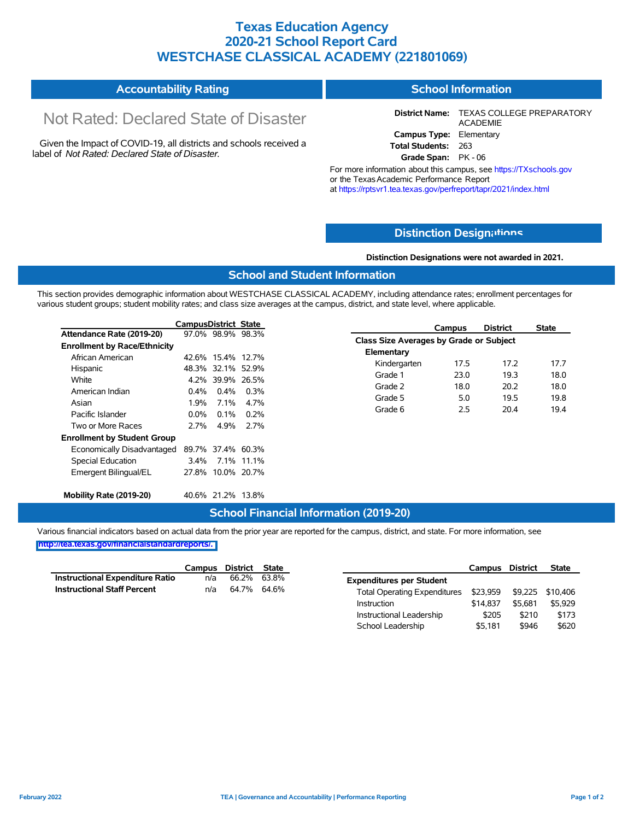### **Texas Education Agency 2020-21 School Report Card WESTCHASE CLASSICAL ACADEMY (221801069)**

#### **Accountability Rating School Information**

# Not Rated: Declared State of Disaster

Given the Impact of COVID-19, all districts and schools received a label of *Not Rated: Declared State of Disaster.*

**District Name:** TEXAS COLLEGE PREPARATORY ACADEMIE **Campus Type:** Elementary **Total Students:** 263

**Grade Span:** PK - 06

For more information about this campus, see https://TXschools.gov or the Texas Academic Performance Report at https://rptsvr1.tea.texas.gov/perfreport/tapr/2021/index.html

### **Distinction Design[ations](https://TXschools.gov)**

**Distinction Designations were not awarded in 2021.**

School Leadership  $$5,181$  \$946 \$620

#### **School and Student Information**

This section provides demographic information about WESTCHASE CLASSICAL ACADEMY, including attendance rates; enrollment percentages for various student groups; student mobility rates; and class size averages at the campus, district, and state level, where applicable.

|                                     | <b>CampusDistrict State</b> |                   |            | <b>Campus</b>                           |      | <b>District</b> | <b>State</b> |
|-------------------------------------|-----------------------------|-------------------|------------|-----------------------------------------|------|-----------------|--------------|
| Attendance Rate (2019-20)           |                             | 97.0% 98.9% 98.3% |            | Class Size Averages by Grade or Subject |      |                 |              |
| <b>Enrollment by Race/Ethnicity</b> |                             |                   |            |                                         |      |                 |              |
| African American                    |                             | 42.6% 15.4% 12.7% |            | Elementary                              |      |                 |              |
| Hispanic                            |                             | 48.3% 32.1% 52.9% |            | Kindergarten                            | 17.5 | 17.2            | 17.7         |
| White                               |                             | 4.2% 39.9% 26.5%  |            | Grade 1                                 | 23.0 | 19.3            | 18.0         |
| American Indian                     | $0.4\%$                     | $0.4\%$           | $0.3\%$    | Grade 2                                 | 18.0 | 20.2            | 18.0         |
| Asian                               | 1.9%                        | 7.1%              | 4.7%       | Grade 5                                 | 5.0  | 19.5            | 19.8         |
| Pacific Islander                    | $0.0\%$                     | $0.1\%$           | 0.2%       | Grade 6                                 | 2.5  | 20.4            | 19.4         |
| Two or More Races                   | 2.7%                        | 4.9%              | 2.7%       |                                         |      |                 |              |
| <b>Enrollment by Student Group</b>  |                             |                   |            |                                         |      |                 |              |
| Economically Disadvantaged          |                             | 89.7% 37.4% 60.3% |            |                                         |      |                 |              |
| Special Education                   | $3.4\%$                     |                   | 7.1% 11.1% |                                         |      |                 |              |
| Emergent Bilingual/EL               |                             | 27.8% 10.0% 20.7% |            |                                         |      |                 |              |
| Mobility Rate (2019-20)             |                             | 40.6% 21.2% 13.8% |            |                                         |      |                 |              |

### **School Financial Information (2019-20)**

Various financial indicators based on actual data from the prior year are reported for the campus, district, and state. For more information, see

**[http://tea.texas.gov/financialstandardreports/.](http://tea.texas.gov/financialstandardreports/)**

|                                        | Campus | District State |                                     | Campus District           |         | <b>State</b> |
|----------------------------------------|--------|----------------|-------------------------------------|---------------------------|---------|--------------|
| <b>Instructional Expenditure Ratio</b> | n/a    | 66.2% 63.8%    | <b>Expenditures per Student</b>     |                           |         |              |
| <b>Instructional Staff Percent</b>     | n/a    | 64.7% 64.6%    | <b>Total Operating Expenditures</b> | \$23,959 \$9,225 \$10,406 |         |              |
|                                        |        |                | Instruction                         | \$14,837                  | \$5.681 | \$5,929      |
|                                        |        |                | Instructional Leadership            | \$205                     | \$210   | \$173        |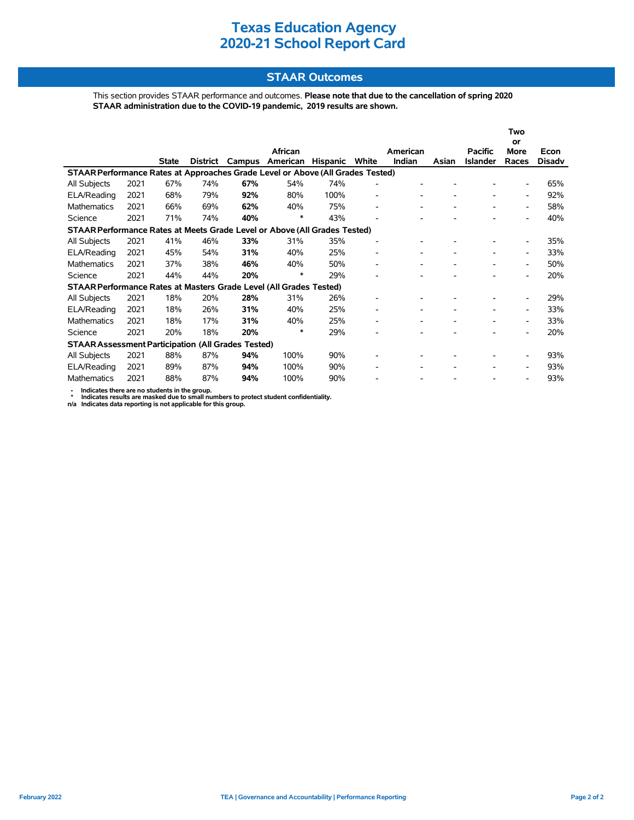### **STAAR Outcomes**

This section provides STAAR performance and outcomes. **Please note that due to the cancellation of spring 2020 STAAR administration due to the COVID-19 pandemic, 2019 results are shown.**

|                                                                                |      |              |          |        |          |                 |                              |          |       |                 | Two                      |        |
|--------------------------------------------------------------------------------|------|--------------|----------|--------|----------|-----------------|------------------------------|----------|-------|-----------------|--------------------------|--------|
|                                                                                |      |              |          |        | African  |                 |                              | American |       | <b>Pacific</b>  | or<br><b>More</b>        | Econ   |
|                                                                                |      | <b>State</b> | District | Campus | American | <b>Hispanic</b> | White                        | Indian   | Asian | <b>Islander</b> | Races                    | Disadv |
| STAAR Performance Rates at Approaches Grade Level or Above (All Grades Tested) |      |              |          |        |          |                 |                              |          |       |                 |                          |        |
| All Subjects                                                                   | 2021 | 67%          | 74%      | 67%    | 54%      | 74%             | ٠                            |          |       |                 | $\overline{\phantom{a}}$ | 65%    |
| ELA/Reading                                                                    | 2021 | 68%          | 79%      | 92%    | 80%      | 100%            | $\overline{a}$               |          |       |                 | $\overline{\phantom{a}}$ | 92%    |
| <b>Mathematics</b>                                                             | 2021 | 66%          | 69%      | 62%    | 40%      | 75%             | ۰                            |          |       |                 | $\overline{\phantom{a}}$ | 58%    |
| Science                                                                        | 2021 | 71%          | 74%      | 40%    | *        | 43%             |                              |          |       |                 | $\overline{\phantom{a}}$ | 40%    |
| STAAR Performance Rates at Meets Grade Level or Above (All Grades Tested)      |      |              |          |        |          |                 |                              |          |       |                 |                          |        |
| All Subjects                                                                   | 2021 | 41%          | 46%      | 33%    | 31%      | 35%             | $\overline{a}$               |          |       |                 | $\overline{\phantom{a}}$ | 35%    |
| ELA/Reading                                                                    | 2021 | 45%          | 54%      | 31%    | 40%      | 25%             | $\qquad \qquad \blacksquare$ |          |       |                 | $\overline{\phantom{a}}$ | 33%    |
| <b>Mathematics</b>                                                             | 2021 | 37%          | 38%      | 46%    | 40%      | 50%             | $\overline{a}$               |          |       |                 | $\overline{\phantom{a}}$ | 50%    |
| Science                                                                        | 2021 | 44%          | 44%      | 20%    | *        | 29%             |                              |          |       |                 | $\overline{\phantom{0}}$ | 20%    |
| STAAR Performance Rates at Masters Grade Level (All Grades Tested)             |      |              |          |        |          |                 |                              |          |       |                 |                          |        |
| All Subjects                                                                   | 2021 | 18%          | 20%      | 28%    | 31%      | 26%             |                              |          |       |                 |                          | 29%    |
| ELA/Reading                                                                    | 2021 | 18%          | 26%      | 31%    | 40%      | 25%             | $\qquad \qquad \blacksquare$ |          |       |                 | $\overline{\phantom{a}}$ | 33%    |
| <b>Mathematics</b>                                                             | 2021 | 18%          | 17%      | 31%    | 40%      | 25%             | ۰                            |          |       |                 | $\overline{\phantom{a}}$ | 33%    |
| Science                                                                        | 2021 | 20%          | 18%      | 20%    | *        | 29%             |                              |          |       |                 | $\overline{\phantom{0}}$ | 20%    |
| <b>STAAR Assessment Participation (All Grades Tested)</b>                      |      |              |          |        |          |                 |                              |          |       |                 |                          |        |
| All Subjects                                                                   | 2021 | 88%          | 87%      | 94%    | 100%     | 90%             |                              |          |       |                 |                          | 93%    |
| ELA/Reading                                                                    | 2021 | 89%          | 87%      | 94%    | 100%     | 90%             |                              |          |       |                 | $\overline{\phantom{a}}$ | 93%    |
| Mathematics                                                                    | 2021 | 88%          | 87%      | 94%    | 100%     | 90%             |                              |          |       |                 | $\overline{\phantom{a}}$ | 93%    |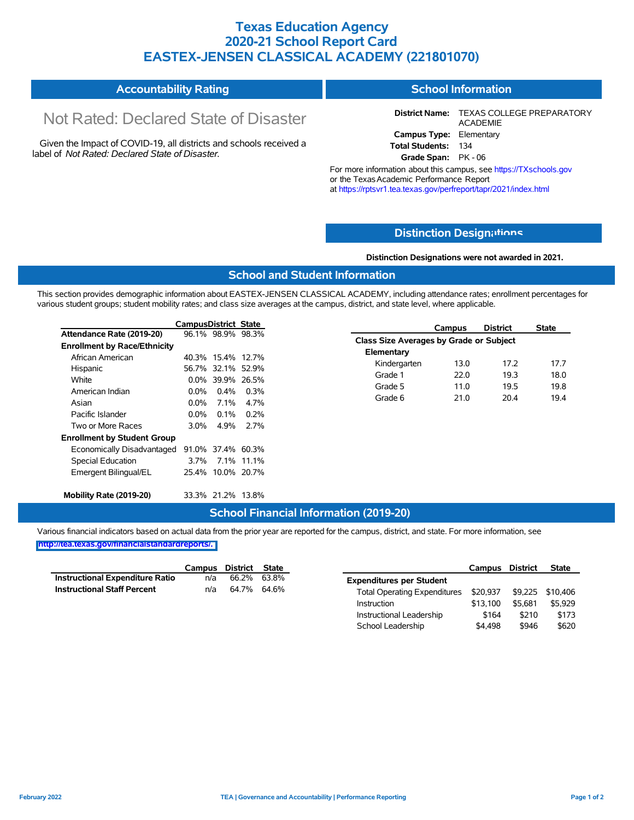### **Texas Education Agency 2020-21 School Report Card EASTEX-JENSEN CLASSICAL ACADEMY (221801070)**

#### **Accountability Rating School Information**

# Not Rated: Declared State of Disaster

Given the Impact of COVID-19, all districts and schools received a label of *Not Rated: Declared State of Disaster.*

**District Name:** TEXAS COLLEGE PREPARATORY ACADEMIE **Campus Type:** Elementary **Total Students:** 134

**Grade Span:** PK - 06

For more information about this campus, see https://TXschools.gov or the Texas Academic Performance Report at https://rptsvr1.tea.texas.gov/perfreport/tapr/2021/index.html

### **Distinction Design[ations](https://TXschools.gov)**

**Distinction Designations were not awarded in 2021.**

#### **School and Student Information**

This section provides demographic information about EASTEX-JENSEN CLASSICAL ACADEMY, including attendance rates; enrollment percentages for various student groups; student mobility rates; and class size averages at the campus, district, and state level, where applicable.

 $\overline{\phantom{a}}$ 

|                                     | <b>CampusDistrict State</b> |                   |         |
|-------------------------------------|-----------------------------|-------------------|---------|
| Attendance Rate (2019-20)           |                             | 96.1% 98.9% 98.3% |         |
| <b>Enrollment by Race/Ethnicity</b> |                             |                   |         |
| African American                    |                             | 40.3% 15.4% 12.7% |         |
| Hispanic                            |                             | 56.7% 32.1%       | 52.9%   |
| White                               |                             | 0.0% 39.9%        | 26.5%   |
| American Indian                     | $0.0\%$                     | $0.4\%$           | $0.3\%$ |
| Asian                               | 0.0%                        | 7 1%              | 4.7%    |
| Pacific Islander                    | 0.0%                        | $0.1\%$           | $0.2\%$ |
| Two or More Races                   | 3.0%                        | 4 9%              | ን 7%    |
| <b>Enrollment by Student Group</b>  |                             |                   |         |
| Economically Disadvantaged          |                             | 91 0% 37 4%       | 60.3%   |
| Special Education                   | 3.7%                        | 7.1%              | 11.1%   |
| Emergent Bilingual/EL               |                             | 25.4% 10.0% 20.7% |         |
| Mobility Rate (2019-20)             |                             | 33.3% 21.2%       | 13.8%   |

|                                         | Campus | <b>District</b> | State |  |  |  |  |  |  |  |
|-----------------------------------------|--------|-----------------|-------|--|--|--|--|--|--|--|
| Class Size Averages by Grade or Subject |        |                 |       |  |  |  |  |  |  |  |
| Elementary                              |        |                 |       |  |  |  |  |  |  |  |
| Kindergarten                            | 13.0   | 17.2            | 177   |  |  |  |  |  |  |  |
| Grade 1                                 | 22 O   | 19.3            | 18.0  |  |  |  |  |  |  |  |
| Grade 5                                 | 11.0   | 19.5            | 19.8  |  |  |  |  |  |  |  |
| Grade 6                                 | 21.0   | 204             | 194   |  |  |  |  |  |  |  |

Instructional Leadership  $$164$  \$210 \$173 School Leadership  $$4,498$  \$946 \$620

#### **School Financial Information (2019-20)**

Various financial indicators based on actual data from the prior year are reported for the campus, district, and state. For more information, see

#### **[http://tea.texas.gov/financialstandardreports/.](http://tea.texas.gov/financialstandardreports/)**

|                                    | Campus | District    | State | Campus                                                           | District | <b>State</b> |
|------------------------------------|--------|-------------|-------|------------------------------------------------------------------|----------|--------------|
| Instructional Expenditure Ratio    | n/a    | 66.2%       | 63.8% | <b>Expenditures per Student</b>                                  |          |              |
| <b>Instructional Staff Percent</b> | n/a    | 64.7% 64.6% |       | \$20,937 \$9,225 \$10,406<br><b>Total Operating Expenditures</b> |          |              |
|                                    |        |             |       | \$13.100<br>Instruction                                          | \$5.681  | \$5,929      |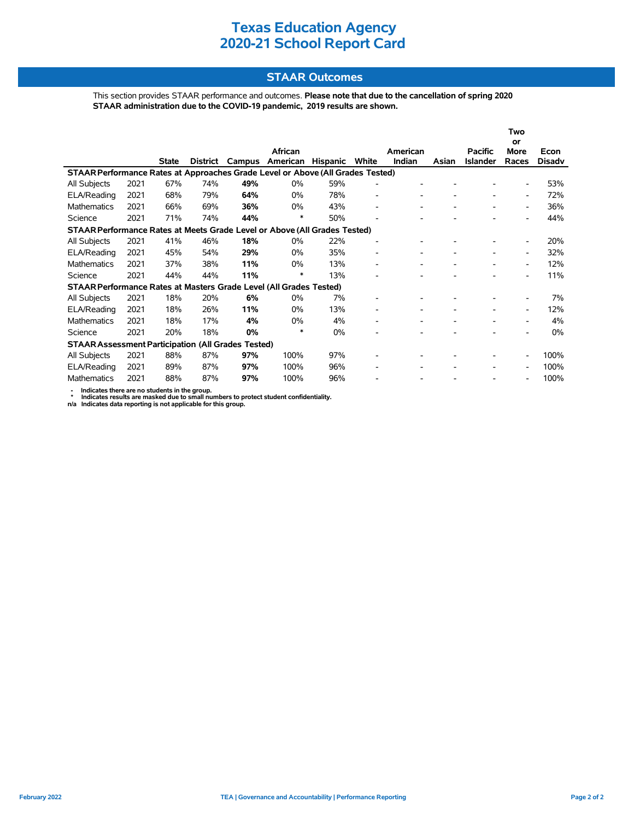### **STAAR Outcomes**

This section provides STAAR performance and outcomes. **Please note that due to the cancellation of spring 2020 STAAR administration due to the COVID-19 pandemic, 2019 results are shown.**

|                                                                                |      |              |          |     |                 |                 |                          |          |       |                 | Two                      |               |
|--------------------------------------------------------------------------------|------|--------------|----------|-----|-----------------|-----------------|--------------------------|----------|-------|-----------------|--------------------------|---------------|
|                                                                                |      |              |          |     | African         |                 |                          | American |       | <b>Pacific</b>  | <b>or</b><br><b>More</b> | Econ          |
|                                                                                |      | <b>State</b> | District |     | Campus American | <b>Hispanic</b> | White                    | Indian   | Asian | <b>Islander</b> | Races                    | <b>Disady</b> |
| STAAR Performance Rates at Approaches Grade Level or Above (All Grades Tested) |      |              |          |     |                 |                 |                          |          |       |                 |                          |               |
| All Subjects                                                                   | 2021 | 67%          | 74%      | 49% | $0\%$           | 59%             | ٠                        |          |       |                 | $\overline{\phantom{a}}$ | 53%           |
| ELA/Reading                                                                    | 2021 | 68%          | 79%      | 64% | $0\%$           | 78%             | $\overline{a}$           |          |       |                 | $\overline{\phantom{a}}$ | 72%           |
| <b>Mathematics</b>                                                             | 2021 | 66%          | 69%      | 36% | $0\%$           | 43%             | ٠                        |          |       |                 | $\overline{\phantom{a}}$ | 36%           |
| Science                                                                        | 2021 | 71%          | 74%      | 44% | ∗               | 50%             | -                        |          |       |                 | $\overline{\phantom{a}}$ | 44%           |
| STAAR Performance Rates at Meets Grade Level or Above (All Grades Tested)      |      |              |          |     |                 |                 |                          |          |       |                 |                          |               |
| All Subjects                                                                   | 2021 | 41%          | 46%      | 18% | $0\%$           | 22%             | $\overline{a}$           |          |       |                 | $\overline{\phantom{a}}$ | 20%           |
| ELA/Reading                                                                    | 2021 | 45%          | 54%      | 29% | $0\%$           | 35%             | $\overline{\phantom{0}}$ |          |       |                 | $\overline{\phantom{a}}$ | 32%           |
| <b>Mathematics</b>                                                             | 2021 | 37%          | 38%      | 11% | $0\%$           | 13%             | $\overline{\phantom{0}}$ |          |       |                 | $\overline{\phantom{a}}$ | 12%           |
| Science                                                                        | 2021 | 44%          | 44%      | 11% | $\ast$          | 13%             | -                        |          |       |                 | $\overline{\phantom{a}}$ | 11%           |
| STAAR Performance Rates at Masters Grade Level (All Grades Tested)             |      |              |          |     |                 |                 |                          |          |       |                 |                          |               |
| All Subjects                                                                   | 2021 | 18%          | 20%      | 6%  | $0\%$           | 7%              | $\overline{\phantom{0}}$ |          |       |                 |                          | 7%            |
| ELA/Reading                                                                    | 2021 | 18%          | 26%      | 11% | $0\%$           | 13%             | -                        |          |       |                 | $\overline{\phantom{a}}$ | 12%           |
| <b>Mathematics</b>                                                             | 2021 | 18%          | 17%      | 4%  | $0\%$           | 4%              | ٠                        |          |       |                 | $\overline{\phantom{a}}$ | 4%            |
| Science                                                                        | 2021 | 20%          | 18%      | 0%  | *               | $0\%$           |                          |          |       |                 |                          | $0\%$         |
| <b>STAAR Assessment Participation (All Grades Tested)</b>                      |      |              |          |     |                 |                 |                          |          |       |                 |                          |               |
| All Subjects                                                                   | 2021 | 88%          | 87%      | 97% | 100%            | 97%             |                          |          |       |                 | $\overline{\phantom{a}}$ | 100%          |
| ELA/Reading                                                                    | 2021 | 89%          | 87%      | 97% | 100%            | 96%             | -                        |          |       |                 | $\overline{\phantom{a}}$ | 100%          |
| Mathematics                                                                    | 2021 | 88%          | 87%      | 97% | 100%            | 96%             |                          |          |       |                 |                          | 100%          |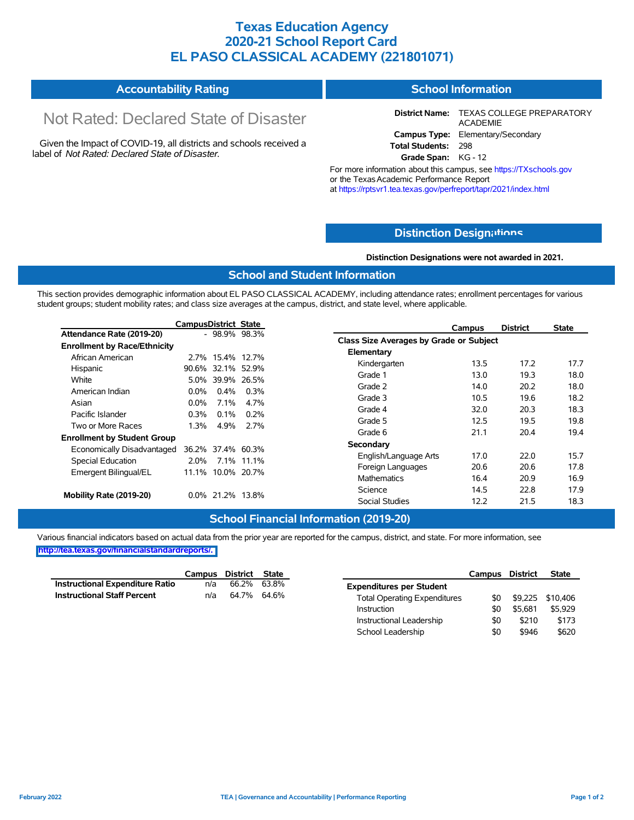### **Texas Education Agency 2020-21 School Report Card EL PASO CLASSICAL ACADEMY (221801071)**

#### **Accountability Rating School Information**

# Not Rated: Declared State of Disaster

Given the Impact of COVID-19, all districts and schools received a label of *Not Rated: Declared State of Disaster.*

**District Name:** TEXAS COLLEGE PREPARATORY ACADEMIE **Campus Type:** Elementary/Secondary **Total Students:** 298

**Grade Span:** KG - 12

For more information about this campus, see https://TXschools.gov or the Texas Academic Performance Report at https://rptsvr1.tea.texas.gov/perfreport/tapr/2021/index.html

### **Distinction Design[ations](https://TXschools.gov)**

**Distinction Designations were not awarded in 2021.**

Instructional Leadership  $$0$  \$210 \$173 School Leadership  $$0$  \$946 \$620

#### **School and Student Information**

This section provides demographic information about EL PASO CLASSICAL ACADEMY, including attendance rates; enrollment percentages for various student groups; student mobility rates; and class size averages at the campus, district, and state level, where applicable.

|                                     | <b>CampusDistrict State</b> |                   |            | Campus                                  | <b>District</b> | <b>State</b> |
|-------------------------------------|-----------------------------|-------------------|------------|-----------------------------------------|-----------------|--------------|
| Attendance Rate (2019-20)           |                             | $-98.9\%$ 98.3%   |            | Class Size Averages by Grade or Subject |                 |              |
| <b>Enrollment by Race/Ethnicity</b> |                             |                   |            |                                         |                 |              |
| African American                    |                             | 2.7% 15.4% 12.7%  |            | Elementary                              |                 |              |
| Hispanic                            |                             | 90.6% 32.1% 52.9% |            | 13.5<br>Kindergarten                    | 17.2            | 17.7         |
| White                               |                             | 5.0% 39.9% 26.5%  |            | Grade 1<br>13.0                         | 19.3            | 18.0         |
| American Indian                     | $0.0\%$                     | $0.4\%$           | $0.3\%$    | Grade 2<br>14.0                         | 20.2            | 18.0         |
|                                     | $0.0\%$                     | $7.1\%$           | 4.7%       | Grade 3<br>10.5                         | 19.6            | 18.2         |
| Asian                               |                             |                   |            | Grade 4<br>32.0                         | 20.3            | 18.3         |
| Pacific Islander                    | $0.3\%$                     | $0.1\%$           | $0.2\%$    | 12.5<br>Grade 5                         | 19.5            | 19.8         |
| Two or More Races                   | 1.3%                        | 4.9%              | 2.7%       | Grade 6<br>21.1                         | 20.4            | 19.4         |
| <b>Enrollment by Student Group</b>  |                             |                   |            |                                         |                 |              |
| Economically Disadvantaged          |                             | 36.2% 37.4% 60.3% |            | Secondary                               |                 |              |
| Special Education                   | 2.0%                        |                   | 7.1% 11.1% | English/Language Arts<br>17.0           | 22.0            | 15.7         |
| Emergent Bilingual/EL               |                             | 11.1% 10.0% 20.7% |            | 20.6<br>Foreign Languages               | 20.6            | 17.8         |
|                                     |                             |                   |            | <b>Mathematics</b><br>16.4              | 20.9            | 16.9         |
|                                     |                             |                   |            | Science<br>14.5                         | 22.8            | 17.9         |
| Mobility Rate (2019-20)             | 0.0% 21.2% 13.8%            |                   |            | Social Studies<br>12.2                  | 21.5            | 18.3         |

#### **School Financial Information (2019-20)**

|                                    |     | Campus District State |                                     | Campus    | District | <b>State</b>     |
|------------------------------------|-----|-----------------------|-------------------------------------|-----------|----------|------------------|
| Instructional Expenditure Ratio    | n/a | 66.2% 63.8%           | <b>Expenditures per Student</b>     |           |          |                  |
| <b>Instructional Staff Percent</b> | n/a | 64.7% 64.6%           | <b>Total Operating Expenditures</b> | <b>SO</b> |          | \$9.225 \$10.406 |
|                                    |     |                       | Instruction                         |           | \$5.681  | \$5,929          |